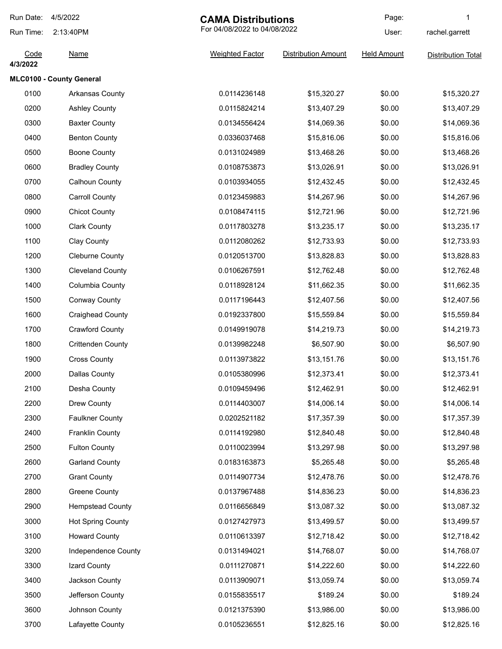| Run Date:        | 4/5/2022                 | <b>CAMA Distributions</b><br>For 04/08/2022 to 04/08/2022 |                            | Page:              | 1                         |
|------------------|--------------------------|-----------------------------------------------------------|----------------------------|--------------------|---------------------------|
| Run Time:        | 2:13:40PM                |                                                           |                            | User:              | rachel.garrett            |
| Code<br>4/3/2022 | <b>Name</b>              | <b>Weighted Factor</b>                                    | <b>Distribution Amount</b> | <b>Held Amount</b> | <b>Distribution Total</b> |
|                  | MLC0100 - County General |                                                           |                            |                    |                           |
| 0100             | Arkansas County          | 0.0114236148                                              | \$15,320.27                | \$0.00             | \$15,320.27               |
| 0200             | <b>Ashley County</b>     | 0.0115824214                                              | \$13,407.29                | \$0.00             | \$13,407.29               |
| 0300             | <b>Baxter County</b>     | 0.0134556424                                              | \$14,069.36                | \$0.00             | \$14,069.36               |
| 0400             | <b>Benton County</b>     | 0.0336037468                                              | \$15,816.06                | \$0.00             | \$15,816.06               |
| 0500             | <b>Boone County</b>      | 0.0131024989                                              | \$13,468.26                | \$0.00             | \$13,468.26               |
| 0600             | <b>Bradley County</b>    | 0.0108753873                                              | \$13,026.91                | \$0.00             | \$13,026.91               |
| 0700             | Calhoun County           | 0.0103934055                                              | \$12,432.45                | \$0.00             | \$12,432.45               |
| 0800             | <b>Carroll County</b>    | 0.0123459883                                              | \$14,267.96                | \$0.00             | \$14,267.96               |
| 0900             | <b>Chicot County</b>     | 0.0108474115                                              | \$12,721.96                | \$0.00             | \$12,721.96               |
| 1000             | <b>Clark County</b>      | 0.0117803278                                              | \$13,235.17                | \$0.00             | \$13,235.17               |
| 1100             | <b>Clay County</b>       | 0.0112080262                                              | \$12,733.93                | \$0.00             | \$12,733.93               |
| 1200             | <b>Cleburne County</b>   | 0.0120513700                                              | \$13,828.83                | \$0.00             | \$13,828.83               |
| 1300             | <b>Cleveland County</b>  | 0.0106267591                                              | \$12,762.48                | \$0.00             | \$12,762.48               |
| 1400             | Columbia County          | 0.0118928124                                              | \$11,662.35                | \$0.00             | \$11,662.35               |
| 1500             | <b>Conway County</b>     | 0.0117196443                                              | \$12,407.56                | \$0.00             | \$12,407.56               |
| 1600             | <b>Craighead County</b>  | 0.0192337800                                              | \$15,559.84                | \$0.00             | \$15,559.84               |
| 1700             | <b>Crawford County</b>   | 0.0149919078                                              | \$14,219.73                | \$0.00             | \$14,219.73               |
| 1800             | <b>Crittenden County</b> | 0.0139982248                                              | \$6,507.90                 | \$0.00             | \$6,507.90                |
| 1900             | <b>Cross County</b>      | 0.0113973822                                              | \$13,151.76                | \$0.00             | \$13,151.76               |
| 2000             | Dallas County            | 0.0105380996                                              | \$12,373.41                | \$0.00             | \$12,373.41               |
| 2100             | Desha County             | 0.0109459496                                              | \$12,462.91                | \$0.00             | \$12,462.91               |
| 2200             | Drew County              | 0.0114403007                                              | \$14,006.14                | \$0.00             | \$14,006.14               |
| 2300             | <b>Faulkner County</b>   | 0.0202521182                                              | \$17,357.39                | \$0.00             | \$17,357.39               |
| 2400             | Franklin County          | 0.0114192980                                              | \$12,840.48                | \$0.00             | \$12,840.48               |
| 2500             | <b>Fulton County</b>     | 0.0110023994                                              | \$13,297.98                | \$0.00             | \$13,297.98               |
| 2600             | <b>Garland County</b>    | 0.0183163873                                              | \$5,265.48                 | \$0.00             | \$5,265.48                |
| 2700             | <b>Grant County</b>      | 0.0114907734                                              | \$12,478.76                | \$0.00             | \$12,478.76               |
| 2800             | <b>Greene County</b>     | 0.0137967488                                              | \$14,836.23                | \$0.00             | \$14,836.23               |
| 2900             | <b>Hempstead County</b>  | 0.0116656849                                              | \$13,087.32                | \$0.00             | \$13,087.32               |
| 3000             | <b>Hot Spring County</b> | 0.0127427973                                              | \$13,499.57                | \$0.00             | \$13,499.57               |
| 3100             | <b>Howard County</b>     | 0.0110613397                                              | \$12,718.42                | \$0.00             | \$12,718.42               |
| 3200             | Independence County      | 0.0131494021                                              | \$14,768.07                | \$0.00             | \$14,768.07               |
| 3300             | Izard County             | 0.0111270871                                              | \$14,222.60                | \$0.00             | \$14,222.60               |
| 3400             | Jackson County           | 0.0113909071                                              | \$13,059.74                | \$0.00             | \$13,059.74               |
| 3500             | Jefferson County         | 0.0155835517                                              | \$189.24                   | \$0.00             | \$189.24                  |
| 3600             | Johnson County           | 0.0121375390                                              | \$13,986.00                | \$0.00             | \$13,986.00               |
| 3700             | Lafayette County         | 0.0105236551                                              | \$12,825.16                | \$0.00             | \$12,825.16               |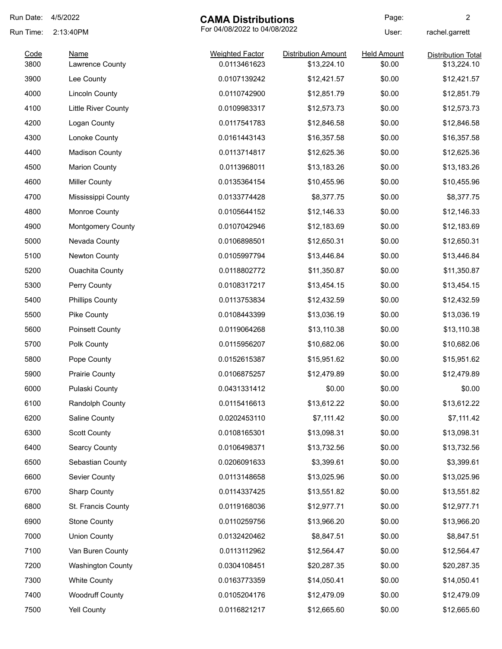| Run Date:    | 4/5/2022<br><b>CAMA Distributions</b>     |                                        |                                           | Page:                        | $\overline{c}$                           |  |
|--------------|-------------------------------------------|----------------------------------------|-------------------------------------------|------------------------------|------------------------------------------|--|
| Run Time:    | For 04/08/2022 to 04/08/2022<br>2:13:40PM |                                        |                                           | User:                        | rachel.garrett                           |  |
| Code<br>3800 | <b>Name</b><br>Lawrence County            | <b>Weighted Factor</b><br>0.0113461623 | <b>Distribution Amount</b><br>\$13,224.10 | <b>Held Amount</b><br>\$0.00 | <b>Distribution Total</b><br>\$13,224.10 |  |
| 3900         | Lee County                                | 0.0107139242                           | \$12,421.57                               | \$0.00                       | \$12,421.57                              |  |
| 4000         | <b>Lincoln County</b>                     | 0.0110742900                           | \$12,851.79                               | \$0.00                       | \$12,851.79                              |  |
| 4100         | <b>Little River County</b>                | 0.0109983317                           | \$12,573.73                               | \$0.00                       | \$12,573.73                              |  |
| 4200         | Logan County                              | 0.0117541783                           | \$12,846.58                               | \$0.00                       | \$12,846.58                              |  |
| 4300         | Lonoke County                             | 0.0161443143                           | \$16,357.58                               | \$0.00                       | \$16,357.58                              |  |
| 4400         | <b>Madison County</b>                     | 0.0113714817                           | \$12,625.36                               | \$0.00                       | \$12,625.36                              |  |
| 4500         | <b>Marion County</b>                      | 0.0113968011                           | \$13,183.26                               | \$0.00                       | \$13,183.26                              |  |
| 4600         | <b>Miller County</b>                      | 0.0135364154                           | \$10,455.96                               | \$0.00                       | \$10,455.96                              |  |
| 4700         | Mississippi County                        | 0.0133774428                           | \$8,377.75                                | \$0.00                       | \$8,377.75                               |  |
| 4800         | Monroe County                             | 0.0105644152                           | \$12,146.33                               | \$0.00                       | \$12,146.33                              |  |
| 4900         | Montgomery County                         | 0.0107042946                           | \$12,183.69                               | \$0.00                       | \$12,183.69                              |  |
| 5000         | Nevada County                             | 0.0106898501                           | \$12,650.31                               | \$0.00                       | \$12,650.31                              |  |
| 5100         | Newton County                             | 0.0105997794                           | \$13,446.84                               | \$0.00                       | \$13,446.84                              |  |
| 5200         | <b>Ouachita County</b>                    | 0.0118802772                           | \$11,350.87                               | \$0.00                       | \$11,350.87                              |  |
| 5300         | Perry County                              | 0.0108317217                           | \$13,454.15                               | \$0.00                       | \$13,454.15                              |  |
| 5400         | <b>Phillips County</b>                    | 0.0113753834                           | \$12,432.59                               | \$0.00                       | \$12,432.59                              |  |
| 5500         | Pike County                               | 0.0108443399                           | \$13,036.19                               | \$0.00                       | \$13,036.19                              |  |
| 5600         | <b>Poinsett County</b>                    | 0.0119064268                           | \$13,110.38                               | \$0.00                       | \$13,110.38                              |  |
| 5700         | Polk County                               | 0.0115956207                           | \$10,682.06                               | \$0.00                       | \$10,682.06                              |  |
| 5800         | Pope County                               | 0.0152615387                           | \$15,951.62                               | \$0.00                       | \$15,951.62                              |  |
| 5900         | <b>Prairie County</b>                     | 0.0106875257                           | \$12,479.89                               | \$0.00                       | \$12,479.89                              |  |
| 6000         | Pulaski County                            | 0.0431331412                           | \$0.00                                    | \$0.00                       | \$0.00                                   |  |
| 6100         | Randolph County                           | 0.0115416613                           | \$13,612.22                               | \$0.00                       | \$13,612.22                              |  |
| 6200         | Saline County                             | 0.0202453110                           | \$7,111.42                                | \$0.00                       | \$7,111.42                               |  |
| 6300         | <b>Scott County</b>                       | 0.0108165301                           | \$13,098.31                               | \$0.00                       | \$13,098.31                              |  |
| 6400         | Searcy County                             | 0.0106498371                           | \$13,732.56                               | \$0.00                       | \$13,732.56                              |  |
| 6500         | Sebastian County                          | 0.0206091633                           | \$3,399.61                                | \$0.00                       | \$3,399.61                               |  |
| 6600         | Sevier County                             | 0.0113148658                           | \$13,025.96                               | \$0.00                       | \$13,025.96                              |  |
| 6700         | <b>Sharp County</b>                       | 0.0114337425                           | \$13,551.82                               | \$0.00                       | \$13,551.82                              |  |
| 6800         | St. Francis County                        | 0.0119168036                           | \$12,977.71                               | \$0.00                       | \$12,977.71                              |  |
| 6900         | <b>Stone County</b>                       | 0.0110259756                           | \$13,966.20                               | \$0.00                       | \$13,966.20                              |  |
| 7000         | <b>Union County</b>                       | 0.0132420462                           | \$8,847.51                                | \$0.00                       | \$8,847.51                               |  |
| 7100         | Van Buren County                          | 0.0113112962                           | \$12,564.47                               | \$0.00                       | \$12,564.47                              |  |
| 7200         | <b>Washington County</b>                  | 0.0304108451                           | \$20,287.35                               | \$0.00                       | \$20,287.35                              |  |
| 7300         | <b>White County</b>                       | 0.0163773359                           | \$14,050.41                               | \$0.00                       | \$14,050.41                              |  |
| 7400         | <b>Woodruff County</b>                    | 0.0105204176                           | \$12,479.09                               | \$0.00                       | \$12,479.09                              |  |
| 7500         | Yell County                               | 0.0116821217                           | \$12,665.60                               | \$0.00                       | \$12,665.60                              |  |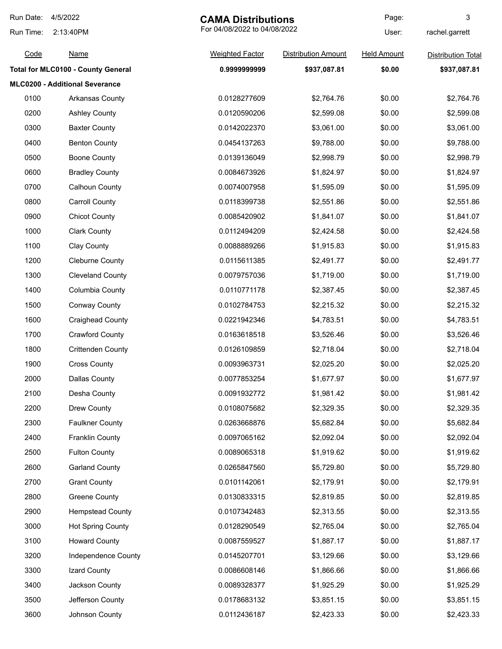| Run Date:<br>4/5/2022<br><b>CAMA Distributions</b> |                                       |                              | Page:                      | 3                  |                           |
|----------------------------------------------------|---------------------------------------|------------------------------|----------------------------|--------------------|---------------------------|
| Run Time:                                          | 2:13:40PM                             | For 04/08/2022 to 04/08/2022 |                            | User:              | rachel.garrett            |
| Code                                               | <u>Name</u>                           | <b>Weighted Factor</b>       | <b>Distribution Amount</b> | <b>Held Amount</b> | <b>Distribution Total</b> |
|                                                    | Total for MLC0100 - County General    | 0.999999999                  | \$937,087.81               | \$0.00             | \$937,087.81              |
|                                                    | <b>MLC0200 - Additional Severance</b> |                              |                            |                    |                           |
| 0100                                               | Arkansas County                       | 0.0128277609                 | \$2,764.76                 | \$0.00             | \$2,764.76                |
| 0200                                               | <b>Ashley County</b>                  | 0.0120590206                 | \$2,599.08                 | \$0.00             | \$2,599.08                |
| 0300                                               | <b>Baxter County</b>                  | 0.0142022370                 | \$3,061.00                 | \$0.00             | \$3,061.00                |
| 0400                                               | <b>Benton County</b>                  | 0.0454137263                 | \$9,788.00                 | \$0.00             | \$9,788.00                |
| 0500                                               | <b>Boone County</b>                   | 0.0139136049                 | \$2,998.79                 | \$0.00             | \$2,998.79                |
| 0600                                               | <b>Bradley County</b>                 | 0.0084673926                 | \$1,824.97                 | \$0.00             | \$1,824.97                |
| 0700                                               | Calhoun County                        | 0.0074007958                 | \$1,595.09                 | \$0.00             | \$1,595.09                |
| 0800                                               | <b>Carroll County</b>                 | 0.0118399738                 | \$2,551.86                 | \$0.00             | \$2,551.86                |
| 0900                                               | <b>Chicot County</b>                  | 0.0085420902                 | \$1,841.07                 | \$0.00             | \$1,841.07                |
| 1000                                               | <b>Clark County</b>                   | 0.0112494209                 | \$2,424.58                 | \$0.00             | \$2,424.58                |
| 1100                                               | Clay County                           | 0.0088889266                 | \$1,915.83                 | \$0.00             | \$1,915.83                |
| 1200                                               | <b>Cleburne County</b>                | 0.0115611385                 | \$2,491.77                 | \$0.00             | \$2,491.77                |
| 1300                                               | <b>Cleveland County</b>               | 0.0079757036                 | \$1,719.00                 | \$0.00             | \$1,719.00                |
| 1400                                               | Columbia County                       | 0.0110771178                 | \$2,387.45                 | \$0.00             | \$2,387.45                |
| 1500                                               | <b>Conway County</b>                  | 0.0102784753                 | \$2,215.32                 | \$0.00             | \$2,215.32                |
| 1600                                               | <b>Craighead County</b>               | 0.0221942346                 | \$4,783.51                 | \$0.00             | \$4,783.51                |
| 1700                                               | <b>Crawford County</b>                | 0.0163618518                 | \$3,526.46                 | \$0.00             | \$3,526.46                |
| 1800                                               | <b>Crittenden County</b>              | 0.0126109859                 | \$2,718.04                 | \$0.00             | \$2,718.04                |
| 1900                                               | <b>Cross County</b>                   | 0.0093963731                 | \$2,025.20                 | \$0.00             | \$2,025.20                |
| 2000                                               | <b>Dallas County</b>                  | 0.0077853254                 | \$1,677.97                 | \$0.00             | \$1,677.97                |
| 2100                                               | Desha County                          | 0.0091932772                 | \$1,981.42                 | \$0.00             | \$1,981.42                |
| 2200                                               | Drew County                           | 0.0108075682                 | \$2,329.35                 | \$0.00             | \$2,329.35                |
| 2300                                               | <b>Faulkner County</b>                | 0.0263668876                 | \$5,682.84                 | \$0.00             | \$5,682.84                |
| 2400                                               | <b>Franklin County</b>                | 0.0097065162                 | \$2,092.04                 | \$0.00             | \$2,092.04                |
| 2500                                               | <b>Fulton County</b>                  | 0.0089065318                 | \$1,919.62                 | \$0.00             | \$1,919.62                |
| 2600                                               | <b>Garland County</b>                 | 0.0265847560                 | \$5,729.80                 | \$0.00             | \$5,729.80                |
| 2700                                               | <b>Grant County</b>                   | 0.0101142061                 | \$2,179.91                 | \$0.00             | \$2,179.91                |
| 2800                                               | <b>Greene County</b>                  | 0.0130833315                 | \$2,819.85                 | \$0.00             | \$2,819.85                |
| 2900                                               | <b>Hempstead County</b>               | 0.0107342483                 | \$2,313.55                 | \$0.00             | \$2,313.55                |
| 3000                                               | <b>Hot Spring County</b>              | 0.0128290549                 | \$2,765.04                 | \$0.00             | \$2,765.04                |
| 3100                                               | <b>Howard County</b>                  | 0.0087559527                 | \$1,887.17                 | \$0.00             | \$1,887.17                |
| 3200                                               | Independence County                   | 0.0145207701                 | \$3,129.66                 | \$0.00             | \$3,129.66                |
| 3300                                               | Izard County                          | 0.0086608146                 | \$1,866.66                 | \$0.00             | \$1,866.66                |
| 3400                                               | Jackson County                        | 0.0089328377                 | \$1,925.29                 | \$0.00             | \$1,925.29                |
| 3500                                               | Jefferson County                      | 0.0178683132                 | \$3,851.15                 | \$0.00             | \$3,851.15                |
| 3600                                               | Johnson County                        | 0.0112436187                 | \$2,423.33                 | \$0.00             | \$2,423.33                |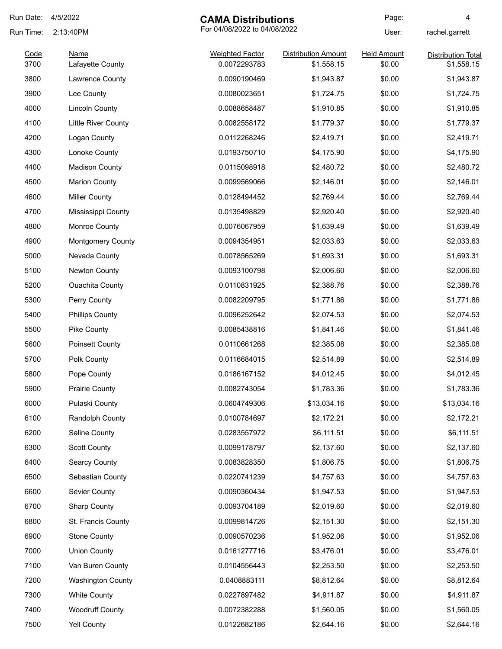| Run Date:    | 4/5/2022                        | <b>CAMA Distributions</b>              |                                          | Page:                        | 4                                       |
|--------------|---------------------------------|----------------------------------------|------------------------------------------|------------------------------|-----------------------------------------|
| Run Time:    | 2:13:40PM                       |                                        | For 04/08/2022 to 04/08/2022             |                              | rachel.garrett                          |
| Code<br>3700 | <b>Name</b><br>Lafayette County | <b>Weighted Factor</b><br>0.0072293783 | <b>Distribution Amount</b><br>\$1,558.15 | <b>Held Amount</b><br>\$0.00 | <b>Distribution Total</b><br>\$1,558.15 |
| 3800         | Lawrence County                 | 0.0090190469                           | \$1,943.87                               | \$0.00                       | \$1,943.87                              |
| 3900         | Lee County                      | 0.0080023651                           | \$1,724.75                               | \$0.00                       | \$1,724.75                              |
| 4000         | <b>Lincoln County</b>           | 0.0088658487                           | \$1,910.85                               | \$0.00                       | \$1,910.85                              |
| 4100         | Little River County             | 0.0082558172                           | \$1,779.37                               | \$0.00                       | \$1,779.37                              |
| 4200         | Logan County                    | 0.0112268246                           | \$2,419.71                               | \$0.00                       | \$2,419.71                              |
| 4300         | Lonoke County                   | 0.0193750710                           | \$4,175.90                               | \$0.00                       | \$4,175.90                              |
| 4400         | <b>Madison County</b>           | 0.0115098918                           | \$2,480.72                               | \$0.00                       | \$2,480.72                              |
| 4500         | <b>Marion County</b>            | 0.0099569066                           | \$2,146.01                               | \$0.00                       | \$2,146.01                              |
| 4600         | <b>Miller County</b>            | 0.0128494452                           | \$2,769.44                               | \$0.00                       | \$2,769.44                              |
| 4700         | Mississippi County              | 0.0135498829                           | \$2,920.40                               | \$0.00                       | \$2,920.40                              |
| 4800         | Monroe County                   | 0.0076067959                           | \$1,639.49                               | \$0.00                       | \$1,639.49                              |
| 4900         | <b>Montgomery County</b>        | 0.0094354951                           | \$2,033.63                               | \$0.00                       | \$2,033.63                              |
| 5000         | Nevada County                   | 0.0078565269                           | \$1,693.31                               | \$0.00                       | \$1,693.31                              |
| 5100         | Newton County                   | 0.0093100798                           | \$2,006.60                               | \$0.00                       | \$2,006.60                              |
| 5200         | <b>Ouachita County</b>          | 0.0110831925                           | \$2,388.76                               | \$0.00                       | \$2,388.76                              |
| 5300         | Perry County                    | 0.0082209795                           | \$1,771.86                               | \$0.00                       | \$1,771.86                              |
| 5400         | <b>Phillips County</b>          | 0.0096252642                           | \$2,074.53                               | \$0.00                       | \$2,074.53                              |
| 5500         | Pike County                     | 0.0085438816                           | \$1,841.46                               | \$0.00                       | \$1,841.46                              |
| 5600         | <b>Poinsett County</b>          | 0.0110661268                           | \$2,385.08                               | \$0.00                       | \$2,385.08                              |
| 5700         | Polk County                     | 0.0116684015                           | \$2,514.89                               | \$0.00                       | \$2,514.89                              |
| 5800         | Pope County                     | 0.0186167152                           | \$4,012.45                               | \$0.00                       | \$4,012.45                              |
| 5900         | <b>Prairie County</b>           | 0.0082743054                           | \$1,783.36                               | \$0.00                       | \$1,783.36                              |
| 6000         | Pulaski County                  | 0.0604749306                           | \$13,034.16                              | \$0.00                       | \$13,034.16                             |
| 6100         | Randolph County                 | 0.0100784697                           | \$2,172.21                               | \$0.00                       | \$2,172.21                              |
| 6200         | Saline County                   | 0.0283557972                           | \$6,111.51                               | \$0.00                       | \$6,111.51                              |
| 6300         | <b>Scott County</b>             | 0.0099178797                           | \$2,137.60                               | \$0.00                       | \$2,137.60                              |
| 6400         | Searcy County                   | 0.0083828350                           | \$1,806.75                               | \$0.00                       | \$1,806.75                              |
| 6500         | Sebastian County                | 0.0220741239                           | \$4,757.63                               | \$0.00                       | \$4,757.63                              |
| 6600         | Sevier County                   | 0.0090360434                           | \$1,947.53                               | \$0.00                       | \$1,947.53                              |
| 6700         | <b>Sharp County</b>             | 0.0093704189                           | \$2,019.60                               | \$0.00                       | \$2,019.60                              |
| 6800         | St. Francis County              | 0.0099814726                           | \$2,151.30                               | \$0.00                       | \$2,151.30                              |
| 6900         | <b>Stone County</b>             | 0.0090570236                           | \$1,952.06                               | \$0.00                       | \$1,952.06                              |
| 7000         | <b>Union County</b>             | 0.0161277716                           | \$3,476.01                               | \$0.00                       | \$3,476.01                              |
| 7100         | Van Buren County                | 0.0104556443                           | \$2,253.50                               | \$0.00                       | \$2,253.50                              |
| 7200         | <b>Washington County</b>        | 0.0408883111                           | \$8,812.64                               | \$0.00                       | \$8,812.64                              |
| 7300         | <b>White County</b>             | 0.0227897482                           | \$4,911.87                               | \$0.00                       | \$4,911.87                              |
| 7400         | <b>Woodruff County</b>          | 0.0072382288                           | \$1,560.05                               | \$0.00                       | \$1,560.05                              |
| 7500         | Yell County                     | 0.0122682186                           | \$2,644.16                               | \$0.00                       | \$2,644.16                              |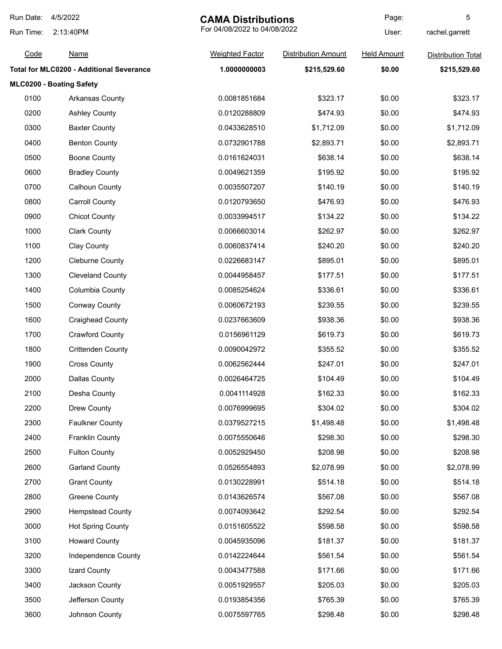| Run Date: | 4/5/2022<br><b>CAMA Distributions</b>           |                              | Page:                      | 5                  |                           |
|-----------|-------------------------------------------------|------------------------------|----------------------------|--------------------|---------------------------|
| Run Time: | 2:13:40PM                                       | For 04/08/2022 to 04/08/2022 |                            | User:              | rachel.garrett            |
| Code      | <b>Name</b>                                     | <b>Weighted Factor</b>       | <b>Distribution Amount</b> | <b>Held Amount</b> | <b>Distribution Total</b> |
|           | <b>Total for MLC0200 - Additional Severance</b> | 1.0000000003                 | \$215,529.60               | \$0.00             | \$215,529.60              |
|           | MLC0200 - Boating Safety                        |                              |                            |                    |                           |
| 0100      | <b>Arkansas County</b>                          | 0.0081851684                 | \$323.17                   | \$0.00             | \$323.17                  |
| 0200      | <b>Ashley County</b>                            | 0.0120288809                 | \$474.93                   | \$0.00             | \$474.93                  |
| 0300      | <b>Baxter County</b>                            | 0.0433628510                 | \$1,712.09                 | \$0.00             | \$1,712.09                |
| 0400      | <b>Benton County</b>                            | 0.0732901788                 | \$2,893.71                 | \$0.00             | \$2,893.71                |
| 0500      | <b>Boone County</b>                             | 0.0161624031                 | \$638.14                   | \$0.00             | \$638.14                  |
| 0600      | <b>Bradley County</b>                           | 0.0049621359                 | \$195.92                   | \$0.00             | \$195.92                  |
| 0700      | <b>Calhoun County</b>                           | 0.0035507207                 | \$140.19                   | \$0.00             | \$140.19                  |
| 0800      | <b>Carroll County</b>                           | 0.0120793650                 | \$476.93                   | \$0.00             | \$476.93                  |
| 0900      | <b>Chicot County</b>                            | 0.0033994517                 | \$134.22                   | \$0.00             | \$134.22                  |
| 1000      | <b>Clark County</b>                             | 0.0066603014                 | \$262.97                   | \$0.00             | \$262.97                  |
| 1100      | Clay County                                     | 0.0060837414                 | \$240.20                   | \$0.00             | \$240.20                  |
| 1200      | <b>Cleburne County</b>                          | 0.0226683147                 | \$895.01                   | \$0.00             | \$895.01                  |
| 1300      | <b>Cleveland County</b>                         | 0.0044958457                 | \$177.51                   | \$0.00             | \$177.51                  |
| 1400      | Columbia County                                 | 0.0085254624                 | \$336.61                   | \$0.00             | \$336.61                  |
| 1500      | <b>Conway County</b>                            | 0.0060672193                 | \$239.55                   | \$0.00             | \$239.55                  |
| 1600      | <b>Craighead County</b>                         | 0.0237663609                 | \$938.36                   | \$0.00             | \$938.36                  |
| 1700      | <b>Crawford County</b>                          | 0.0156961129                 | \$619.73                   | \$0.00             | \$619.73                  |
| 1800      | <b>Crittenden County</b>                        | 0.0090042972                 | \$355.52                   | \$0.00             | \$355.52                  |
| 1900      | <b>Cross County</b>                             | 0.0062562444                 | \$247.01                   | \$0.00             | \$247.01                  |
| 2000      | Dallas County                                   | 0.0026464725                 | \$104.49                   | \$0.00             | \$104.49                  |
| 2100      | Desha County                                    | 0.0041114928                 | \$162.33                   | \$0.00             | \$162.33                  |
| 2200      | Drew County                                     | 0.0076999695                 | \$304.02                   | \$0.00             | \$304.02                  |
| 2300      | <b>Faulkner County</b>                          | 0.0379527215                 | \$1,498.48                 | \$0.00             | \$1,498.48                |
| 2400      | <b>Franklin County</b>                          | 0.0075550646                 | \$298.30                   | \$0.00             | \$298.30                  |
| 2500      | <b>Fulton County</b>                            | 0.0052929450                 | \$208.98                   | \$0.00             | \$208.98                  |
| 2600      | <b>Garland County</b>                           | 0.0526554893                 | \$2,078.99                 | \$0.00             | \$2,078.99                |
| 2700      | <b>Grant County</b>                             | 0.0130228991                 | \$514.18                   | \$0.00             | \$514.18                  |
| 2800      | <b>Greene County</b>                            | 0.0143626574                 | \$567.08                   | \$0.00             | \$567.08                  |
| 2900      | <b>Hempstead County</b>                         | 0.0074093642                 | \$292.54                   | \$0.00             | \$292.54                  |
| 3000      | <b>Hot Spring County</b>                        | 0.0151605522                 | \$598.58                   | \$0.00             | \$598.58                  |
| 3100      | <b>Howard County</b>                            | 0.0045935096                 | \$181.37                   | \$0.00             | \$181.37                  |
| 3200      | Independence County                             | 0.0142224644                 | \$561.54                   | \$0.00             | \$561.54                  |
| 3300      | Izard County                                    | 0.0043477588                 | \$171.66                   | \$0.00             | \$171.66                  |
| 3400      | Jackson County                                  | 0.0051929557                 | \$205.03                   | \$0.00             | \$205.03                  |
| 3500      | Jefferson County                                | 0.0193854356                 | \$765.39                   | \$0.00             | \$765.39                  |
| 3600      | Johnson County                                  | 0.0075597765                 | \$298.48                   | \$0.00             | \$298.48                  |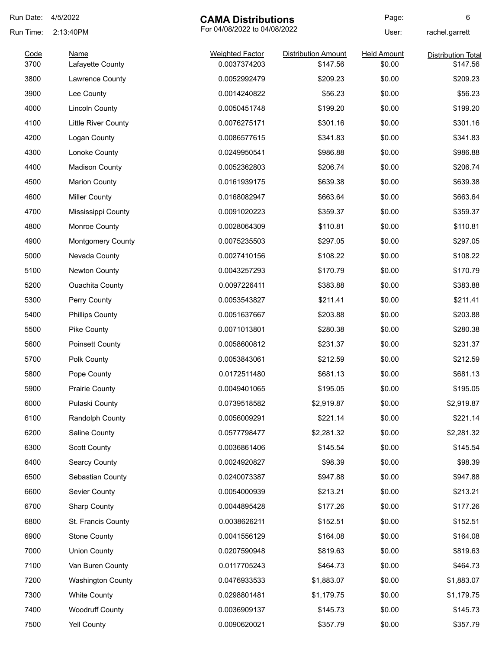| Run Date: | 4/5/2022                 |                              | <b>CAMA Distributions</b>  |                    | 6                         |
|-----------|--------------------------|------------------------------|----------------------------|--------------------|---------------------------|
| Run Time: | 2:13:40PM                | For 04/08/2022 to 04/08/2022 |                            | User:              | rachel.garrett            |
| Code      | <b>Name</b>              | <b>Weighted Factor</b>       | <b>Distribution Amount</b> | <b>Held Amount</b> | <b>Distribution Total</b> |
| 3700      | Lafayette County         | 0.0037374203                 | \$147.56                   | \$0.00             | \$147.56                  |
| 3800      | Lawrence County          | 0.0052992479                 | \$209.23                   | \$0.00             | \$209.23                  |
| 3900      | Lee County               | 0.0014240822                 | \$56.23                    | \$0.00             | \$56.23                   |
| 4000      | <b>Lincoln County</b>    | 0.0050451748                 | \$199.20                   | \$0.00             | \$199.20                  |
| 4100      | Little River County      | 0.0076275171                 | \$301.16                   | \$0.00             | \$301.16                  |
| 4200      | Logan County             | 0.0086577615                 | \$341.83                   | \$0.00             | \$341.83                  |
| 4300      | Lonoke County            | 0.0249950541                 | \$986.88                   | \$0.00             | \$986.88                  |
| 4400      | <b>Madison County</b>    | 0.0052362803                 | \$206.74                   | \$0.00             | \$206.74                  |
| 4500      | <b>Marion County</b>     | 0.0161939175                 | \$639.38                   | \$0.00             | \$639.38                  |
| 4600      | <b>Miller County</b>     | 0.0168082947                 | \$663.64                   | \$0.00             | \$663.64                  |
| 4700      | Mississippi County       | 0.0091020223                 | \$359.37                   | \$0.00             | \$359.37                  |
| 4800      | Monroe County            | 0.0028064309                 | \$110.81                   | \$0.00             | \$110.81                  |
| 4900      | <b>Montgomery County</b> | 0.0075235503                 | \$297.05                   | \$0.00             | \$297.05                  |
| 5000      | Nevada County            | 0.0027410156                 | \$108.22                   | \$0.00             | \$108.22                  |
| 5100      | Newton County            | 0.0043257293                 | \$170.79                   | \$0.00             | \$170.79                  |
| 5200      | <b>Ouachita County</b>   | 0.0097226411                 | \$383.88                   | \$0.00             | \$383.88                  |
| 5300      | Perry County             | 0.0053543827                 | \$211.41                   | \$0.00             | \$211.41                  |
| 5400      | <b>Phillips County</b>   | 0.0051637667                 | \$203.88                   | \$0.00             | \$203.88                  |
| 5500      | Pike County              | 0.0071013801                 | \$280.38                   | \$0.00             | \$280.38                  |
| 5600      | Poinsett County          | 0.0058600812                 | \$231.37                   | \$0.00             | \$231.37                  |
| 5700      | Polk County              | 0.0053843061                 | \$212.59                   | \$0.00             | \$212.59                  |
| 5800      | Pope County              | 0.0172511480                 | \$681.13                   | \$0.00             | \$681.13                  |
| 5900      | Prairie County           | 0.0049401065                 | \$195.05                   | \$0.00             | \$195.05                  |
| 6000      | Pulaski County           | 0.0739518582                 | \$2,919.87                 | \$0.00             | \$2,919.87                |
| 6100      | Randolph County          | 0.0056009291                 | \$221.14                   | \$0.00             | \$221.14                  |
| 6200      | Saline County            | 0.0577798477                 | \$2,281.32                 | \$0.00             | \$2,281.32                |
| 6300      | <b>Scott County</b>      | 0.0036861406                 | \$145.54                   | \$0.00             | \$145.54                  |
| 6400      | Searcy County            | 0.0024920827                 | \$98.39                    | \$0.00             | \$98.39                   |
| 6500      | Sebastian County         | 0.0240073387                 | \$947.88                   | \$0.00             | \$947.88                  |
| 6600      | Sevier County            | 0.0054000939                 | \$213.21                   | \$0.00             | \$213.21                  |
| 6700      | <b>Sharp County</b>      | 0.0044895428                 | \$177.26                   | \$0.00             | \$177.26                  |
| 6800      | St. Francis County       | 0.0038626211                 | \$152.51                   | \$0.00             | \$152.51                  |
| 6900      | <b>Stone County</b>      | 0.0041556129                 | \$164.08                   | \$0.00             | \$164.08                  |
| 7000      | <b>Union County</b>      | 0.0207590948                 | \$819.63                   | \$0.00             | \$819.63                  |
| 7100      | Van Buren County         | 0.0117705243                 | \$464.73                   | \$0.00             | \$464.73                  |
|           |                          |                              |                            |                    |                           |
| 7200      | <b>Washington County</b> | 0.0476933533                 | \$1,883.07                 | \$0.00             | \$1,883.07                |
| 7300      | <b>White County</b>      | 0.0298801481                 | \$1,179.75                 | \$0.00             | \$1,179.75                |
| 7400      | <b>Woodruff County</b>   | 0.0036909137                 | \$145.73                   | \$0.00             | \$145.73                  |
| 7500      | Yell County              | 0.0090620021                 | \$357.79                   | \$0.00             | \$357.79                  |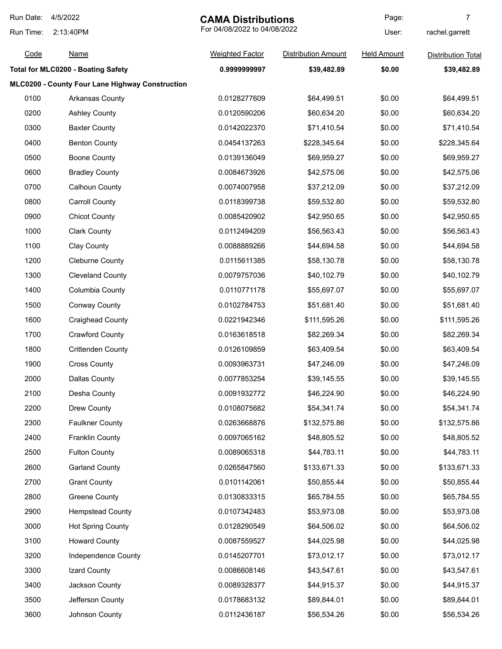| Run Date: | 4/5/2022                                        |                              | <b>CAMA Distributions</b>  |                    | $\overline{7}$            |
|-----------|-------------------------------------------------|------------------------------|----------------------------|--------------------|---------------------------|
| Run Time: | 2:13:40PM                                       | For 04/08/2022 to 04/08/2022 |                            | User:              | rachel.garrett            |
| Code      | <b>Name</b>                                     | <b>Weighted Factor</b>       | <b>Distribution Amount</b> | <b>Held Amount</b> | <b>Distribution Total</b> |
|           | <b>Total for MLC0200 - Boating Safety</b>       | 0.9999999997                 | \$39,482.89                | \$0.00             | \$39,482.89               |
|           | MLC0200 - County Four Lane Highway Construction |                              |                            |                    |                           |
| 0100      | Arkansas County                                 | 0.0128277609                 | \$64,499.51                | \$0.00             | \$64,499.51               |
| 0200      | <b>Ashley County</b>                            | 0.0120590206                 | \$60,634.20                | \$0.00             | \$60,634.20               |
| 0300      | <b>Baxter County</b>                            | 0.0142022370                 | \$71,410.54                | \$0.00             | \$71,410.54               |
| 0400      | <b>Benton County</b>                            | 0.0454137263                 | \$228,345.64               | \$0.00             | \$228,345.64              |
| 0500      | <b>Boone County</b>                             | 0.0139136049                 | \$69,959.27                | \$0.00             | \$69,959.27               |
| 0600      | <b>Bradley County</b>                           | 0.0084673926                 | \$42,575.06                | \$0.00             | \$42,575.06               |
| 0700      | <b>Calhoun County</b>                           | 0.0074007958                 | \$37,212.09                | \$0.00             | \$37,212.09               |
| 0800      | <b>Carroll County</b>                           | 0.0118399738                 | \$59,532.80                | \$0.00             | \$59,532.80               |
| 0900      | <b>Chicot County</b>                            | 0.0085420902                 | \$42,950.65                | \$0.00             | \$42,950.65               |
| 1000      | <b>Clark County</b>                             | 0.0112494209                 | \$56,563.43                | \$0.00             | \$56,563.43               |
| 1100      | <b>Clay County</b>                              | 0.0088889266                 | \$44,694.58                | \$0.00             | \$44,694.58               |
| 1200      | <b>Cleburne County</b>                          | 0.0115611385                 | \$58,130.78                | \$0.00             | \$58,130.78               |
| 1300      | <b>Cleveland County</b>                         | 0.0079757036                 | \$40,102.79                | \$0.00             | \$40,102.79               |
| 1400      | Columbia County                                 | 0.0110771178                 | \$55,697.07                | \$0.00             | \$55,697.07               |
| 1500      | <b>Conway County</b>                            | 0.0102784753                 | \$51,681.40                | \$0.00             | \$51,681.40               |
| 1600      | <b>Craighead County</b>                         | 0.0221942346                 | \$111,595.26               | \$0.00             | \$111,595.26              |
| 1700      | <b>Crawford County</b>                          | 0.0163618518                 | \$82,269.34                | \$0.00             | \$82,269.34               |
| 1800      | <b>Crittenden County</b>                        | 0.0126109859                 | \$63,409.54                | \$0.00             | \$63,409.54               |
| 1900      | <b>Cross County</b>                             | 0.0093963731                 | \$47,246.09                | \$0.00             | \$47,246.09               |
| 2000      | <b>Dallas County</b>                            | 0.0077853254                 | \$39,145.55                | \$0.00             | \$39,145.55               |
| 2100      | Desha County                                    | 0.0091932772                 | \$46,224.90                | \$0.00             | \$46,224.90               |
| 2200      | Drew County                                     | 0.0108075682                 | \$54,341.74                | \$0.00             | \$54,341.74               |
| 2300      | <b>Faulkner County</b>                          | 0.0263668876                 | \$132,575.86               | \$0.00             | \$132,575.86              |
| 2400      | <b>Franklin County</b>                          | 0.0097065162                 | \$48,805.52                | \$0.00             | \$48,805.52               |
| 2500      | <b>Fulton County</b>                            | 0.0089065318                 | \$44,783.11                | \$0.00             | \$44,783.11               |
| 2600      | <b>Garland County</b>                           | 0.0265847560                 | \$133,671.33               | \$0.00             | \$133,671.33              |
| 2700      | <b>Grant County</b>                             | 0.0101142061                 | \$50,855.44                | \$0.00             | \$50,855.44               |
| 2800      | <b>Greene County</b>                            | 0.0130833315                 | \$65,784.55                | \$0.00             | \$65,784.55               |
| 2900      | <b>Hempstead County</b>                         | 0.0107342483                 | \$53,973.08                | \$0.00             | \$53,973.08               |
| 3000      | <b>Hot Spring County</b>                        | 0.0128290549                 | \$64,506.02                | \$0.00             | \$64,506.02               |
| 3100      | <b>Howard County</b>                            | 0.0087559527                 | \$44,025.98                | \$0.00             | \$44,025.98               |
| 3200      | Independence County                             | 0.0145207701                 | \$73,012.17                | \$0.00             | \$73,012.17               |
| 3300      | Izard County                                    | 0.0086608146                 | \$43,547.61                | \$0.00             | \$43,547.61               |
| 3400      | Jackson County                                  | 0.0089328377                 | \$44,915.37                | \$0.00             | \$44,915.37               |
| 3500      | Jefferson County                                | 0.0178683132                 | \$89,844.01                | \$0.00             | \$89,844.01               |
| 3600      | Johnson County                                  | 0.0112436187                 | \$56,534.26                | \$0.00             | \$56,534.26               |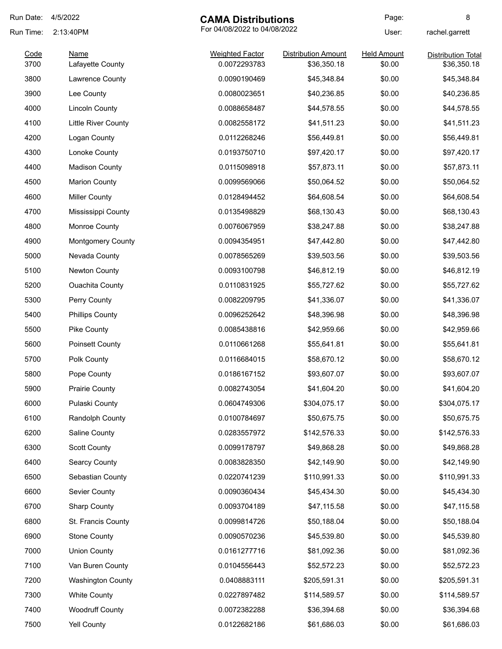| Run Date: | 4/5/2022<br><b>CAMA Distributions</b> |                              | Page:                      | 8                  |                           |
|-----------|---------------------------------------|------------------------------|----------------------------|--------------------|---------------------------|
| Run Time: | 2:13:40PM                             | For 04/08/2022 to 04/08/2022 |                            | User:              | rachel.garrett            |
| Code      | <b>Name</b>                           | <b>Weighted Factor</b>       | <b>Distribution Amount</b> | <b>Held Amount</b> | <b>Distribution Total</b> |
| 3700      | Lafayette County                      | 0.0072293783                 | \$36,350.18                | \$0.00             | \$36,350.18               |
| 3800      | Lawrence County                       | 0.0090190469                 | \$45,348.84                | \$0.00             | \$45,348.84               |
| 3900      | Lee County                            | 0.0080023651                 | \$40,236.85                | \$0.00             | \$40,236.85               |
| 4000      | <b>Lincoln County</b>                 | 0.0088658487                 | \$44,578.55                | \$0.00             | \$44,578.55               |
| 4100      | Little River County                   | 0.0082558172                 | \$41,511.23                | \$0.00             | \$41,511.23               |
| 4200      | Logan County                          | 0.0112268246                 | \$56,449.81                | \$0.00             | \$56,449.81               |
| 4300      | Lonoke County                         | 0.0193750710                 | \$97,420.17                | \$0.00             | \$97,420.17               |
| 4400      | <b>Madison County</b>                 | 0.0115098918                 | \$57,873.11                | \$0.00             | \$57,873.11               |
| 4500      | <b>Marion County</b>                  | 0.0099569066                 | \$50,064.52                | \$0.00             | \$50,064.52               |
| 4600      | <b>Miller County</b>                  | 0.0128494452                 | \$64,608.54                | \$0.00             | \$64,608.54               |
| 4700      | Mississippi County                    | 0.0135498829                 | \$68,130.43                | \$0.00             | \$68,130.43               |
| 4800      | Monroe County                         | 0.0076067959                 | \$38,247.88                | \$0.00             | \$38,247.88               |
| 4900      | <b>Montgomery County</b>              | 0.0094354951                 | \$47,442.80                | \$0.00             | \$47,442.80               |
| 5000      | Nevada County                         | 0.0078565269                 | \$39,503.56                | \$0.00             | \$39,503.56               |
| 5100      | Newton County                         | 0.0093100798                 | \$46,812.19                | \$0.00             | \$46,812.19               |
| 5200      | <b>Ouachita County</b>                | 0.0110831925                 | \$55,727.62                | \$0.00             | \$55,727.62               |
| 5300      | Perry County                          | 0.0082209795                 | \$41,336.07                | \$0.00             | \$41,336.07               |
| 5400      | <b>Phillips County</b>                | 0.0096252642                 | \$48,396.98                | \$0.00             | \$48,396.98               |
| 5500      | Pike County                           | 0.0085438816                 | \$42,959.66                | \$0.00             | \$42,959.66               |
| 5600      | Poinsett County                       | 0.0110661268                 | \$55,641.81                | \$0.00             | \$55,641.81               |
| 5700      | Polk County                           | 0.0116684015                 | \$58,670.12                | \$0.00             | \$58,670.12               |
| 5800      | Pope County                           | 0.0186167152                 | \$93,607.07                | \$0.00             | \$93,607.07               |
| 5900      | <b>Prairie County</b>                 | 0.0082743054                 | \$41,604.20                | \$0.00             | \$41,604.20               |
| 6000      | Pulaski County                        | 0.0604749306                 | \$304,075.17               | \$0.00             | \$304,075.17              |
| 6100      | Randolph County                       | 0.0100784697                 | \$50,675.75                | \$0.00             | \$50,675.75               |
| 6200      | Saline County                         | 0.0283557972                 | \$142,576.33               | \$0.00             | \$142,576.33              |
| 6300      | <b>Scott County</b>                   | 0.0099178797                 | \$49,868.28                | \$0.00             | \$49,868.28               |
| 6400      | <b>Searcy County</b>                  | 0.0083828350                 | \$42,149.90                | \$0.00             | \$42,149.90               |
| 6500      | Sebastian County                      | 0.0220741239                 | \$110,991.33               | \$0.00             | \$110,991.33              |
| 6600      | Sevier County                         | 0.0090360434                 | \$45,434.30                | \$0.00             | \$45,434.30               |
| 6700      | <b>Sharp County</b>                   | 0.0093704189                 | \$47,115.58                | \$0.00             | \$47,115.58               |
| 6800      | St. Francis County                    | 0.0099814726                 | \$50,188.04                | \$0.00             | \$50,188.04               |
| 6900      | <b>Stone County</b>                   | 0.0090570236                 | \$45,539.80                | \$0.00             | \$45,539.80               |
| 7000      | <b>Union County</b>                   | 0.0161277716                 | \$81,092.36                | \$0.00             | \$81,092.36               |
| 7100      | Van Buren County                      | 0.0104556443                 | \$52,572.23                | \$0.00             | \$52,572.23               |
| 7200      | <b>Washington County</b>              | 0.0408883111                 | \$205,591.31               | \$0.00             | \$205,591.31              |
| 7300      | <b>White County</b>                   | 0.0227897482                 | \$114,589.57               | \$0.00             | \$114,589.57              |
|           |                                       |                              |                            |                    |                           |
| 7400      | <b>Woodruff County</b>                | 0.0072382288                 | \$36,394.68                | \$0.00             | \$36,394.68               |
| 7500      | <b>Yell County</b>                    | 0.0122682186                 | \$61,686.03                | \$0.00             | \$61,686.03               |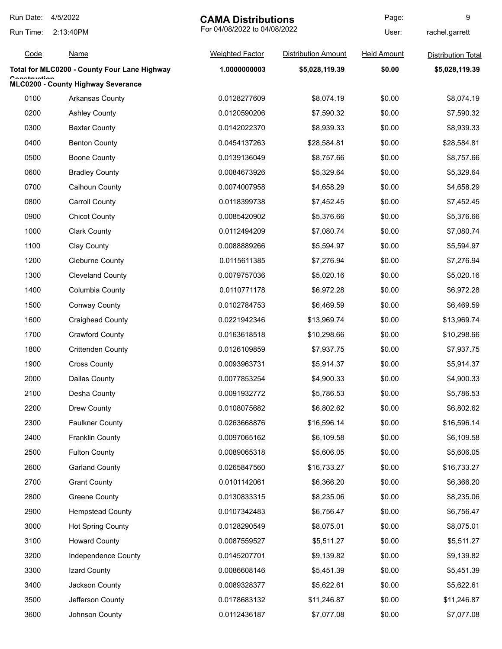| Run Date:    | 4/5/2022<br><b>CAMA Distributions</b>        |                              |                            | Page:              | 9                         |
|--------------|----------------------------------------------|------------------------------|----------------------------|--------------------|---------------------------|
| Run Time:    | 2:13:40PM                                    | For 04/08/2022 to 04/08/2022 |                            | User:              | rachel.garrett            |
| Code         | <u>Name</u>                                  | <b>Weighted Factor</b>       | <b>Distribution Amount</b> | <b>Held Amount</b> | <b>Distribution Total</b> |
|              | Total for MLC0200 - County Four Lane Highway | 1.0000000003                 | \$5,028,119.39             | \$0.00             | \$5,028,119.39            |
| Canafruatian | MLC0200 - County Highway Severance           |                              |                            |                    |                           |
| 0100         | Arkansas County                              | 0.0128277609                 | \$8,074.19                 | \$0.00             | \$8,074.19                |
| 0200         | <b>Ashley County</b>                         | 0.0120590206                 | \$7,590.32                 | \$0.00             | \$7,590.32                |
| 0300         | <b>Baxter County</b>                         | 0.0142022370                 | \$8,939.33                 | \$0.00             | \$8,939.33                |
| 0400         | <b>Benton County</b>                         | 0.0454137263                 | \$28,584.81                | \$0.00             | \$28,584.81               |
| 0500         | <b>Boone County</b>                          | 0.0139136049                 | \$8,757.66                 | \$0.00             | \$8,757.66                |
| 0600         | <b>Bradley County</b>                        | 0.0084673926                 | \$5,329.64                 | \$0.00             | \$5,329.64                |
| 0700         | <b>Calhoun County</b>                        | 0.0074007958                 | \$4,658.29                 | \$0.00             | \$4,658.29                |
| 0800         | <b>Carroll County</b>                        | 0.0118399738                 | \$7,452.45                 | \$0.00             | \$7,452.45                |
| 0900         | <b>Chicot County</b>                         | 0.0085420902                 | \$5,376.66                 | \$0.00             | \$5,376.66                |
| 1000         | <b>Clark County</b>                          | 0.0112494209                 | \$7,080.74                 | \$0.00             | \$7,080.74                |
| 1100         | Clay County                                  | 0.0088889266                 | \$5,594.97                 | \$0.00             | \$5,594.97                |
| 1200         | <b>Cleburne County</b>                       | 0.0115611385                 | \$7,276.94                 | \$0.00             | \$7,276.94                |
| 1300         | <b>Cleveland County</b>                      | 0.0079757036                 | \$5,020.16                 | \$0.00             | \$5,020.16                |
| 1400         | Columbia County                              | 0.0110771178                 | \$6,972.28                 | \$0.00             | \$6,972.28                |
| 1500         | <b>Conway County</b>                         | 0.0102784753                 | \$6,469.59                 | \$0.00             | \$6,469.59                |
| 1600         | <b>Craighead County</b>                      | 0.0221942346                 | \$13,969.74                | \$0.00             | \$13,969.74               |
| 1700         | <b>Crawford County</b>                       | 0.0163618518                 | \$10,298.66                | \$0.00             | \$10,298.66               |
| 1800         | <b>Crittenden County</b>                     | 0.0126109859                 | \$7,937.75                 | \$0.00             | \$7,937.75                |
| 1900         | <b>Cross County</b>                          | 0.0093963731                 | \$5,914.37                 | \$0.00             | \$5,914.37                |
| 2000         | Dallas County                                | 0.0077853254                 | \$4,900.33                 | \$0.00             | \$4,900.33                |
| 2100         | Desha County                                 | 0.0091932772                 | \$5,786.53                 | \$0.00             | \$5,786.53                |
| 2200         | Drew County                                  | 0.0108075682                 | \$6,802.62                 | \$0.00             | \$6,802.62                |
| 2300         | <b>Faulkner County</b>                       | 0.0263668876                 | \$16,596.14                | \$0.00             | \$16,596.14               |
| 2400         | <b>Franklin County</b>                       | 0.0097065162                 | \$6,109.58                 | \$0.00             | \$6,109.58                |
| 2500         | <b>Fulton County</b>                         | 0.0089065318                 | \$5,606.05                 | \$0.00             | \$5,606.05                |
| 2600         | <b>Garland County</b>                        | 0.0265847560                 | \$16,733.27                | \$0.00             | \$16,733.27               |
| 2700         | <b>Grant County</b>                          | 0.0101142061                 | \$6,366.20                 | \$0.00             | \$6,366.20                |
| 2800         | Greene County                                | 0.0130833315                 | \$8,235.06                 | \$0.00             | \$8,235.06                |
| 2900         | <b>Hempstead County</b>                      | 0.0107342483                 | \$6,756.47                 | \$0.00             | \$6,756.47                |
| 3000         | <b>Hot Spring County</b>                     | 0.0128290549                 | \$8,075.01                 | \$0.00             | \$8,075.01                |
| 3100         | <b>Howard County</b>                         | 0.0087559527                 | \$5,511.27                 | \$0.00             | \$5,511.27                |
| 3200         | Independence County                          | 0.0145207701                 | \$9,139.82                 | \$0.00             | \$9,139.82                |
| 3300         | Izard County                                 | 0.0086608146                 | \$5,451.39                 | \$0.00             | \$5,451.39                |
| 3400         | Jackson County                               | 0.0089328377                 | \$5,622.61                 | \$0.00             | \$5,622.61                |
| 3500         | Jefferson County                             | 0.0178683132                 | \$11,246.87                | \$0.00             | \$11,246.87               |
| 3600         | Johnson County                               | 0.0112436187                 | \$7,077.08                 | \$0.00             | \$7,077.08                |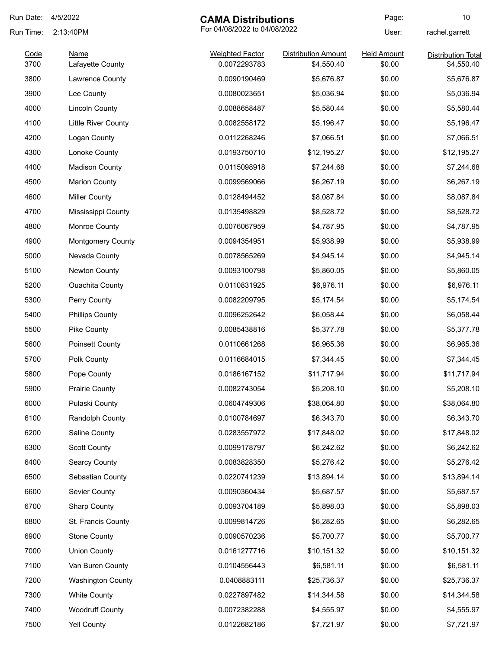| Run Date:    | 4/5/2022                        | <b>CAMA Distributions</b>              |                                          | Page:                        | 10                                      |
|--------------|---------------------------------|----------------------------------------|------------------------------------------|------------------------------|-----------------------------------------|
| Run Time:    | 2:13:40PM                       | For 04/08/2022 to 04/08/2022           |                                          | User:                        | rachel.garrett                          |
| Code<br>3700 | <b>Name</b><br>Lafayette County | <b>Weighted Factor</b><br>0.0072293783 | <b>Distribution Amount</b><br>\$4,550.40 | <b>Held Amount</b><br>\$0.00 | <b>Distribution Total</b><br>\$4,550.40 |
| 3800         | Lawrence County                 | 0.0090190469                           | \$5,676.87                               | \$0.00                       | \$5,676.87                              |
| 3900         | Lee County                      | 0.0080023651                           | \$5,036.94                               | \$0.00                       | \$5,036.94                              |
| 4000         | <b>Lincoln County</b>           | 0.0088658487                           | \$5,580.44                               | \$0.00                       | \$5,580.44                              |
| 4100         | Little River County             | 0.0082558172                           | \$5,196.47                               | \$0.00                       | \$5,196.47                              |
| 4200         | Logan County                    | 0.0112268246                           | \$7,066.51                               | \$0.00                       | \$7,066.51                              |
| 4300         | Lonoke County                   | 0.0193750710                           | \$12,195.27                              | \$0.00                       | \$12,195.27                             |
| 4400         | <b>Madison County</b>           | 0.0115098918                           | \$7,244.68                               | \$0.00                       | \$7,244.68                              |
| 4500         | <b>Marion County</b>            | 0.0099569066                           | \$6,267.19                               | \$0.00                       | \$6,267.19                              |
| 4600         | <b>Miller County</b>            | 0.0128494452                           | \$8,087.84                               | \$0.00                       | \$8,087.84                              |
| 4700         | Mississippi County              | 0.0135498829                           | \$8,528.72                               | \$0.00                       | \$8,528.72                              |
| 4800         | Monroe County                   | 0.0076067959                           | \$4,787.95                               | \$0.00                       | \$4,787.95                              |
| 4900         | <b>Montgomery County</b>        | 0.0094354951                           | \$5,938.99                               | \$0.00                       | \$5,938.99                              |
| 5000         | Nevada County                   | 0.0078565269                           | \$4,945.14                               | \$0.00                       | \$4,945.14                              |
| 5100         | Newton County                   | 0.0093100798                           | \$5,860.05                               | \$0.00                       | \$5,860.05                              |
| 5200         | <b>Ouachita County</b>          | 0.0110831925                           | \$6,976.11                               | \$0.00                       | \$6,976.11                              |
| 5300         | Perry County                    | 0.0082209795                           | \$5,174.54                               | \$0.00                       | \$5,174.54                              |
| 5400         | <b>Phillips County</b>          | 0.0096252642                           | \$6,058.44                               | \$0.00                       | \$6,058.44                              |
| 5500         | Pike County                     | 0.0085438816                           | \$5,377.78                               | \$0.00                       | \$5,377.78                              |
| 5600         | <b>Poinsett County</b>          | 0.0110661268                           | \$6,965.36                               | \$0.00                       | \$6,965.36                              |
| 5700         | Polk County                     | 0.0116684015                           | \$7,344.45                               | \$0.00                       | \$7,344.45                              |
| 5800         | Pope County                     | 0.0186167152                           | \$11,717.94                              | \$0.00                       | \$11,717.94                             |
| 5900         | <b>Prairie County</b>           | 0.0082743054                           | \$5,208.10                               | \$0.00                       | \$5,208.10                              |
| 6000         | Pulaski County                  | 0.0604749306                           | \$38,064.80                              | \$0.00                       | \$38,064.80                             |
| 6100         | Randolph County                 | 0.0100784697                           | \$6,343.70                               | \$0.00                       | \$6,343.70                              |
| 6200         | Saline County                   | 0.0283557972                           | \$17,848.02                              | \$0.00                       | \$17,848.02                             |
| 6300         | <b>Scott County</b>             | 0.0099178797                           | \$6,242.62                               | \$0.00                       | \$6,242.62                              |
| 6400         | Searcy County                   | 0.0083828350                           | \$5,276.42                               | \$0.00                       | \$5,276.42                              |
| 6500         | Sebastian County                | 0.0220741239                           | \$13,894.14                              | \$0.00                       | \$13,894.14                             |
| 6600         | Sevier County                   | 0.0090360434                           | \$5,687.57                               | \$0.00                       | \$5,687.57                              |
| 6700         | <b>Sharp County</b>             | 0.0093704189                           | \$5,898.03                               | \$0.00                       | \$5,898.03                              |
| 6800         | St. Francis County              | 0.0099814726                           | \$6,282.65                               | \$0.00                       | \$6,282.65                              |
| 6900         | <b>Stone County</b>             | 0.0090570236                           | \$5,700.77                               | \$0.00                       | \$5,700.77                              |
| 7000         | <b>Union County</b>             | 0.0161277716                           | \$10,151.32                              | \$0.00                       | \$10,151.32                             |
| 7100         | Van Buren County                | 0.0104556443                           | \$6,581.11                               | \$0.00                       | \$6,581.11                              |
| 7200         | <b>Washington County</b>        | 0.0408883111                           | \$25,736.37                              | \$0.00                       | \$25,736.37                             |
| 7300         | <b>White County</b>             | 0.0227897482                           | \$14,344.58                              | \$0.00                       | \$14,344.58                             |
| 7400         | <b>Woodruff County</b>          | 0.0072382288                           | \$4,555.97                               | \$0.00                       | \$4,555.97                              |
| 7500         | Yell County                     | 0.0122682186                           | \$7,721.97                               | \$0.00                       | \$7,721.97                              |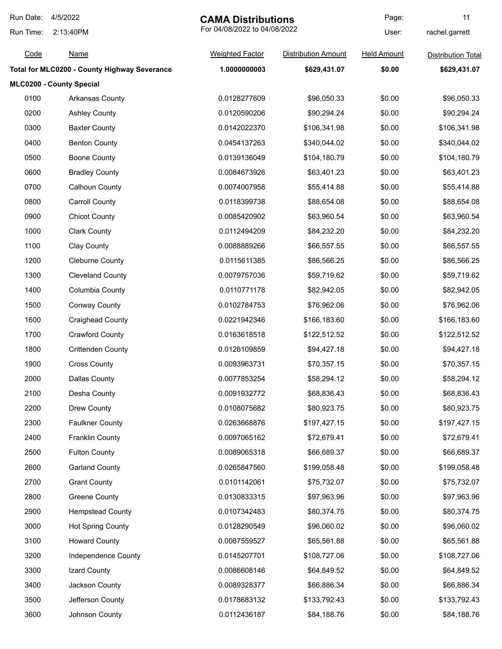| Run Date: | 4/5/2022<br><b>CAMA Distributions</b>        |                              | Page:                      | 11                 |                           |
|-----------|----------------------------------------------|------------------------------|----------------------------|--------------------|---------------------------|
| Run Time: | 2:13:40PM                                    | For 04/08/2022 to 04/08/2022 |                            | User:              | rachel.garrett            |
| Code      | <u>Name</u>                                  | <b>Weighted Factor</b>       | <b>Distribution Amount</b> | <b>Held Amount</b> | <b>Distribution Total</b> |
|           | Total for MLC0200 - County Highway Severance | 1.0000000003                 | \$629,431.07               | \$0.00             | \$629,431.07              |
|           | MLC0200 - County Special                     |                              |                            |                    |                           |
| 0100      | <b>Arkansas County</b>                       | 0.0128277609                 | \$96,050.33                | \$0.00             | \$96,050.33               |
| 0200      | <b>Ashley County</b>                         | 0.0120590206                 | \$90,294.24                | \$0.00             | \$90,294.24               |
| 0300      | <b>Baxter County</b>                         | 0.0142022370                 | \$106,341.98               | \$0.00             | \$106,341.98              |
| 0400      | <b>Benton County</b>                         | 0.0454137263                 | \$340,044.02               | \$0.00             | \$340,044.02              |
| 0500      | <b>Boone County</b>                          | 0.0139136049                 | \$104,180.79               | \$0.00             | \$104,180.79              |
| 0600      | <b>Bradley County</b>                        | 0.0084673926                 | \$63,401.23                | \$0.00             | \$63,401.23               |
| 0700      | <b>Calhoun County</b>                        | 0.0074007958                 | \$55,414.88                | \$0.00             | \$55,414.88               |
| 0800      | <b>Carroll County</b>                        | 0.0118399738                 | \$88,654.08                | \$0.00             | \$88,654.08               |
| 0900      | <b>Chicot County</b>                         | 0.0085420902                 | \$63,960.54                | \$0.00             | \$63,960.54               |
| 1000      | <b>Clark County</b>                          | 0.0112494209                 | \$84,232.20                | \$0.00             | \$84,232.20               |
| 1100      | Clay County                                  | 0.0088889266                 | \$66,557.55                | \$0.00             | \$66,557.55               |
| 1200      | <b>Cleburne County</b>                       | 0.0115611385                 | \$86,566.25                | \$0.00             | \$86,566.25               |
| 1300      | <b>Cleveland County</b>                      | 0.0079757036                 | \$59,719.62                | \$0.00             | \$59,719.62               |
| 1400      | Columbia County                              | 0.0110771178                 | \$82,942.05                | \$0.00             | \$82,942.05               |
| 1500      | <b>Conway County</b>                         | 0.0102784753                 | \$76,962.06                | \$0.00             | \$76,962.06               |
| 1600      | <b>Craighead County</b>                      | 0.0221942346                 | \$166,183.60               | \$0.00             | \$166,183.60              |
| 1700      | <b>Crawford County</b>                       | 0.0163618518                 | \$122,512.52               | \$0.00             | \$122,512.52              |
| 1800      | <b>Crittenden County</b>                     | 0.0126109859                 | \$94,427.18                | \$0.00             | \$94,427.18               |
| 1900      | <b>Cross County</b>                          | 0.0093963731                 | \$70,357.15                | \$0.00             | \$70,357.15               |
| 2000      | <b>Dallas County</b>                         | 0.0077853254                 | \$58,294.12                | \$0.00             | \$58,294.12               |
| 2100      | Desha County                                 | 0.0091932772                 | \$68,836.43                | \$0.00             | \$68,836.43               |
| 2200      | Drew County                                  | 0.0108075682                 | \$80,923.75                | \$0.00             | \$80,923.75               |
| 2300      | <b>Faulkner County</b>                       | 0.0263668876                 | \$197,427.15               | \$0.00             | \$197,427.15              |
| 2400      | <b>Franklin County</b>                       | 0.0097065162                 | \$72,679.41                | \$0.00             | \$72,679.41               |
| 2500      | <b>Fulton County</b>                         | 0.0089065318                 | \$66,689.37                | \$0.00             | \$66,689.37               |
| 2600      | <b>Garland County</b>                        | 0.0265847560                 | \$199,058.48               | \$0.00             | \$199,058.48              |
| 2700      | <b>Grant County</b>                          | 0.0101142061                 | \$75,732.07                | \$0.00             | \$75,732.07               |
| 2800      | <b>Greene County</b>                         | 0.0130833315                 | \$97,963.96                | \$0.00             | \$97,963.96               |
| 2900      | <b>Hempstead County</b>                      | 0.0107342483                 | \$80,374.75                | \$0.00             | \$80,374.75               |
| 3000      | <b>Hot Spring County</b>                     | 0.0128290549                 | \$96,060.02                | \$0.00             | \$96,060.02               |
| 3100      | <b>Howard County</b>                         | 0.0087559527                 | \$65,561.88                | \$0.00             | \$65,561.88               |
| 3200      | <b>Independence County</b>                   | 0.0145207701                 | \$108,727.06               | \$0.00             | \$108,727.06              |
| 3300      | Izard County                                 | 0.0086608146                 | \$64,849.52                | \$0.00             | \$64,849.52               |
| 3400      | Jackson County                               | 0.0089328377                 | \$66,886.34                | \$0.00             | \$66,886.34               |
| 3500      | Jefferson County                             | 0.0178683132                 | \$133,792.43               | \$0.00             | \$133,792.43              |
| 3600      | Johnson County                               | 0.0112436187                 | \$84,188.76                | \$0.00             | \$84,188.76               |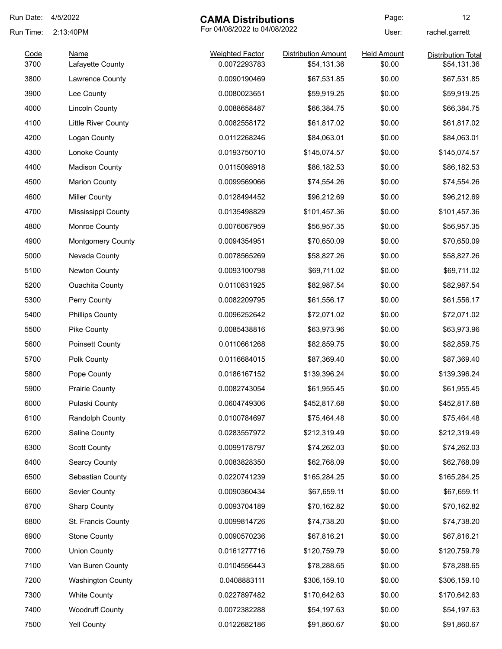| Run Date: | 4/5/2022                 | <b>CAMA Distributions</b>    |                            | Page:              | 12                        |
|-----------|--------------------------|------------------------------|----------------------------|--------------------|---------------------------|
| Run Time: | 2:13:40PM                | For 04/08/2022 to 04/08/2022 |                            | User:              | rachel.garrett            |
| Code      | Name                     | <b>Weighted Factor</b>       | <b>Distribution Amount</b> | <b>Held Amount</b> | <b>Distribution Total</b> |
| 3700      | Lafayette County         | 0.0072293783                 | \$54,131.36                | \$0.00             | \$54,131.36               |
| 3800      | Lawrence County          | 0.0090190469                 | \$67,531.85                | \$0.00             | \$67,531.85               |
| 3900      | Lee County               | 0.0080023651                 | \$59,919.25                | \$0.00             | \$59,919.25               |
| 4000      | <b>Lincoln County</b>    | 0.0088658487                 | \$66,384.75                | \$0.00             | \$66,384.75               |
| 4100      | Little River County      | 0.0082558172                 | \$61,817.02                | \$0.00             | \$61,817.02               |
| 4200      | Logan County             | 0.0112268246                 | \$84,063.01                | \$0.00             | \$84,063.01               |
| 4300      | Lonoke County            | 0.0193750710                 | \$145,074.57               | \$0.00             | \$145,074.57              |
| 4400      | <b>Madison County</b>    | 0.0115098918                 | \$86,182.53                | \$0.00             | \$86,182.53               |
| 4500      | <b>Marion County</b>     | 0.0099569066                 | \$74,554.26                | \$0.00             | \$74,554.26               |
| 4600      | <b>Miller County</b>     | 0.0128494452                 | \$96,212.69                | \$0.00             | \$96,212.69               |
| 4700      | Mississippi County       | 0.0135498829                 | \$101,457.36               | \$0.00             | \$101,457.36              |
| 4800      | Monroe County            | 0.0076067959                 | \$56,957.35                | \$0.00             | \$56,957.35               |
| 4900      | <b>Montgomery County</b> | 0.0094354951                 | \$70,650.09                | \$0.00             | \$70,650.09               |
| 5000      | Nevada County            | 0.0078565269                 | \$58,827.26                | \$0.00             | \$58,827.26               |
| 5100      | <b>Newton County</b>     | 0.0093100798                 | \$69,711.02                | \$0.00             | \$69,711.02               |
| 5200      | <b>Ouachita County</b>   | 0.0110831925                 | \$82,987.54                | \$0.00             | \$82,987.54               |
| 5300      | Perry County             | 0.0082209795                 | \$61,556.17                | \$0.00             | \$61,556.17               |
| 5400      | <b>Phillips County</b>   | 0.0096252642                 | \$72,071.02                | \$0.00             | \$72,071.02               |
| 5500      | Pike County              | 0.0085438816                 | \$63,973.96                | \$0.00             | \$63,973.96               |
| 5600      | <b>Poinsett County</b>   | 0.0110661268                 | \$82,859.75                | \$0.00             | \$82,859.75               |
| 5700      | Polk County              | 0.0116684015                 | \$87,369.40                | \$0.00             | \$87,369.40               |
| 5800      | Pope County              | 0.0186167152                 | \$139,396.24               | \$0.00             | \$139,396.24              |
| 5900      | <b>Prairie County</b>    | 0.0082743054                 | \$61,955.45                | \$0.00             | \$61,955.45               |
| 6000      | Pulaski County           | 0.0604749306                 | \$452,817.68               | \$0.00             | \$452,817.68              |
| 6100      | Randolph County          | 0.0100784697                 | \$75,464.48                | \$0.00             | \$75,464.48               |
| 6200      | Saline County            | 0.0283557972                 | \$212,319.49               | \$0.00             | \$212,319.49              |
| 6300      | <b>Scott County</b>      | 0.0099178797                 | \$74,262.03                | \$0.00             | \$74,262.03               |
| 6400      | <b>Searcy County</b>     | 0.0083828350                 | \$62,768.09                | \$0.00             | \$62,768.09               |
| 6500      | Sebastian County         | 0.0220741239                 | \$165,284.25               | \$0.00             | \$165,284.25              |
| 6600      | Sevier County            | 0.0090360434                 | \$67,659.11                | \$0.00             | \$67,659.11               |
| 6700      | <b>Sharp County</b>      | 0.0093704189                 | \$70,162.82                | \$0.00             | \$70,162.82               |
| 6800      | St. Francis County       | 0.0099814726                 | \$74,738.20                | \$0.00             | \$74,738.20               |
| 6900      | <b>Stone County</b>      | 0.0090570236                 | \$67,816.21                | \$0.00             | \$67,816.21               |
| 7000      | <b>Union County</b>      | 0.0161277716                 | \$120,759.79               | \$0.00             | \$120,759.79              |
| 7100      | Van Buren County         | 0.0104556443                 | \$78,288.65                | \$0.00             | \$78,288.65               |
| 7200      | <b>Washington County</b> | 0.0408883111                 | \$306,159.10               | \$0.00             | \$306,159.10              |
| 7300      | <b>White County</b>      | 0.0227897482                 | \$170,642.63               | \$0.00             | \$170,642.63              |
| 7400      | <b>Woodruff County</b>   | 0.0072382288                 | \$54,197.63                | \$0.00             | \$54,197.63               |
| 7500      | <b>Yell County</b>       | 0.0122682186                 | \$91,860.67                | \$0.00             | \$91,860.67               |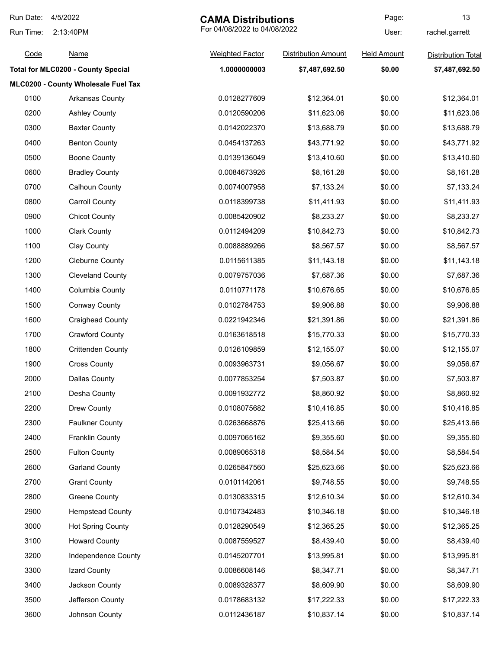| Run Date: | 4/5/2022                                  | <b>CAMA Distributions</b>    |                            | Page:              | 13                        |
|-----------|-------------------------------------------|------------------------------|----------------------------|--------------------|---------------------------|
| Run Time: | 2:13:40PM                                 | For 04/08/2022 to 04/08/2022 |                            | User:              | rachel.garrett            |
| Code      | <u>Name</u>                               | <b>Weighted Factor</b>       | <b>Distribution Amount</b> | <b>Held Amount</b> | <b>Distribution Total</b> |
|           | <b>Total for MLC0200 - County Special</b> | 1.0000000003                 | \$7,487,692.50             | \$0.00             | \$7,487,692.50            |
|           | MLC0200 - County Wholesale Fuel Tax       |                              |                            |                    |                           |
| 0100      | Arkansas County                           | 0.0128277609                 | \$12,364.01                | \$0.00             | \$12,364.01               |
| 0200      | <b>Ashley County</b>                      | 0.0120590206                 | \$11,623.06                | \$0.00             | \$11,623.06               |
| 0300      | <b>Baxter County</b>                      | 0.0142022370                 | \$13,688.79                | \$0.00             | \$13,688.79               |
| 0400      | <b>Benton County</b>                      | 0.0454137263                 | \$43,771.92                | \$0.00             | \$43,771.92               |
| 0500      | <b>Boone County</b>                       | 0.0139136049                 | \$13,410.60                | \$0.00             | \$13,410.60               |
| 0600      | <b>Bradley County</b>                     | 0.0084673926                 | \$8,161.28                 | \$0.00             | \$8,161.28                |
| 0700      | <b>Calhoun County</b>                     | 0.0074007958                 | \$7,133.24                 | \$0.00             | \$7,133.24                |
| 0800      | <b>Carroll County</b>                     | 0.0118399738                 | \$11,411.93                | \$0.00             | \$11,411.93               |
| 0900      | <b>Chicot County</b>                      | 0.0085420902                 | \$8,233.27                 | \$0.00             | \$8,233.27                |
| 1000      | <b>Clark County</b>                       | 0.0112494209                 | \$10,842.73                | \$0.00             | \$10,842.73               |
| 1100      | Clay County                               | 0.0088889266                 | \$8,567.57                 | \$0.00             | \$8,567.57                |
| 1200      | <b>Cleburne County</b>                    | 0.0115611385                 | \$11,143.18                | \$0.00             | \$11,143.18               |
| 1300      | <b>Cleveland County</b>                   | 0.0079757036                 | \$7,687.36                 | \$0.00             | \$7,687.36                |
| 1400      | Columbia County                           | 0.0110771178                 | \$10,676.65                | \$0.00             | \$10,676.65               |
| 1500      | <b>Conway County</b>                      | 0.0102784753                 | \$9,906.88                 | \$0.00             | \$9,906.88                |
| 1600      | <b>Craighead County</b>                   | 0.0221942346                 | \$21,391.86                | \$0.00             | \$21,391.86               |
| 1700      | <b>Crawford County</b>                    | 0.0163618518                 | \$15,770.33                | \$0.00             | \$15,770.33               |
| 1800      | <b>Crittenden County</b>                  | 0.0126109859                 | \$12,155.07                | \$0.00             | \$12,155.07               |
| 1900      | <b>Cross County</b>                       | 0.0093963731                 | \$9,056.67                 | \$0.00             | \$9,056.67                |
| 2000      | Dallas County                             | 0.0077853254                 | \$7,503.87                 | \$0.00             | \$7,503.87                |
| 2100      | Desha County                              | 0.0091932772                 | \$8,860.92                 | \$0.00             | \$8,860.92                |
| 2200      | Drew County                               | 0.0108075682                 | \$10,416.85                | \$0.00             | \$10,416.85               |
| 2300      | <b>Faulkner County</b>                    | 0.0263668876                 | \$25,413.66                | \$0.00             | \$25,413.66               |
| 2400      | <b>Franklin County</b>                    | 0.0097065162                 | \$9,355.60                 | \$0.00             | \$9,355.60                |
| 2500      | <b>Fulton County</b>                      | 0.0089065318                 | \$8,584.54                 | \$0.00             | \$8,584.54                |
| 2600      | <b>Garland County</b>                     | 0.0265847560                 | \$25,623.66                | \$0.00             | \$25,623.66               |
| 2700      | <b>Grant County</b>                       | 0.0101142061                 | \$9,748.55                 | \$0.00             | \$9,748.55                |
| 2800      | Greene County                             | 0.0130833315                 | \$12,610.34                | \$0.00             | \$12,610.34               |
| 2900      | <b>Hempstead County</b>                   | 0.0107342483                 | \$10,346.18                | \$0.00             | \$10,346.18               |
| 3000      | <b>Hot Spring County</b>                  | 0.0128290549                 | \$12,365.25                | \$0.00             | \$12,365.25               |
| 3100      | <b>Howard County</b>                      | 0.0087559527                 | \$8,439.40                 | \$0.00             | \$8,439.40                |
| 3200      | Independence County                       | 0.0145207701                 | \$13,995.81                | \$0.00             | \$13,995.81               |
| 3300      | Izard County                              | 0.0086608146                 | \$8,347.71                 | \$0.00             | \$8,347.71                |
| 3400      | Jackson County                            | 0.0089328377                 | \$8,609.90                 | \$0.00             | \$8,609.90                |
| 3500      | Jefferson County                          | 0.0178683132                 | \$17,222.33                | \$0.00             | \$17,222.33               |
| 3600      | Johnson County                            | 0.0112436187                 | \$10,837.14                | \$0.00             | \$10,837.14               |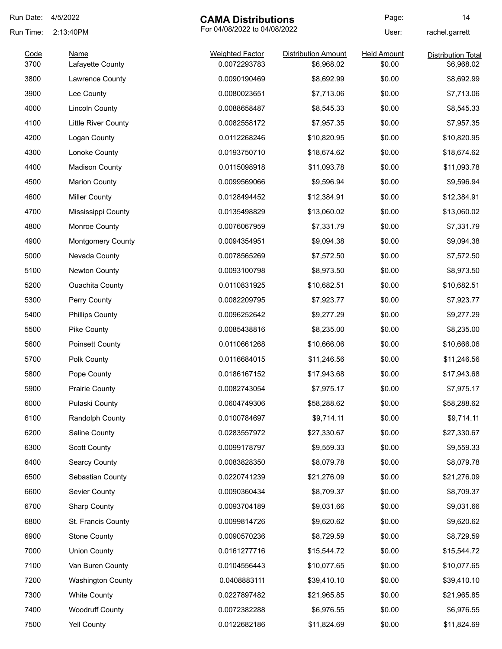| Run Date:    | 4/5/2022                        | <b>CAMA Distributions</b>              |                                          | Page:                        | 14                                      |
|--------------|---------------------------------|----------------------------------------|------------------------------------------|------------------------------|-----------------------------------------|
| Run Time:    | 2:13:40PM                       | For 04/08/2022 to 04/08/2022           |                                          | User:                        | rachel.garrett                          |
| Code<br>3700 | <b>Name</b><br>Lafayette County | <b>Weighted Factor</b><br>0.0072293783 | <b>Distribution Amount</b><br>\$6,968.02 | <b>Held Amount</b><br>\$0.00 | <b>Distribution Total</b><br>\$6,968.02 |
| 3800         | Lawrence County                 | 0.0090190469                           | \$8,692.99                               | \$0.00                       | \$8,692.99                              |
| 3900         | Lee County                      | 0.0080023651                           | \$7,713.06                               | \$0.00                       | \$7,713.06                              |
| 4000         | <b>Lincoln County</b>           | 0.0088658487                           | \$8,545.33                               | \$0.00                       | \$8,545.33                              |
| 4100         | <b>Little River County</b>      | 0.0082558172                           | \$7,957.35                               | \$0.00                       | \$7,957.35                              |
| 4200         | Logan County                    | 0.0112268246                           | \$10,820.95                              | \$0.00                       | \$10,820.95                             |
| 4300         | Lonoke County                   | 0.0193750710                           | \$18,674.62                              | \$0.00                       | \$18,674.62                             |
| 4400         | <b>Madison County</b>           | 0.0115098918                           | \$11,093.78                              | \$0.00                       | \$11,093.78                             |
| 4500         | <b>Marion County</b>            | 0.0099569066                           | \$9,596.94                               | \$0.00                       | \$9,596.94                              |
| 4600         | <b>Miller County</b>            | 0.0128494452                           | \$12,384.91                              | \$0.00                       | \$12,384.91                             |
| 4700         | Mississippi County              | 0.0135498829                           | \$13,060.02                              | \$0.00                       | \$13,060.02                             |
| 4800         | Monroe County                   | 0.0076067959                           | \$7,331.79                               | \$0.00                       | \$7,331.79                              |
| 4900         | <b>Montgomery County</b>        | 0.0094354951                           | \$9,094.38                               | \$0.00                       | \$9,094.38                              |
| 5000         | Nevada County                   | 0.0078565269                           | \$7,572.50                               | \$0.00                       | \$7,572.50                              |
| 5100         | Newton County                   | 0.0093100798                           | \$8,973.50                               | \$0.00                       | \$8,973.50                              |
| 5200         | <b>Ouachita County</b>          | 0.0110831925                           | \$10,682.51                              | \$0.00                       | \$10,682.51                             |
| 5300         | Perry County                    | 0.0082209795                           | \$7,923.77                               | \$0.00                       | \$7,923.77                              |
| 5400         | <b>Phillips County</b>          | 0.0096252642                           | \$9,277.29                               | \$0.00                       | \$9,277.29                              |
| 5500         | Pike County                     | 0.0085438816                           | \$8,235.00                               | \$0.00                       | \$8,235.00                              |
| 5600         | <b>Poinsett County</b>          | 0.0110661268                           | \$10,666.06                              | \$0.00                       | \$10,666.06                             |
| 5700         | Polk County                     | 0.0116684015                           | \$11,246.56                              | \$0.00                       | \$11,246.56                             |
| 5800         | Pope County                     | 0.0186167152                           | \$17,943.68                              | \$0.00                       | \$17,943.68                             |
| 5900         | <b>Prairie County</b>           | 0.0082743054                           | \$7,975.17                               | \$0.00                       | \$7,975.17                              |
| 6000         | Pulaski County                  | 0.0604749306                           | \$58,288.62                              | \$0.00                       | \$58,288.62                             |
| 6100         | Randolph County                 | 0.0100784697                           | \$9,714.11                               | \$0.00                       | \$9,714.11                              |
| 6200         | Saline County                   | 0.0283557972                           | \$27,330.67                              | \$0.00                       | \$27,330.67                             |
| 6300         | <b>Scott County</b>             | 0.0099178797                           | \$9,559.33                               | \$0.00                       | \$9,559.33                              |
| 6400         | <b>Searcy County</b>            | 0.0083828350                           | \$8,079.78                               | \$0.00                       | \$8,079.78                              |
| 6500         | Sebastian County                | 0.0220741239                           | \$21,276.09                              | \$0.00                       | \$21,276.09                             |
| 6600         | Sevier County                   | 0.0090360434                           | \$8,709.37                               | \$0.00                       | \$8,709.37                              |
| 6700         | <b>Sharp County</b>             | 0.0093704189                           | \$9,031.66                               | \$0.00                       | \$9,031.66                              |
| 6800         | St. Francis County              | 0.0099814726                           | \$9,620.62                               | \$0.00                       | \$9,620.62                              |
| 6900         | <b>Stone County</b>             | 0.0090570236                           | \$8,729.59                               | \$0.00                       | \$8,729.59                              |
| 7000         | <b>Union County</b>             | 0.0161277716                           | \$15,544.72                              | \$0.00                       | \$15,544.72                             |
| 7100         | Van Buren County                | 0.0104556443                           | \$10,077.65                              | \$0.00                       | \$10,077.65                             |
| 7200         | <b>Washington County</b>        | 0.0408883111                           | \$39,410.10                              | \$0.00                       | \$39,410.10                             |
| 7300         | <b>White County</b>             | 0.0227897482                           | \$21,965.85                              | \$0.00                       | \$21,965.85                             |
| 7400         | <b>Woodruff County</b>          | 0.0072382288                           | \$6,976.55                               | \$0.00                       | \$6,976.55                              |
| 7500         | Yell County                     | 0.0122682186                           | \$11,824.69                              | \$0.00                       | \$11,824.69                             |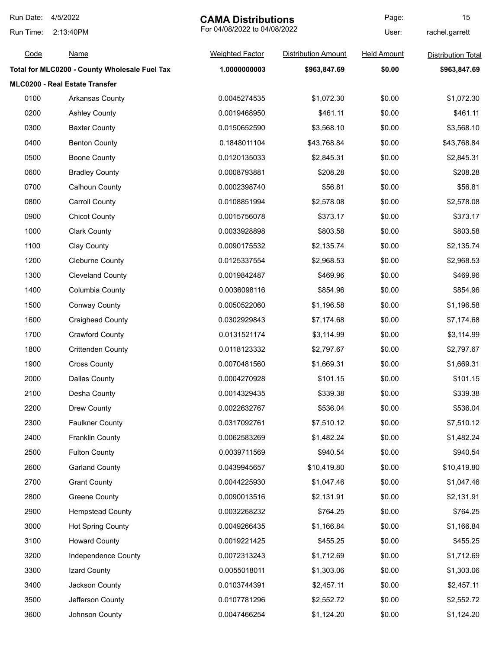| Run Date: | 4/5/2022                                      | <b>CAMA Distributions</b>    |                            | Page:              | 15                        |
|-----------|-----------------------------------------------|------------------------------|----------------------------|--------------------|---------------------------|
| Run Time: | 2:13:40PM                                     | For 04/08/2022 to 04/08/2022 |                            | User:              | rachel.garrett            |
| Code      | <u>Name</u>                                   | <b>Weighted Factor</b>       | <b>Distribution Amount</b> | <b>Held Amount</b> | <b>Distribution Total</b> |
|           | Total for MLC0200 - County Wholesale Fuel Tax | 1.0000000003                 | \$963,847.69               | \$0.00             | \$963,847.69              |
|           | MLC0200 - Real Estate Transfer                |                              |                            |                    |                           |
| 0100      | Arkansas County                               | 0.0045274535                 | \$1,072.30                 | \$0.00             | \$1,072.30                |
| 0200      | <b>Ashley County</b>                          | 0.0019468950                 | \$461.11                   | \$0.00             | \$461.11                  |
| 0300      | <b>Baxter County</b>                          | 0.0150652590                 | \$3,568.10                 | \$0.00             | \$3,568.10                |
| 0400      | <b>Benton County</b>                          | 0.1848011104                 | \$43,768.84                | \$0.00             | \$43,768.84               |
| 0500      | <b>Boone County</b>                           | 0.0120135033                 | \$2,845.31                 | \$0.00             | \$2,845.31                |
| 0600      | <b>Bradley County</b>                         | 0.0008793881                 | \$208.28                   | \$0.00             | \$208.28                  |
| 0700      | Calhoun County                                | 0.0002398740                 | \$56.81                    | \$0.00             | \$56.81                   |
| 0800      | <b>Carroll County</b>                         | 0.0108851994                 | \$2,578.08                 | \$0.00             | \$2,578.08                |
| 0900      | <b>Chicot County</b>                          | 0.0015756078                 | \$373.17                   | \$0.00             | \$373.17                  |
| 1000      | <b>Clark County</b>                           | 0.0033928898                 | \$803.58                   | \$0.00             | \$803.58                  |
| 1100      | Clay County                                   | 0.0090175532                 | \$2,135.74                 | \$0.00             | \$2,135.74                |
| 1200      | <b>Cleburne County</b>                        | 0.0125337554                 | \$2,968.53                 | \$0.00             | \$2,968.53                |
| 1300      | <b>Cleveland County</b>                       | 0.0019842487                 | \$469.96                   | \$0.00             | \$469.96                  |
| 1400      | Columbia County                               | 0.0036098116                 | \$854.96                   | \$0.00             | \$854.96                  |
| 1500      | <b>Conway County</b>                          | 0.0050522060                 | \$1,196.58                 | \$0.00             | \$1,196.58                |
| 1600      | <b>Craighead County</b>                       | 0.0302929843                 | \$7,174.68                 | \$0.00             | \$7,174.68                |
| 1700      | <b>Crawford County</b>                        | 0.0131521174                 | \$3,114.99                 | \$0.00             | \$3,114.99                |
| 1800      | <b>Crittenden County</b>                      | 0.0118123332                 | \$2,797.67                 | \$0.00             | \$2,797.67                |
| 1900      | <b>Cross County</b>                           | 0.0070481560                 | \$1,669.31                 | \$0.00             | \$1,669.31                |
| 2000      | <b>Dallas County</b>                          | 0.0004270928                 | \$101.15                   | \$0.00             | \$101.15                  |
| 2100      | Desha County                                  | 0.0014329435                 | \$339.38                   | \$0.00             | \$339.38                  |
| 2200      | Drew County                                   | 0.0022632767                 | \$536.04                   | \$0.00             | \$536.04                  |
| 2300      | <b>Faulkner County</b>                        | 0.0317092761                 | \$7,510.12                 | \$0.00             | \$7,510.12                |
| 2400      | <b>Franklin County</b>                        | 0.0062583269                 | \$1,482.24                 | \$0.00             | \$1,482.24                |
| 2500      | <b>Fulton County</b>                          | 0.0039711569                 | \$940.54                   | \$0.00             | \$940.54                  |
| 2600      | <b>Garland County</b>                         | 0.0439945657                 | \$10,419.80                | \$0.00             | \$10,419.80               |
| 2700      | <b>Grant County</b>                           | 0.0044225930                 | \$1,047.46                 | \$0.00             | \$1,047.46                |
| 2800      | <b>Greene County</b>                          | 0.0090013516                 | \$2,131.91                 | \$0.00             | \$2,131.91                |
| 2900      | <b>Hempstead County</b>                       | 0.0032268232                 | \$764.25                   | \$0.00             | \$764.25                  |
| 3000      | <b>Hot Spring County</b>                      | 0.0049266435                 | \$1,166.84                 | \$0.00             | \$1,166.84                |
| 3100      | <b>Howard County</b>                          | 0.0019221425                 | \$455.25                   | \$0.00             | \$455.25                  |
| 3200      | Independence County                           | 0.0072313243                 | \$1,712.69                 | \$0.00             | \$1,712.69                |
| 3300      | Izard County                                  | 0.0055018011                 | \$1,303.06                 | \$0.00             | \$1,303.06                |
| 3400      | Jackson County                                | 0.0103744391                 | \$2,457.11                 | \$0.00             | \$2,457.11                |
| 3500      | Jefferson County                              | 0.0107781296                 | \$2,552.72                 | \$0.00             | \$2,552.72                |
| 3600      | Johnson County                                | 0.0047466254                 | \$1,124.20                 | \$0.00             | \$1,124.20                |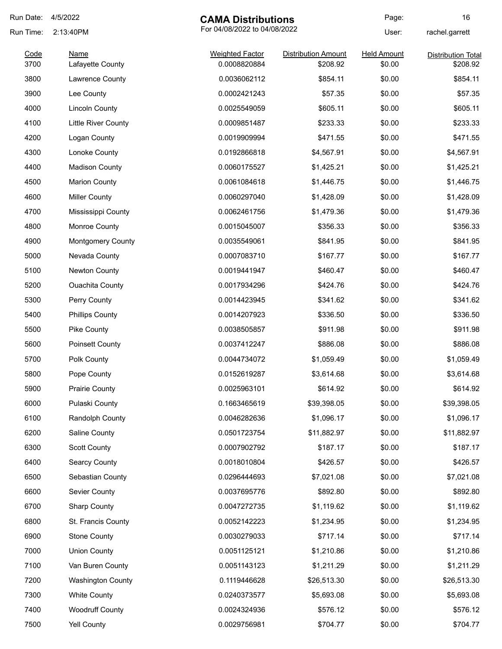| Run Date:    | 4/5/2022                   | <b>CAMA Distributions</b>              |                                        | Page:                        | 16                                    |
|--------------|----------------------------|----------------------------------------|----------------------------------------|------------------------------|---------------------------------------|
| Run Time:    | 2:13:40PM                  | For 04/08/2022 to 04/08/2022           |                                        | User:                        | rachel.garrett                        |
| Code<br>3700 | Name<br>Lafayette County   | <b>Weighted Factor</b><br>0.0008820884 | <b>Distribution Amount</b><br>\$208.92 | <b>Held Amount</b><br>\$0.00 | <b>Distribution Total</b><br>\$208.92 |
| 3800         | Lawrence County            | 0.0036062112                           | \$854.11                               | \$0.00                       | \$854.11                              |
| 3900         | Lee County                 | 0.0002421243                           | \$57.35                                | \$0.00                       | \$57.35                               |
| 4000         | <b>Lincoln County</b>      | 0.0025549059                           | \$605.11                               | \$0.00                       | \$605.11                              |
| 4100         | <b>Little River County</b> | 0.0009851487                           | \$233.33                               | \$0.00                       | \$233.33                              |
| 4200         | Logan County               | 0.0019909994                           | \$471.55                               | \$0.00                       | \$471.55                              |
| 4300         | Lonoke County              | 0.0192866818                           | \$4,567.91                             | \$0.00                       | \$4,567.91                            |
| 4400         | <b>Madison County</b>      | 0.0060175527                           | \$1,425.21                             | \$0.00                       | \$1,425.21                            |
| 4500         | <b>Marion County</b>       | 0.0061084618                           | \$1,446.75                             | \$0.00                       | \$1,446.75                            |
| 4600         | <b>Miller County</b>       | 0.0060297040                           | \$1,428.09                             | \$0.00                       | \$1,428.09                            |
| 4700         | Mississippi County         | 0.0062461756                           | \$1,479.36                             | \$0.00                       | \$1,479.36                            |
| 4800         | Monroe County              | 0.0015045007                           | \$356.33                               | \$0.00                       | \$356.33                              |
| 4900         | <b>Montgomery County</b>   | 0.0035549061                           | \$841.95                               | \$0.00                       | \$841.95                              |
| 5000         | Nevada County              | 0.0007083710                           | \$167.77                               | \$0.00                       | \$167.77                              |
| 5100         | Newton County              | 0.0019441947                           | \$460.47                               | \$0.00                       | \$460.47                              |
| 5200         | <b>Ouachita County</b>     | 0.0017934296                           | \$424.76                               | \$0.00                       | \$424.76                              |
| 5300         | Perry County               | 0.0014423945                           | \$341.62                               | \$0.00                       | \$341.62                              |
| 5400         | <b>Phillips County</b>     | 0.0014207923                           | \$336.50                               | \$0.00                       | \$336.50                              |
| 5500         | Pike County                | 0.0038505857                           | \$911.98                               | \$0.00                       | \$911.98                              |
| 5600         | <b>Poinsett County</b>     | 0.0037412247                           | \$886.08                               | \$0.00                       | \$886.08                              |
| 5700         | Polk County                | 0.0044734072                           | \$1,059.49                             | \$0.00                       | \$1,059.49                            |
| 5800         | Pope County                | 0.0152619287                           | \$3,614.68                             | \$0.00                       | \$3,614.68                            |
| 5900         | <b>Prairie County</b>      | 0.0025963101                           | \$614.92                               | \$0.00                       | \$614.92                              |
| 6000         | Pulaski County             | 0.1663465619                           | \$39,398.05                            | \$0.00                       | \$39,398.05                           |
| 6100         | Randolph County            | 0.0046282636                           | \$1,096.17                             | \$0.00                       | \$1,096.17                            |
| 6200         | Saline County              | 0.0501723754                           | \$11,882.97                            | \$0.00                       | \$11,882.97                           |
| 6300         | <b>Scott County</b>        | 0.0007902792                           | \$187.17                               | \$0.00                       | \$187.17                              |
| 6400         | <b>Searcy County</b>       | 0.0018010804                           | \$426.57                               | \$0.00                       | \$426.57                              |
| 6500         | Sebastian County           | 0.0296444693                           | \$7,021.08                             | \$0.00                       | \$7,021.08                            |
| 6600         | Sevier County              | 0.0037695776                           | \$892.80                               | \$0.00                       | \$892.80                              |
| 6700         | <b>Sharp County</b>        | 0.0047272735                           | \$1,119.62                             | \$0.00                       | \$1,119.62                            |
| 6800         | St. Francis County         | 0.0052142223                           | \$1,234.95                             | \$0.00                       | \$1,234.95                            |
| 6900         | <b>Stone County</b>        | 0.0030279033                           | \$717.14                               | \$0.00                       | \$717.14                              |
| 7000         | <b>Union County</b>        | 0.0051125121                           | \$1,210.86                             | \$0.00                       | \$1,210.86                            |
| 7100         | Van Buren County           | 0.0051143123                           | \$1,211.29                             | \$0.00                       | \$1,211.29                            |
| 7200         | <b>Washington County</b>   | 0.1119446628                           | \$26,513.30                            | \$0.00                       | \$26,513.30                           |
| 7300         | <b>White County</b>        | 0.0240373577                           | \$5,693.08                             | \$0.00                       | \$5,693.08                            |
| 7400         | <b>Woodruff County</b>     | 0.0024324936                           | \$576.12                               | \$0.00                       | \$576.12                              |
| 7500         | Yell County                | 0.0029756981                           | \$704.77                               | \$0.00                       | \$704.77                              |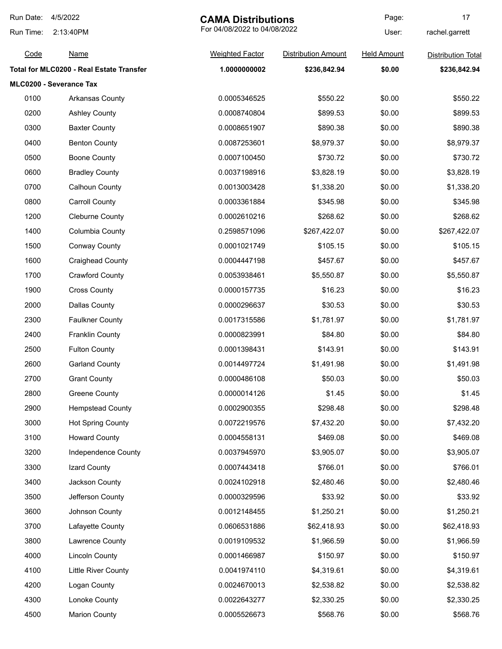| Run Date: | 4/5/2022<br><b>CAMA Distributions</b>    |                              | Page:                      | 17                 |                           |
|-----------|------------------------------------------|------------------------------|----------------------------|--------------------|---------------------------|
| Run Time: | 2:13:40PM                                | For 04/08/2022 to 04/08/2022 |                            | User:              | rachel.garrett            |
| Code      | <b>Name</b>                              | <b>Weighted Factor</b>       | <b>Distribution Amount</b> | <b>Held Amount</b> | <b>Distribution Total</b> |
|           | Total for MLC0200 - Real Estate Transfer | 1.0000000002                 | \$236,842.94               | \$0.00             | \$236,842.94              |
|           | MLC0200 - Severance Tax                  |                              |                            |                    |                           |
| 0100      | Arkansas County                          | 0.0005346525                 | \$550.22                   | \$0.00             | \$550.22                  |
| 0200      | <b>Ashley County</b>                     | 0.0008740804                 | \$899.53                   | \$0.00             | \$899.53                  |
| 0300      | <b>Baxter County</b>                     | 0.0008651907                 | \$890.38                   | \$0.00             | \$890.38                  |
| 0400      | <b>Benton County</b>                     | 0.0087253601                 | \$8,979.37                 | \$0.00             | \$8,979.37                |
| 0500      | <b>Boone County</b>                      | 0.0007100450                 | \$730.72                   | \$0.00             | \$730.72                  |
| 0600      | <b>Bradley County</b>                    | 0.0037198916                 | \$3,828.19                 | \$0.00             | \$3,828.19                |
| 0700      | <b>Calhoun County</b>                    | 0.0013003428                 | \$1,338.20                 | \$0.00             | \$1,338.20                |
| 0800      | <b>Carroll County</b>                    | 0.0003361884                 | \$345.98                   | \$0.00             | \$345.98                  |
| 1200      | <b>Cleburne County</b>                   | 0.0002610216                 | \$268.62                   | \$0.00             | \$268.62                  |
| 1400      | Columbia County                          | 0.2598571096                 | \$267,422.07               | \$0.00             | \$267,422.07              |
| 1500      | <b>Conway County</b>                     | 0.0001021749                 | \$105.15                   | \$0.00             | \$105.15                  |
| 1600      | <b>Craighead County</b>                  | 0.0004447198                 | \$457.67                   | \$0.00             | \$457.67                  |
| 1700      | <b>Crawford County</b>                   | 0.0053938461                 | \$5,550.87                 | \$0.00             | \$5,550.87                |
| 1900      | <b>Cross County</b>                      | 0.0000157735                 | \$16.23                    | \$0.00             | \$16.23                   |
| 2000      | <b>Dallas County</b>                     | 0.0000296637                 | \$30.53                    | \$0.00             | \$30.53                   |
| 2300      | <b>Faulkner County</b>                   | 0.0017315586                 | \$1,781.97                 | \$0.00             | \$1,781.97                |
| 2400      | <b>Franklin County</b>                   | 0.0000823991                 | \$84.80                    | \$0.00             | \$84.80                   |
| 2500      | <b>Fulton County</b>                     | 0.0001398431                 | \$143.91                   | \$0.00             | \$143.91                  |
| 2600      | <b>Garland County</b>                    | 0.0014497724                 | \$1,491.98                 | \$0.00             | \$1,491.98                |
| 2700      | <b>Grant County</b>                      | 0.0000486108                 | \$50.03                    | \$0.00             | \$50.03                   |
| 2800      | <b>Greene County</b>                     | 0.0000014126                 | \$1.45                     | \$0.00             | \$1.45                    |
| 2900      | <b>Hempstead County</b>                  | 0.0002900355                 | \$298.48                   | \$0.00             | \$298.48                  |
| 3000      | <b>Hot Spring County</b>                 | 0.0072219576                 | \$7,432.20                 | \$0.00             | \$7,432.20                |
| 3100      | <b>Howard County</b>                     | 0.0004558131                 | \$469.08                   | \$0.00             | \$469.08                  |
| 3200      | Independence County                      | 0.0037945970                 | \$3,905.07                 | \$0.00             | \$3,905.07                |
| 3300      | Izard County                             | 0.0007443418                 | \$766.01                   | \$0.00             | \$766.01                  |
| 3400      | Jackson County                           | 0.0024102918                 | \$2,480.46                 | \$0.00             | \$2,480.46                |
| 3500      | Jefferson County                         | 0.0000329596                 | \$33.92                    | \$0.00             | \$33.92                   |
| 3600      | Johnson County                           | 0.0012148455                 | \$1,250.21                 | \$0.00             | \$1,250.21                |
| 3700      | Lafayette County                         | 0.0606531886                 | \$62,418.93                | \$0.00             | \$62,418.93               |
| 3800      | Lawrence County                          | 0.0019109532                 | \$1,966.59                 | \$0.00             | \$1,966.59                |
| 4000      | <b>Lincoln County</b>                    | 0.0001466987                 | \$150.97                   | \$0.00             | \$150.97                  |
| 4100      | Little River County                      | 0.0041974110                 | \$4,319.61                 | \$0.00             | \$4,319.61                |
| 4200      | Logan County                             | 0.0024670013                 | \$2,538.82                 | \$0.00             | \$2,538.82                |
| 4300      | Lonoke County                            | 0.0022643277                 | \$2,330.25                 | \$0.00             | \$2,330.25                |
| 4500      | <b>Marion County</b>                     | 0.0005526673                 | \$568.76                   | \$0.00             | \$568.76                  |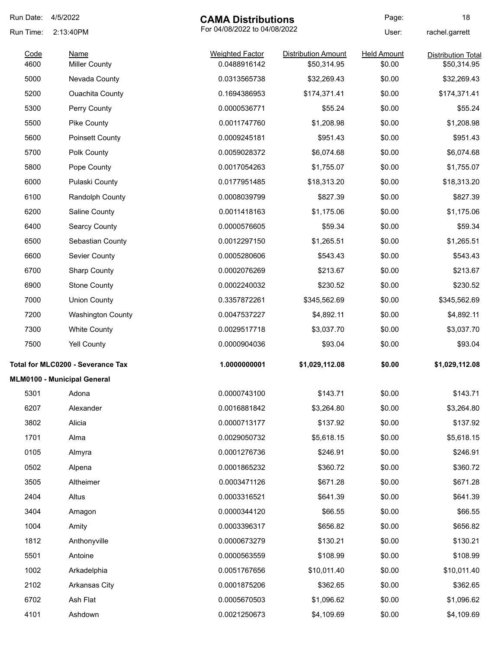| Run Date:    | 4/5/2022<br><b>CAMA Distributions</b>    |                                        | Page:                                     | 18                           |                                          |
|--------------|------------------------------------------|----------------------------------------|-------------------------------------------|------------------------------|------------------------------------------|
| Run Time:    | 2:13:40PM                                |                                        | For 04/08/2022 to 04/08/2022              |                              | rachel.garrett                           |
| Code<br>4600 | Name<br><b>Miller County</b>             | <b>Weighted Factor</b><br>0.0488916142 | <b>Distribution Amount</b><br>\$50,314.95 | <b>Held Amount</b><br>\$0.00 | <b>Distribution Total</b><br>\$50,314.95 |
| 5000         | Nevada County                            | 0.0313565738                           | \$32,269.43                               | \$0.00                       | \$32,269.43                              |
| 5200         | <b>Ouachita County</b>                   | 0.1694386953                           | \$174,371.41                              | \$0.00                       | \$174,371.41                             |
| 5300         | Perry County                             | 0.0000536771                           | \$55.24                                   | \$0.00                       | \$55.24                                  |
| 5500         | Pike County                              | 0.0011747760                           | \$1,208.98                                | \$0.00                       | \$1,208.98                               |
| 5600         | <b>Poinsett County</b>                   | 0.0009245181                           | \$951.43                                  | \$0.00                       | \$951.43                                 |
| 5700         | Polk County                              | 0.0059028372                           | \$6,074.68                                | \$0.00                       | \$6,074.68                               |
| 5800         | Pope County                              | 0.0017054263                           | \$1,755.07                                | \$0.00                       | \$1,755.07                               |
| 6000         | Pulaski County                           | 0.0177951485                           | \$18,313.20                               | \$0.00                       | \$18,313.20                              |
| 6100         | <b>Randolph County</b>                   | 0.0008039799                           | \$827.39                                  | \$0.00                       | \$827.39                                 |
| 6200         | <b>Saline County</b>                     | 0.0011418163                           | \$1,175.06                                | \$0.00                       | \$1,175.06                               |
| 6400         | <b>Searcy County</b>                     | 0.0000576605                           | \$59.34                                   | \$0.00                       | \$59.34                                  |
| 6500         | Sebastian County                         | 0.0012297150                           | \$1,265.51                                | \$0.00                       | \$1,265.51                               |
| 6600         | <b>Sevier County</b>                     | 0.0005280606                           | \$543.43                                  | \$0.00                       | \$543.43                                 |
| 6700         | <b>Sharp County</b>                      | 0.0002076269                           | \$213.67                                  | \$0.00                       | \$213.67                                 |
| 6900         | <b>Stone County</b>                      | 0.0002240032                           | \$230.52                                  | \$0.00                       | \$230.52                                 |
| 7000         |                                          | 0.3357872261                           |                                           | \$0.00                       |                                          |
|              | <b>Union County</b>                      |                                        | \$345,562.69                              |                              | \$345,562.69                             |
| 7200         | <b>Washington County</b>                 | 0.0047537227                           | \$4,892.11                                | \$0.00                       | \$4,892.11                               |
| 7300         | <b>White County</b>                      | 0.0029517718                           | \$3,037.70                                | \$0.00                       | \$3,037.70                               |
| 7500         | <b>Yell County</b>                       | 0.0000904036                           | \$93.04                                   | \$0.00                       | \$93.04                                  |
|              | <b>Total for MLC0200 - Severance Tax</b> | 1.0000000001                           | \$1,029,112.08                            | \$0.00                       | \$1,029,112.08                           |
|              | MLM0100 - Municipal General              |                                        |                                           |                              |                                          |
| 5301         | Adona                                    | 0.0000743100                           | \$143.71                                  | \$0.00                       | \$143.71                                 |
| 6207         | Alexander                                | 0.0016881842                           | \$3,264.80                                | \$0.00                       | \$3,264.80                               |
| 3802         | Alicia                                   | 0.0000713177                           | \$137.92                                  | \$0.00                       | \$137.92                                 |
| 1701         | Alma                                     | 0.0029050732                           | \$5,618.15                                | \$0.00                       | \$5,618.15                               |
| 0105         | Almyra                                   | 0.0001276736                           | \$246.91                                  | \$0.00                       | \$246.91                                 |
| 0502         | Alpena                                   | 0.0001865232                           | \$360.72                                  | \$0.00                       | \$360.72                                 |
| 3505         | Altheimer                                | 0.0003471126                           | \$671.28                                  | \$0.00                       | \$671.28                                 |
| 2404         | Altus                                    | 0.0003316521                           | \$641.39                                  | \$0.00                       | \$641.39                                 |
| 3404         | Amagon                                   | 0.0000344120                           | \$66.55                                   | \$0.00                       | \$66.55                                  |
| 1004         | Amity                                    | 0.0003396317                           | \$656.82                                  | \$0.00                       | \$656.82                                 |
| 1812         | Anthonyville                             | 0.0000673279                           | \$130.21                                  | \$0.00                       | \$130.21                                 |
| 5501         | Antoine                                  | 0.0000563559                           | \$108.99                                  | \$0.00                       | \$108.99                                 |
| 1002         | Arkadelphia                              | 0.0051767656                           | \$10,011.40                               | \$0.00                       | \$10,011.40                              |
| 2102         | Arkansas City                            | 0.0001875206                           | \$362.65                                  | \$0.00                       | \$362.65                                 |
| 6702         | Ash Flat                                 | 0.0005670503                           | \$1,096.62                                | \$0.00                       | \$1,096.62                               |
| 4101         | Ashdown                                  | 0.0021250673                           | \$4,109.69                                | \$0.00                       | \$4,109.69                               |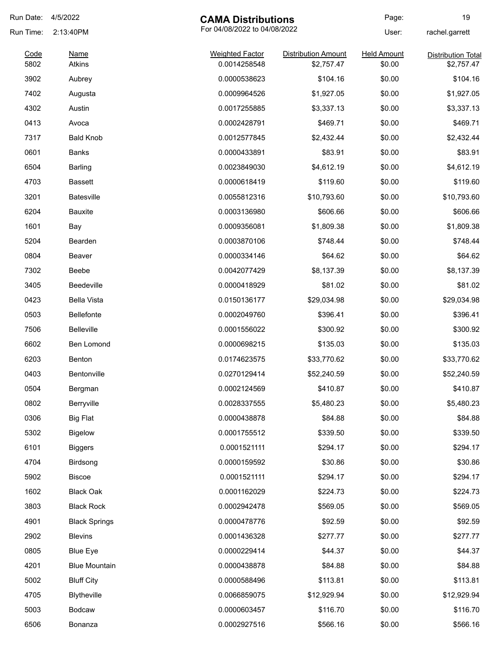| Run Date: | 4/5/2022             | <b>CAMA Distributions</b> |                              | Page:              | 19                        |
|-----------|----------------------|---------------------------|------------------------------|--------------------|---------------------------|
| Run Time: | 2:13:40PM            |                           | For 04/08/2022 to 04/08/2022 |                    | rachel.garrett            |
| Code      | <b>Name</b>          | <b>Weighted Factor</b>    | <b>Distribution Amount</b>   | <b>Held Amount</b> | <b>Distribution Total</b> |
| 5802      | Atkins               | 0.0014258548              | \$2,757.47                   | \$0.00             | \$2,757.47                |
| 3902      | Aubrey               | 0.0000538623              | \$104.16                     | \$0.00             | \$104.16                  |
| 7402      | Augusta              | 0.0009964526              | \$1,927.05                   | \$0.00             | \$1,927.05                |
| 4302      | Austin               | 0.0017255885              | \$3,337.13                   | \$0.00             | \$3,337.13                |
| 0413      | Avoca                | 0.0002428791              | \$469.71                     | \$0.00             | \$469.71                  |
| 7317      | <b>Bald Knob</b>     | 0.0012577845              | \$2,432.44                   | \$0.00             | \$2,432.44                |
| 0601      | <b>Banks</b>         | 0.0000433891              | \$83.91                      | \$0.00             | \$83.91                   |
| 6504      | <b>Barling</b>       | 0.0023849030              | \$4,612.19                   | \$0.00             | \$4,612.19                |
| 4703      | <b>Bassett</b>       | 0.0000618419              | \$119.60                     | \$0.00             | \$119.60                  |
| 3201      | <b>Batesville</b>    | 0.0055812316              | \$10,793.60                  | \$0.00             | \$10,793.60               |
| 6204      | <b>Bauxite</b>       | 0.0003136980              | \$606.66                     | \$0.00             | \$606.66                  |
| 1601      | Bay                  | 0.0009356081              | \$1,809.38                   | \$0.00             | \$1,809.38                |
| 5204      | Bearden              | 0.0003870106              | \$748.44                     | \$0.00             | \$748.44                  |
| 0804      | Beaver               | 0.0000334146              | \$64.62                      | \$0.00             | \$64.62                   |
| 7302      | Beebe                | 0.0042077429              | \$8,137.39                   | \$0.00             | \$8,137.39                |
| 3405      | Beedeville           | 0.0000418929              | \$81.02                      | \$0.00             | \$81.02                   |
| 0423      | <b>Bella Vista</b>   | 0.0150136177              | \$29,034.98                  | \$0.00             | \$29,034.98               |
| 0503      | <b>Bellefonte</b>    | 0.0002049760              | \$396.41                     | \$0.00             | \$396.41                  |
| 7506      | Belleville           | 0.0001556022              | \$300.92                     | \$0.00             | \$300.92                  |
| 6602      | Ben Lomond           | 0.0000698215              | \$135.03                     | \$0.00             | \$135.03                  |
| 6203      | <b>Benton</b>        | 0.0174623575              | \$33,770.62                  | \$0.00             | \$33,770.62               |
| 0403      | Bentonville          | 0.0270129414              | \$52,240.59                  | \$0.00             | \$52,240.59               |
| 0504      | Bergman              | 0.0002124569              | \$410.87                     | \$0.00             | \$410.87                  |
| 0802      | Berryville           | 0.0028337555              | \$5,480.23                   | \$0.00             | \$5,480.23                |
| 0306      | <b>Big Flat</b>      | 0.0000438878              | \$84.88                      | \$0.00             | \$84.88                   |
| 5302      | <b>Bigelow</b>       | 0.0001755512              | \$339.50                     | \$0.00             | \$339.50                  |
| 6101      | <b>Biggers</b>       | 0.0001521111              | \$294.17                     | \$0.00             | \$294.17                  |
| 4704      | Birdsong             | 0.0000159592              | \$30.86                      | \$0.00             | \$30.86                   |
| 5902      | <b>Biscoe</b>        | 0.0001521111              | \$294.17                     | \$0.00             | \$294.17                  |
|           |                      |                           |                              |                    |                           |
| 1602      | <b>Black Oak</b>     | 0.0001162029              | \$224.73                     | \$0.00             | \$224.73                  |
| 3803      | <b>Black Rock</b>    | 0.0002942478              | \$569.05                     | \$0.00             | \$569.05                  |
| 4901      | <b>Black Springs</b> | 0.0000478776              | \$92.59                      | \$0.00             | \$92.59                   |
| 2902      | <b>Blevins</b>       | 0.0001436328              | \$277.77                     | \$0.00             | \$277.77                  |
| 0805      | <b>Blue Eye</b>      | 0.0000229414              | \$44.37                      | \$0.00             | \$44.37                   |
| 4201      | <b>Blue Mountain</b> | 0.0000438878              | \$84.88                      | \$0.00             | \$84.88                   |
| 5002      | <b>Bluff City</b>    | 0.0000588496              | \$113.81                     | \$0.00             | \$113.81                  |
| 4705      | Blytheville          | 0.0066859075              | \$12,929.94                  | \$0.00             | \$12,929.94               |
| 5003      | <b>Bodcaw</b>        | 0.0000603457              | \$116.70                     | \$0.00             | \$116.70                  |
| 6506      | Bonanza              | 0.0002927516              | \$566.16                     | \$0.00             | \$566.16                  |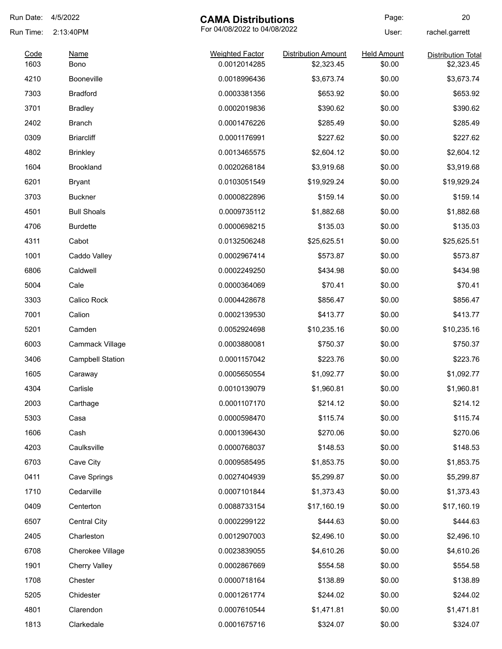| Run Date:    | 4/5/2022                 | <b>CAMA Distributions</b>              |                                          | Page:                        | 20                                      |
|--------------|--------------------------|----------------------------------------|------------------------------------------|------------------------------|-----------------------------------------|
| Run Time:    | 2:13:40PM                | For 04/08/2022 to 04/08/2022           |                                          | User:                        | rachel.garrett                          |
| Code<br>1603 | <b>Name</b><br>Bono      | <b>Weighted Factor</b><br>0.0012014285 | <b>Distribution Amount</b><br>\$2,323.45 | <b>Held Amount</b><br>\$0.00 | <b>Distribution Total</b><br>\$2,323.45 |
| 4210         | Booneville               | 0.0018996436                           | \$3,673.74                               | \$0.00                       | \$3,673.74                              |
| 7303         | <b>Bradford</b>          | 0.0003381356                           | \$653.92                                 | \$0.00                       | \$653.92                                |
| 3701         | <b>Bradley</b>           | 0.0002019836                           | \$390.62                                 | \$0.00                       | \$390.62                                |
| 2402         | <b>Branch</b>            | 0.0001476226                           | \$285.49                                 | \$0.00                       | \$285.49                                |
| 0309         | <b>Briarcliff</b>        | 0.0001176991                           | \$227.62                                 | \$0.00                       | \$227.62                                |
| 4802         | <b>Brinkley</b>          | 0.0013465575                           | \$2,604.12                               | \$0.00                       | \$2,604.12                              |
| 1604         | <b>Brookland</b>         | 0.0020268184                           | \$3,919.68                               | \$0.00                       | \$3,919.68                              |
| 6201         | <b>Bryant</b>            | 0.0103051549                           | \$19,929.24                              | \$0.00                       | \$19,929.24                             |
| 3703         | <b>Buckner</b>           | 0.0000822896                           | \$159.14                                 | \$0.00                       | \$159.14                                |
| 4501         | <b>Bull Shoals</b>       | 0.0009735112                           | \$1,882.68                               | \$0.00                       | \$1,882.68                              |
| 4706         | <b>Burdette</b>          | 0.0000698215                           | \$135.03                                 | \$0.00                       | \$135.03                                |
| 4311         | Cabot                    |                                        |                                          | \$0.00                       |                                         |
| 1001         |                          | 0.0132506248<br>0.0002967414           | \$25,625.51                              | \$0.00                       | \$25,625.51<br>\$573.87                 |
| 6806         | Caddo Valley<br>Caldwell | 0.0002249250                           | \$573.87                                 | \$0.00                       | \$434.98                                |
|              |                          |                                        | \$434.98                                 |                              |                                         |
| 5004         | Cale                     | 0.0000364069                           | \$70.41                                  | \$0.00                       | \$70.41                                 |
| 3303         | Calico Rock              | 0.0004428678                           | \$856.47                                 | \$0.00                       | \$856.47                                |
| 7001         | Calion                   | 0.0002139530                           | \$413.77                                 | \$0.00                       | \$413.77                                |
| 5201         | Camden                   | 0.0052924698                           | \$10,235.16                              | \$0.00                       | \$10,235.16                             |
| 6003         | Cammack Village          | 0.0003880081                           | \$750.37                                 | \$0.00                       | \$750.37                                |
| 3406         | <b>Campbell Station</b>  | 0.0001157042                           | \$223.76                                 | \$0.00                       | \$223.76                                |
| 1605         | Caraway                  | 0.0005650554                           | \$1,092.77                               | \$0.00                       | \$1,092.77                              |
| 4304         | Carlisle                 | 0.0010139079                           | \$1,960.81                               | \$0.00                       | \$1,960.81                              |
| 2003         | Carthage                 | 0.0001107170                           | \$214.12                                 | \$0.00                       | \$214.12                                |
| 5303         | Casa                     | 0.0000598470                           | \$115.74                                 | \$0.00                       | \$115.74                                |
| 1606         | Cash                     | 0.0001396430                           | \$270.06                                 | \$0.00                       | \$270.06                                |
| 4203         | Caulksville              | 0.0000768037                           | \$148.53                                 | \$0.00                       | \$148.53                                |
| 6703         | Cave City                | 0.0009585495                           | \$1,853.75                               | \$0.00                       | \$1,853.75                              |
| 0411         | Cave Springs             | 0.0027404939                           | \$5,299.87                               | \$0.00                       | \$5,299.87                              |
| 1710         | Cedarville               | 0.0007101844                           | \$1,373.43                               | \$0.00                       | \$1,373.43                              |
| 0409         | Centerton                | 0.0088733154                           | \$17,160.19                              | \$0.00                       | \$17,160.19                             |
| 6507         | <b>Central City</b>      | 0.0002299122                           | \$444.63                                 | \$0.00                       | \$444.63                                |
| 2405         | Charleston               | 0.0012907003                           | \$2,496.10                               | \$0.00                       | \$2,496.10                              |
| 6708         | Cherokee Village         | 0.0023839055                           | \$4,610.26                               | \$0.00                       | \$4,610.26                              |
| 1901         | <b>Cherry Valley</b>     | 0.0002867669                           | \$554.58                                 | \$0.00                       | \$554.58                                |
| 1708         | Chester                  | 0.0000718164                           | \$138.89                                 | \$0.00                       | \$138.89                                |
| 5205         | Chidester                | 0.0001261774                           | \$244.02                                 | \$0.00                       | \$244.02                                |
| 4801         | Clarendon                | 0.0007610544                           | \$1,471.81                               | \$0.00                       | \$1,471.81                              |
| 1813         | Clarkedale               | 0.0001675716                           | \$324.07                                 | \$0.00                       | \$324.07                                |
|              |                          |                                        |                                          |                              |                                         |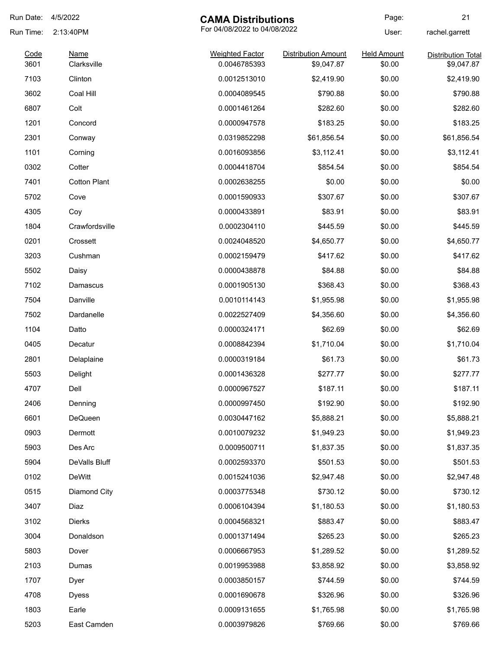| Run Date:    | 4/5/2022                   | <b>CAMA Distributions</b>              |                                          | Page:                        | 21                                      |
|--------------|----------------------------|----------------------------------------|------------------------------------------|------------------------------|-----------------------------------------|
| Run Time:    | 2:13:40PM                  | For 04/08/2022 to 04/08/2022           |                                          | User:                        | rachel.garrett                          |
| Code<br>3601 | <b>Name</b><br>Clarksville | <b>Weighted Factor</b><br>0.0046785393 | <b>Distribution Amount</b><br>\$9,047.87 | <b>Held Amount</b><br>\$0.00 | <b>Distribution Total</b><br>\$9,047.87 |
| 7103         | Clinton                    | 0.0012513010                           | \$2,419.90                               | \$0.00                       | \$2,419.90                              |
| 3602         | Coal Hill                  | 0.0004089545                           | \$790.88                                 | \$0.00                       | \$790.88                                |
| 6807         | Colt                       | 0.0001461264                           | \$282.60                                 | \$0.00                       | \$282.60                                |
| 1201         | Concord                    | 0.0000947578                           | \$183.25                                 | \$0.00                       | \$183.25                                |
| 2301         | Conway                     | 0.0319852298                           | \$61,856.54                              | \$0.00                       | \$61,856.54                             |
| 1101         | Corning                    | 0.0016093856                           | \$3,112.41                               | \$0.00                       | \$3,112.41                              |
| 0302         | Cotter                     | 0.0004418704                           | \$854.54                                 | \$0.00                       | \$854.54                                |
| 7401         | <b>Cotton Plant</b>        | 0.0002638255                           | \$0.00                                   | \$0.00                       | \$0.00                                  |
| 5702         | Cove                       | 0.0001590933                           | \$307.67                                 | \$0.00                       | \$307.67                                |
| 4305         | Coy                        | 0.0000433891                           | \$83.91                                  | \$0.00                       | \$83.91                                 |
| 1804         | Crawfordsville             | 0.0002304110                           | \$445.59                                 | \$0.00                       | \$445.59                                |
| 0201         | Crossett                   | 0.0024048520                           | \$4,650.77                               | \$0.00                       | \$4,650.77                              |
| 3203         | Cushman                    | 0.0002159479                           | \$417.62                                 | \$0.00                       | \$417.62                                |
| 5502         | Daisy                      | 0.0000438878                           | \$84.88                                  | \$0.00                       | \$84.88                                 |
| 7102         | Damascus                   | 0.0001905130                           | \$368.43                                 | \$0.00                       | \$368.43                                |
| 7504         | Danville                   | 0.0010114143                           | \$1,955.98                               | \$0.00                       | \$1,955.98                              |
| 7502         | Dardanelle                 | 0.0022527409                           | \$4,356.60                               | \$0.00                       | \$4,356.60                              |
| 1104         | Datto                      | 0.0000324171                           | \$62.69                                  | \$0.00                       | \$62.69                                 |
| 0405         | Decatur                    | 0.0008842394                           | \$1,710.04                               | \$0.00                       | \$1,710.04                              |
| 2801         | Delaplaine                 | 0.0000319184                           | \$61.73                                  | \$0.00                       | \$61.73                                 |
| 5503         | Delight                    | 0.0001436328                           | \$277.77                                 | \$0.00                       | \$277.77                                |
| 4707         | Dell                       | 0.0000967527                           | \$187.11                                 | \$0.00                       | \$187.11                                |
| 2406         | Denning                    | 0.0000997450                           | \$192.90                                 | \$0.00                       | \$192.90                                |
| 6601         | DeQueen                    | 0.0030447162                           | \$5,888.21                               | \$0.00                       | \$5,888.21                              |
| 0903         | Dermott                    | 0.0010079232                           | \$1,949.23                               | \$0.00                       | \$1,949.23                              |
| 5903         | Des Arc                    | 0.0009500711                           | \$1,837.35                               | \$0.00                       | \$1,837.35                              |
| 5904         | DeValls Bluff              | 0.0002593370                           | \$501.53                                 | \$0.00                       | \$501.53                                |
| 0102         | DeWitt                     | 0.0015241036                           | \$2,947.48                               | \$0.00                       | \$2,947.48                              |
| 0515         | Diamond City               | 0.0003775348                           | \$730.12                                 | \$0.00                       | \$730.12                                |
| 3407         | Diaz                       | 0.0006104394                           | \$1,180.53                               | \$0.00                       | \$1,180.53                              |
| 3102         | <b>Dierks</b>              | 0.0004568321                           | \$883.47                                 | \$0.00                       | \$883.47                                |
| 3004         | Donaldson                  | 0.0001371494                           | \$265.23                                 | \$0.00                       | \$265.23                                |
| 5803         | Dover                      | 0.0006667953                           | \$1,289.52                               | \$0.00                       | \$1,289.52                              |
| 2103         | Dumas                      | 0.0019953988                           | \$3,858.92                               | \$0.00                       | \$3,858.92                              |
| 1707         | Dyer                       | 0.0003850157                           | \$744.59                                 | \$0.00                       | \$744.59                                |
| 4708         | <b>Dyess</b>               | 0.0001690678                           | \$326.96                                 | \$0.00                       | \$326.96                                |
| 1803         | Earle                      | 0.0009131655                           | \$1,765.98                               | \$0.00                       | \$1,765.98                              |
| 5203         | East Camden                | 0.0003979826                           | \$769.66                                 | \$0.00                       | \$769.66                                |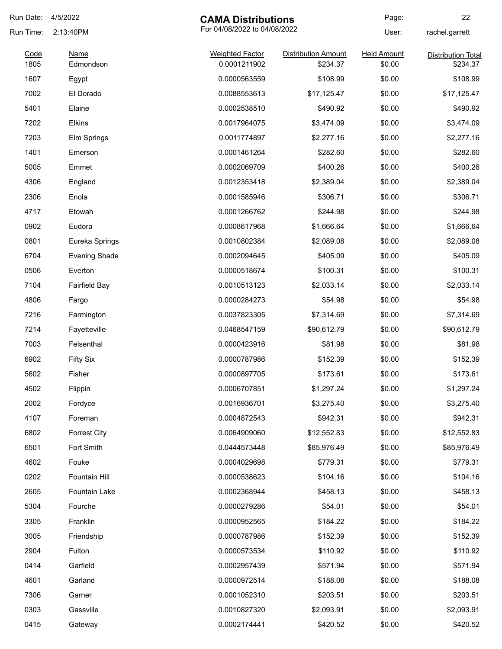| Run Date:    | 4/5/2022<br><b>CAMA Distributions</b> |                                        | Page:                                  | 22                           |                                       |
|--------------|---------------------------------------|----------------------------------------|----------------------------------------|------------------------------|---------------------------------------|
| Run Time:    | 2:13:40PM                             | For 04/08/2022 to 04/08/2022           |                                        | User:                        | rachel.garrett                        |
| Code<br>1805 | <b>Name</b>                           | <b>Weighted Factor</b><br>0.0001211902 | <b>Distribution Amount</b><br>\$234.37 | <b>Held Amount</b><br>\$0.00 | <b>Distribution Total</b><br>\$234.37 |
|              | Edmondson                             |                                        |                                        |                              |                                       |
| 1607         | Egypt                                 | 0.0000563559                           | \$108.99                               | \$0.00                       | \$108.99                              |
| 7002         | El Dorado                             | 0.0088553613                           | \$17,125.47                            | \$0.00                       | \$17,125.47                           |
| 5401         | Elaine                                | 0.0002538510                           | \$490.92                               | \$0.00                       | \$490.92                              |
| 7202         | <b>Elkins</b>                         | 0.0017964075                           | \$3,474.09                             | \$0.00                       | \$3,474.09                            |
| 7203         | Elm Springs                           | 0.0011774897                           | \$2,277.16                             | \$0.00                       | \$2,277.16                            |
| 1401         | Emerson                               | 0.0001461264                           | \$282.60                               | \$0.00                       | \$282.60                              |
| 5005         | Emmet                                 | 0.0002069709                           | \$400.26                               | \$0.00                       | \$400.26                              |
| 4306         | England                               | 0.0012353418                           | \$2,389.04                             | \$0.00                       | \$2,389.04                            |
| 2306         | Enola                                 | 0.0001585946                           | \$306.71                               | \$0.00                       | \$306.71                              |
| 4717         | Etowah                                | 0.0001266762                           | \$244.98                               | \$0.00                       | \$244.98                              |
| 0902         | Eudora                                | 0.0008617968                           | \$1,666.64                             | \$0.00                       | \$1,666.64                            |
| 0801         | Eureka Springs                        | 0.0010802384                           | \$2,089.08                             | \$0.00                       | \$2,089.08                            |
| 6704         | <b>Evening Shade</b>                  | 0.0002094645                           | \$405.09                               | \$0.00                       | \$405.09                              |
| 0506         | Everton                               | 0.0000518674                           | \$100.31                               | \$0.00                       | \$100.31                              |
| 7104         | <b>Fairfield Bay</b>                  | 0.0010513123                           | \$2,033.14                             | \$0.00                       | \$2,033.14                            |
| 4806         | Fargo                                 | 0.0000284273                           | \$54.98                                | \$0.00                       | \$54.98                               |
| 7216         | Farmington                            | 0.0037823305                           | \$7,314.69                             | \$0.00                       | \$7,314.69                            |
| 7214         | Fayetteville                          | 0.0468547159                           | \$90,612.79                            | \$0.00                       | \$90,612.79                           |
| 7003         | Felsenthal                            | 0.0000423916                           | \$81.98                                | \$0.00                       | \$81.98                               |
| 6902         | <b>Fifty Six</b>                      | 0.0000787986                           | \$152.39                               | \$0.00                       | \$152.39                              |
| 5602         | Fisher                                | 0.0000897705                           | \$173.61                               | \$0.00                       | \$173.61                              |
| 4502         | Flippin                               | 0.0006707851                           | \$1,297.24                             | \$0.00                       | \$1,297.24                            |
| 2002         | Fordyce                               | 0.0016936701                           | \$3,275.40                             | \$0.00                       | \$3,275.40                            |
| 4107         | Foreman                               | 0.0004872543                           | \$942.31                               | \$0.00                       | \$942.31                              |
| 6802         | <b>Forrest City</b>                   | 0.0064909060                           | \$12,552.83                            | \$0.00                       | \$12,552.83                           |
| 6501         | Fort Smith                            | 0.0444573448                           | \$85,976.49                            | \$0.00                       | \$85,976.49                           |
| 4602         | Fouke                                 | 0.0004029698                           | \$779.31                               | \$0.00                       | \$779.31                              |
| 0202         | Fountain Hill                         | 0.0000538623                           | \$104.16                               | \$0.00                       | \$104.16                              |
| 2605         | Fountain Lake                         | 0.0002368944                           | \$458.13                               | \$0.00                       | \$458.13                              |
| 5304         | Fourche                               | 0.0000279286                           | \$54.01                                | \$0.00                       | \$54.01                               |
| 3305         | Franklin                              | 0.0000952565                           | \$184.22                               | \$0.00                       | \$184.22                              |
| 3005         | Friendship                            | 0.0000787986                           | \$152.39                               | \$0.00                       | \$152.39                              |
|              |                                       |                                        |                                        |                              |                                       |
| 2904         | Fulton                                | 0.0000573534                           | \$110.92                               | \$0.00                       | \$110.92                              |
| 0414         | Garfield                              | 0.0002957439                           | \$571.94                               | \$0.00                       | \$571.94                              |
| 4601         | Garland                               | 0.0000972514                           | \$188.08                               | \$0.00                       | \$188.08                              |
| 7306         | Garner                                | 0.0001052310                           | \$203.51                               | \$0.00                       | \$203.51                              |
| 0303         | Gassville                             | 0.0010827320                           | \$2,093.91                             | \$0.00                       | \$2,093.91                            |
| 0415         | Gateway                               | 0.0002174441                           | \$420.52                               | \$0.00                       | \$420.52                              |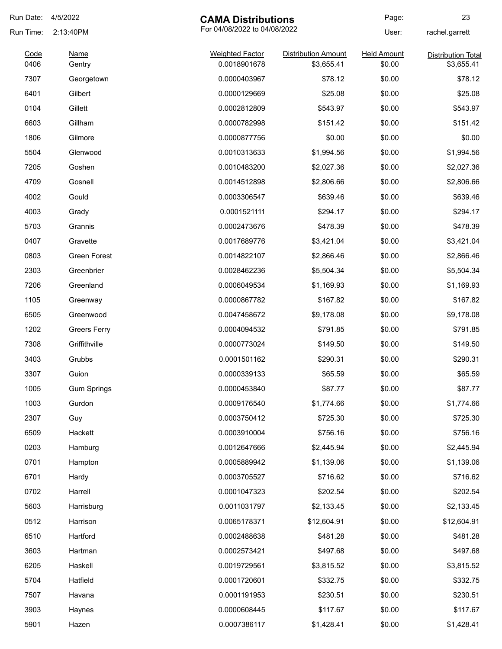| Run Date:    | 4/5/2022              | <b>CAMA Distributions</b>              |                                          | Page:                        | 23                                      |
|--------------|-----------------------|----------------------------------------|------------------------------------------|------------------------------|-----------------------------------------|
| Run Time:    | 2:13:40PM             | For 04/08/2022 to 04/08/2022           |                                          | User:                        | rachel.garrett                          |
| Code<br>0406 | <b>Name</b><br>Gentry | <b>Weighted Factor</b><br>0.0018901678 | <b>Distribution Amount</b><br>\$3,655.41 | <b>Held Amount</b><br>\$0.00 | <b>Distribution Total</b><br>\$3,655.41 |
| 7307         | Georgetown            | 0.0000403967                           | \$78.12                                  | \$0.00                       | \$78.12                                 |
| 6401         | Gilbert               | 0.0000129669                           | \$25.08                                  | \$0.00                       | \$25.08                                 |
| 0104         | Gillett               | 0.0002812809                           | \$543.97                                 | \$0.00                       | \$543.97                                |
| 6603         | Gillham               | 0.0000782998                           | \$151.42                                 | \$0.00                       | \$151.42                                |
| 1806         | Gilmore               | 0.0000877756                           | \$0.00                                   | \$0.00                       | \$0.00                                  |
| 5504         | Glenwood              | 0.0010313633                           | \$1,994.56                               | \$0.00                       | \$1,994.56                              |
| 7205         | Goshen                | 0.0010483200                           | \$2,027.36                               | \$0.00                       | \$2,027.36                              |
| 4709         | Gosnell               | 0.0014512898                           | \$2,806.66                               | \$0.00                       | \$2,806.66                              |
| 4002         | Gould                 | 0.0003306547                           | \$639.46                                 | \$0.00                       | \$639.46                                |
| 4003         | Grady                 | 0.0001521111                           | \$294.17                                 | \$0.00                       | \$294.17                                |
| 5703         | Grannis               | 0.0002473676                           | \$478.39                                 | \$0.00                       | \$478.39                                |
| 0407         | Gravette              | 0.0017689776                           | \$3,421.04                               | \$0.00                       | \$3,421.04                              |
| 0803         | <b>Green Forest</b>   | 0.0014822107                           | \$2,866.46                               | \$0.00                       | \$2,866.46                              |
| 2303         | Greenbrier            | 0.0028462236                           | \$5,504.34                               | \$0.00                       | \$5,504.34                              |
| 7206         | Greenland             | 0.0006049534                           | \$1,169.93                               | \$0.00                       | \$1,169.93                              |
| 1105         | Greenway              | 0.0000867782                           | \$167.82                                 | \$0.00                       | \$167.82                                |
| 6505         | Greenwood             | 0.0047458672                           | \$9,178.08                               | \$0.00                       | \$9,178.08                              |
| 1202         | <b>Greers Ferry</b>   | 0.0004094532                           | \$791.85                                 | \$0.00                       | \$791.85                                |
| 7308         | Griffithville         | 0.0000773024                           | \$149.50                                 | \$0.00                       | \$149.50                                |
| 3403         | Grubbs                | 0.0001501162                           | \$290.31                                 | \$0.00                       | \$290.31                                |
| 3307         | Guion                 | 0.0000339133                           | \$65.59                                  | \$0.00                       | \$65.59                                 |
| 1005         | <b>Gum Springs</b>    | 0.0000453840                           | \$87.77                                  | \$0.00                       | \$87.77                                 |
| 1003         | Gurdon                | 0.0009176540                           | \$1,774.66                               | \$0.00                       | \$1,774.66                              |
| 2307         | Guy                   | 0.0003750412                           | \$725.30                                 | \$0.00                       | \$725.30                                |
| 6509         | Hackett               | 0.0003910004                           | \$756.16                                 | \$0.00                       | \$756.16                                |
| 0203         | Hamburg               | 0.0012647666                           | \$2,445.94                               | \$0.00                       | \$2,445.94                              |
| 0701         | Hampton               | 0.0005889942                           | \$1,139.06                               | \$0.00                       | \$1,139.06                              |
| 6701         | Hardy                 | 0.0003705527                           | \$716.62                                 | \$0.00                       | \$716.62                                |
| 0702         | Harrell               | 0.0001047323                           | \$202.54                                 | \$0.00                       | \$202.54                                |
| 5603         | Harrisburg            | 0.0011031797                           | \$2,133.45                               | \$0.00                       | \$2,133.45                              |
| 0512         | Harrison              | 0.0065178371                           | \$12,604.91                              | \$0.00                       | \$12,604.91                             |
| 6510         | Hartford              | 0.0002488638                           | \$481.28                                 | \$0.00                       | \$481.28                                |
| 3603         | Hartman               | 0.0002573421                           | \$497.68                                 | \$0.00                       | \$497.68                                |
| 6205         | Haskell               | 0.0019729561                           | \$3,815.52                               | \$0.00                       | \$3,815.52                              |
| 5704         | Hatfield              | 0.0001720601                           | \$332.75                                 | \$0.00                       | \$332.75                                |
| 7507         | Havana                | 0.0001191953                           | \$230.51                                 | \$0.00                       | \$230.51                                |
| 3903         | Haynes                | 0.0000608445                           | \$117.67                                 | \$0.00                       | \$117.67                                |
| 5901         | Hazen                 | 0.0007386117                           | \$1,428.41                               | \$0.00                       | \$1,428.41                              |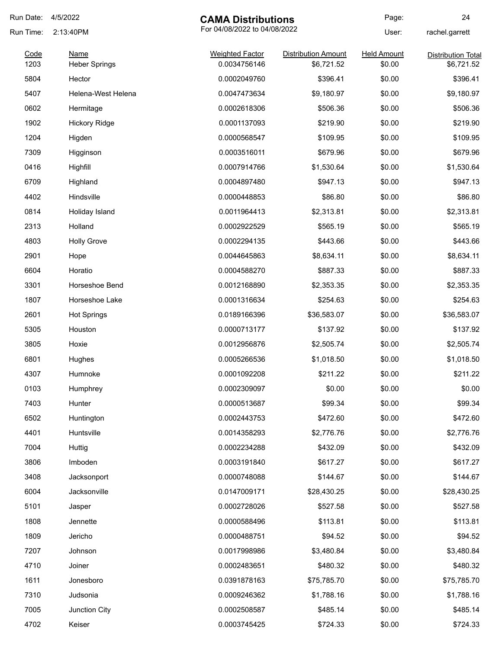| Run Date: | 4/5/2022             | <b>CAMA Distributions</b>    |                            | Page:              | 24                        |
|-----------|----------------------|------------------------------|----------------------------|--------------------|---------------------------|
| Run Time: | 2:13:40PM            | For 04/08/2022 to 04/08/2022 |                            | User:              | rachel.garrett            |
| Code      | <b>Name</b>          | <b>Weighted Factor</b>       | <b>Distribution Amount</b> | <b>Held Amount</b> | <b>Distribution Total</b> |
| 1203      | <b>Heber Springs</b> | 0.0034756146                 | \$6,721.52                 | \$0.00             | \$6,721.52                |
| 5804      | Hector               | 0.0002049760                 | \$396.41                   | \$0.00             | \$396.41                  |
| 5407      | Helena-West Helena   | 0.0047473634                 | \$9,180.97                 | \$0.00             | \$9,180.97                |
| 0602      | Hermitage            | 0.0002618306                 | \$506.36                   | \$0.00             | \$506.36                  |
| 1902      | <b>Hickory Ridge</b> | 0.0001137093                 | \$219.90                   | \$0.00             | \$219.90                  |
| 1204      | Higden               | 0.0000568547                 | \$109.95                   | \$0.00             | \$109.95                  |
| 7309      | Higginson            | 0.0003516011                 | \$679.96                   | \$0.00             | \$679.96                  |
| 0416      | Highfill             | 0.0007914766                 | \$1,530.64                 | \$0.00             | \$1,530.64                |
| 6709      | Highland             | 0.0004897480                 | \$947.13                   | \$0.00             | \$947.13                  |
| 4402      | Hindsville           | 0.0000448853                 | \$86.80                    | \$0.00             | \$86.80                   |
| 0814      | Holiday Island       | 0.0011964413                 | \$2,313.81                 | \$0.00             | \$2,313.81                |
| 2313      | Holland              | 0.0002922529                 | \$565.19                   | \$0.00             | \$565.19                  |
| 4803      | <b>Holly Grove</b>   | 0.0002294135                 | \$443.66                   | \$0.00             | \$443.66                  |
| 2901      | Hope                 | 0.0044645863                 | \$8,634.11                 | \$0.00             | \$8,634.11                |
| 6604      | Horatio              | 0.0004588270                 | \$887.33                   | \$0.00             | \$887.33                  |
| 3301      | Horseshoe Bend       | 0.0012168890                 | \$2,353.35                 | \$0.00             | \$2,353.35                |
| 1807      | Horseshoe Lake       | 0.0001316634                 | \$254.63                   | \$0.00             | \$254.63                  |
| 2601      | <b>Hot Springs</b>   | 0.0189166396                 | \$36,583.07                | \$0.00             | \$36,583.07               |
| 5305      | Houston              | 0.0000713177                 | \$137.92                   | \$0.00             | \$137.92                  |
| 3805      | Hoxie                | 0.0012956876                 | \$2,505.74                 | \$0.00             | \$2,505.74                |
| 6801      | Hughes               | 0.0005266536                 | \$1,018.50                 | \$0.00             | \$1,018.50                |
| 4307      | Humnoke              | 0.0001092208                 | \$211.22                   | \$0.00             | \$211.22                  |
| 0103      | Humphrey             | 0.0002309097                 | \$0.00                     | \$0.00             | \$0.00                    |
| 7403      | Hunter               | 0.0000513687                 | \$99.34                    | \$0.00             | \$99.34                   |
| 6502      | Huntington           | 0.0002443753                 | \$472.60                   | \$0.00             | \$472.60                  |
| 4401      | Huntsville           | 0.0014358293                 | \$2,776.76                 | \$0.00             | \$2,776.76                |
| 7004      | Huttig               | 0.0002234288                 | \$432.09                   | \$0.00             | \$432.09                  |
| 3806      | Imboden              | 0.0003191840                 | \$617.27                   | \$0.00             | \$617.27                  |
| 3408      | Jacksonport          | 0.0000748088                 | \$144.67                   | \$0.00             | \$144.67                  |
| 6004      | Jacksonville         | 0.0147009171                 | \$28,430.25                | \$0.00             | \$28,430.25               |
| 5101      | Jasper               | 0.0002728026                 | \$527.58                   | \$0.00             | \$527.58                  |
| 1808      | Jennette             | 0.0000588496                 | \$113.81                   | \$0.00             | \$113.81                  |
| 1809      | Jericho              | 0.0000488751                 | \$94.52                    | \$0.00             | \$94.52                   |
| 7207      | Johnson              | 0.0017998986                 | \$3,480.84                 | \$0.00             | \$3,480.84                |
| 4710      | Joiner               | 0.0002483651                 | \$480.32                   | \$0.00             | \$480.32                  |
| 1611      | Jonesboro            | 0.0391878163                 | \$75,785.70                | \$0.00             | \$75,785.70               |
| 7310      | Judsonia             | 0.0009246362                 | \$1,788.16                 | \$0.00             | \$1,788.16                |
| 7005      | Junction City        | 0.0002508587                 | \$485.14                   | \$0.00             | \$485.14                  |
| 4702      | Keiser               | 0.0003745425                 | \$724.33                   | \$0.00             | \$724.33                  |
|           |                      |                              |                            |                    |                           |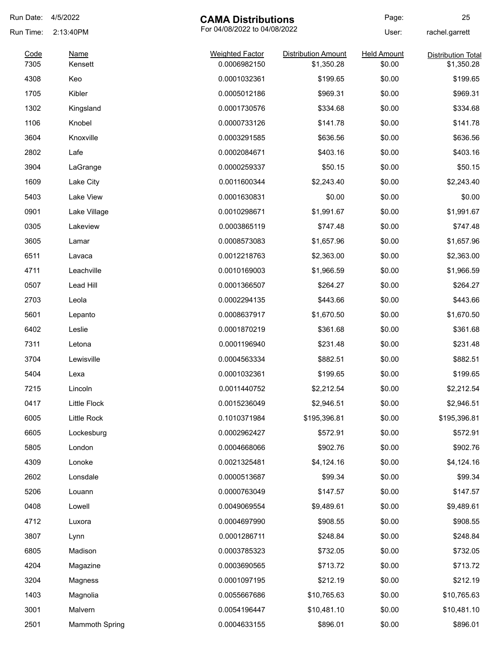| Run Date: | 4/5/2022       | <b>CAMA Distributions</b>    |                            | Page:              | 25                        |
|-----------|----------------|------------------------------|----------------------------|--------------------|---------------------------|
| Run Time: | 2:13:40PM      | For 04/08/2022 to 04/08/2022 |                            | User:              | rachel.garrett            |
| Code      | <b>Name</b>    | <b>Weighted Factor</b>       | <b>Distribution Amount</b> | <b>Held Amount</b> | <b>Distribution Total</b> |
| 7305      | Kensett        | 0.0006982150                 | \$1,350.28                 | \$0.00             | \$1,350.28                |
| 4308      | Keo            | 0.0001032361                 | \$199.65                   | \$0.00             | \$199.65                  |
| 1705      | Kibler         | 0.0005012186                 | \$969.31                   | \$0.00             | \$969.31                  |
| 1302      | Kingsland      | 0.0001730576                 | \$334.68                   | \$0.00             | \$334.68                  |
| 1106      | Knobel         | 0.0000733126                 | \$141.78                   | \$0.00             | \$141.78                  |
| 3604      | Knoxville      | 0.0003291585                 | \$636.56                   | \$0.00             | \$636.56                  |
| 2802      | Lafe           | 0.0002084671                 | \$403.16                   | \$0.00             | \$403.16                  |
| 3904      | LaGrange       | 0.0000259337                 | \$50.15                    | \$0.00             | \$50.15                   |
| 1609      | Lake City      | 0.0011600344                 | \$2,243.40                 | \$0.00             | \$2,243.40                |
| 5403      | Lake View      | 0.0001630831                 | \$0.00                     | \$0.00             | \$0.00                    |
| 0901      | Lake Village   | 0.0010298671                 | \$1,991.67                 | \$0.00             | \$1,991.67                |
| 0305      | Lakeview       | 0.0003865119                 | \$747.48                   | \$0.00             | \$747.48                  |
| 3605      | Lamar          | 0.0008573083                 | \$1,657.96                 | \$0.00             | \$1,657.96                |
| 6511      | Lavaca         | 0.0012218763                 | \$2,363.00                 | \$0.00             | \$2,363.00                |
| 4711      | Leachville     | 0.0010169003                 | \$1,966.59                 | \$0.00             | \$1,966.59                |
| 0507      | Lead Hill      | 0.0001366507                 | \$264.27                   | \$0.00             | \$264.27                  |
| 2703      | Leola          | 0.0002294135                 | \$443.66                   | \$0.00             | \$443.66                  |
| 5601      | Lepanto        | 0.0008637917                 | \$1,670.50                 | \$0.00             | \$1,670.50                |
| 6402      | Leslie         | 0.0001870219                 | \$361.68                   | \$0.00             | \$361.68                  |
| 7311      | Letona         | 0.0001196940                 | \$231.48                   | \$0.00             | \$231.48                  |
| 3704      | Lewisville     | 0.0004563334                 | \$882.51                   | \$0.00             | \$882.51                  |
| 5404      | Lexa           | 0.0001032361                 | \$199.65                   | \$0.00             | \$199.65                  |
| 7215      | Lincoln        | 0.0011440752                 | \$2,212.54                 | \$0.00             | \$2,212.54                |
| 0417      | Little Flock   | 0.0015236049                 | \$2,946.51                 | \$0.00             | \$2,946.51                |
| 6005      | Little Rock    | 0.1010371984                 | \$195,396.81               | \$0.00             | \$195,396.81              |
| 6605      | Lockesburg     | 0.0002962427                 | \$572.91                   | \$0.00             | \$572.91                  |
| 5805      | London         | 0.0004668066                 | \$902.76                   | \$0.00             | \$902.76                  |
| 4309      | Lonoke         | 0.0021325481                 | \$4,124.16                 | \$0.00             | \$4,124.16                |
| 2602      | Lonsdale       | 0.0000513687                 | \$99.34                    | \$0.00             | \$99.34                   |
| 5206      | Louann         | 0.0000763049                 | \$147.57                   | \$0.00             | \$147.57                  |
| 0408      | Lowell         | 0.0049069554                 | \$9,489.61                 | \$0.00             | \$9,489.61                |
| 4712      | Luxora         | 0.0004697990                 | \$908.55                   | \$0.00             | \$908.55                  |
| 3807      | Lynn           | 0.0001286711                 | \$248.84                   | \$0.00             | \$248.84                  |
| 6805      | Madison        | 0.0003785323                 | \$732.05                   | \$0.00             | \$732.05                  |
| 4204      | Magazine       | 0.0003690565                 | \$713.72                   | \$0.00             | \$713.72                  |
| 3204      | Magness        | 0.0001097195                 | \$212.19                   | \$0.00             | \$212.19                  |
| 1403      | Magnolia       | 0.0055667686                 | \$10,765.63                | \$0.00             | \$10,765.63               |
| 3001      | Malvern        | 0.0054196447                 | \$10,481.10                | \$0.00             | \$10,481.10               |
|           |                |                              |                            |                    |                           |
| 2501      | Mammoth Spring | 0.0004633155                 | \$896.01                   | \$0.00             | \$896.01                  |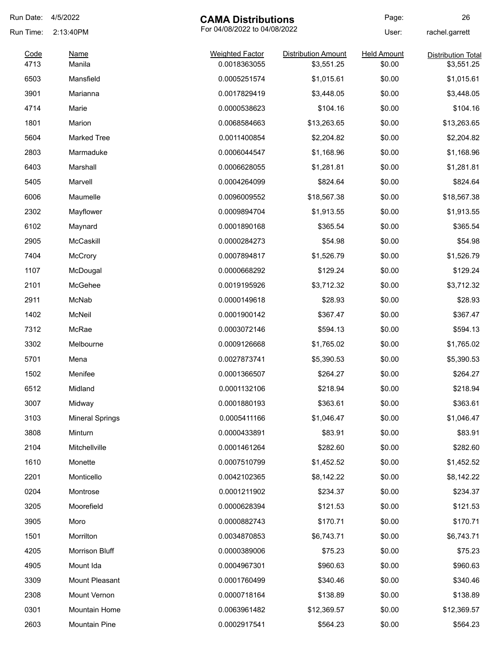| Run Date:    | 4/5/2022               | <b>CAMA Distributions</b>              |                                          | Page:                        | 26                                      |
|--------------|------------------------|----------------------------------------|------------------------------------------|------------------------------|-----------------------------------------|
| Run Time:    | 2:13:40PM              | For 04/08/2022 to 04/08/2022           |                                          | User:                        | rachel.garrett                          |
| Code<br>4713 | <b>Name</b><br>Manila  | <b>Weighted Factor</b><br>0.0018363055 | <b>Distribution Amount</b><br>\$3,551.25 | <b>Held Amount</b><br>\$0.00 | <b>Distribution Total</b><br>\$3,551.25 |
| 6503         | Mansfield              | 0.0005251574                           | \$1,015.61                               | \$0.00                       | \$1,015.61                              |
| 3901         | Marianna               | 0.0017829419                           | \$3,448.05                               | \$0.00                       | \$3,448.05                              |
| 4714         | Marie                  | 0.0000538623                           | \$104.16                                 | \$0.00                       | \$104.16                                |
| 1801         | Marion                 | 0.0068584663                           | \$13,263.65                              | \$0.00                       | \$13,263.65                             |
| 5604         | <b>Marked Tree</b>     | 0.0011400854                           | \$2,204.82                               | \$0.00                       | \$2,204.82                              |
| 2803         | Marmaduke              | 0.0006044547                           | \$1,168.96                               | \$0.00                       | \$1,168.96                              |
| 6403         | Marshall               | 0.0006628055                           | \$1,281.81                               | \$0.00                       | \$1,281.81                              |
| 5405         | Marvell                | 0.0004264099                           | \$824.64                                 | \$0.00                       | \$824.64                                |
| 6006         | Maumelle               | 0.0096009552                           | \$18,567.38                              | \$0.00                       | \$18,567.38                             |
| 2302         | Mayflower              | 0.0009894704                           | \$1,913.55                               | \$0.00                       | \$1,913.55                              |
| 6102         | Maynard                | 0.0001890168                           | \$365.54                                 | \$0.00                       | \$365.54                                |
| 2905         | McCaskill              | 0.0000284273                           | \$54.98                                  | \$0.00                       | \$54.98                                 |
| 7404         | <b>McCrory</b>         | 0.0007894817                           | \$1,526.79                               | \$0.00                       | \$1,526.79                              |
| 1107         | McDougal               | 0.0000668292                           | \$129.24                                 | \$0.00                       | \$129.24                                |
| 2101         | McGehee                | 0.0019195926                           | \$3,712.32                               | \$0.00                       | \$3,712.32                              |
| 2911         | McNab                  | 0.0000149618                           | \$28.93                                  | \$0.00                       | \$28.93                                 |
| 1402         | McNeil                 | 0.0001900142                           | \$367.47                                 | \$0.00                       | \$367.47                                |
| 7312         | McRae                  | 0.0003072146                           | \$594.13                                 | \$0.00                       | \$594.13                                |
| 3302         | Melbourne              | 0.0009126668                           | \$1,765.02                               | \$0.00                       | \$1,765.02                              |
| 5701         | Mena                   | 0.0027873741                           | \$5,390.53                               | \$0.00                       | \$5,390.53                              |
| 1502         | Menifee                | 0.0001366507                           | \$264.27                                 | \$0.00                       | \$264.27                                |
| 6512         | Midland                | 0.0001132106                           | \$218.94                                 | \$0.00                       | \$218.94                                |
| 3007         | Midway                 | 0.0001880193                           | \$363.61                                 | \$0.00                       | \$363.61                                |
| 3103         | <b>Mineral Springs</b> | 0.0005411166                           | \$1,046.47                               | \$0.00                       | \$1,046.47                              |
| 3808         | Minturn                | 0.0000433891                           | \$83.91                                  | \$0.00                       | \$83.91                                 |
| 2104         | Mitchellville          | 0.0001461264                           | \$282.60                                 | \$0.00                       | \$282.60                                |
| 1610         | Monette                | 0.0007510799                           | \$1,452.52                               | \$0.00                       | \$1,452.52                              |
| 2201         | Monticello             | 0.0042102365                           | \$8,142.22                               | \$0.00                       | \$8,142.22                              |
| 0204         | Montrose               | 0.0001211902                           | \$234.37                                 | \$0.00                       | \$234.37                                |
| 3205         | Moorefield             | 0.0000628394                           | \$121.53                                 | \$0.00                       | \$121.53                                |
| 3905         | Moro                   | 0.0000882743                           | \$170.71                                 | \$0.00                       | \$170.71                                |
| 1501         | Morrilton              | 0.0034870853                           | \$6,743.71                               | \$0.00                       | \$6,743.71                              |
| 4205         | Morrison Bluff         | 0.0000389006                           | \$75.23                                  | \$0.00                       | \$75.23                                 |
| 4905         | Mount Ida              | 0.0004967301                           | \$960.63                                 | \$0.00                       | \$960.63                                |
| 3309         | Mount Pleasant         | 0.0001760499                           | \$340.46                                 | \$0.00                       | \$340.46                                |
| 2308         | Mount Vernon           | 0.0000718164                           | \$138.89                                 | \$0.00                       | \$138.89                                |
| 0301         | Mountain Home          | 0.0063961482                           | \$12,369.57                              | \$0.00                       | \$12,369.57                             |
| 2603         | Mountain Pine          | 0.0002917541                           | \$564.23                                 | \$0.00                       | \$564.23                                |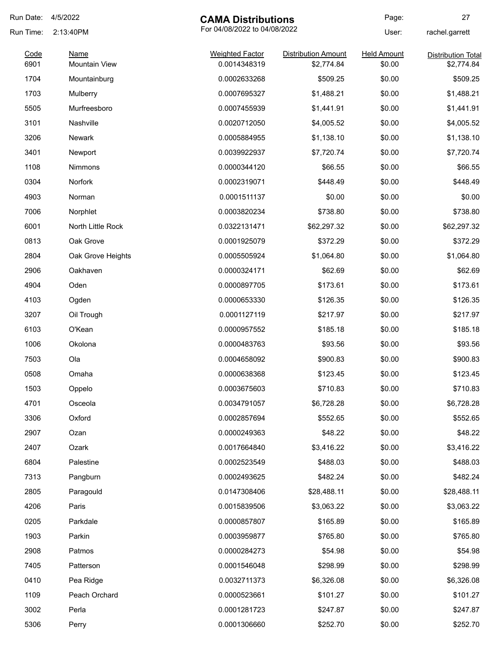| Run Date:    | 4/5/2022                            | <b>CAMA Distributions</b>              |                                          | Page:                        | 27                                      |
|--------------|-------------------------------------|----------------------------------------|------------------------------------------|------------------------------|-----------------------------------------|
| Run Time:    | 2:13:40PM                           | For 04/08/2022 to 04/08/2022           |                                          | User:                        | rachel.garrett                          |
| Code<br>6901 | <b>Name</b><br><b>Mountain View</b> | <b>Weighted Factor</b><br>0.0014348319 | <b>Distribution Amount</b><br>\$2,774.84 | <b>Held Amount</b><br>\$0.00 | <b>Distribution Total</b><br>\$2,774.84 |
| 1704         | Mountainburg                        | 0.0002633268                           | \$509.25                                 | \$0.00                       | \$509.25                                |
| 1703         | Mulberry                            | 0.0007695327                           | \$1,488.21                               | \$0.00                       | \$1,488.21                              |
| 5505         | Murfreesboro                        | 0.0007455939                           | \$1,441.91                               | \$0.00                       | \$1,441.91                              |
| 3101         | Nashville                           | 0.0020712050                           | \$4,005.52                               | \$0.00                       | \$4,005.52                              |
| 3206         | Newark                              | 0.0005884955                           | \$1,138.10                               | \$0.00                       | \$1,138.10                              |
| 3401         | Newport                             | 0.0039922937                           | \$7,720.74                               | \$0.00                       | \$7,720.74                              |
| 1108         | <b>Nimmons</b>                      | 0.0000344120                           | \$66.55                                  | \$0.00                       | \$66.55                                 |
| 0304         | Norfork                             | 0.0002319071                           | \$448.49                                 | \$0.00                       | \$448.49                                |
| 4903         | Norman                              | 0.0001511137                           | \$0.00                                   | \$0.00                       | \$0.00                                  |
| 7006         | Norphlet                            | 0.0003820234                           | \$738.80                                 | \$0.00                       | \$738.80                                |
| 6001         | North Little Rock                   | 0.0322131471                           | \$62,297.32                              | \$0.00                       | \$62,297.32                             |
| 0813         | Oak Grove                           | 0.0001925079                           | \$372.29                                 | \$0.00                       | \$372.29                                |
| 2804         | Oak Grove Heights                   | 0.0005505924                           | \$1,064.80                               | \$0.00                       | \$1,064.80                              |
| 2906         | Oakhaven                            | 0.0000324171                           | \$62.69                                  | \$0.00                       | \$62.69                                 |
| 4904         | Oden                                | 0.0000897705                           | \$173.61                                 | \$0.00                       | \$173.61                                |
| 4103         | Ogden                               | 0.0000653330                           | \$126.35                                 | \$0.00                       | \$126.35                                |
| 3207         | Oil Trough                          | 0.0001127119                           | \$217.97                                 | \$0.00                       | \$217.97                                |
| 6103         | O'Kean                              | 0.0000957552                           | \$185.18                                 | \$0.00                       | \$185.18                                |
| 1006         | Okolona                             | 0.0000483763                           | \$93.56                                  | \$0.00                       | \$93.56                                 |
| 7503         | Ola                                 | 0.0004658092                           | \$900.83                                 | \$0.00                       | \$900.83                                |
| 0508         | Omaha                               | 0.0000638368                           | \$123.45                                 | \$0.00                       | \$123.45                                |
| 1503         | Oppelo                              | 0.0003675603                           | \$710.83                                 | \$0.00                       | \$710.83                                |
| 4701         | Osceola                             | 0.0034791057                           | \$6,728.28                               | \$0.00                       | \$6,728.28                              |
| 3306         | Oxford                              | 0.0002857694                           | \$552.65                                 | \$0.00                       | \$552.65                                |
| 2907         | Ozan                                | 0.0000249363                           | \$48.22                                  | \$0.00                       | \$48.22                                 |
| 2407         | Ozark                               | 0.0017664840                           | \$3,416.22                               | \$0.00                       | \$3,416.22                              |
| 6804         | Palestine                           | 0.0002523549                           | \$488.03                                 | \$0.00                       | \$488.03                                |
| 7313         | Pangburn                            | 0.0002493625                           | \$482.24                                 | \$0.00                       | \$482.24                                |
| 2805         | Paragould                           | 0.0147308406                           | \$28,488.11                              | \$0.00                       | \$28,488.11                             |
| 4206         | Paris                               | 0.0015839506                           | \$3,063.22                               | \$0.00                       | \$3,063.22                              |
| 0205         | Parkdale                            | 0.0000857807                           | \$165.89                                 | \$0.00                       | \$165.89                                |
| 1903         | Parkin                              | 0.0003959877                           | \$765.80                                 | \$0.00                       | \$765.80                                |
| 2908         | Patmos                              | 0.0000284273                           | \$54.98                                  | \$0.00                       | \$54.98                                 |
| 7405         | Patterson                           | 0.0001546048                           | \$298.99                                 | \$0.00                       | \$298.99                                |
| 0410         | Pea Ridge                           | 0.0032711373                           | \$6,326.08                               | \$0.00                       | \$6,326.08                              |
| 1109         | Peach Orchard                       | 0.0000523661                           | \$101.27                                 | \$0.00                       | \$101.27                                |
| 3002         | Perla                               | 0.0001281723                           | \$247.87                                 | \$0.00                       | \$247.87                                |
| 5306         | Perry                               | 0.0001306660                           | \$252.70                                 | \$0.00                       | \$252.70                                |
|              |                                     |                                        |                                          |                              |                                         |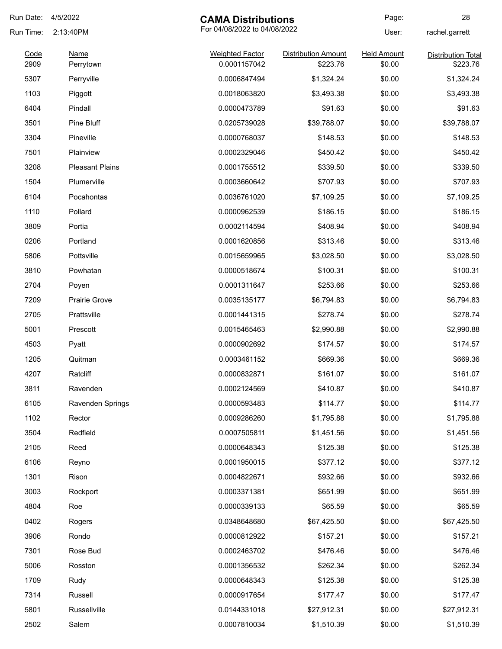| Run Date:    | 4/5/2022                 | <b>CAMA Distributions</b>              |                                        | Page:                        | 28                                    |
|--------------|--------------------------|----------------------------------------|----------------------------------------|------------------------------|---------------------------------------|
| Run Time:    | 2:13:40PM                | For 04/08/2022 to 04/08/2022           |                                        | User:                        | rachel.garrett                        |
| Code<br>2909 | <b>Name</b><br>Perrytown | <b>Weighted Factor</b><br>0.0001157042 | <b>Distribution Amount</b><br>\$223.76 | <b>Held Amount</b><br>\$0.00 | <b>Distribution Total</b><br>\$223.76 |
| 5307         | Perryville               | 0.0006847494                           | \$1,324.24                             | \$0.00                       | \$1,324.24                            |
| 1103         | Piggott                  | 0.0018063820                           | \$3,493.38                             | \$0.00                       | \$3,493.38                            |
| 6404         | Pindall                  | 0.0000473789                           | \$91.63                                | \$0.00                       | \$91.63                               |
| 3501         | Pine Bluff               | 0.0205739028                           | \$39,788.07                            | \$0.00                       | \$39,788.07                           |
| 3304         | Pineville                | 0.0000768037                           | \$148.53                               | \$0.00                       | \$148.53                              |
| 7501         | Plainview                | 0.0002329046                           | \$450.42                               | \$0.00                       | \$450.42                              |
| 3208         | <b>Pleasant Plains</b>   | 0.0001755512                           | \$339.50                               | \$0.00                       | \$339.50                              |
| 1504         | Plumerville              | 0.0003660642                           | \$707.93                               | \$0.00                       | \$707.93                              |
| 6104         | Pocahontas               | 0.0036761020                           | \$7,109.25                             | \$0.00                       | \$7,109.25                            |
| 1110         | Pollard                  | 0.0000962539                           | \$186.15                               | \$0.00                       | \$186.15                              |
| 3809         | Portia                   | 0.0002114594                           | \$408.94                               | \$0.00                       | \$408.94                              |
| 0206         | Portland                 | 0.0001620856                           | \$313.46                               | \$0.00                       | \$313.46                              |
| 5806         | Pottsville               | 0.0015659965                           | \$3,028.50                             | \$0.00                       | \$3,028.50                            |
| 3810         | Powhatan                 | 0.0000518674                           | \$100.31                               | \$0.00                       | \$100.31                              |
| 2704         | Poyen                    | 0.0001311647                           | \$253.66                               | \$0.00                       | \$253.66                              |
| 7209         | <b>Prairie Grove</b>     | 0.0035135177                           | \$6,794.83                             | \$0.00                       | \$6,794.83                            |
| 2705         | Prattsville              | 0.0001441315                           | \$278.74                               | \$0.00                       | \$278.74                              |
| 5001         | Prescott                 | 0.0015465463                           | \$2,990.88                             | \$0.00                       | \$2,990.88                            |
| 4503         | Pyatt                    | 0.0000902692                           | \$174.57                               | \$0.00                       | \$174.57                              |
| 1205         | Quitman                  | 0.0003461152                           | \$669.36                               | \$0.00                       | \$669.36                              |
| 4207         | Ratcliff                 | 0.0000832871                           | \$161.07                               | \$0.00                       | \$161.07                              |
| 3811         | Ravenden                 | 0.0002124569                           | \$410.87                               | \$0.00                       | \$410.87                              |
| 6105         | Ravenden Springs         | 0.0000593483                           | \$114.77                               | \$0.00                       | \$114.77                              |
| 1102         | Rector                   | 0.0009286260                           | \$1,795.88                             | \$0.00                       | \$1,795.88                            |
| 3504         | Redfield                 | 0.0007505811                           | \$1,451.56                             | \$0.00                       | \$1,451.56                            |
| 2105         | Reed                     | 0.0000648343                           | \$125.38                               | \$0.00                       | \$125.38                              |
| 6106         | Reyno                    | 0.0001950015                           | \$377.12                               | \$0.00                       | \$377.12                              |
| 1301         | Rison                    | 0.0004822671                           | \$932.66                               | \$0.00                       | \$932.66                              |
| 3003         | Rockport                 | 0.0003371381                           | \$651.99                               | \$0.00                       | \$651.99                              |
| 4804         | Roe                      | 0.0000339133                           | \$65.59                                | \$0.00                       | \$65.59                               |
| 0402         | Rogers                   | 0.0348648680                           | \$67,425.50                            | \$0.00                       | \$67,425.50                           |
| 3906         | Rondo                    | 0.0000812922                           | \$157.21                               | \$0.00                       | \$157.21                              |
| 7301         | Rose Bud                 | 0.0002463702                           | \$476.46                               | \$0.00                       | \$476.46                              |
| 5006         | Rosston                  | 0.0001356532                           | \$262.34                               | \$0.00                       | \$262.34                              |
| 1709         | Rudy                     | 0.0000648343                           | \$125.38                               | \$0.00                       | \$125.38                              |
| 7314         | Russell                  | 0.0000917654                           | \$177.47                               | \$0.00                       | \$177.47                              |
| 5801         | Russellville             | 0.0144331018                           | \$27,912.31                            | \$0.00                       | \$27,912.31                           |
| 2502         | Salem                    | 0.0007810034                           | \$1,510.39                             | \$0.00                       | \$1,510.39                            |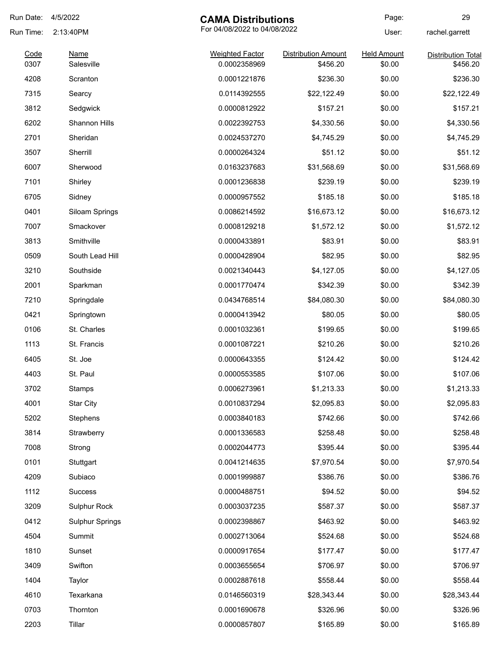| Run Date:    | 4/5/2022               | <b>CAMA Distributions</b>              |                                        | Page:                        | 29                                    |
|--------------|------------------------|----------------------------------------|----------------------------------------|------------------------------|---------------------------------------|
| Run Time:    | 2:13:40PM              | For 04/08/2022 to 04/08/2022           |                                        | User:                        | rachel.garrett                        |
| Code<br>0307 | Name<br>Salesville     | <b>Weighted Factor</b><br>0.0002358969 | <b>Distribution Amount</b><br>\$456.20 | <b>Held Amount</b><br>\$0.00 | <b>Distribution Total</b><br>\$456.20 |
| 4208         |                        | 0.0001221876                           | \$236.30                               | \$0.00                       | \$236.30                              |
| 7315         | Scranton               |                                        |                                        | \$0.00                       | \$22,122.49                           |
|              | Searcy                 | 0.0114392555                           | \$22,122.49                            |                              |                                       |
| 3812         | Sedgwick               | 0.0000812922<br>0.0022392753           | \$157.21                               | \$0.00                       | \$157.21                              |
| 6202         | Shannon Hills          |                                        | \$4,330.56                             | \$0.00                       | \$4,330.56                            |
| 2701         | Sheridan               | 0.0024537270                           | \$4,745.29                             | \$0.00                       | \$4,745.29                            |
| 3507         | Sherrill               | 0.0000264324                           | \$51.12                                | \$0.00                       | \$51.12                               |
| 6007         | Sherwood               | 0.0163237683                           | \$31,568.69                            | \$0.00                       | \$31,568.69                           |
| 7101         | Shirley                | 0.0001236838                           | \$239.19                               | \$0.00                       | \$239.19                              |
| 6705         | Sidney                 | 0.0000957552                           | \$185.18                               | \$0.00                       | \$185.18                              |
| 0401         | Siloam Springs         | 0.0086214592                           | \$16,673.12                            | \$0.00                       | \$16,673.12                           |
| 7007         | Smackover              | 0.0008129218                           | \$1,572.12                             | \$0.00                       | \$1,572.12                            |
| 3813         | Smithville             | 0.0000433891                           | \$83.91                                | \$0.00                       | \$83.91                               |
| 0509         | South Lead Hill        | 0.0000428904                           | \$82.95                                | \$0.00                       | \$82.95                               |
| 3210         | Southside              | 0.0021340443                           | \$4,127.05                             | \$0.00                       | \$4,127.05                            |
| 2001         | Sparkman               | 0.0001770474                           | \$342.39                               | \$0.00                       | \$342.39                              |
| 7210         | Springdale             | 0.0434768514                           | \$84,080.30                            | \$0.00                       | \$84,080.30                           |
| 0421         | Springtown             | 0.0000413942                           | \$80.05                                | \$0.00                       | \$80.05                               |
| 0106         | St. Charles            | 0.0001032361                           | \$199.65                               | \$0.00                       | \$199.65                              |
| 1113         | St. Francis            | 0.0001087221                           | \$210.26                               | \$0.00                       | \$210.26                              |
| 6405         | St. Joe                | 0.0000643355                           | \$124.42                               | \$0.00                       | \$124.42                              |
| 4403         | St. Paul               | 0.0000553585                           | \$107.06                               | \$0.00                       | \$107.06                              |
| 3702         | <b>Stamps</b>          | 0.0006273961                           | \$1,213.33                             | \$0.00                       | \$1,213.33                            |
| 4001         | <b>Star City</b>       | 0.0010837294                           | \$2,095.83                             | \$0.00                       | \$2,095.83                            |
| 5202         | Stephens               | 0.0003840183                           | \$742.66                               | \$0.00                       | \$742.66                              |
| 3814         | Strawberry             | 0.0001336583                           | \$258.48                               | \$0.00                       | \$258.48                              |
| 7008         | Strong                 | 0.0002044773                           | \$395.44                               | \$0.00                       | \$395.44                              |
| 0101         | Stuttgart              | 0.0041214635                           | \$7,970.54                             | \$0.00                       | \$7,970.54                            |
| 4209         | Subiaco                | 0.0001999887                           | \$386.76                               | \$0.00                       | \$386.76                              |
| 1112         | Success                | 0.0000488751                           | \$94.52                                | \$0.00                       | \$94.52                               |
| 3209         | Sulphur Rock           | 0.0003037235                           | \$587.37                               | \$0.00                       | \$587.37                              |
| 0412         | <b>Sulphur Springs</b> | 0.0002398867                           | \$463.92                               | \$0.00                       | \$463.92                              |
| 4504         | Summit                 | 0.0002713064                           | \$524.68                               | \$0.00                       | \$524.68                              |
| 1810         | Sunset                 | 0.0000917654                           | \$177.47                               | \$0.00                       | \$177.47                              |
| 3409         | Swifton                | 0.0003655654                           | \$706.97                               | \$0.00                       | \$706.97                              |
| 1404         | Taylor                 | 0.0002887618                           | \$558.44                               | \$0.00                       | \$558.44                              |
| 4610         | Texarkana              | 0.0146560319                           | \$28,343.44                            | \$0.00                       | \$28,343.44                           |
| 0703         | Thornton               | 0.0001690678                           | \$326.96                               | \$0.00                       | \$326.96                              |
| 2203         | Tillar                 | 0.0000857807                           | \$165.89                               | \$0.00                       | \$165.89                              |
|              |                        |                                        |                                        |                              |                                       |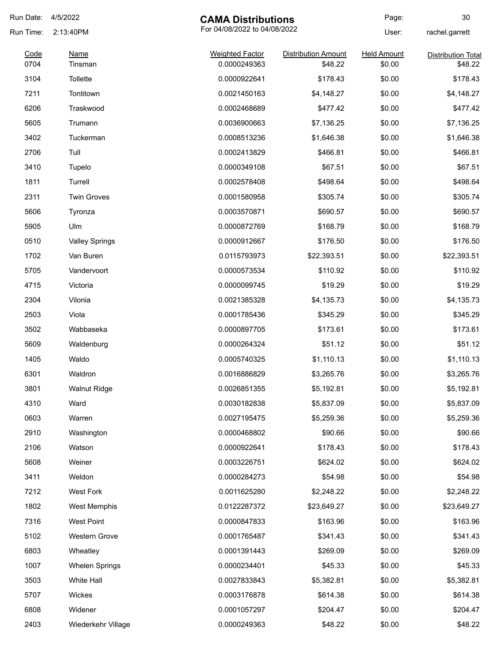| Run Date:    | 4/5/2022               | <b>CAMA Distributions</b>              |                                       | Page:                        | 30                                   |
|--------------|------------------------|----------------------------------------|---------------------------------------|------------------------------|--------------------------------------|
| Run Time:    | 2:13:40PM              | For 04/08/2022 to 04/08/2022           |                                       | User:                        | rachel.garrett                       |
| Code<br>0704 | <b>Name</b><br>Tinsman | <b>Weighted Factor</b><br>0.0000249363 | <b>Distribution Amount</b><br>\$48.22 | <b>Held Amount</b><br>\$0.00 | <b>Distribution Total</b><br>\$48.22 |
| 3104         | Tollette               | 0.0000922641                           | \$178.43                              | \$0.00                       | \$178.43                             |
| 7211         | Tontitown              | 0.0021450163                           | \$4,148.27                            | \$0.00                       | \$4,148.27                           |
| 6206         | Traskwood              | 0.0002468689                           | \$477.42                              | \$0.00                       | \$477.42                             |
| 5605         | Trumann                | 0.0036900663                           | \$7,136.25                            | \$0.00                       | \$7,136.25                           |
| 3402         | Tuckerman              | 0.0008513236                           | \$1,646.38                            | \$0.00                       | \$1,646.38                           |
| 2706         | Tull                   | 0.0002413829                           | \$466.81                              | \$0.00                       | \$466.81                             |
| 3410         | Tupelo                 | 0.0000349108                           | \$67.51                               | \$0.00                       | \$67.51                              |
| 1811         | Turrell                | 0.0002578408                           | \$498.64                              | \$0.00                       | \$498.64                             |
| 2311         | <b>Twin Groves</b>     | 0.0001580958                           | \$305.74                              | \$0.00                       | \$305.74                             |
| 5606         | Tyronza                | 0.0003570871                           | \$690.57                              | \$0.00                       | \$690.57                             |
| 5905         | Ulm                    | 0.0000872769                           | \$168.79                              | \$0.00                       | \$168.79                             |
| 0510         | <b>Valley Springs</b>  | 0.0000912667                           | \$176.50                              | \$0.00                       | \$176.50                             |
| 1702         | Van Buren              | 0.0115793973                           | \$22,393.51                           | \$0.00                       | \$22,393.51                          |
| 5705         | Vandervoort            | 0.0000573534                           | \$110.92                              | \$0.00                       | \$110.92                             |
| 4715         | Victoria               | 0.0000099745                           | \$19.29                               | \$0.00                       | \$19.29                              |
| 2304         | Vilonia                | 0.0021385328                           | \$4,135.73                            | \$0.00                       | \$4,135.73                           |
| 2503         | Viola                  | 0.0001785436                           | \$345.29                              | \$0.00                       | \$345.29                             |
| 3502         | Wabbaseka              | 0.0000897705                           | \$173.61                              | \$0.00                       | \$173.61                             |
| 5609         | Waldenburg             | 0.0000264324                           | \$51.12                               | \$0.00                       | \$51.12                              |
| 1405         | Waldo                  | 0.0005740325                           | \$1,110.13                            | \$0.00                       | \$1,110.13                           |
| 6301         | Waldron                | 0.0016886829                           | \$3,265.76                            | \$0.00                       | \$3,265.76                           |
| 3801         | <b>Walnut Ridge</b>    | 0.0026851355                           | \$5,192.81                            | \$0.00                       | \$5,192.81                           |
| 4310         | Ward                   | 0.0030182838                           | \$5,837.09                            | \$0.00                       | \$5,837.09                           |
| 0603         | Warren                 | 0.0027195475                           | \$5,259.36                            | \$0.00                       | \$5,259.36                           |
| 2910         | Washington             | 0.0000468802                           | \$90.66                               | \$0.00                       | \$90.66                              |
| 2106         | Watson                 | 0.0000922641                           | \$178.43                              | \$0.00                       | \$178.43                             |
| 5608         | Weiner                 | 0.0003226751                           | \$624.02                              | \$0.00                       | \$624.02                             |
| 3411         | Weldon                 | 0.0000284273                           | \$54.98                               | \$0.00                       | \$54.98                              |
| 7212         | West Fork              | 0.0011625280                           | \$2,248.22                            | \$0.00                       | \$2,248.22                           |
| 1802         | West Memphis           | 0.0122287372                           | \$23,649.27                           | \$0.00                       | \$23,649.27                          |
| 7316         | West Point             | 0.0000847833                           | \$163.96                              | \$0.00                       | \$163.96                             |
| 5102         | Western Grove          | 0.0001765487                           | \$341.43                              | \$0.00                       | \$341.43                             |
| 6803         | Wheatley               | 0.0001391443                           | \$269.09                              | \$0.00                       | \$269.09                             |
| 1007         | <b>Whelen Springs</b>  | 0.0000234401                           | \$45.33                               | \$0.00                       | \$45.33                              |
| 3503         | White Hall             | 0.0027833843                           | \$5,382.81                            | \$0.00                       | \$5,382.81                           |
| 5707         | Wickes                 | 0.0003176878                           | \$614.38                              | \$0.00                       | \$614.38                             |
| 6808         | Widener                | 0.0001057297                           | \$204.47                              | \$0.00                       | \$204.47                             |
| 2403         | Wiederkehr Village     | 0.0000249363                           | \$48.22                               | \$0.00                       | \$48.22                              |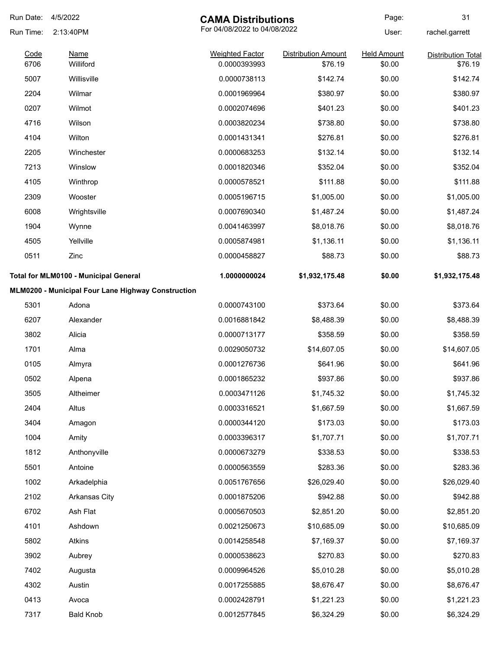| Run Date:    | 4/5/2022                                           | <b>CAMA Distributions</b>              |                                       | Page:                        | 31                                   |
|--------------|----------------------------------------------------|----------------------------------------|---------------------------------------|------------------------------|--------------------------------------|
| Run Time:    | 2:13:40PM                                          | For 04/08/2022 to 04/08/2022           |                                       | User:                        | rachel.garrett                       |
| Code<br>6706 | <b>Name</b><br>Williford                           | <b>Weighted Factor</b><br>0.0000393993 | <b>Distribution Amount</b><br>\$76.19 | <b>Held Amount</b><br>\$0.00 | <b>Distribution Total</b><br>\$76.19 |
| 5007         | Willisville                                        | 0.0000738113                           | \$142.74                              | \$0.00                       | \$142.74                             |
| 2204         | Wilmar                                             | 0.0001969964                           | \$380.97                              | \$0.00                       | \$380.97                             |
| 0207         | Wilmot                                             | 0.0002074696                           | \$401.23                              | \$0.00                       | \$401.23                             |
| 4716         | Wilson                                             | 0.0003820234                           | \$738.80                              | \$0.00                       | \$738.80                             |
| 4104         | Wilton                                             | 0.0001431341                           | \$276.81                              | \$0.00                       | \$276.81                             |
| 2205         | Winchester                                         | 0.0000683253                           | \$132.14                              | \$0.00                       | \$132.14                             |
| 7213         | Winslow                                            | 0.0001820346                           | \$352.04                              | \$0.00                       | \$352.04                             |
| 4105         | Winthrop                                           | 0.0000578521                           | \$111.88                              | \$0.00                       | \$111.88                             |
| 2309         | Wooster                                            | 0.0005196715                           | \$1,005.00                            | \$0.00                       | \$1,005.00                           |
| 6008         | Wrightsville                                       | 0.0007690340                           | \$1,487.24                            | \$0.00                       | \$1,487.24                           |
| 1904         | Wynne                                              | 0.0041463997                           | \$8,018.76                            | \$0.00                       | \$8,018.76                           |
| 4505         | Yellville                                          | 0.0005874981                           | \$1,136.11                            | \$0.00                       | \$1,136.11                           |
| 0511         | Zinc                                               | 0.0000458827                           | \$88.73                               | \$0.00                       | \$88.73                              |
|              | Total for MLM0100 - Municipal General              | 1.0000000024                           | \$1,932,175.48                        | \$0.00                       | \$1,932,175.48                       |
|              | MLM0200 - Municipal Four Lane Highway Construction |                                        |                                       |                              |                                      |
| 5301         | Adona                                              | 0.0000743100                           | \$373.64                              | \$0.00                       | \$373.64                             |
| 6207         | Alexander                                          | 0.0016881842                           | \$8,488.39                            | \$0.00                       | \$8,488.39                           |
| 3802         | Alicia                                             | 0.0000713177                           | \$358.59                              | \$0.00                       | \$358.59                             |
| 1701         | Alma                                               | 0.0029050732                           | \$14,607.05                           | \$0.00                       | \$14,607.05                          |
| 0105         | Almyra                                             | 0.0001276736                           | \$641.96                              | \$0.00                       | \$641.96                             |
| 0502         | Alpena                                             | 0.0001865232                           | \$937.86                              | \$0.00                       | \$937.86                             |
| 3505         | Altheimer                                          | 0.0003471126                           | \$1,745.32                            | \$0.00                       | \$1,745.32                           |
| 2404         | Altus                                              | 0.0003316521                           | \$1,667.59                            | \$0.00                       | \$1,667.59                           |
| 3404         | Amagon                                             | 0.0000344120                           | \$173.03                              | \$0.00                       | \$173.03                             |
| 1004         | Amity                                              | 0.0003396317                           | \$1,707.71                            | \$0.00                       | \$1,707.71                           |
| 1812         | Anthonyville                                       | 0.0000673279                           | \$338.53                              | \$0.00                       | \$338.53                             |
| 5501         | Antoine                                            | 0.0000563559                           | \$283.36                              | \$0.00                       | \$283.36                             |
| 1002         | Arkadelphia                                        | 0.0051767656                           | \$26,029.40                           | \$0.00                       | \$26,029.40                          |
| 2102         | Arkansas City                                      | 0.0001875206                           | \$942.88                              | \$0.00                       | \$942.88                             |
| 6702         | Ash Flat                                           | 0.0005670503                           | \$2,851.20                            | \$0.00                       | \$2,851.20                           |
| 4101         | Ashdown                                            | 0.0021250673                           | \$10,685.09                           | \$0.00                       | \$10,685.09                          |
| 5802         | Atkins                                             | 0.0014258548                           | \$7,169.37                            | \$0.00                       | \$7,169.37                           |
| 3902         | Aubrey                                             | 0.0000538623                           | \$270.83                              | \$0.00                       | \$270.83                             |
| 7402         | Augusta                                            | 0.0009964526                           | \$5,010.28                            | \$0.00                       | \$5,010.28                           |
| 4302         | Austin                                             | 0.0017255885                           | \$8,676.47                            | \$0.00                       | \$8,676.47                           |
| 0413         | Avoca                                              | 0.0002428791                           | \$1,221.23                            | \$0.00                       | \$1,221.23                           |
| 7317         | <b>Bald Knob</b>                                   | 0.0012577845                           | \$6,324.29                            | \$0.00                       | \$6,324.29                           |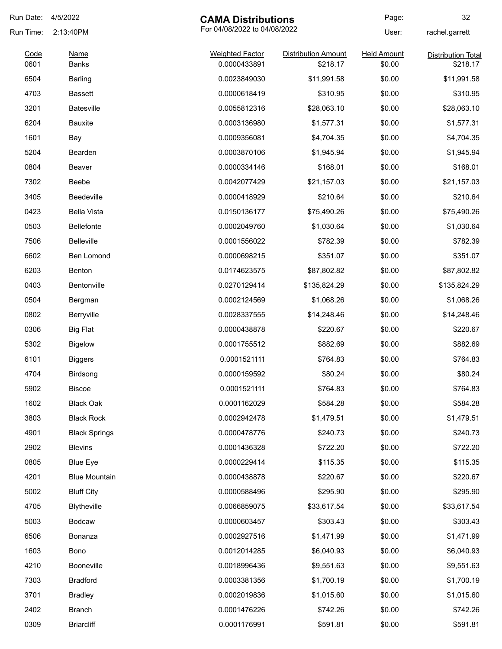| Run Date: | 4/5/2022             | <b>CAMA Distributions</b> |                              | Page:              | 32                        |
|-----------|----------------------|---------------------------|------------------------------|--------------------|---------------------------|
| Run Time: | 2:13:40PM            |                           | For 04/08/2022 to 04/08/2022 |                    | rachel.garrett            |
| Code      | <u>Name</u>          | <b>Weighted Factor</b>    | <b>Distribution Amount</b>   | <b>Held Amount</b> | <b>Distribution Total</b> |
| 0601      | <b>Banks</b>         | 0.0000433891              | \$218.17                     | \$0.00             | \$218.17                  |
| 6504      | <b>Barling</b>       | 0.0023849030              | \$11,991.58                  | \$0.00             | \$11,991.58               |
| 4703      | <b>Bassett</b>       | 0.0000618419              | \$310.95                     | \$0.00             | \$310.95                  |
| 3201      | <b>Batesville</b>    | 0.0055812316              | \$28,063.10                  | \$0.00             | \$28,063.10               |
| 6204      | <b>Bauxite</b>       | 0.0003136980              | \$1,577.31                   | \$0.00             | \$1,577.31                |
| 1601      | Bay                  | 0.0009356081              | \$4,704.35                   | \$0.00             | \$4,704.35                |
| 5204      | Bearden              | 0.0003870106              | \$1,945.94                   | \$0.00             | \$1,945.94                |
| 0804      | Beaver               | 0.0000334146              | \$168.01                     | \$0.00             | \$168.01                  |
| 7302      | Beebe                | 0.0042077429              | \$21,157.03                  | \$0.00             | \$21,157.03               |
| 3405      | Beedeville           | 0.0000418929              | \$210.64                     | \$0.00             | \$210.64                  |
| 0423      | <b>Bella Vista</b>   | 0.0150136177              | \$75,490.26                  | \$0.00             | \$75,490.26               |
| 0503      | <b>Bellefonte</b>    | 0.0002049760              | \$1,030.64                   | \$0.00             | \$1,030.64                |
| 7506      | <b>Belleville</b>    | 0.0001556022              | \$782.39                     | \$0.00             | \$782.39                  |
| 6602      | Ben Lomond           | 0.0000698215              | \$351.07                     | \$0.00             | \$351.07                  |
| 6203      | Benton               | 0.0174623575              | \$87,802.82                  | \$0.00             | \$87,802.82               |
| 0403      | Bentonville          | 0.0270129414              | \$135,824.29                 | \$0.00             | \$135,824.29              |
| 0504      | Bergman              | 0.0002124569              | \$1,068.26                   | \$0.00             | \$1,068.26                |
| 0802      | Berryville           | 0.0028337555              | \$14,248.46                  | \$0.00             | \$14,248.46               |
| 0306      | <b>Big Flat</b>      | 0.0000438878              | \$220.67                     | \$0.00             | \$220.67                  |
| 5302      | <b>Bigelow</b>       | 0.0001755512              | \$882.69                     | \$0.00             | \$882.69                  |
| 6101      | <b>Biggers</b>       | 0.0001521111              | \$764.83                     | \$0.00             | \$764.83                  |
| 4704      | Birdsong             | 0.0000159592              | \$80.24                      | \$0.00             | \$80.24                   |
| 5902      | <b>Biscoe</b>        | 0.0001521111              | \$764.83                     | \$0.00             | \$764.83                  |
| 1602      | <b>Black Oak</b>     | 0.0001162029              | \$584.28                     | \$0.00             | \$584.28                  |
| 3803      | <b>Black Rock</b>    | 0.0002942478              | \$1,479.51                   | \$0.00             | \$1,479.51                |
| 4901      | <b>Black Springs</b> | 0.0000478776              | \$240.73                     | \$0.00             | \$240.73                  |
| 2902      | <b>Blevins</b>       | 0.0001436328              | \$722.20                     | \$0.00             | \$722.20                  |
| 0805      | <b>Blue Eye</b>      | 0.0000229414              | \$115.35                     | \$0.00             | \$115.35                  |
| 4201      | <b>Blue Mountain</b> | 0.0000438878              | \$220.67                     | \$0.00             | \$220.67                  |
| 5002      | <b>Bluff City</b>    | 0.0000588496              | \$295.90                     | \$0.00             | \$295.90                  |
| 4705      | Blytheville          | 0.0066859075              | \$33,617.54                  | \$0.00             | \$33,617.54               |
| 5003      | <b>Bodcaw</b>        | 0.0000603457              | \$303.43                     | \$0.00             | \$303.43                  |
|           |                      |                           |                              |                    |                           |
| 6506      | Bonanza              | 0.0002927516              | \$1,471.99                   | \$0.00             | \$1,471.99                |
| 1603      | Bono                 | 0.0012014285              | \$6,040.93                   | \$0.00             | \$6,040.93                |
| 4210      | Booneville           | 0.0018996436              | \$9,551.63                   | \$0.00             | \$9,551.63                |
| 7303      | <b>Bradford</b>      | 0.0003381356              | \$1,700.19                   | \$0.00             | \$1,700.19                |
| 3701      | <b>Bradley</b>       | 0.0002019836              | \$1,015.60                   | \$0.00             | \$1,015.60                |
| 2402      | <b>Branch</b>        | 0.0001476226              | \$742.26                     | \$0.00             | \$742.26                  |
| 0309      | <b>Briarcliff</b>    | 0.0001176991              | \$591.81                     | \$0.00             | \$591.81                  |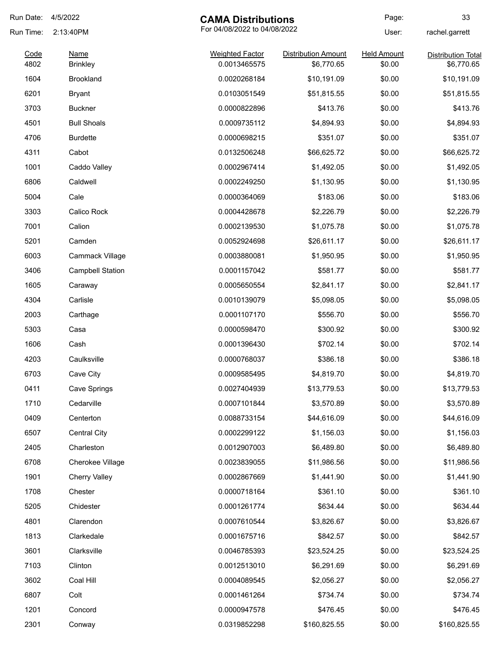| Run Date:    | 4/5/2022                       | <b>CAMA Distributions</b>              |                                          | Page:                        | 33                                      |
|--------------|--------------------------------|----------------------------------------|------------------------------------------|------------------------------|-----------------------------------------|
| Run Time:    | 2:13:40PM                      | For 04/08/2022 to 04/08/2022           |                                          | User:                        | rachel.garrett                          |
| Code<br>4802 | <b>Name</b><br><b>Brinkley</b> | <b>Weighted Factor</b><br>0.0013465575 | <b>Distribution Amount</b><br>\$6,770.65 | <b>Held Amount</b><br>\$0.00 | <b>Distribution Total</b><br>\$6,770.65 |
| 1604         | <b>Brookland</b>               | 0.0020268184                           | \$10,191.09                              | \$0.00                       | \$10,191.09                             |
| 6201         | Bryant                         | 0.0103051549                           | \$51,815.55                              | \$0.00                       | \$51,815.55                             |
| 3703         | <b>Buckner</b>                 | 0.0000822896                           | \$413.76                                 | \$0.00                       | \$413.76                                |
| 4501         | <b>Bull Shoals</b>             | 0.0009735112                           | \$4,894.93                               | \$0.00                       | \$4,894.93                              |
| 4706         | <b>Burdette</b>                | 0.0000698215                           | \$351.07                                 | \$0.00                       | \$351.07                                |
| 4311         | Cabot                          | 0.0132506248                           | \$66,625.72                              | \$0.00                       | \$66,625.72                             |
| 1001         | Caddo Valley                   | 0.0002967414                           | \$1,492.05                               | \$0.00                       | \$1,492.05                              |
| 6806         | Caldwell                       | 0.0002249250                           | \$1,130.95                               | \$0.00                       | \$1,130.95                              |
| 5004         | Cale                           | 0.0000364069                           | \$183.06                                 | \$0.00                       | \$183.06                                |
| 3303         | Calico Rock                    | 0.0004428678                           | \$2,226.79                               | \$0.00                       | \$2,226.79                              |
| 7001         | Calion                         | 0.0002139530                           | \$1,075.78                               | \$0.00                       | \$1,075.78                              |
| 5201         | Camden                         | 0.0052924698                           | \$26,611.17                              | \$0.00                       | \$26,611.17                             |
| 6003         | Cammack Village                | 0.0003880081                           | \$1,950.95                               | \$0.00                       | \$1,950.95                              |
| 3406         | <b>Campbell Station</b>        | 0.0001157042                           | \$581.77                                 | \$0.00                       | \$581.77                                |
| 1605         | Caraway                        | 0.0005650554                           | \$2,841.17                               | \$0.00                       | \$2,841.17                              |
| 4304         | Carlisle                       | 0.0010139079                           | \$5,098.05                               | \$0.00                       | \$5,098.05                              |
| 2003         | Carthage                       | 0.0001107170                           | \$556.70                                 | \$0.00                       | \$556.70                                |
| 5303         | Casa                           | 0.0000598470                           | \$300.92                                 | \$0.00                       | \$300.92                                |
| 1606         | Cash                           | 0.0001396430                           | \$702.14                                 | \$0.00                       | \$702.14                                |
| 4203         | Caulksville                    | 0.0000768037                           | \$386.18                                 | \$0.00                       | \$386.18                                |
| 6703         | Cave City                      | 0.0009585495                           | \$4,819.70                               | \$0.00                       | \$4,819.70                              |
| 0411         | Cave Springs                   | 0.0027404939                           | \$13,779.53                              | \$0.00                       | \$13,779.53                             |
| 1710         | Cedarville                     | 0.0007101844                           | \$3,570.89                               | \$0.00                       | \$3,570.89                              |
| 0409         | Centerton                      | 0.0088733154                           | \$44,616.09                              | \$0.00                       | \$44,616.09                             |
| 6507         | <b>Central City</b>            | 0.0002299122                           | \$1,156.03                               | \$0.00                       | \$1,156.03                              |
| 2405         | Charleston                     | 0.0012907003                           | \$6,489.80                               | \$0.00                       | \$6,489.80                              |
| 6708         | Cherokee Village               | 0.0023839055                           | \$11,986.56                              | \$0.00                       | \$11,986.56                             |
| 1901         | <b>Cherry Valley</b>           | 0.0002867669                           | \$1,441.90                               | \$0.00                       | \$1,441.90                              |
| 1708         | Chester                        | 0.0000718164                           | \$361.10                                 | \$0.00                       | \$361.10                                |
| 5205         | Chidester                      | 0.0001261774                           | \$634.44                                 | \$0.00                       | \$634.44                                |
| 4801         | Clarendon                      | 0.0007610544                           | \$3,826.67                               | \$0.00                       | \$3,826.67                              |
| 1813         | Clarkedale                     | 0.0001675716                           | \$842.57                                 | \$0.00                       | \$842.57                                |
| 3601         | Clarksville                    | 0.0046785393                           | \$23,524.25                              | \$0.00                       | \$23,524.25                             |
| 7103         | Clinton                        | 0.0012513010                           | \$6,291.69                               | \$0.00                       | \$6,291.69                              |
| 3602         | Coal Hill                      | 0.0004089545                           | \$2,056.27                               | \$0.00                       | \$2,056.27                              |
| 6807         | Colt                           | 0.0001461264                           | \$734.74                                 | \$0.00                       | \$734.74                                |
| 1201         | Concord                        | 0.0000947578                           | \$476.45                                 | \$0.00                       | \$476.45                                |
| 2301         | Conway                         | 0.0319852298                           | \$160,825.55                             | \$0.00                       | \$160,825.55                            |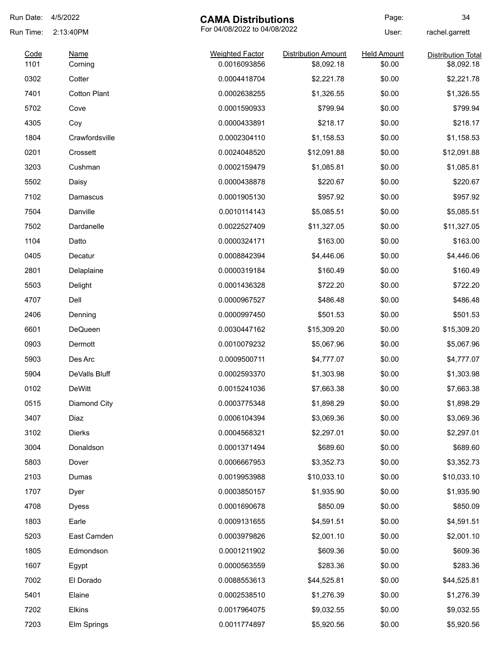| Run Date:    | 4/5/2022               | <b>CAMA Distributions</b>              |                                          | Page:                        | 34                                      |
|--------------|------------------------|----------------------------------------|------------------------------------------|------------------------------|-----------------------------------------|
| Run Time:    | 2:13:40PM              | For 04/08/2022 to 04/08/2022           |                                          | User:                        | rachel.garrett                          |
| Code<br>1101 | <b>Name</b><br>Corning | <b>Weighted Factor</b><br>0.0016093856 | <b>Distribution Amount</b><br>\$8,092.18 | <b>Held Amount</b><br>\$0.00 | <b>Distribution Total</b><br>\$8,092.18 |
| 0302         | Cotter                 | 0.0004418704                           | \$2,221.78                               | \$0.00                       | \$2,221.78                              |
| 7401         | <b>Cotton Plant</b>    | 0.0002638255                           | \$1,326.55                               | \$0.00                       | \$1,326.55                              |
| 5702         | Cove                   | 0.0001590933                           | \$799.94                                 | \$0.00                       | \$799.94                                |
| 4305         | Coy                    | 0.0000433891                           | \$218.17                                 | \$0.00                       | \$218.17                                |
| 1804         | Crawfordsville         | 0.0002304110                           | \$1,158.53                               | \$0.00                       | \$1,158.53                              |
| 0201         | Crossett               | 0.0024048520                           | \$12,091.88                              | \$0.00                       | \$12,091.88                             |
| 3203         | Cushman                | 0.0002159479                           | \$1,085.81                               | \$0.00                       | \$1,085.81                              |
| 5502         | Daisy                  | 0.0000438878                           | \$220.67                                 | \$0.00                       | \$220.67                                |
| 7102         | Damascus               | 0.0001905130                           | \$957.92                                 | \$0.00                       | \$957.92                                |
| 7504         | Danville               | 0.0010114143                           | \$5,085.51                               | \$0.00                       | \$5,085.51                              |
| 7502         | Dardanelle             | 0.0022527409                           | \$11,327.05                              | \$0.00                       | \$11,327.05                             |
| 1104         | Datto                  | 0.0000324171                           | \$163.00                                 | \$0.00                       | \$163.00                                |
| 0405         | Decatur                | 0.0008842394                           | \$4,446.06                               | \$0.00                       | \$4,446.06                              |
| 2801         | Delaplaine             | 0.0000319184                           | \$160.49                                 | \$0.00                       | \$160.49                                |
| 5503         | Delight                | 0.0001436328                           | \$722.20                                 | \$0.00                       | \$722.20                                |
| 4707         | Dell                   | 0.0000967527                           | \$486.48                                 | \$0.00                       | \$486.48                                |
| 2406         | Denning                | 0.0000997450                           | \$501.53                                 | \$0.00                       | \$501.53                                |
| 6601         | <b>DeQueen</b>         | 0.0030447162                           | \$15,309.20                              | \$0.00                       | \$15,309.20                             |
| 0903         | Dermott                | 0.0010079232                           | \$5,067.96                               | \$0.00                       | \$5,067.96                              |
| 5903         | Des Arc                | 0.0009500711                           | \$4,777.07                               | \$0.00                       | \$4,777.07                              |
| 5904         | DeValls Bluff          | 0.0002593370                           | \$1,303.98                               | \$0.00                       | \$1,303.98                              |
| 0102         | <b>DeWitt</b>          | 0.0015241036                           | \$7,663.38                               | \$0.00                       | \$7,663.38                              |
| 0515         | Diamond City           | 0.0003775348                           | \$1,898.29                               | \$0.00                       | \$1,898.29                              |
| 3407         | Diaz                   | 0.0006104394                           | \$3,069.36                               | \$0.00                       | \$3,069.36                              |
| 3102         | <b>Dierks</b>          | 0.0004568321                           | \$2,297.01                               | \$0.00                       | \$2,297.01                              |
| 3004         | Donaldson              | 0.0001371494                           | \$689.60                                 | \$0.00                       | \$689.60                                |
| 5803         | Dover                  | 0.0006667953                           | \$3,352.73                               | \$0.00                       | \$3,352.73                              |
| 2103         | Dumas                  | 0.0019953988                           | \$10,033.10                              | \$0.00                       | \$10,033.10                             |
| 1707         | Dyer                   | 0.0003850157                           | \$1,935.90                               | \$0.00                       | \$1,935.90                              |
| 4708         | <b>Dyess</b>           | 0.0001690678                           | \$850.09                                 | \$0.00                       | \$850.09                                |
| 1803         | Earle                  | 0.0009131655                           | \$4,591.51                               | \$0.00                       | \$4,591.51                              |
| 5203         | East Camden            | 0.0003979826                           | \$2,001.10                               | \$0.00                       | \$2,001.10                              |
| 1805         | Edmondson              | 0.0001211902                           | \$609.36                                 | \$0.00                       | \$609.36                                |
| 1607         | Egypt                  | 0.0000563559                           | \$283.36                                 | \$0.00                       | \$283.36                                |
| 7002         | El Dorado              | 0.0088553613                           | \$44,525.81                              | \$0.00                       | \$44,525.81                             |
| 5401         | Elaine                 | 0.0002538510                           | \$1,276.39                               | \$0.00                       | \$1,276.39                              |
| 7202         | Elkins                 | 0.0017964075                           | \$9,032.55                               | \$0.00                       | \$9,032.55                              |
| 7203         | Elm Springs            | 0.0011774897                           | \$5,920.56                               | \$0.00                       | \$5,920.56                              |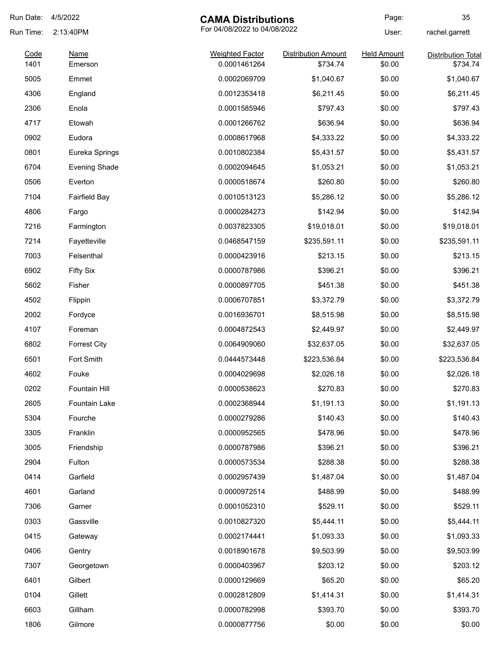| Run Date:    | 4/5/2022               | <b>CAMA Distributions</b>              |                                        | Page:                        | 35                                    |
|--------------|------------------------|----------------------------------------|----------------------------------------|------------------------------|---------------------------------------|
| Run Time:    | 2:13:40PM              | For 04/08/2022 to 04/08/2022           |                                        | User:                        | rachel.garrett                        |
| Code<br>1401 | <b>Name</b><br>Emerson | <b>Weighted Factor</b><br>0.0001461264 | <b>Distribution Amount</b><br>\$734.74 | <b>Held Amount</b><br>\$0.00 | <b>Distribution Total</b><br>\$734.74 |
| 5005         | Emmet                  | 0.0002069709                           | \$1,040.67                             | \$0.00                       | \$1,040.67                            |
| 4306         | England                | 0.0012353418                           | \$6,211.45                             | \$0.00                       | \$6,211.45                            |
| 2306         | Enola                  | 0.0001585946                           | \$797.43                               | \$0.00                       | \$797.43                              |
| 4717         | Etowah                 | 0.0001266762                           | \$636.94                               | \$0.00                       | \$636.94                              |
| 0902         | Eudora                 | 0.0008617968                           | \$4,333.22                             | \$0.00                       | \$4,333.22                            |
| 0801         | Eureka Springs         | 0.0010802384                           | \$5,431.57                             | \$0.00                       | \$5,431.57                            |
| 6704         | <b>Evening Shade</b>   | 0.0002094645                           | \$1,053.21                             | \$0.00                       | \$1,053.21                            |
| 0506         | Everton                | 0.0000518674                           | \$260.80                               | \$0.00                       | \$260.80                              |
| 7104         | <b>Fairfield Bay</b>   | 0.0010513123                           | \$5,286.12                             | \$0.00                       | \$5,286.12                            |
| 4806         | Fargo                  | 0.0000284273                           | \$142.94                               | \$0.00                       | \$142.94                              |
| 7216         | Farmington             | 0.0037823305                           | \$19,018.01                            | \$0.00                       | \$19,018.01                           |
| 7214         | Fayetteville           | 0.0468547159                           | \$235,591.11                           | \$0.00                       | \$235,591.11                          |
| 7003         | Felsenthal             | 0.0000423916                           | \$213.15                               | \$0.00                       | \$213.15                              |
| 6902         | <b>Fifty Six</b>       | 0.0000787986                           | \$396.21                               | \$0.00                       | \$396.21                              |
| 5602         | Fisher                 | 0.0000897705                           | \$451.38                               | \$0.00                       | \$451.38                              |
| 4502         | Flippin                | 0.0006707851                           | \$3,372.79                             | \$0.00                       | \$3,372.79                            |
| 2002         | Fordyce                | 0.0016936701                           | \$8,515.98                             | \$0.00                       | \$8,515.98                            |
| 4107         | Foreman                | 0.0004872543                           | \$2,449.97                             | \$0.00                       | \$2,449.97                            |
| 6802         | <b>Forrest City</b>    | 0.0064909060                           | \$32,637.05                            | \$0.00                       | \$32,637.05                           |
| 6501         | Fort Smith             | 0.0444573448                           | \$223,536.84                           | \$0.00                       | \$223,536.84                          |
| 4602         | Fouke                  | 0.0004029698                           | \$2,026.18                             | \$0.00                       | \$2,026.18                            |
| 0202         | Fountain Hill          | 0.0000538623                           | \$270.83                               | \$0.00                       | \$270.83                              |
| 2605         | Fountain Lake          | 0.0002368944                           | \$1,191.13                             | \$0.00                       | \$1,191.13                            |
| 5304         | Fourche                | 0.0000279286                           | \$140.43                               | \$0.00                       | \$140.43                              |
| 3305         | Franklin               | 0.0000952565                           | \$478.96                               | \$0.00                       | \$478.96                              |
| 3005         | Friendship             | 0.0000787986                           | \$396.21                               | \$0.00                       | \$396.21                              |
| 2904         | Fulton                 | 0.0000573534                           | \$288.38                               | \$0.00                       | \$288.38                              |
| 0414         | Garfield               | 0.0002957439                           | \$1,487.04                             | \$0.00                       | \$1,487.04                            |
| 4601         | Garland                | 0.0000972514                           | \$488.99                               | \$0.00                       | \$488.99                              |
| 7306         | Garner                 | 0.0001052310                           | \$529.11                               | \$0.00                       | \$529.11                              |
| 0303         | Gassville              | 0.0010827320                           | \$5,444.11                             | \$0.00                       | \$5,444.11                            |
| 0415         | Gateway                | 0.0002174441                           | \$1,093.33                             | \$0.00                       | \$1,093.33                            |
| 0406         | Gentry                 | 0.0018901678                           | \$9,503.99                             | \$0.00                       | \$9,503.99                            |
| 7307         | Georgetown             | 0.0000403967                           | \$203.12                               | \$0.00                       | \$203.12                              |
| 6401         | Gilbert                | 0.0000129669                           | \$65.20                                | \$0.00                       | \$65.20                               |
| 0104         | Gillett                | 0.0002812809                           | \$1,414.31                             | \$0.00                       | \$1,414.31                            |
| 6603         | Gillham                | 0.0000782998                           | \$393.70                               | \$0.00                       | \$393.70                              |
| 1806         | Gilmore                | 0.0000877756                           | \$0.00                                 | \$0.00                       | \$0.00                                |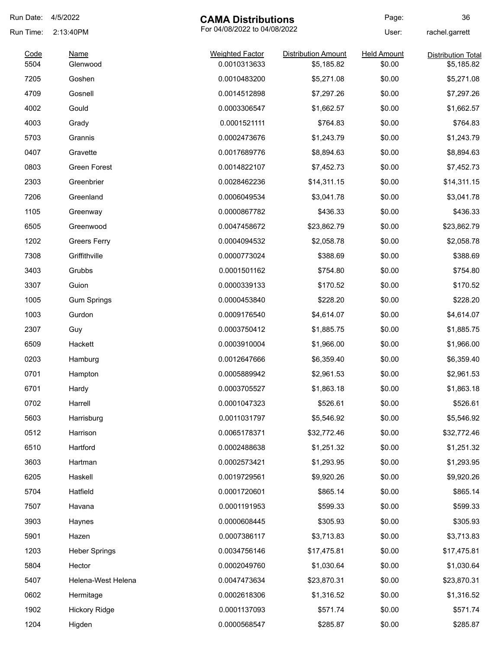| Run Date: | 4/5/2022             | <b>CAMA Distributions</b>    |                            | Page:              | 36                        |
|-----------|----------------------|------------------------------|----------------------------|--------------------|---------------------------|
| Run Time: | 2:13:40PM            | For 04/08/2022 to 04/08/2022 |                            | User:              | rachel.garrett            |
| Code      | <b>Name</b>          | <b>Weighted Factor</b>       | <b>Distribution Amount</b> | <b>Held Amount</b> | <b>Distribution Total</b> |
| 5504      | Glenwood             | 0.0010313633                 | \$5,185.82                 | \$0.00             | \$5,185.82                |
| 7205      | Goshen               | 0.0010483200                 | \$5,271.08                 | \$0.00             | \$5,271.08                |
| 4709      | Gosnell              | 0.0014512898                 | \$7,297.26                 | \$0.00             | \$7,297.26                |
| 4002      | Gould                | 0.0003306547                 | \$1,662.57                 | \$0.00             | \$1,662.57                |
| 4003      | Grady                | 0.0001521111                 | \$764.83                   | \$0.00             | \$764.83                  |
| 5703      | Grannis              | 0.0002473676                 | \$1,243.79                 | \$0.00             | \$1,243.79                |
| 0407      | Gravette             | 0.0017689776                 | \$8,894.63                 | \$0.00             | \$8,894.63                |
| 0803      | <b>Green Forest</b>  | 0.0014822107                 | \$7,452.73                 | \$0.00             | \$7,452.73                |
| 2303      | Greenbrier           | 0.0028462236                 | \$14,311.15                | \$0.00             | \$14,311.15               |
| 7206      | Greenland            | 0.0006049534                 | \$3,041.78                 | \$0.00             | \$3,041.78                |
| 1105      | Greenway             | 0.0000867782                 | \$436.33                   | \$0.00             | \$436.33                  |
| 6505      | Greenwood            | 0.0047458672                 | \$23,862.79                | \$0.00             | \$23,862.79               |
| 1202      | <b>Greers Ferry</b>  | 0.0004094532                 | \$2,058.78                 | \$0.00             | \$2,058.78                |
| 7308      | Griffithville        | 0.0000773024                 | \$388.69                   | \$0.00             | \$388.69                  |
| 3403      | Grubbs               | 0.0001501162                 | \$754.80                   | \$0.00             | \$754.80                  |
| 3307      | Guion                | 0.0000339133                 | \$170.52                   | \$0.00             | \$170.52                  |
| 1005      | <b>Gum Springs</b>   | 0.0000453840                 | \$228.20                   | \$0.00             | \$228.20                  |
| 1003      | Gurdon               | 0.0009176540                 | \$4,614.07                 | \$0.00             | \$4,614.07                |
| 2307      | Guy                  | 0.0003750412                 | \$1,885.75                 | \$0.00             | \$1,885.75                |
| 6509      | Hackett              | 0.0003910004                 | \$1,966.00                 | \$0.00             | \$1,966.00                |
| 0203      | Hamburg              | 0.0012647666                 | \$6,359.40                 | \$0.00             | \$6,359.40                |
| 0701      | Hampton              | 0.0005889942                 | \$2,961.53                 | \$0.00             | \$2,961.53                |
| 6701      | Hardy                | 0.0003705527                 | \$1,863.18                 | \$0.00             | \$1,863.18                |
| 0702      | Harrell              | 0.0001047323                 | \$526.61                   | \$0.00             | \$526.61                  |
| 5603      | Harrisburg           | 0.0011031797                 | \$5,546.92                 | \$0.00             | \$5,546.92                |
| 0512      | Harrison             | 0.0065178371                 | \$32,772.46                | \$0.00             | \$32,772.46               |
| 6510      | Hartford             | 0.0002488638                 | \$1,251.32                 | \$0.00             | \$1,251.32                |
| 3603      | Hartman              | 0.0002573421                 | \$1,293.95                 | \$0.00             | \$1,293.95                |
| 6205      | Haskell              | 0.0019729561                 | \$9,920.26                 | \$0.00             | \$9,920.26                |
| 5704      | Hatfield             | 0.0001720601                 | \$865.14                   | \$0.00             | \$865.14                  |
| 7507      | Havana               | 0.0001191953                 | \$599.33                   | \$0.00             | \$599.33                  |
| 3903      | Haynes               | 0.0000608445                 | \$305.93                   | \$0.00             | \$305.93                  |
| 5901      | Hazen                | 0.0007386117                 | \$3,713.83                 | \$0.00             | \$3,713.83                |
| 1203      | <b>Heber Springs</b> | 0.0034756146                 | \$17,475.81                | \$0.00             | \$17,475.81               |
| 5804      | Hector               | 0.0002049760                 | \$1,030.64                 | \$0.00             | \$1,030.64                |
| 5407      | Helena-West Helena   | 0.0047473634                 | \$23,870.31                | \$0.00             | \$23,870.31               |
| 0602      | Hermitage            | 0.0002618306                 | \$1,316.52                 | \$0.00             | \$1,316.52                |
| 1902      | <b>Hickory Ridge</b> | 0.0001137093                 | \$571.74                   | \$0.00             | \$571.74                  |
|           |                      |                              |                            |                    |                           |
| 1204      | Higden               | 0.0000568547                 | \$285.87                   | \$0.00             | \$285.87                  |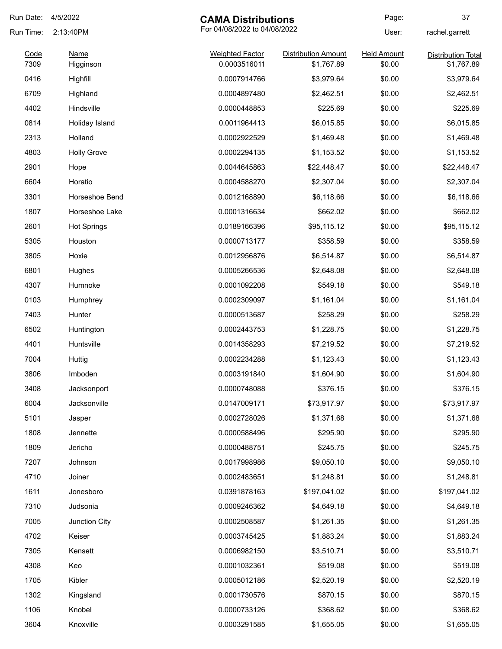| Run Date: | 4/5/2022           | <b>CAMA Distributions</b>    |                            | Page:              | 37                        |
|-----------|--------------------|------------------------------|----------------------------|--------------------|---------------------------|
| Run Time: | 2:13:40PM          | For 04/08/2022 to 04/08/2022 |                            | User:              | rachel.garrett            |
| Code      | <b>Name</b>        | <b>Weighted Factor</b>       | <b>Distribution Amount</b> | <b>Held Amount</b> | <b>Distribution Total</b> |
| 7309      | Higginson          | 0.0003516011                 | \$1,767.89                 | \$0.00             | \$1,767.89                |
| 0416      | Highfill           | 0.0007914766                 | \$3,979.64                 | \$0.00             | \$3,979.64                |
| 6709      | Highland           | 0.0004897480                 | \$2,462.51                 | \$0.00             | \$2,462.51                |
| 4402      | Hindsville         | 0.0000448853                 | \$225.69                   | \$0.00             | \$225.69                  |
| 0814      | Holiday Island     | 0.0011964413                 | \$6,015.85                 | \$0.00             | \$6,015.85                |
| 2313      | Holland            | 0.0002922529                 | \$1,469.48                 | \$0.00             | \$1,469.48                |
| 4803      | <b>Holly Grove</b> | 0.0002294135                 | \$1,153.52                 | \$0.00             | \$1,153.52                |
| 2901      | Hope               | 0.0044645863                 | \$22,448.47                | \$0.00             | \$22,448.47               |
| 6604      | Horatio            | 0.0004588270                 | \$2,307.04                 | \$0.00             | \$2,307.04                |
| 3301      | Horseshoe Bend     | 0.0012168890                 | \$6,118.66                 | \$0.00             | \$6,118.66                |
| 1807      | Horseshoe Lake     | 0.0001316634                 | \$662.02                   | \$0.00             | \$662.02                  |
| 2601      | <b>Hot Springs</b> | 0.0189166396                 | \$95,115.12                | \$0.00             | \$95,115.12               |
| 5305      | Houston            | 0.0000713177                 | \$358.59                   | \$0.00             | \$358.59                  |
| 3805      | Hoxie              | 0.0012956876                 | \$6,514.87                 | \$0.00             | \$6,514.87                |
| 6801      | Hughes             | 0.0005266536                 | \$2,648.08                 | \$0.00             | \$2,648.08                |
| 4307      | Humnoke            | 0.0001092208                 | \$549.18                   | \$0.00             | \$549.18                  |
| 0103      | Humphrey           | 0.0002309097                 | \$1,161.04                 | \$0.00             | \$1,161.04                |
| 7403      | Hunter             | 0.0000513687                 | \$258.29                   | \$0.00             | \$258.29                  |
| 6502      | Huntington         | 0.0002443753                 | \$1,228.75                 | \$0.00             | \$1,228.75                |
| 4401      | Huntsville         | 0.0014358293                 | \$7,219.52                 | \$0.00             | \$7,219.52                |
| 7004      | Huttig             | 0.0002234288                 | \$1,123.43                 | \$0.00             | \$1,123.43                |
| 3806      | Imboden            | 0.0003191840                 | \$1,604.90                 | \$0.00             | \$1,604.90                |
| 3408      | Jacksonport        | 0.0000748088                 | \$376.15                   | \$0.00             | \$376.15                  |
| 6004      | Jacksonville       | 0.0147009171                 | \$73,917.97                | \$0.00             | \$73,917.97               |
| 5101      | Jasper             | 0.0002728026                 | \$1,371.68                 | \$0.00             | \$1,371.68                |
| 1808      | Jennette           | 0.0000588496                 | \$295.90                   | \$0.00             | \$295.90                  |
| 1809      | Jericho            | 0.0000488751                 | \$245.75                   | \$0.00             | \$245.75                  |
| 7207      | Johnson            | 0.0017998986                 | \$9,050.10                 | \$0.00             | \$9,050.10                |
| 4710      | Joiner             | 0.0002483651                 | \$1,248.81                 | \$0.00             | \$1,248.81                |
| 1611      | Jonesboro          | 0.0391878163                 | \$197,041.02               | \$0.00             | \$197,041.02              |
| 7310      | Judsonia           | 0.0009246362                 | \$4,649.18                 | \$0.00             | \$4,649.18                |
| 7005      | Junction City      | 0.0002508587                 | \$1,261.35                 | \$0.00             | \$1,261.35                |
| 4702      | Keiser             | 0.0003745425                 | \$1,883.24                 | \$0.00             | \$1,883.24                |
| 7305      | Kensett            | 0.0006982150                 | \$3,510.71                 | \$0.00             | \$3,510.71                |
| 4308      | Keo                | 0.0001032361                 | \$519.08                   | \$0.00             | \$519.08                  |
| 1705      | Kibler             | 0.0005012186                 | \$2,520.19                 | \$0.00             | \$2,520.19                |
| 1302      | Kingsland          | 0.0001730576                 | \$870.15                   | \$0.00             | \$870.15                  |
| 1106      | Knobel             | 0.0000733126                 | \$368.62                   | \$0.00             | \$368.62                  |
| 3604      | Knoxville          | 0.0003291585                 | \$1,655.05                 | \$0.00             | \$1,655.05                |
|           |                    |                              |                            |                    |                           |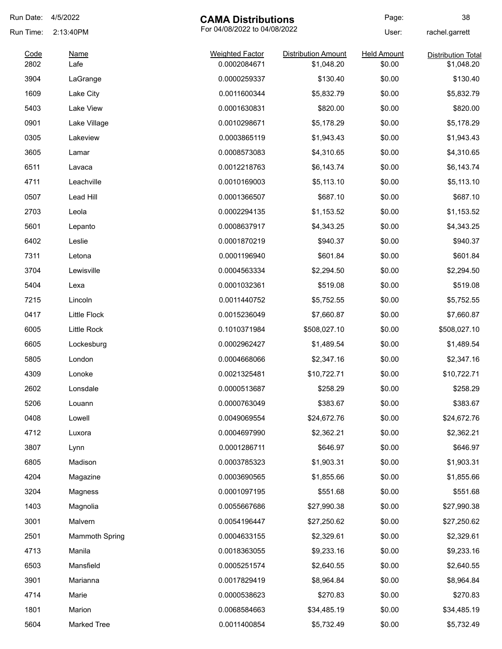| Run Date:    | 4/5/2022              | <b>CAMA Distributions</b>              |                                          | Page:                        | 38                                      |
|--------------|-----------------------|----------------------------------------|------------------------------------------|------------------------------|-----------------------------------------|
| Run Time:    | 2:13:40PM             | For 04/08/2022 to 04/08/2022           |                                          | User:                        | rachel.garrett                          |
| Code<br>2802 | <b>Name</b><br>Lafe   | <b>Weighted Factor</b><br>0.0002084671 | <b>Distribution Amount</b><br>\$1,048.20 | <b>Held Amount</b><br>\$0.00 | <b>Distribution Total</b><br>\$1,048.20 |
| 3904         | LaGrange              | 0.0000259337                           | \$130.40                                 | \$0.00                       | \$130.40                                |
| 1609         | Lake City             | 0.0011600344                           | \$5,832.79                               | \$0.00                       | \$5,832.79                              |
| 5403         | Lake View             | 0.0001630831                           | \$820.00                                 | \$0.00                       | \$820.00                                |
| 0901         | Lake Village          | 0.0010298671                           | \$5,178.29                               | \$0.00                       | \$5,178.29                              |
| 0305         | Lakeview              | 0.0003865119                           | \$1,943.43                               | \$0.00                       | \$1,943.43                              |
| 3605         | Lamar                 | 0.0008573083                           | \$4,310.65                               | \$0.00                       | \$4,310.65                              |
| 6511         | Lavaca                | 0.0012218763                           | \$6,143.74                               | \$0.00                       | \$6,143.74                              |
| 4711         | Leachville            | 0.0010169003                           | \$5,113.10                               | \$0.00                       | \$5,113.10                              |
| 0507         | Lead Hill             | 0.0001366507                           | \$687.10                                 | \$0.00                       | \$687.10                                |
| 2703         | Leola                 | 0.0002294135                           | \$1,153.52                               | \$0.00                       | \$1,153.52                              |
| 5601         | Lepanto               | 0.0008637917                           | \$4,343.25                               | \$0.00                       | \$4,343.25                              |
| 6402         | Leslie                | 0.0001870219                           | \$940.37                                 | \$0.00                       | \$940.37                                |
| 7311         | Letona                | 0.0001196940                           | \$601.84                                 | \$0.00                       | \$601.84                                |
| 3704         | Lewisville            | 0.0004563334                           | \$2,294.50                               | \$0.00                       | \$2,294.50                              |
| 5404         | Lexa                  | 0.0001032361                           | \$519.08                                 | \$0.00                       | \$519.08                                |
| 7215         | Lincoln               | 0.0011440752                           | \$5,752.55                               | \$0.00                       | \$5,752.55                              |
| 0417         | <b>Little Flock</b>   | 0.0015236049                           | \$7,660.87                               | \$0.00                       | \$7,660.87                              |
| 6005         | Little Rock           | 0.1010371984                           | \$508,027.10                             | \$0.00                       | \$508,027.10                            |
| 6605         | Lockesburg            | 0.0002962427                           | \$1,489.54                               | \$0.00                       | \$1,489.54                              |
| 5805         | London                | 0.0004668066                           | \$2,347.16                               | \$0.00                       | \$2,347.16                              |
| 4309         | Lonoke                | 0.0021325481                           | \$10,722.71                              | \$0.00                       | \$10,722.71                             |
| 2602         | Lonsdale              | 0.0000513687                           | \$258.29                                 | \$0.00                       | \$258.29                                |
| 5206         | Louann                | 0.0000763049                           | \$383.67                                 | \$0.00                       | \$383.67                                |
| 0408         | Lowell                | 0.0049069554                           | \$24,672.76                              | \$0.00                       | \$24,672.76                             |
| 4712         | Luxora                | 0.0004697990                           | \$2,362.21                               | \$0.00                       | \$2,362.21                              |
| 3807         | Lynn                  | 0.0001286711                           | \$646.97                                 | \$0.00                       | \$646.97                                |
| 6805         | Madison               | 0.0003785323                           | \$1,903.31                               | \$0.00                       | \$1,903.31                              |
| 4204         | Magazine              | 0.0003690565                           | \$1,855.66                               | \$0.00                       | \$1,855.66                              |
| 3204         | Magness               | 0.0001097195                           | \$551.68                                 | \$0.00                       | \$551.68                                |
| 1403         | Magnolia              | 0.0055667686                           | \$27,990.38                              | \$0.00                       | \$27,990.38                             |
| 3001         | Malvern               | 0.0054196447                           | \$27,250.62                              | \$0.00                       | \$27,250.62                             |
| 2501         | <b>Mammoth Spring</b> | 0.0004633155                           | \$2,329.61                               | \$0.00                       | \$2,329.61                              |
| 4713         | Manila                | 0.0018363055                           | \$9,233.16                               | \$0.00                       | \$9,233.16                              |
| 6503         | Mansfield             | 0.0005251574                           | \$2,640.55                               | \$0.00                       | \$2,640.55                              |
| 3901         | Marianna              | 0.0017829419                           | \$8,964.84                               | \$0.00                       | \$8,964.84                              |
| 4714         | Marie                 | 0.0000538623                           | \$270.83                                 | \$0.00                       | \$270.83                                |
| 1801         | Marion                | 0.0068584663                           | \$34,485.19                              | \$0.00                       | \$34,485.19                             |
| 5604         | Marked Tree           | 0.0011400854                           | \$5,732.49                               | \$0.00                       | \$5,732.49                              |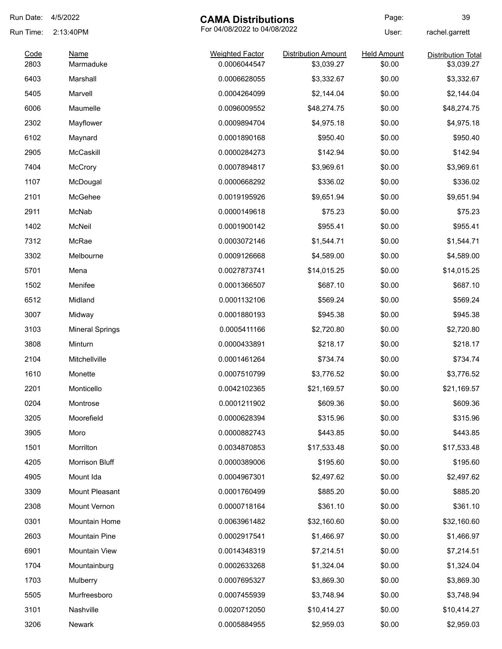| Run Date:    | 4/5/2022                 | <b>CAMA Distributions</b>              |                                          | Page:                        | 39                                      |
|--------------|--------------------------|----------------------------------------|------------------------------------------|------------------------------|-----------------------------------------|
| Run Time:    | 2:13:40PM                | For 04/08/2022 to 04/08/2022           |                                          | User:                        | rachel.garrett                          |
| Code<br>2803 | <b>Name</b><br>Marmaduke | <b>Weighted Factor</b><br>0.0006044547 | <b>Distribution Amount</b><br>\$3,039.27 | <b>Held Amount</b><br>\$0.00 | <b>Distribution Total</b><br>\$3,039.27 |
| 6403         | Marshall                 | 0.0006628055                           | \$3,332.67                               | \$0.00                       | \$3,332.67                              |
| 5405         | Marvell                  | 0.0004264099                           | \$2,144.04                               | \$0.00                       | \$2,144.04                              |
| 6006         | Maumelle                 | 0.0096009552                           | \$48,274.75                              | \$0.00                       | \$48,274.75                             |
| 2302         | Mayflower                | 0.0009894704                           | \$4,975.18                               | \$0.00                       | \$4,975.18                              |
| 6102         | Maynard                  | 0.0001890168                           | \$950.40                                 | \$0.00                       | \$950.40                                |
| 2905         | McCaskill                | 0.0000284273                           | \$142.94                                 | \$0.00                       | \$142.94                                |
| 7404         | McCrory                  | 0.0007894817                           | \$3,969.61                               | \$0.00                       | \$3,969.61                              |
| 1107         | McDougal                 | 0.0000668292                           | \$336.02                                 | \$0.00                       | \$336.02                                |
| 2101         | McGehee                  | 0.0019195926                           | \$9,651.94                               | \$0.00                       | \$9,651.94                              |
| 2911         | McNab                    | 0.0000149618                           | \$75.23                                  | \$0.00                       | \$75.23                                 |
| 1402         | McNeil                   | 0.0001900142                           | \$955.41                                 | \$0.00                       | \$955.41                                |
| 7312         | McRae                    | 0.0003072146                           | \$1,544.71                               | \$0.00                       | \$1,544.71                              |
| 3302         | Melbourne                | 0.0009126668                           | \$4,589.00                               | \$0.00                       | \$4,589.00                              |
| 5701         | Mena                     | 0.0027873741                           | \$14,015.25                              | \$0.00                       | \$14,015.25                             |
| 1502         | Menifee                  | 0.0001366507                           | \$687.10                                 | \$0.00                       | \$687.10                                |
| 6512         | Midland                  | 0.0001132106                           | \$569.24                                 | \$0.00                       | \$569.24                                |
| 3007         | Midway                   | 0.0001880193                           | \$945.38                                 | \$0.00                       | \$945.38                                |
| 3103         | <b>Mineral Springs</b>   | 0.0005411166                           | \$2,720.80                               | \$0.00                       | \$2,720.80                              |
| 3808         | Minturn                  | 0.0000433891                           | \$218.17                                 | \$0.00                       | \$218.17                                |
| 2104         | Mitchellville            | 0.0001461264                           | \$734.74                                 | \$0.00                       | \$734.74                                |
| 1610         | Monette                  | 0.0007510799                           | \$3,776.52                               | \$0.00                       | \$3,776.52                              |
| 2201         | Monticello               | 0.0042102365                           | \$21,169.57                              | \$0.00                       | \$21,169.57                             |
| 0204         | Montrose                 | 0.0001211902                           | \$609.36                                 | \$0.00                       | \$609.36                                |
| 3205         | Moorefield               | 0.0000628394                           | \$315.96                                 | \$0.00                       | \$315.96                                |
| 3905         | Moro                     | 0.0000882743                           | \$443.85                                 | \$0.00                       | \$443.85                                |
| 1501         | Morrilton                | 0.0034870853                           | \$17,533.48                              | \$0.00                       | \$17,533.48                             |
| 4205         | Morrison Bluff           | 0.0000389006                           | \$195.60                                 | \$0.00                       | \$195.60                                |
| 4905         | Mount Ida                | 0.0004967301                           | \$2,497.62                               | \$0.00                       | \$2,497.62                              |
| 3309         | Mount Pleasant           | 0.0001760499                           | \$885.20                                 | \$0.00                       | \$885.20                                |
| 2308         | Mount Vernon             | 0.0000718164                           | \$361.10                                 | \$0.00                       | \$361.10                                |
| 0301         | Mountain Home            | 0.0063961482                           | \$32,160.60                              | \$0.00                       | \$32,160.60                             |
| 2603         | Mountain Pine            | 0.0002917541                           | \$1,466.97                               | \$0.00                       | \$1,466.97                              |
| 6901         | <b>Mountain View</b>     | 0.0014348319                           | \$7,214.51                               | \$0.00                       | \$7,214.51                              |
| 1704         | Mountainburg             | 0.0002633268                           | \$1,324.04                               | \$0.00                       | \$1,324.04                              |
| 1703         | Mulberry                 | 0.0007695327                           | \$3,869.30                               | \$0.00                       | \$3,869.30                              |
| 5505         | Murfreesboro             | 0.0007455939                           | \$3,748.94                               | \$0.00                       | \$3,748.94                              |
| 3101         | Nashville                | 0.0020712050                           | \$10,414.27                              | \$0.00                       | \$10,414.27                             |
| 3206         | Newark                   | 0.0005884955                           | \$2,959.03                               | \$0.00                       | \$2,959.03                              |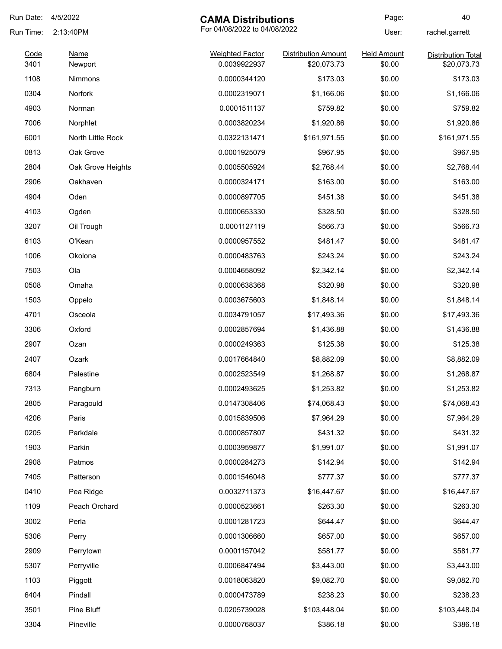| Run Date: | 4/5/2022<br><b>CAMA Distributions</b> |                              | Page:                      | 40                 |                           |
|-----------|---------------------------------------|------------------------------|----------------------------|--------------------|---------------------------|
| Run Time: | 2:13:40PM                             | For 04/08/2022 to 04/08/2022 |                            | User:              | rachel.garrett            |
| Code      | Name                                  | <b>Weighted Factor</b>       | <b>Distribution Amount</b> | <b>Held Amount</b> | <b>Distribution Total</b> |
| 3401      | Newport                               | 0.0039922937                 | \$20,073.73                | \$0.00             | \$20,073.73               |
| 1108      | <b>Nimmons</b>                        | 0.0000344120                 | \$173.03                   | \$0.00             | \$173.03                  |
| 0304      | Norfork                               | 0.0002319071                 | \$1,166.06                 | \$0.00             | \$1,166.06                |
| 4903      | Norman                                | 0.0001511137                 | \$759.82                   | \$0.00             | \$759.82                  |
| 7006      | Norphlet                              | 0.0003820234                 | \$1,920.86                 | \$0.00             | \$1,920.86                |
| 6001      | North Little Rock                     | 0.0322131471                 | \$161,971.55               | \$0.00             | \$161,971.55              |
| 0813      | Oak Grove                             | 0.0001925079                 | \$967.95                   | \$0.00             | \$967.95                  |
| 2804      | Oak Grove Heights                     | 0.0005505924                 | \$2,768.44                 | \$0.00             | \$2,768.44                |
| 2906      | Oakhaven                              | 0.0000324171                 | \$163.00                   | \$0.00             | \$163.00                  |
| 4904      | Oden                                  | 0.0000897705                 | \$451.38                   | \$0.00             | \$451.38                  |
| 4103      | Ogden                                 | 0.0000653330                 | \$328.50                   | \$0.00             | \$328.50                  |
| 3207      | Oil Trough                            | 0.0001127119                 | \$566.73                   | \$0.00             | \$566.73                  |
| 6103      | O'Kean                                | 0.0000957552                 | \$481.47                   | \$0.00             | \$481.47                  |
| 1006      | Okolona                               | 0.0000483763                 | \$243.24                   | \$0.00             | \$243.24                  |
| 7503      | Ola                                   | 0.0004658092                 | \$2,342.14                 | \$0.00             | \$2,342.14                |
| 0508      | Omaha                                 | 0.0000638368                 | \$320.98                   | \$0.00             | \$320.98                  |
| 1503      | Oppelo                                | 0.0003675603                 | \$1,848.14                 | \$0.00             | \$1,848.14                |
| 4701      | Osceola                               | 0.0034791057                 | \$17,493.36                | \$0.00             | \$17,493.36               |
| 3306      | Oxford                                | 0.0002857694                 | \$1,436.88                 | \$0.00             | \$1,436.88                |
| 2907      | Ozan                                  | 0.0000249363                 | \$125.38                   | \$0.00             | \$125.38                  |
| 2407      | Ozark                                 | 0.0017664840                 | \$8,882.09                 | \$0.00             | \$8,882.09                |
| 6804      | Palestine                             | 0.0002523549                 | \$1,268.87                 | \$0.00             | \$1,268.87                |
| 7313      | Pangburn                              | 0.0002493625                 | \$1,253.82                 | \$0.00             | \$1,253.82                |
| 2805      | Paragould                             | 0.0147308406                 | \$74,068.43                | \$0.00             | \$74,068.43               |
| 4206      | Paris                                 | 0.0015839506                 | \$7,964.29                 | \$0.00             | \$7,964.29                |
| 0205      | Parkdale                              | 0.0000857807                 | \$431.32                   | \$0.00             | \$431.32                  |
| 1903      | Parkin                                | 0.0003959877                 | \$1,991.07                 | \$0.00             | \$1,991.07                |
| 2908      | Patmos                                | 0.0000284273                 | \$142.94                   | \$0.00             | \$142.94                  |
| 7405      | Patterson                             | 0.0001546048                 | \$777.37                   | \$0.00             | \$777.37                  |
| 0410      | Pea Ridge                             | 0.0032711373                 | \$16,447.67                | \$0.00             | \$16,447.67               |
| 1109      | Peach Orchard                         | 0.0000523661                 | \$263.30                   | \$0.00             | \$263.30                  |
| 3002      | Perla                                 | 0.0001281723                 | \$644.47                   | \$0.00             | \$644.47                  |
| 5306      | Perry                                 | 0.0001306660                 | \$657.00                   | \$0.00             | \$657.00                  |
| 2909      | Perrytown                             | 0.0001157042                 | \$581.77                   | \$0.00             | \$581.77                  |
| 5307      | Perryville                            | 0.0006847494                 | \$3,443.00                 | \$0.00             | \$3,443.00                |
| 1103      | Piggott                               | 0.0018063820                 | \$9,082.70                 | \$0.00             | \$9,082.70                |
| 6404      | Pindall                               | 0.0000473789                 | \$238.23                   | \$0.00             | \$238.23                  |
| 3501      | Pine Bluff                            | 0.0205739028                 | \$103,448.04               | \$0.00             | \$103,448.04              |
| 3304      | Pineville                             | 0.0000768037                 | \$386.18                   | \$0.00             | \$386.18                  |
|           |                                       |                              |                            |                    |                           |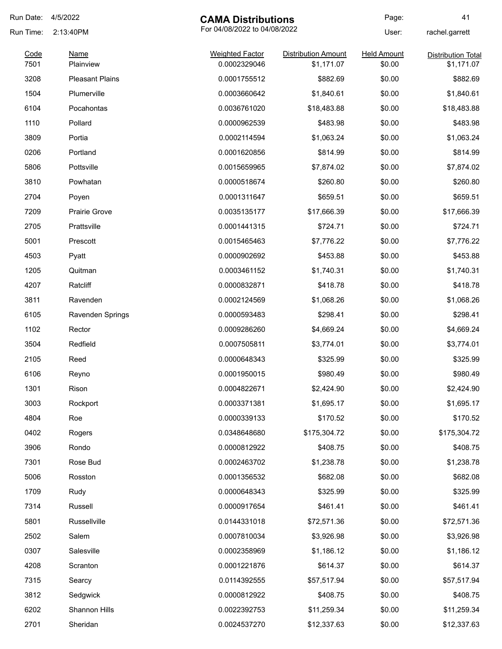| Run Date:    | 4/5/2022               | <b>CAMA Distributions</b>              |                                          | Page:                        | 41                                      |
|--------------|------------------------|----------------------------------------|------------------------------------------|------------------------------|-----------------------------------------|
| Run Time:    | 2:13:40PM              | For 04/08/2022 to 04/08/2022           |                                          | User:                        | rachel.garrett                          |
| Code<br>7501 | Name<br>Plainview      | <b>Weighted Factor</b><br>0.0002329046 | <b>Distribution Amount</b><br>\$1,171.07 | <b>Held Amount</b><br>\$0.00 | <b>Distribution Total</b><br>\$1,171.07 |
| 3208         | <b>Pleasant Plains</b> | 0.0001755512                           | \$882.69                                 | \$0.00                       | \$882.69                                |
| 1504         | Plumerville            | 0.0003660642                           | \$1,840.61                               | \$0.00                       | \$1,840.61                              |
| 6104         | Pocahontas             | 0.0036761020                           | \$18,483.88                              | \$0.00                       | \$18,483.88                             |
| 1110         | Pollard                | 0.0000962539                           | \$483.98                                 | \$0.00                       | \$483.98                                |
| 3809         | Portia                 | 0.0002114594                           | \$1,063.24                               | \$0.00                       | \$1,063.24                              |
| 0206         | Portland               | 0.0001620856                           | \$814.99                                 | \$0.00                       | \$814.99                                |
| 5806         | Pottsville             | 0.0015659965                           | \$7,874.02                               | \$0.00                       | \$7,874.02                              |
| 3810         | Powhatan               | 0.0000518674                           | \$260.80                                 | \$0.00                       | \$260.80                                |
| 2704         | Poyen                  | 0.0001311647                           | \$659.51                                 | \$0.00                       | \$659.51                                |
| 7209         | <b>Prairie Grove</b>   | 0.0035135177                           | \$17,666.39                              | \$0.00                       | \$17,666.39                             |
| 2705         | Prattsville            | 0.0001441315                           | \$724.71                                 | \$0.00                       | \$724.71                                |
| 5001         | Prescott               | 0.0015465463                           | \$7,776.22                               | \$0.00                       | \$7,776.22                              |
| 4503         | Pyatt                  | 0.0000902692                           | \$453.88                                 | \$0.00                       | \$453.88                                |
| 1205         | Quitman                | 0.0003461152                           | \$1,740.31                               | \$0.00                       | \$1,740.31                              |
| 4207         | Ratcliff               | 0.0000832871                           | \$418.78                                 | \$0.00                       | \$418.78                                |
| 3811         | Ravenden               | 0.0002124569                           | \$1,068.26                               | \$0.00                       | \$1,068.26                              |
| 6105         | Ravenden Springs       | 0.0000593483                           | \$298.41                                 | \$0.00                       | \$298.41                                |
| 1102         | Rector                 | 0.0009286260                           | \$4,669.24                               | \$0.00                       | \$4,669.24                              |
| 3504         | Redfield               | 0.0007505811                           | \$3,774.01                               | \$0.00                       | \$3,774.01                              |
| 2105         | Reed                   | 0.0000648343                           | \$325.99                                 | \$0.00                       | \$325.99                                |
| 6106         | Reyno                  | 0.0001950015                           | \$980.49                                 | \$0.00                       | \$980.49                                |
| 1301         | Rison                  | 0.0004822671                           | \$2,424.90                               | \$0.00                       | \$2,424.90                              |
| 3003         | Rockport               | 0.0003371381                           | \$1,695.17                               | \$0.00                       | \$1,695.17                              |
| 4804         | Roe                    | 0.0000339133                           | \$170.52                                 | \$0.00                       | \$170.52                                |
| 0402         | Rogers                 | 0.0348648680                           | \$175,304.72                             | \$0.00                       | \$175,304.72                            |
| 3906         | Rondo                  | 0.0000812922                           | \$408.75                                 | \$0.00                       | \$408.75                                |
| 7301         | Rose Bud               | 0.0002463702                           | \$1,238.78                               | \$0.00                       | \$1,238.78                              |
| 5006         | Rosston                | 0.0001356532                           | \$682.08                                 | \$0.00                       | \$682.08                                |
| 1709         | Rudy                   | 0.0000648343                           | \$325.99                                 | \$0.00                       | \$325.99                                |
| 7314         | Russell                | 0.0000917654                           | \$461.41                                 | \$0.00                       | \$461.41                                |
| 5801         | Russellville           | 0.0144331018                           | \$72,571.36                              | \$0.00                       | \$72,571.36                             |
| 2502         | Salem                  | 0.0007810034                           | \$3,926.98                               | \$0.00                       | \$3,926.98                              |
| 0307         | Salesville             | 0.0002358969                           | \$1,186.12                               | \$0.00                       | \$1,186.12                              |
| 4208         | Scranton               | 0.0001221876                           | \$614.37                                 | \$0.00                       | \$614.37                                |
| 7315         | Searcy                 | 0.0114392555                           | \$57,517.94                              | \$0.00                       | \$57,517.94                             |
| 3812         | Sedgwick               | 0.0000812922                           | \$408.75                                 | \$0.00                       | \$408.75                                |
| 6202         | Shannon Hills          | 0.0022392753                           | \$11,259.34                              | \$0.00                       | \$11,259.34                             |
| 2701         | Sheridan               | 0.0024537270                           | \$12,337.63                              | \$0.00                       | \$12,337.63                             |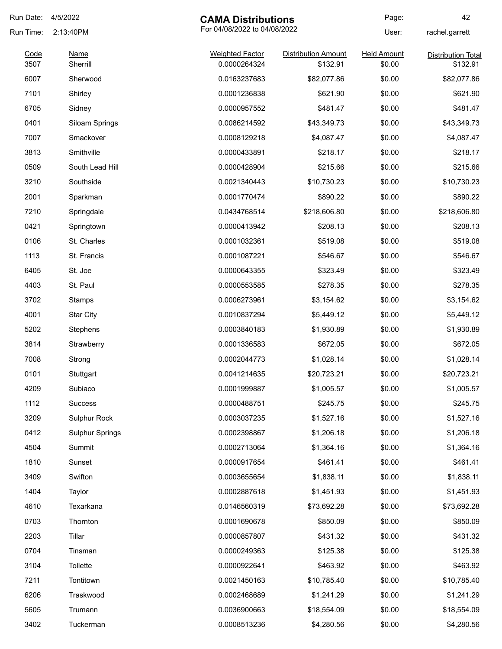| Run Date:    | 4/5/2022                | <b>CAMA Distributions</b>              |                                        | Page:                        | 42                                    |
|--------------|-------------------------|----------------------------------------|----------------------------------------|------------------------------|---------------------------------------|
| Run Time:    | 2:13:40PM               | For 04/08/2022 to 04/08/2022           |                                        | User:                        | rachel.garrett                        |
| Code<br>3507 | <u>Name</u><br>Sherrill | <b>Weighted Factor</b><br>0.0000264324 | <b>Distribution Amount</b><br>\$132.91 | <b>Held Amount</b><br>\$0.00 | <b>Distribution Total</b><br>\$132.91 |
| 6007         | Sherwood                | 0.0163237683                           | \$82,077.86                            | \$0.00                       | \$82,077.86                           |
| 7101         | Shirley                 | 0.0001236838                           | \$621.90                               | \$0.00                       | \$621.90                              |
| 6705         | Sidney                  | 0.0000957552                           | \$481.47                               | \$0.00                       | \$481.47                              |
| 0401         | Siloam Springs          | 0.0086214592                           | \$43,349.73                            | \$0.00                       | \$43,349.73                           |
| 7007         | Smackover               | 0.0008129218                           | \$4,087.47                             | \$0.00                       | \$4,087.47                            |
| 3813         | Smithville              | 0.0000433891                           | \$218.17                               | \$0.00                       | \$218.17                              |
| 0509         | South Lead Hill         | 0.0000428904                           | \$215.66                               | \$0.00                       | \$215.66                              |
| 3210         | Southside               | 0.0021340443                           | \$10,730.23                            | \$0.00                       | \$10,730.23                           |
| 2001         | Sparkman                | 0.0001770474                           | \$890.22                               | \$0.00                       | \$890.22                              |
| 7210         | Springdale              | 0.0434768514                           | \$218,606.80                           | \$0.00                       | \$218,606.80                          |
| 0421         | Springtown              | 0.0000413942                           | \$208.13                               | \$0.00                       | \$208.13                              |
| 0106         | St. Charles             | 0.0001032361                           | \$519.08                               | \$0.00                       | \$519.08                              |
| 1113         | St. Francis             | 0.0001087221                           | \$546.67                               | \$0.00                       | \$546.67                              |
| 6405         | St. Joe                 | 0.0000643355                           | \$323.49                               | \$0.00                       | \$323.49                              |
| 4403         | St. Paul                | 0.0000553585                           | \$278.35                               | \$0.00                       | \$278.35                              |
| 3702         | Stamps                  | 0.0006273961                           | \$3,154.62                             | \$0.00                       | \$3,154.62                            |
| 4001         | <b>Star City</b>        | 0.0010837294                           | \$5,449.12                             | \$0.00                       | \$5,449.12                            |
| 5202         | Stephens                | 0.0003840183                           | \$1,930.89                             | \$0.00                       | \$1,930.89                            |
| 3814         | Strawberry              | 0.0001336583                           | \$672.05                               | \$0.00                       | \$672.05                              |
| 7008         | Strong                  | 0.0002044773                           | \$1,028.14                             | \$0.00                       | \$1,028.14                            |
| 0101         | Stuttgart               | 0.0041214635                           | \$20,723.21                            | \$0.00                       | \$20,723.21                           |
| 4209         | Subiaco                 | 0.0001999887                           | \$1,005.57                             | \$0.00                       | \$1,005.57                            |
| 1112         | <b>Success</b>          | 0.0000488751                           | \$245.75                               | \$0.00                       | \$245.75                              |
| 3209         | Sulphur Rock            | 0.0003037235                           | \$1,527.16                             | \$0.00                       | \$1,527.16                            |
| 0412         | <b>Sulphur Springs</b>  | 0.0002398867                           | \$1,206.18                             | \$0.00                       | \$1,206.18                            |
| 4504         | Summit                  | 0.0002713064                           | \$1,364.16                             | \$0.00                       | \$1,364.16                            |
| 1810         | Sunset                  | 0.0000917654                           | \$461.41                               | \$0.00                       | \$461.41                              |
| 3409         | Swifton                 | 0.0003655654                           | \$1,838.11                             | \$0.00                       | \$1,838.11                            |
| 1404         | Taylor                  | 0.0002887618                           | \$1,451.93                             | \$0.00                       | \$1,451.93                            |
| 4610         | Texarkana               | 0.0146560319                           | \$73,692.28                            | \$0.00                       | \$73,692.28                           |
| 0703         | Thornton                | 0.0001690678                           | \$850.09                               | \$0.00                       | \$850.09                              |
| 2203         | Tillar                  | 0.0000857807                           | \$431.32                               | \$0.00                       | \$431.32                              |
| 0704         | Tinsman                 | 0.0000249363                           | \$125.38                               | \$0.00                       | \$125.38                              |
| 3104         | Tollette                | 0.0000922641                           | \$463.92                               | \$0.00                       | \$463.92                              |
| 7211         | Tontitown               | 0.0021450163                           | \$10,785.40                            | \$0.00                       | \$10,785.40                           |
| 6206         | Traskwood               | 0.0002468689                           | \$1,241.29                             | \$0.00                       | \$1,241.29                            |
| 5605         | Trumann                 | 0.0036900663                           | \$18,554.09                            | \$0.00                       | \$18,554.09                           |
| 3402         | Tuckerman               | 0.0008513236                           | \$4,280.56                             | \$0.00                       | \$4,280.56                            |
|              |                         |                                        |                                        |                              |                                       |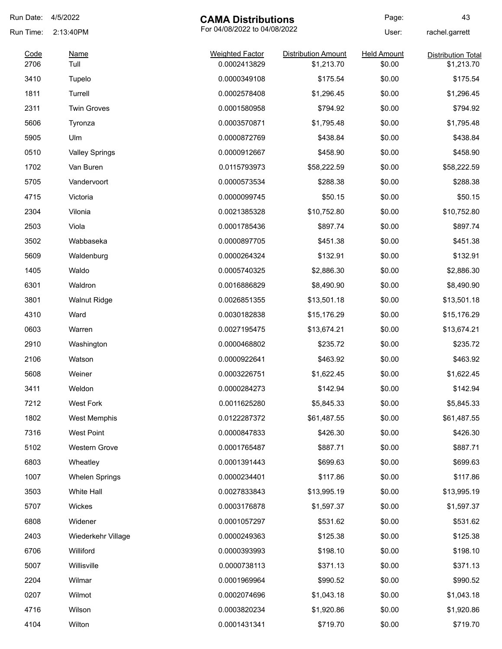| Run Date:    | 4/5/2022              | <b>CAMA Distributions</b>              |                                          | Page:                        | 43                                      |
|--------------|-----------------------|----------------------------------------|------------------------------------------|------------------------------|-----------------------------------------|
| Run Time:    | 2:13:40PM             | For 04/08/2022 to 04/08/2022<br>User:  |                                          | rachel.garrett               |                                         |
| Code<br>2706 | Name<br>Tull          | <b>Weighted Factor</b><br>0.0002413829 | <b>Distribution Amount</b><br>\$1,213.70 | <b>Held Amount</b><br>\$0.00 | <b>Distribution Total</b><br>\$1,213.70 |
| 3410         | Tupelo                | 0.0000349108                           | \$175.54                                 | \$0.00                       | \$175.54                                |
| 1811         | Turrell               | 0.0002578408                           | \$1,296.45                               | \$0.00                       | \$1,296.45                              |
| 2311         | <b>Twin Groves</b>    | 0.0001580958                           | \$794.92                                 | \$0.00                       | \$794.92                                |
| 5606         | Tyronza               | 0.0003570871                           | \$1,795.48                               | \$0.00                       | \$1,795.48                              |
| 5905         | Ulm                   | 0.0000872769                           | \$438.84                                 | \$0.00                       | \$438.84                                |
| 0510         | <b>Valley Springs</b> | 0.0000912667                           | \$458.90                                 | \$0.00                       | \$458.90                                |
| 1702         | Van Buren             | 0.0115793973                           | \$58,222.59                              | \$0.00                       | \$58,222.59                             |
| 5705         | Vandervoort           | 0.0000573534                           | \$288.38                                 | \$0.00                       | \$288.38                                |
| 4715         | Victoria              | 0.0000099745                           | \$50.15                                  | \$0.00                       | \$50.15                                 |
| 2304         | Vilonia               | 0.0021385328                           | \$10,752.80                              | \$0.00                       | \$10,752.80                             |
| 2503         | Viola                 | 0.0001785436                           | \$897.74                                 | \$0.00                       | \$897.74                                |
| 3502         | Wabbaseka             | 0.0000897705                           | \$451.38                                 | \$0.00                       | \$451.38                                |
| 5609         | Waldenburg            | 0.0000264324                           | \$132.91                                 | \$0.00                       | \$132.91                                |
| 1405         | Waldo                 | 0.0005740325                           | \$2,886.30                               | \$0.00                       | \$2,886.30                              |
| 6301         | Waldron               | 0.0016886829                           | \$8,490.90                               | \$0.00                       | \$8,490.90                              |
| 3801         | <b>Walnut Ridge</b>   | 0.0026851355                           | \$13,501.18                              | \$0.00                       | \$13,501.18                             |
| 4310         | Ward                  | 0.0030182838                           | \$15,176.29                              | \$0.00                       | \$15,176.29                             |
| 0603         | Warren                | 0.0027195475                           | \$13,674.21                              | \$0.00                       | \$13,674.21                             |
| 2910         | Washington            | 0.0000468802                           | \$235.72                                 | \$0.00                       | \$235.72                                |
| 2106         | Watson                | 0.0000922641                           | \$463.92                                 | \$0.00                       | \$463.92                                |
| 5608         | Weiner                | 0.0003226751                           | \$1,622.45                               | \$0.00                       | \$1,622.45                              |
| 3411         | Weldon                | 0.0000284273                           | \$142.94                                 | \$0.00                       | \$142.94                                |
| 7212         | <b>West Fork</b>      | 0.0011625280                           | \$5,845.33                               | \$0.00                       | \$5,845.33                              |
| 1802         | West Memphis          | 0.0122287372                           | \$61,487.55                              | \$0.00                       | \$61,487.55                             |
| 7316         | <b>West Point</b>     | 0.0000847833                           | \$426.30                                 | \$0.00                       | \$426.30                                |
| 5102         | Western Grove         | 0.0001765487                           | \$887.71                                 | \$0.00                       | \$887.71                                |
| 6803         | Wheatley              | 0.0001391443                           | \$699.63                                 | \$0.00                       | \$699.63                                |
| 1007         | <b>Whelen Springs</b> | 0.0000234401                           | \$117.86                                 | \$0.00                       | \$117.86                                |
| 3503         | White Hall            | 0.0027833843                           | \$13,995.19                              | \$0.00                       | \$13,995.19                             |
| 5707         | Wickes                | 0.0003176878                           | \$1,597.37                               | \$0.00                       | \$1,597.37                              |
| 6808         | Widener               | 0.0001057297                           | \$531.62                                 | \$0.00                       | \$531.62                                |
| 2403         | Wiederkehr Village    | 0.0000249363                           | \$125.38                                 | \$0.00                       | \$125.38                                |
| 6706         | Williford             | 0.0000393993                           | \$198.10                                 | \$0.00                       | \$198.10                                |
| 5007         | Willisville           | 0.0000738113                           | \$371.13                                 | \$0.00                       | \$371.13                                |
| 2204         | Wilmar                | 0.0001969964                           | \$990.52                                 | \$0.00                       | \$990.52                                |
| 0207         | Wilmot                | 0.0002074696                           | \$1,043.18                               | \$0.00                       | \$1,043.18                              |
| 4716         | Wilson                | 0.0003820234                           | \$1,920.86                               | \$0.00                       | \$1,920.86                              |
| 4104         | Wilton                | 0.0001431341                           | \$719.70                                 | \$0.00                       | \$719.70                                |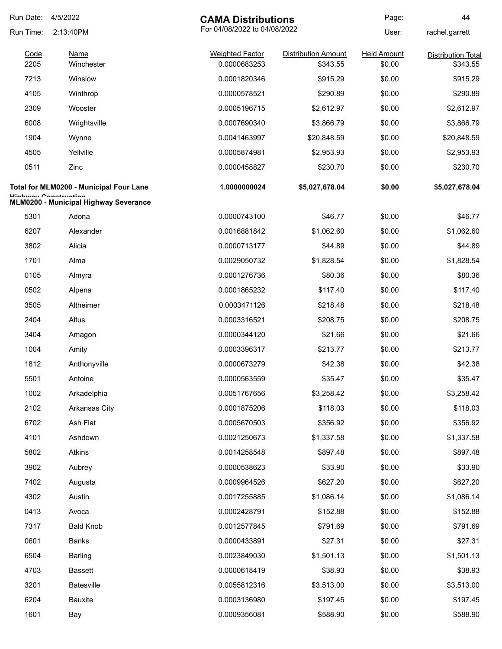| Run Date: | 4/5/2022                                                          | <b>CAMA Distributions</b>    |                            | Page:              | 44                        |
|-----------|-------------------------------------------------------------------|------------------------------|----------------------------|--------------------|---------------------------|
| Run Time: | 2:13:40PM                                                         | For 04/08/2022 to 04/08/2022 |                            | User:              | rachel.garrett            |
| Code      | <b>Name</b>                                                       | <b>Weighted Factor</b>       | <b>Distribution Amount</b> | <b>Held Amount</b> | <b>Distribution Total</b> |
| 2205      | Winchester                                                        | 0.0000683253                 | \$343.55                   | \$0.00             | \$343.55                  |
| 7213      | Winslow                                                           | 0.0001820346                 | \$915.29                   | \$0.00             | \$915.29                  |
| 4105      | Winthrop                                                          | 0.0000578521                 | \$290.89                   | \$0.00             | \$290.89                  |
| 2309      | Wooster                                                           | 0.0005196715                 | \$2,612.97                 | \$0.00             | \$2,612.97                |
| 6008      | Wrightsville                                                      | 0.0007690340                 | \$3,866.79                 | \$0.00             | \$3,866.79                |
| 1904      | Wynne                                                             | 0.0041463997                 | \$20,848.59                | \$0.00             | \$20,848.59               |
| 4505      | Yellville                                                         | 0.0005874981                 | \$2,953.93                 | \$0.00             | \$2,953.93                |
| 0511      | Zinc                                                              | 0.0000458827                 | \$230.70                   | \$0.00             | \$230.70                  |
|           | Total for MLM0200 - Municipal Four Lane<br>Lliaburau Conotruction | 1.0000000024                 | \$5,027,678.04             | \$0.00             | \$5,027,678.04            |
|           | MLM0200 - Municipal Highway Severance                             |                              |                            |                    |                           |
| 5301      | Adona                                                             | 0.0000743100                 | \$46.77                    | \$0.00             | \$46.77                   |
| 6207      | Alexander                                                         | 0.0016881842                 | \$1,062.60                 | \$0.00             | \$1,062.60                |
| 3802      | Alicia                                                            | 0.0000713177                 | \$44.89                    | \$0.00             | \$44.89                   |
| 1701      | Alma                                                              | 0.0029050732                 | \$1,828.54                 | \$0.00             | \$1,828.54                |
| 0105      | Almyra                                                            | 0.0001276736                 | \$80.36                    | \$0.00             | \$80.36                   |
| 0502      | Alpena                                                            | 0.0001865232                 | \$117.40                   | \$0.00             | \$117.40                  |
| 3505      | Altheimer                                                         | 0.0003471126                 | \$218.48                   | \$0.00             | \$218.48                  |
| 2404      | Altus                                                             | 0.0003316521                 | \$208.75                   | \$0.00             | \$208.75                  |
| 3404      | Amagon                                                            | 0.0000344120                 | \$21.66                    | \$0.00             | \$21.66                   |
| 1004      | Amity                                                             | 0.0003396317                 | \$213.77                   | \$0.00             | \$213.77                  |
| 1812      | Anthonyville                                                      | 0.0000673279                 | \$42.38                    | \$0.00             | \$42.38                   |
| 5501      | Antoine                                                           | 0.0000563559                 | \$35.47                    | \$0.00             | \$35.47                   |
| 1002      | Arkadelphia                                                       | 0.0051767656                 | \$3,258.42                 | \$0.00             | \$3,258.42                |
| 2102      | Arkansas City                                                     | 0.0001875206                 | \$118.03                   | \$0.00             | \$118.03                  |
| 6702      | Ash Flat                                                          | 0.0005670503                 | \$356.92                   | \$0.00             | \$356.92                  |
| 4101      | Ashdown                                                           | 0.0021250673                 | \$1,337.58                 | \$0.00             | \$1,337.58                |
| 5802      | Atkins                                                            | 0.0014258548                 | \$897.48                   | \$0.00             | \$897.48                  |
| 3902      | Aubrey                                                            | 0.0000538623                 | \$33.90                    | \$0.00             | \$33.90                   |
| 7402      | Augusta                                                           | 0.0009964526                 | \$627.20                   | \$0.00             | \$627.20                  |
| 4302      | Austin                                                            | 0.0017255885                 | \$1,086.14                 | \$0.00             | \$1,086.14                |
| 0413      | Avoca                                                             | 0.0002428791                 | \$152.88                   | \$0.00             | \$152.88                  |
| 7317      | <b>Bald Knob</b>                                                  | 0.0012577845                 | \$791.69                   | \$0.00             | \$791.69                  |
| 0601      | <b>Banks</b>                                                      | 0.0000433891                 | \$27.31                    | \$0.00             | \$27.31                   |
| 6504      | <b>Barling</b>                                                    | 0.0023849030                 | \$1,501.13                 | \$0.00             | \$1,501.13                |
| 4703      | <b>Bassett</b>                                                    | 0.0000618419                 | \$38.93                    | \$0.00             | \$38.93                   |
| 3201      | Batesville                                                        | 0.0055812316                 | \$3,513.00                 | \$0.00             | \$3,513.00                |
| 6204      | <b>Bauxite</b>                                                    | 0.0003136980                 | \$197.45                   | \$0.00             | \$197.45                  |
| 1601      | Bay                                                               | 0.0009356081                 | \$588.90                   | \$0.00             | \$588.90                  |
|           |                                                                   |                              |                            |                    |                           |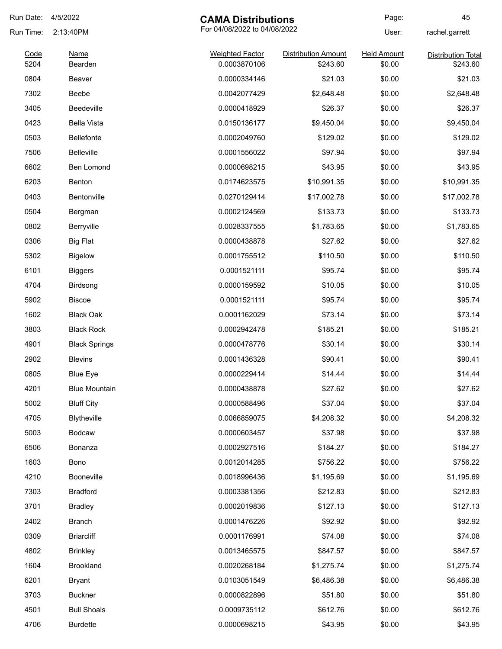| Run Date:    | 4/5/2022             | <b>CAMA Distributions</b>              |                                        | Page:                        | 45                                    |
|--------------|----------------------|----------------------------------------|----------------------------------------|------------------------------|---------------------------------------|
| Run Time:    | 2:13:40PM            | For 04/08/2022 to 04/08/2022           |                                        | User:                        | rachel.garrett                        |
| Code<br>5204 | Name<br>Bearden      | <b>Weighted Factor</b><br>0.0003870106 | <b>Distribution Amount</b><br>\$243.60 | <b>Held Amount</b><br>\$0.00 | <b>Distribution Total</b><br>\$243.60 |
| 0804         | Beaver               | 0.0000334146                           | \$21.03                                | \$0.00                       | \$21.03                               |
| 7302         | Beebe                | 0.0042077429                           | \$2,648.48                             | \$0.00                       | \$2,648.48                            |
| 3405         | Beedeville           | 0.0000418929                           | \$26.37                                | \$0.00                       | \$26.37                               |
| 0423         | <b>Bella Vista</b>   | 0.0150136177                           | \$9,450.04                             | \$0.00                       | \$9,450.04                            |
| 0503         | Bellefonte           | 0.0002049760                           | \$129.02                               | \$0.00                       | \$129.02                              |
| 7506         | <b>Belleville</b>    | 0.0001556022                           | \$97.94                                | \$0.00                       | \$97.94                               |
| 6602         | Ben Lomond           | 0.0000698215                           | \$43.95                                | \$0.00                       | \$43.95                               |
| 6203         | Benton               | 0.0174623575                           | \$10,991.35                            | \$0.00                       | \$10,991.35                           |
| 0403         | Bentonville          | 0.0270129414                           | \$17,002.78                            | \$0.00                       | \$17,002.78                           |
| 0504         | Bergman              | 0.0002124569                           | \$133.73                               | \$0.00                       | \$133.73                              |
| 0802         | Berryville           | 0.0028337555                           | \$1,783.65                             | \$0.00                       | \$1,783.65                            |
| 0306         | <b>Big Flat</b>      | 0.0000438878                           | \$27.62                                | \$0.00                       | \$27.62                               |
| 5302         | <b>Bigelow</b>       | 0.0001755512                           | \$110.50                               | \$0.00                       | \$110.50                              |
| 6101         | <b>Biggers</b>       | 0.0001521111                           | \$95.74                                | \$0.00                       | \$95.74                               |
| 4704         | Birdsong             | 0.0000159592                           | \$10.05                                | \$0.00                       | \$10.05                               |
| 5902         | Biscoe               | 0.0001521111                           | \$95.74                                | \$0.00                       | \$95.74                               |
| 1602         | <b>Black Oak</b>     | 0.0001162029                           | \$73.14                                | \$0.00                       | \$73.14                               |
| 3803         | <b>Black Rock</b>    | 0.0002942478                           | \$185.21                               | \$0.00                       | \$185.21                              |
| 4901         | <b>Black Springs</b> | 0.0000478776                           | \$30.14                                | \$0.00                       | \$30.14                               |
| 2902         | <b>Blevins</b>       | 0.0001436328                           | \$90.41                                | \$0.00                       | \$90.41                               |
| 0805         | <b>Blue Eye</b>      | 0.0000229414                           | \$14.44                                | \$0.00                       | \$14.44                               |
| 4201         | <b>Blue Mountain</b> | 0.0000438878                           | \$27.62                                | \$0.00                       | \$27.62                               |
| 5002         | <b>Bluff City</b>    | 0.0000588496                           | \$37.04                                | \$0.00                       | \$37.04                               |
| 4705         | Blytheville          | 0.0066859075                           | \$4,208.32                             | \$0.00                       | \$4,208.32                            |
| 5003         | <b>Bodcaw</b>        | 0.0000603457                           | \$37.98                                | \$0.00                       | \$37.98                               |
| 6506         | Bonanza              | 0.0002927516                           | \$184.27                               | \$0.00                       | \$184.27                              |
| 1603         | Bono                 | 0.0012014285                           | \$756.22                               | \$0.00                       | \$756.22                              |
| 4210         | Booneville           | 0.0018996436                           | \$1,195.69                             | \$0.00                       | \$1,195.69                            |
| 7303         | <b>Bradford</b>      | 0.0003381356                           | \$212.83                               | \$0.00                       | \$212.83                              |
| 3701         | <b>Bradley</b>       | 0.0002019836                           | \$127.13                               | \$0.00                       | \$127.13                              |
| 2402         | <b>Branch</b>        | 0.0001476226                           | \$92.92                                | \$0.00                       | \$92.92                               |
| 0309         | <b>Briarcliff</b>    | 0.0001176991                           | \$74.08                                | \$0.00                       | \$74.08                               |
| 4802         | <b>Brinkley</b>      | 0.0013465575                           | \$847.57                               | \$0.00                       | \$847.57                              |
| 1604         | <b>Brookland</b>     | 0.0020268184                           | \$1,275.74                             | \$0.00                       | \$1,275.74                            |
| 6201         | <b>Bryant</b>        | 0.0103051549                           | \$6,486.38                             | \$0.00                       | \$6,486.38                            |
| 3703         | <b>Buckner</b>       | 0.0000822896                           | \$51.80                                | \$0.00                       | \$51.80                               |
| 4501         | <b>Bull Shoals</b>   | 0.0009735112                           | \$612.76                               | \$0.00                       | \$612.76                              |
| 4706         | <b>Burdette</b>      | 0.0000698215                           | \$43.95                                | \$0.00                       | \$43.95                               |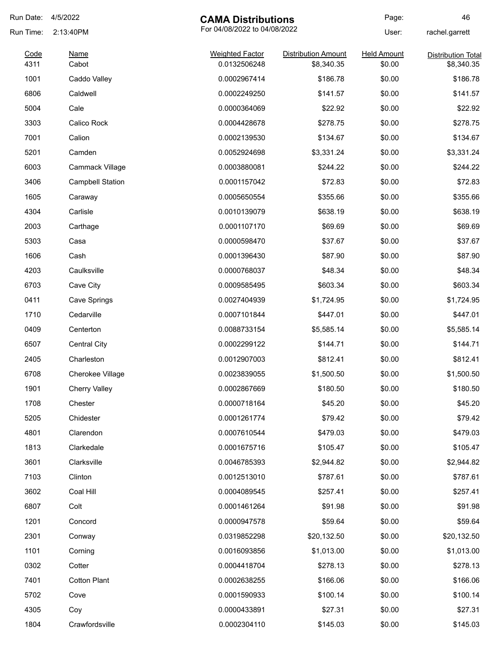| Run Date:    | 4/5/2022                | <b>CAMA Distributions</b>              |                                          | Page:                        | 46                                      |
|--------------|-------------------------|----------------------------------------|------------------------------------------|------------------------------|-----------------------------------------|
| Run Time:    | 2:13:40PM               | For 04/08/2022 to 04/08/2022           |                                          | User:                        | rachel.garrett                          |
| Code<br>4311 | Name<br>Cabot           | <b>Weighted Factor</b><br>0.0132506248 | <b>Distribution Amount</b><br>\$8,340.35 | <b>Held Amount</b><br>\$0.00 | <b>Distribution Total</b><br>\$8,340.35 |
| 1001         | Caddo Valley            | 0.0002967414                           | \$186.78                                 | \$0.00                       | \$186.78                                |
| 6806         | Caldwell                | 0.0002249250                           | \$141.57                                 | \$0.00                       | \$141.57                                |
| 5004         | Cale                    | 0.0000364069                           | \$22.92                                  | \$0.00                       | \$22.92                                 |
| 3303         | Calico Rock             | 0.0004428678                           | \$278.75                                 | \$0.00                       | \$278.75                                |
| 7001         | Calion                  | 0.0002139530                           | \$134.67                                 | \$0.00                       | \$134.67                                |
| 5201         | Camden                  | 0.0052924698                           | \$3,331.24                               | \$0.00                       | \$3,331.24                              |
| 6003         | Cammack Village         | 0.0003880081                           | \$244.22                                 | \$0.00                       | \$244.22                                |
| 3406         | <b>Campbell Station</b> | 0.0001157042                           | \$72.83                                  | \$0.00                       | \$72.83                                 |
| 1605         | Caraway                 | 0.0005650554                           | \$355.66                                 | \$0.00                       | \$355.66                                |
| 4304         | Carlisle                | 0.0010139079                           | \$638.19                                 | \$0.00                       | \$638.19                                |
| 2003         | Carthage                | 0.0001107170                           | \$69.69                                  | \$0.00                       | \$69.69                                 |
| 5303         | Casa                    | 0.0000598470                           | \$37.67                                  | \$0.00                       | \$37.67                                 |
| 1606         | Cash                    | 0.0001396430                           | \$87.90                                  | \$0.00                       | \$87.90                                 |
| 4203         | Caulksville             | 0.0000768037                           | \$48.34                                  | \$0.00                       | \$48.34                                 |
| 6703         | Cave City               | 0.0009585495                           | \$603.34                                 | \$0.00                       | \$603.34                                |
| 0411         | Cave Springs            | 0.0027404939                           | \$1,724.95                               | \$0.00                       | \$1,724.95                              |
| 1710         | Cedarville              | 0.0007101844                           | \$447.01                                 | \$0.00                       | \$447.01                                |
| 0409         | Centerton               | 0.0088733154                           | \$5,585.14                               | \$0.00                       | \$5,585.14                              |
| 6507         | <b>Central City</b>     | 0.0002299122                           | \$144.71                                 | \$0.00                       | \$144.71                                |
| 2405         | Charleston              | 0.0012907003                           | \$812.41                                 | \$0.00                       | \$812.41                                |
| 6708         | <b>Cherokee Village</b> | 0.0023839055                           | \$1,500.50                               | \$0.00                       | \$1,500.50                              |
| 1901         | <b>Cherry Valley</b>    | 0.0002867669                           | \$180.50                                 | \$0.00                       | \$180.50                                |
| 1708         | Chester                 | 0.0000718164                           | \$45.20                                  | \$0.00                       | \$45.20                                 |
| 5205         | Chidester               | 0.0001261774                           | \$79.42                                  | \$0.00                       | \$79.42                                 |
| 4801         | Clarendon               | 0.0007610544                           | \$479.03                                 | \$0.00                       | \$479.03                                |
| 1813         | Clarkedale              | 0.0001675716                           | \$105.47                                 | \$0.00                       | \$105.47                                |
| 3601         | Clarksville             | 0.0046785393                           | \$2,944.82                               | \$0.00                       | \$2,944.82                              |
| 7103         | Clinton                 | 0.0012513010                           | \$787.61                                 | \$0.00                       | \$787.61                                |
| 3602         | Coal Hill               | 0.0004089545                           | \$257.41                                 | \$0.00                       | \$257.41                                |
| 6807         | Colt                    | 0.0001461264                           | \$91.98                                  | \$0.00                       | \$91.98                                 |
| 1201         | Concord                 | 0.0000947578                           | \$59.64                                  | \$0.00                       | \$59.64                                 |
| 2301         | Conway                  | 0.0319852298                           | \$20,132.50                              | \$0.00                       | \$20,132.50                             |
| 1101         | Corning                 | 0.0016093856                           | \$1,013.00                               | \$0.00                       | \$1,013.00                              |
| 0302         | Cotter                  | 0.0004418704                           | \$278.13                                 | \$0.00                       | \$278.13                                |
| 7401         | <b>Cotton Plant</b>     | 0.0002638255                           | \$166.06                                 | \$0.00                       | \$166.06                                |
| 5702         | Cove                    | 0.0001590933                           | \$100.14                                 | \$0.00                       | \$100.14                                |
| 4305         | Coy                     | 0.0000433891                           | \$27.31                                  | \$0.00                       | \$27.31                                 |
| 1804         | Crawfordsville          | 0.0002304110                           | \$145.03                                 | \$0.00                       | \$145.03                                |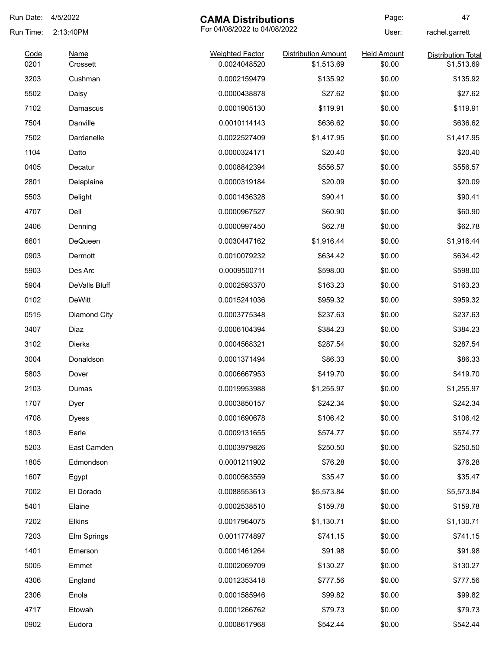| Run Date:    | 4/5/2022                | <b>CAMA Distributions</b>              |                                          | Page:                        | 47                                      |
|--------------|-------------------------|----------------------------------------|------------------------------------------|------------------------------|-----------------------------------------|
| Run Time:    | 2:13:40PM               | For 04/08/2022 to 04/08/2022           |                                          | User:                        | rachel.garrett                          |
| Code<br>0201 | <b>Name</b><br>Crossett | <b>Weighted Factor</b><br>0.0024048520 | <b>Distribution Amount</b><br>\$1,513.69 | <b>Held Amount</b><br>\$0.00 | <b>Distribution Total</b><br>\$1,513.69 |
| 3203         | Cushman                 | 0.0002159479                           | \$135.92                                 | \$0.00                       | \$135.92                                |
| 5502         | Daisy                   | 0.0000438878                           | \$27.62                                  | \$0.00                       | \$27.62                                 |
| 7102         | Damascus                | 0.0001905130                           | \$119.91                                 | \$0.00                       | \$119.91                                |
| 7504         | Danville                | 0.0010114143                           | \$636.62                                 | \$0.00                       | \$636.62                                |
| 7502         | Dardanelle              | 0.0022527409                           | \$1,417.95                               | \$0.00                       | \$1,417.95                              |
| 1104         | Datto                   | 0.0000324171                           | \$20.40                                  | \$0.00                       | \$20.40                                 |
| 0405         | Decatur                 | 0.0008842394                           | \$556.57                                 | \$0.00                       | \$556.57                                |
| 2801         | Delaplaine              | 0.0000319184                           | \$20.09                                  | \$0.00                       | \$20.09                                 |
| 5503         | Delight                 | 0.0001436328                           | \$90.41                                  | \$0.00                       | \$90.41                                 |
| 4707         | Dell                    | 0.0000967527                           | \$60.90                                  | \$0.00                       | \$60.90                                 |
| 2406         | Denning                 | 0.0000997450                           | \$62.78                                  | \$0.00                       | \$62.78                                 |
| 6601         | <b>DeQueen</b>          | 0.0030447162                           | \$1,916.44                               | \$0.00                       | \$1,916.44                              |
| 0903         | Dermott                 | 0.0010079232                           | \$634.42                                 | \$0.00                       | \$634.42                                |
| 5903         | Des Arc                 | 0.0009500711                           | \$598.00                                 | \$0.00                       | \$598.00                                |
| 5904         | DeValls Bluff           | 0.0002593370                           | \$163.23                                 | \$0.00                       | \$163.23                                |
| 0102         | <b>DeWitt</b>           | 0.0015241036                           | \$959.32                                 | \$0.00                       | \$959.32                                |
| 0515         | Diamond City            | 0.0003775348                           | \$237.63                                 | \$0.00                       | \$237.63                                |
| 3407         | Diaz                    | 0.0006104394                           | \$384.23                                 | \$0.00                       | \$384.23                                |
| 3102         | Dierks                  | 0.0004568321                           | \$287.54                                 | \$0.00                       | \$287.54                                |
| 3004         | Donaldson               | 0.0001371494                           | \$86.33                                  | \$0.00                       | \$86.33                                 |
| 5803         | Dover                   | 0.0006667953                           | \$419.70                                 | \$0.00                       | \$419.70                                |
| 2103         | Dumas                   | 0.0019953988                           | \$1,255.97                               | \$0.00                       | \$1,255.97                              |
| 1707         | Dyer                    | 0.0003850157                           | \$242.34                                 | \$0.00                       | \$242.34                                |
| 4708         | <b>Dyess</b>            | 0.0001690678                           | \$106.42                                 | \$0.00                       | \$106.42                                |
| 1803         | Earle                   | 0.0009131655                           | \$574.77                                 | \$0.00                       | \$574.77                                |
| 5203         | East Camden             | 0.0003979826                           | \$250.50                                 | \$0.00                       | \$250.50                                |
| 1805         | Edmondson               | 0.0001211902                           | \$76.28                                  | \$0.00                       | \$76.28                                 |
| 1607         | Egypt                   | 0.0000563559                           | \$35.47                                  | \$0.00                       | \$35.47                                 |
| 7002         | El Dorado               | 0.0088553613                           | \$5,573.84                               | \$0.00                       | \$5,573.84                              |
| 5401         | Elaine                  | 0.0002538510                           | \$159.78                                 | \$0.00                       | \$159.78                                |
| 7202         | Elkins                  | 0.0017964075                           | \$1,130.71                               | \$0.00                       | \$1,130.71                              |
| 7203         | Elm Springs             | 0.0011774897                           | \$741.15                                 | \$0.00                       | \$741.15                                |
| 1401         | Emerson                 | 0.0001461264                           | \$91.98                                  | \$0.00                       | \$91.98                                 |
| 5005         | Emmet                   | 0.0002069709                           | \$130.27                                 | \$0.00                       | \$130.27                                |
| 4306         | England                 | 0.0012353418                           | \$777.56                                 | \$0.00                       | \$777.56                                |
| 2306         | Enola                   | 0.0001585946                           | \$99.82                                  | \$0.00                       | \$99.82                                 |
| 4717         | Etowah                  | 0.0001266762                           | \$79.73                                  | \$0.00                       | \$79.73                                 |
| 0902         | Eudora                  | 0.0008617968                           | \$542.44                                 | \$0.00                       | \$542.44                                |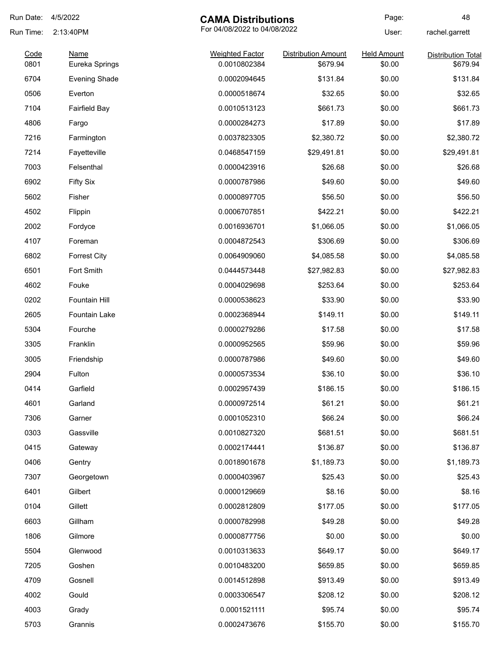| Run Date: | 4/5/2022<br><b>CAMA Distributions</b> |                              | Page:                      | 48                 |                           |
|-----------|---------------------------------------|------------------------------|----------------------------|--------------------|---------------------------|
| Run Time: | 2:13:40PM                             | For 04/08/2022 to 04/08/2022 |                            | User:              | rachel.garrett            |
| Code      | <b>Name</b>                           | <b>Weighted Factor</b>       | <b>Distribution Amount</b> | <b>Held Amount</b> | <b>Distribution Total</b> |
| 0801      | Eureka Springs                        | 0.0010802384                 | \$679.94                   | \$0.00             | \$679.94                  |
| 6704      | <b>Evening Shade</b>                  | 0.0002094645                 | \$131.84                   | \$0.00             | \$131.84                  |
| 0506      | Everton                               | 0.0000518674                 | \$32.65                    | \$0.00             | \$32.65                   |
| 7104      | <b>Fairfield Bay</b>                  | 0.0010513123                 | \$661.73                   | \$0.00             | \$661.73                  |
| 4806      | Fargo                                 | 0.0000284273                 | \$17.89                    | \$0.00             | \$17.89                   |
| 7216      | Farmington                            | 0.0037823305                 | \$2,380.72                 | \$0.00             | \$2,380.72                |
| 7214      | Fayetteville                          | 0.0468547159                 | \$29,491.81                | \$0.00             | \$29,491.81               |
| 7003      | Felsenthal                            | 0.0000423916                 | \$26.68                    | \$0.00             | \$26.68                   |
| 6902      | <b>Fifty Six</b>                      | 0.0000787986                 | \$49.60                    | \$0.00             | \$49.60                   |
| 5602      | Fisher                                | 0.0000897705                 | \$56.50                    | \$0.00             | \$56.50                   |
| 4502      | Flippin                               | 0.0006707851                 | \$422.21                   | \$0.00             | \$422.21                  |
| 2002      | Fordyce                               | 0.0016936701                 | \$1,066.05                 | \$0.00             | \$1,066.05                |
| 4107      | Foreman                               | 0.0004872543                 | \$306.69                   | \$0.00             | \$306.69                  |
| 6802      | <b>Forrest City</b>                   | 0.0064909060                 | \$4,085.58                 | \$0.00             | \$4,085.58                |
| 6501      | Fort Smith                            | 0.0444573448                 | \$27,982.83                | \$0.00             | \$27,982.83               |
| 4602      | Fouke                                 | 0.0004029698                 | \$253.64                   | \$0.00             | \$253.64                  |
| 0202      | Fountain Hill                         | 0.0000538623                 | \$33.90                    | \$0.00             | \$33.90                   |
| 2605      | Fountain Lake                         | 0.0002368944                 | \$149.11                   | \$0.00             | \$149.11                  |
| 5304      | Fourche                               | 0.0000279286                 | \$17.58                    | \$0.00             | \$17.58                   |
| 3305      | Franklin                              | 0.0000952565                 | \$59.96                    | \$0.00             | \$59.96                   |
| 3005      | Friendship                            | 0.0000787986                 | \$49.60                    | \$0.00             | \$49.60                   |
| 2904      | Fulton                                | 0.0000573534                 | \$36.10                    | \$0.00             | \$36.10                   |
| 0414      | Garfield                              | 0.0002957439                 | \$186.15                   | \$0.00             | \$186.15                  |
| 4601      | Garland                               | 0.0000972514                 | \$61.21                    | \$0.00             | \$61.21                   |
| 7306      | Garner                                | 0.0001052310                 | \$66.24                    | \$0.00             | \$66.24                   |
| 0303      | Gassville                             | 0.0010827320                 | \$681.51                   | \$0.00             | \$681.51                  |
| 0415      | Gateway                               | 0.0002174441                 | \$136.87                   | \$0.00             | \$136.87                  |
| 0406      | Gentry                                | 0.0018901678                 | \$1,189.73                 | \$0.00             | \$1,189.73                |
| 7307      | Georgetown                            | 0.0000403967                 | \$25.43                    | \$0.00             | \$25.43                   |
| 6401      | Gilbert                               | 0.0000129669                 | \$8.16                     | \$0.00             | \$8.16                    |
| 0104      | Gillett                               | 0.0002812809                 | \$177.05                   | \$0.00             | \$177.05                  |
| 6603      | Gillham                               | 0.0000782998                 | \$49.28                    | \$0.00             | \$49.28                   |
|           |                                       |                              | \$0.00                     |                    | \$0.00                    |
| 1806      | Gilmore                               | 0.0000877756                 |                            | \$0.00             |                           |
| 5504      | Glenwood                              | 0.0010313633                 | \$649.17                   | \$0.00             | \$649.17                  |
| 7205      | Goshen                                | 0.0010483200                 | \$659.85                   | \$0.00             | \$659.85                  |
| 4709      | Gosnell                               | 0.0014512898                 | \$913.49                   | \$0.00             | \$913.49                  |
| 4002      | Gould                                 | 0.0003306547                 | \$208.12                   | \$0.00             | \$208.12                  |
| 4003      | Grady                                 | 0.0001521111                 | \$95.74                    | \$0.00             | \$95.74                   |
| 5703      | Grannis                               | 0.0002473676                 | \$155.70                   | \$0.00             | \$155.70                  |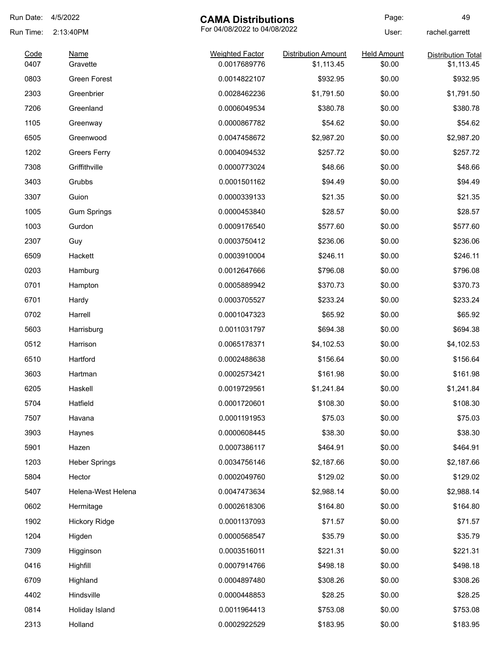| Run Date: | 4/5/2022             | <b>CAMA Distributions</b>    |                            | Page:              | 49                        |
|-----------|----------------------|------------------------------|----------------------------|--------------------|---------------------------|
| Run Time: | 2:13:40PM            | For 04/08/2022 to 04/08/2022 |                            | User:              | rachel.garrett            |
| Code      | <b>Name</b>          | <b>Weighted Factor</b>       | <b>Distribution Amount</b> | <b>Held Amount</b> | <b>Distribution Total</b> |
| 0407      | Gravette             | 0.0017689776                 | \$1,113.45                 | \$0.00             | \$1,113.45                |
| 0803      | Green Forest         | 0.0014822107                 | \$932.95                   | \$0.00             | \$932.95                  |
| 2303      | Greenbrier           | 0.0028462236                 | \$1,791.50                 | \$0.00             | \$1,791.50                |
| 7206      | Greenland            | 0.0006049534                 | \$380.78                   | \$0.00             | \$380.78                  |
| 1105      | Greenway             | 0.0000867782                 | \$54.62                    | \$0.00             | \$54.62                   |
| 6505      | Greenwood            | 0.0047458672                 | \$2,987.20                 | \$0.00             | \$2,987.20                |
| 1202      | <b>Greers Ferry</b>  | 0.0004094532                 | \$257.72                   | \$0.00             | \$257.72                  |
| 7308      | Griffithville        | 0.0000773024                 | \$48.66                    | \$0.00             | \$48.66                   |
| 3403      | Grubbs               | 0.0001501162                 | \$94.49                    | \$0.00             | \$94.49                   |
| 3307      | Guion                | 0.0000339133                 | \$21.35                    | \$0.00             | \$21.35                   |
| 1005      | <b>Gum Springs</b>   | 0.0000453840                 | \$28.57                    | \$0.00             | \$28.57                   |
| 1003      | Gurdon               | 0.0009176540                 | \$577.60                   | \$0.00             | \$577.60                  |
| 2307      | Guy                  | 0.0003750412                 | \$236.06                   | \$0.00             | \$236.06                  |
| 6509      | Hackett              | 0.0003910004                 | \$246.11                   | \$0.00             | \$246.11                  |
| 0203      | Hamburg              | 0.0012647666                 | \$796.08                   | \$0.00             | \$796.08                  |
| 0701      | Hampton              | 0.0005889942                 | \$370.73                   | \$0.00             | \$370.73                  |
| 6701      | Hardy                | 0.0003705527                 | \$233.24                   | \$0.00             | \$233.24                  |
| 0702      | Harrell              | 0.0001047323                 | \$65.92                    | \$0.00             | \$65.92                   |
| 5603      | Harrisburg           | 0.0011031797                 | \$694.38                   | \$0.00             | \$694.38                  |
| 0512      | Harrison             | 0.0065178371                 | \$4,102.53                 | \$0.00             | \$4,102.53                |
| 6510      | Hartford             | 0.0002488638                 | \$156.64                   | \$0.00             | \$156.64                  |
| 3603      | Hartman              | 0.0002573421                 | \$161.98                   | \$0.00             | \$161.98                  |
| 6205      | Haskell              | 0.0019729561                 | \$1,241.84                 | \$0.00             | \$1,241.84                |
| 5704      | Hatfield             | 0.0001720601                 | \$108.30                   | \$0.00             | \$108.30                  |
| 7507      | Havana               | 0.0001191953                 | \$75.03                    | \$0.00             | \$75.03                   |
| 3903      | Haynes               | 0.0000608445                 | \$38.30                    | \$0.00             | \$38.30                   |
| 5901      | Hazen                | 0.0007386117                 | \$464.91                   | \$0.00             | \$464.91                  |
| 1203      | <b>Heber Springs</b> | 0.0034756146                 | \$2,187.66                 | \$0.00             | \$2,187.66                |
| 5804      | Hector               | 0.0002049760                 | \$129.02                   | \$0.00             | \$129.02                  |
| 5407      | Helena-West Helena   | 0.0047473634                 | \$2,988.14                 | \$0.00             | \$2,988.14                |
| 0602      | Hermitage            | 0.0002618306                 | \$164.80                   | \$0.00             | \$164.80                  |
| 1902      | <b>Hickory Ridge</b> | 0.0001137093                 | \$71.57                    | \$0.00             | \$71.57                   |
| 1204      | Higden               | 0.0000568547                 | \$35.79                    | \$0.00             | \$35.79                   |
| 7309      | Higginson            | 0.0003516011                 | \$221.31                   | \$0.00             | \$221.31                  |
| 0416      | Highfill             | 0.0007914766                 | \$498.18                   | \$0.00             | \$498.18                  |
| 6709      | Highland             | 0.0004897480                 | \$308.26                   | \$0.00             | \$308.26                  |
| 4402      | Hindsville           | 0.0000448853                 | \$28.25                    | \$0.00             | \$28.25                   |
| 0814      | Holiday Island       | 0.0011964413                 | \$753.08                   | \$0.00             | \$753.08                  |
| 2313      | Holland              | 0.0002922529                 | \$183.95                   | \$0.00             | \$183.95                  |
|           |                      |                              |                            |                    |                           |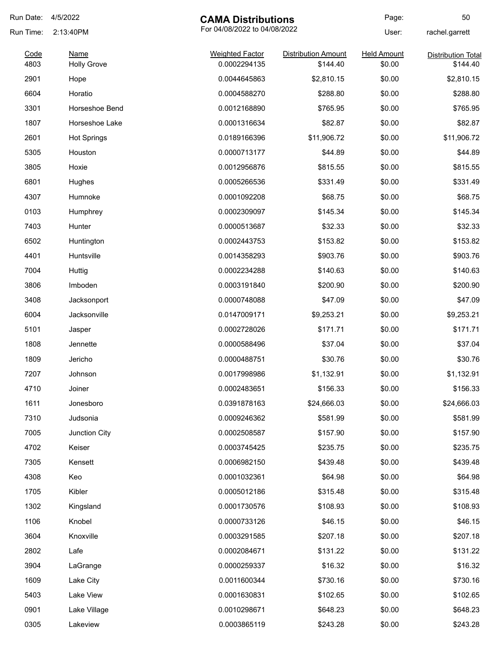| Run Date:    | 4/5/2022           | <b>CAMA Distributions</b>              |                            | Page:                        | 50                        |
|--------------|--------------------|----------------------------------------|----------------------------|------------------------------|---------------------------|
| Run Time:    | 2:13:40PM          | For 04/08/2022 to 04/08/2022           |                            | User:                        | rachel.garrett            |
| Code<br>4803 | <b>Name</b>        | <b>Weighted Factor</b><br>0.0002294135 | <b>Distribution Amount</b> | <b>Held Amount</b><br>\$0.00 | <b>Distribution Total</b> |
| 2901         | <b>Holly Grove</b> | 0.0044645863                           | \$144.40<br>\$2,810.15     | \$0.00                       | \$144.40<br>\$2,810.15    |
| 6604         | Hope<br>Horatio    | 0.0004588270                           | \$288.80                   | \$0.00                       | \$288.80                  |
|              |                    |                                        |                            |                              |                           |
| 3301         | Horseshoe Bend     | 0.0012168890                           | \$765.95                   | \$0.00                       | \$765.95<br>\$82.87       |
| 1807         | Horseshoe Lake     | 0.0001316634                           | \$82.87                    | \$0.00                       |                           |
| 2601         | <b>Hot Springs</b> | 0.0189166396                           | \$11,906.72                | \$0.00                       | \$11,906.72               |
| 5305         | Houston            | 0.0000713177                           | \$44.89                    | \$0.00                       | \$44.89                   |
| 3805         | Hoxie              | 0.0012956876                           | \$815.55                   | \$0.00                       | \$815.55                  |
| 6801         | Hughes             | 0.0005266536                           | \$331.49                   | \$0.00                       | \$331.49                  |
| 4307         | Humnoke            | 0.0001092208                           | \$68.75                    | \$0.00                       | \$68.75                   |
| 0103         | Humphrey           | 0.0002309097                           | \$145.34                   | \$0.00                       | \$145.34                  |
| 7403         | Hunter             | 0.0000513687                           | \$32.33                    | \$0.00                       | \$32.33                   |
| 6502         | Huntington         | 0.0002443753                           | \$153.82                   | \$0.00                       | \$153.82                  |
| 4401         | Huntsville         | 0.0014358293                           | \$903.76                   | \$0.00                       | \$903.76                  |
| 7004         | Huttig             | 0.0002234288                           | \$140.63                   | \$0.00                       | \$140.63                  |
| 3806         | Imboden            | 0.0003191840                           | \$200.90                   | \$0.00                       | \$200.90                  |
| 3408         | Jacksonport        | 0.0000748088                           | \$47.09                    | \$0.00                       | \$47.09                   |
| 6004         | Jacksonville       | 0.0147009171                           | \$9,253.21                 | \$0.00                       | \$9,253.21                |
| 5101         | Jasper             | 0.0002728026                           | \$171.71                   | \$0.00                       | \$171.71                  |
| 1808         | Jennette           | 0.0000588496                           | \$37.04                    | \$0.00                       | \$37.04                   |
| 1809         | Jericho            | 0.0000488751                           | \$30.76                    | \$0.00                       | \$30.76                   |
| 7207         | Johnson            | 0.0017998986                           | \$1,132.91                 | \$0.00                       | \$1,132.91                |
| 4710         | Joiner             | 0.0002483651                           | \$156.33                   | \$0.00                       | \$156.33                  |
| 1611         | Jonesboro          | 0.0391878163                           | \$24,666.03                | \$0.00                       | \$24,666.03               |
| 7310         | Judsonia           | 0.0009246362                           | \$581.99                   | \$0.00                       | \$581.99                  |
| 7005         | Junction City      | 0.0002508587                           | \$157.90                   | \$0.00                       | \$157.90                  |
| 4702         | Keiser             | 0.0003745425                           | \$235.75                   | \$0.00                       | \$235.75                  |
| 7305         | Kensett            | 0.0006982150                           | \$439.48                   | \$0.00                       | \$439.48                  |
| 4308         | Keo                | 0.0001032361                           | \$64.98                    | \$0.00                       | \$64.98                   |
| 1705         | Kibler             | 0.0005012186                           | \$315.48                   | \$0.00                       | \$315.48                  |
| 1302         | Kingsland          | 0.0001730576                           | \$108.93                   | \$0.00                       | \$108.93                  |
| 1106         | Knobel             | 0.0000733126                           | \$46.15                    | \$0.00                       | \$46.15                   |
| 3604         | Knoxville          | 0.0003291585                           | \$207.18                   | \$0.00                       | \$207.18                  |
| 2802         | Lafe               | 0.0002084671                           | \$131.22                   | \$0.00                       | \$131.22                  |
| 3904         | LaGrange           | 0.0000259337                           | \$16.32                    | \$0.00                       | \$16.32                   |
| 1609         | Lake City          | 0.0011600344                           | \$730.16                   | \$0.00                       | \$730.16                  |
| 5403         | Lake View          | 0.0001630831                           | \$102.65                   | \$0.00                       | \$102.65                  |
| 0901         | Lake Village       | 0.0010298671                           | \$648.23                   | \$0.00                       | \$648.23                  |
| 0305         | Lakeview           | 0.0003865119                           | \$243.28                   | \$0.00                       | \$243.28                  |
|              |                    |                                        |                            |                              |                           |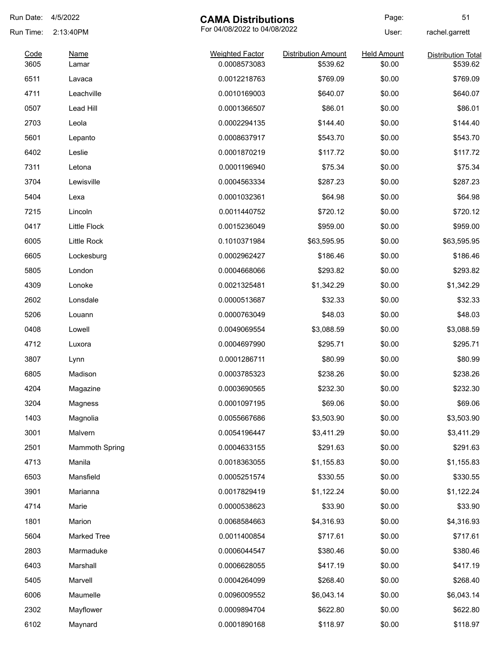| Run Date:    | 4/5/2022              | <b>CAMA Distributions</b>              |                                        | Page:                        | 51                                    |
|--------------|-----------------------|----------------------------------------|----------------------------------------|------------------------------|---------------------------------------|
| Run Time:    | 2:13:40PM             | For 04/08/2022 to 04/08/2022           |                                        | User:                        | rachel.garrett                        |
| Code<br>3605 | <b>Name</b><br>Lamar  | <b>Weighted Factor</b><br>0.0008573083 | <b>Distribution Amount</b><br>\$539.62 | <b>Held Amount</b><br>\$0.00 | <b>Distribution Total</b><br>\$539.62 |
| 6511         | Lavaca                | 0.0012218763                           | \$769.09                               | \$0.00                       | \$769.09                              |
| 4711         | Leachville            | 0.0010169003                           | \$640.07                               | \$0.00                       | \$640.07                              |
| 0507         | Lead Hill             | 0.0001366507                           | \$86.01                                | \$0.00                       | \$86.01                               |
| 2703         | Leola                 | 0.0002294135                           | \$144.40                               | \$0.00                       | \$144.40                              |
| 5601         | Lepanto               | 0.0008637917                           | \$543.70                               | \$0.00                       | \$543.70                              |
| 6402         | Leslie                | 0.0001870219                           | \$117.72                               | \$0.00                       | \$117.72                              |
| 7311         | Letona                | 0.0001196940                           | \$75.34                                | \$0.00                       | \$75.34                               |
| 3704         | Lewisville            | 0.0004563334                           | \$287.23                               | \$0.00                       | \$287.23                              |
| 5404         | Lexa                  | 0.0001032361                           | \$64.98                                | \$0.00                       | \$64.98                               |
| 7215         | Lincoln               | 0.0011440752                           | \$720.12                               | \$0.00                       | \$720.12                              |
| 0417         | <b>Little Flock</b>   | 0.0015236049                           | \$959.00                               | \$0.00                       | \$959.00                              |
| 6005         | Little Rock           | 0.1010371984                           | \$63,595.95                            | \$0.00                       | \$63,595.95                           |
| 6605         | Lockesburg            | 0.0002962427                           | \$186.46                               | \$0.00                       | \$186.46                              |
| 5805         | London                | 0.0004668066                           | \$293.82                               | \$0.00                       | \$293.82                              |
| 4309         | Lonoke                | 0.0021325481                           | \$1,342.29                             | \$0.00                       | \$1,342.29                            |
| 2602         | Lonsdale              | 0.0000513687                           | \$32.33                                | \$0.00                       | \$32.33                               |
| 5206         | Louann                | 0.0000763049                           | \$48.03                                | \$0.00                       | \$48.03                               |
| 0408         | Lowell                | 0.0049069554                           | \$3,088.59                             | \$0.00                       | \$3,088.59                            |
| 4712         | Luxora                | 0.0004697990                           | \$295.71                               | \$0.00                       | \$295.71                              |
| 3807         | Lynn                  | 0.0001286711                           | \$80.99                                | \$0.00                       | \$80.99                               |
| 6805         | Madison               | 0.0003785323                           | \$238.26                               | \$0.00                       | \$238.26                              |
| 4204         | Magazine              | 0.0003690565                           | \$232.30                               | \$0.00                       | \$232.30                              |
| 3204         | Magness               | 0.0001097195                           | \$69.06                                | \$0.00                       | \$69.06                               |
| 1403         | Magnolia              | 0.0055667686                           | \$3,503.90                             | \$0.00                       | \$3,503.90                            |
| 3001         | Malvern               | 0.0054196447                           | \$3,411.29                             | \$0.00                       | \$3,411.29                            |
| 2501         | <b>Mammoth Spring</b> | 0.0004633155                           | \$291.63                               | \$0.00                       | \$291.63                              |
| 4713         | Manila                | 0.0018363055                           | \$1,155.83                             | \$0.00                       | \$1,155.83                            |
| 6503         | Mansfield             | 0.0005251574                           | \$330.55                               | \$0.00                       | \$330.55                              |
| 3901         | Marianna              | 0.0017829419                           | \$1,122.24                             | \$0.00                       | \$1,122.24                            |
| 4714         | Marie                 | 0.0000538623                           | \$33.90                                | \$0.00                       | \$33.90                               |
| 1801         | Marion                | 0.0068584663                           | \$4,316.93                             | \$0.00                       | \$4,316.93                            |
| 5604         | <b>Marked Tree</b>    | 0.0011400854                           | \$717.61                               | \$0.00                       | \$717.61                              |
| 2803         | Marmaduke             | 0.0006044547                           | \$380.46                               | \$0.00                       | \$380.46                              |
| 6403         | Marshall              | 0.0006628055                           | \$417.19                               | \$0.00                       | \$417.19                              |
| 5405         | Marvell               | 0.0004264099                           | \$268.40                               | \$0.00                       | \$268.40                              |
| 6006         | Maumelle              | 0.0096009552                           | \$6,043.14                             | \$0.00                       | \$6,043.14                            |
| 2302         | Mayflower             | 0.0009894704                           | \$622.80                               | \$0.00                       | \$622.80                              |
| 6102         | Maynard               | 0.0001890168                           | \$118.97                               | \$0.00                       | \$118.97                              |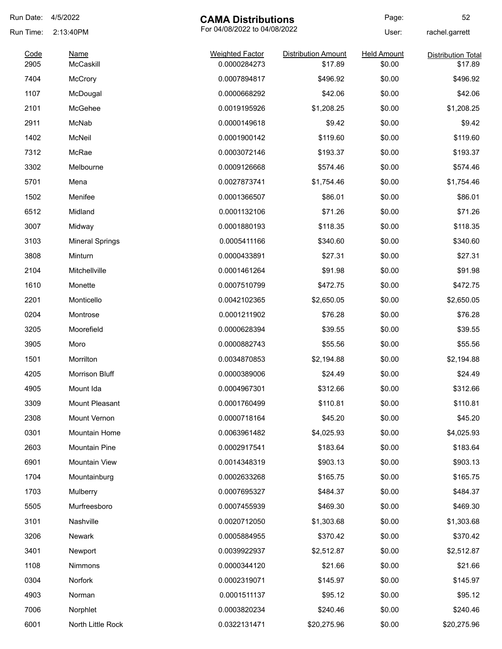| Run Date: | 4/5/2022               | <b>CAMA Distributions</b>    |                            | Page:              | 52                        |
|-----------|------------------------|------------------------------|----------------------------|--------------------|---------------------------|
| Run Time: | 2:13:40PM              | For 04/08/2022 to 04/08/2022 |                            | User:              | rachel.garrett            |
| Code      | <b>Name</b>            | <b>Weighted Factor</b>       | <b>Distribution Amount</b> | <b>Held Amount</b> | <b>Distribution Total</b> |
| 2905      | McCaskill              | 0.0000284273                 | \$17.89                    | \$0.00             | \$17.89                   |
| 7404      | <b>McCrory</b>         | 0.0007894817                 | \$496.92                   | \$0.00             | \$496.92                  |
| 1107      | McDougal               | 0.0000668292                 | \$42.06                    | \$0.00             | \$42.06                   |
| 2101      | McGehee                | 0.0019195926                 | \$1,208.25                 | \$0.00             | \$1,208.25                |
| 2911      | McNab                  | 0.0000149618                 | \$9.42                     | \$0.00             | \$9.42                    |
| 1402      | McNeil                 | 0.0001900142                 | \$119.60                   | \$0.00             | \$119.60                  |
| 7312      | McRae                  | 0.0003072146                 | \$193.37                   | \$0.00             | \$193.37                  |
| 3302      | Melbourne              | 0.0009126668                 | \$574.46                   | \$0.00             | \$574.46                  |
| 5701      | Mena                   | 0.0027873741                 | \$1,754.46                 | \$0.00             | \$1,754.46                |
| 1502      | Menifee                | 0.0001366507                 | \$86.01                    | \$0.00             | \$86.01                   |
| 6512      | Midland                | 0.0001132106                 | \$71.26                    | \$0.00             | \$71.26                   |
| 3007      | Midway                 | 0.0001880193                 | \$118.35                   | \$0.00             | \$118.35                  |
| 3103      | <b>Mineral Springs</b> | 0.0005411166                 | \$340.60                   | \$0.00             | \$340.60                  |
| 3808      | Minturn                | 0.0000433891                 | \$27.31                    | \$0.00             | \$27.31                   |
| 2104      | Mitchellville          | 0.0001461264                 | \$91.98                    | \$0.00             | \$91.98                   |
| 1610      | Monette                | 0.0007510799                 | \$472.75                   | \$0.00             | \$472.75                  |
| 2201      | Monticello             | 0.0042102365                 | \$2,650.05                 | \$0.00             | \$2,650.05                |
| 0204      | Montrose               | 0.0001211902                 | \$76.28                    | \$0.00             | \$76.28                   |
| 3205      | Moorefield             | 0.0000628394                 | \$39.55                    | \$0.00             | \$39.55                   |
| 3905      | Moro                   | 0.0000882743                 | \$55.56                    | \$0.00             | \$55.56                   |
| 1501      | Morrilton              | 0.0034870853                 | \$2,194.88                 | \$0.00             | \$2,194.88                |
| 4205      | <b>Morrison Bluff</b>  | 0.0000389006                 | \$24.49                    | \$0.00             | \$24.49                   |
| 4905      | Mount Ida              | 0.0004967301                 | \$312.66                   | \$0.00             | \$312.66                  |
| 3309      | Mount Pleasant         | 0.0001760499                 | \$110.81                   | \$0.00             | \$110.81                  |
| 2308      | Mount Vernon           | 0.0000718164                 | \$45.20                    | \$0.00             | \$45.20                   |
| 0301      | Mountain Home          | 0.0063961482                 | \$4,025.93                 | \$0.00             | \$4,025.93                |
| 2603      | Mountain Pine          | 0.0002917541                 | \$183.64                   | \$0.00             | \$183.64                  |
| 6901      | Mountain View          | 0.0014348319                 | \$903.13                   | \$0.00             | \$903.13                  |
| 1704      | Mountainburg           | 0.0002633268                 | \$165.75                   | \$0.00             | \$165.75                  |
| 1703      | Mulberry               | 0.0007695327                 | \$484.37                   | \$0.00             | \$484.37                  |
| 5505      | Murfreesboro           | 0.0007455939                 | \$469.30                   | \$0.00             | \$469.30                  |
| 3101      | Nashville              | 0.0020712050                 | \$1,303.68                 | \$0.00             | \$1,303.68                |
| 3206      | Newark                 | 0.0005884955                 | \$370.42                   | \$0.00             | \$370.42                  |
| 3401      | Newport                | 0.0039922937                 | \$2,512.87                 | \$0.00             | \$2,512.87                |
| 1108      | Nimmons                | 0.0000344120                 | \$21.66                    | \$0.00             | \$21.66                   |
| 0304      | Norfork                | 0.0002319071                 | \$145.97                   | \$0.00             | \$145.97                  |
| 4903      | Norman                 | 0.0001511137                 | \$95.12                    | \$0.00             | \$95.12                   |
|           |                        |                              |                            |                    |                           |
| 7006      | Norphlet               | 0.0003820234                 | \$240.46                   | \$0.00             | \$240.46                  |
| 6001      | North Little Rock      | 0.0322131471                 | \$20,275.96                | \$0.00             | \$20,275.96               |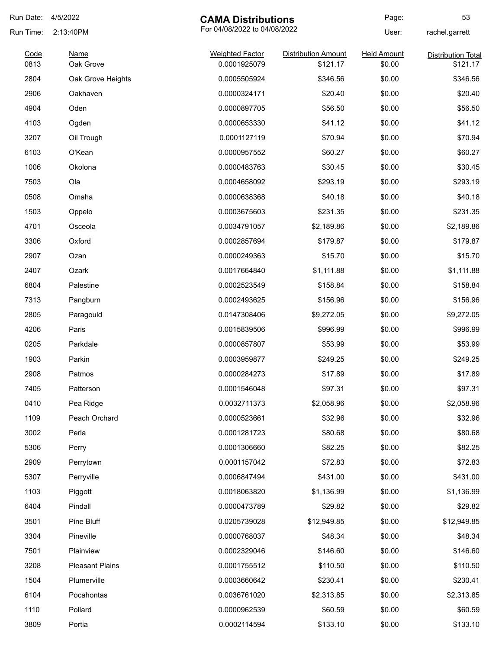| Run Date:    | 4/5/2022                 | <b>CAMA Distributions</b>              |                                        | Page:                        | 53                                    |
|--------------|--------------------------|----------------------------------------|----------------------------------------|------------------------------|---------------------------------------|
| Run Time:    | 2:13:40PM                | For 04/08/2022 to 04/08/2022           |                                        | User:                        | rachel.garrett                        |
| Code<br>0813 | <b>Name</b><br>Oak Grove | <b>Weighted Factor</b><br>0.0001925079 | <b>Distribution Amount</b><br>\$121.17 | <b>Held Amount</b><br>\$0.00 | <b>Distribution Total</b><br>\$121.17 |
| 2804         | Oak Grove Heights        | 0.0005505924                           | \$346.56                               | \$0.00                       | \$346.56                              |
| 2906         | Oakhaven                 | 0.0000324171                           | \$20.40                                | \$0.00                       | \$20.40                               |
| 4904         | Oden                     | 0.0000897705                           | \$56.50                                | \$0.00                       | \$56.50                               |
| 4103         | Ogden                    | 0.0000653330                           | \$41.12                                | \$0.00                       | \$41.12                               |
| 3207         | Oil Trough               | 0.0001127119                           | \$70.94                                | \$0.00                       | \$70.94                               |
| 6103         | O'Kean                   | 0.0000957552                           | \$60.27                                | \$0.00                       | \$60.27                               |
| 1006         | Okolona                  | 0.0000483763                           | \$30.45                                | \$0.00                       | \$30.45                               |
| 7503         | Ola                      | 0.0004658092                           | \$293.19                               | \$0.00                       | \$293.19                              |
| 0508         | Omaha                    | 0.0000638368                           | \$40.18                                | \$0.00                       | \$40.18                               |
| 1503         | Oppelo                   | 0.0003675603                           | \$231.35                               | \$0.00                       | \$231.35                              |
| 4701         | Osceola                  | 0.0034791057                           | \$2,189.86                             | \$0.00                       | \$2,189.86                            |
| 3306         | Oxford                   | 0.0002857694                           | \$179.87                               | \$0.00                       | \$179.87                              |
| 2907         | Ozan                     | 0.0000249363                           | \$15.70                                | \$0.00                       | \$15.70                               |
| 2407         | Ozark                    | 0.0017664840                           | \$1,111.88                             | \$0.00                       | \$1,111.88                            |
| 6804         | Palestine                | 0.0002523549                           | \$158.84                               | \$0.00                       | \$158.84                              |
| 7313         | Pangburn                 | 0.0002493625                           | \$156.96                               | \$0.00                       | \$156.96                              |
| 2805         | Paragould                | 0.0147308406                           | \$9,272.05                             | \$0.00                       | \$9,272.05                            |
| 4206         | Paris                    | 0.0015839506                           | \$996.99                               | \$0.00                       | \$996.99                              |
| 0205         | Parkdale                 | 0.0000857807                           | \$53.99                                | \$0.00                       | \$53.99                               |
| 1903         | Parkin                   | 0.0003959877                           | \$249.25                               | \$0.00                       | \$249.25                              |
| 2908         | Patmos                   | 0.0000284273                           | \$17.89                                | \$0.00                       | \$17.89                               |
| 7405         | Patterson                | 0.0001546048                           | \$97.31                                | \$0.00                       | \$97.31                               |
| 0410         | Pea Ridge                | 0.0032711373                           | \$2,058.96                             | \$0.00                       | \$2,058.96                            |
| 1109         | Peach Orchard            | 0.0000523661                           | \$32.96                                | \$0.00                       | \$32.96                               |
| 3002         | Perla                    | 0.0001281723                           | \$80.68                                | \$0.00                       | \$80.68                               |
| 5306         | Perry                    | 0.0001306660                           | \$82.25                                | \$0.00                       | \$82.25                               |
| 2909         | Perrytown                | 0.0001157042                           | \$72.83                                | \$0.00                       | \$72.83                               |
| 5307         | Perryville               | 0.0006847494                           | \$431.00                               | \$0.00                       | \$431.00                              |
| 1103         | Piggott                  | 0.0018063820                           | \$1,136.99                             | \$0.00                       | \$1,136.99                            |
| 6404         | Pindall                  | 0.0000473789                           | \$29.82                                | \$0.00                       | \$29.82                               |
| 3501         | Pine Bluff               | 0.0205739028                           | \$12,949.85                            | \$0.00                       | \$12,949.85                           |
| 3304         | Pineville                | 0.0000768037                           | \$48.34                                | \$0.00                       | \$48.34                               |
| 7501         | Plainview                | 0.0002329046                           | \$146.60                               | \$0.00                       | \$146.60                              |
| 3208         | <b>Pleasant Plains</b>   | 0.0001755512                           | \$110.50                               | \$0.00                       | \$110.50                              |
| 1504         | Plumerville              | 0.0003660642                           | \$230.41                               | \$0.00                       | \$230.41                              |
| 6104         | Pocahontas               | 0.0036761020                           | \$2,313.85                             | \$0.00                       | \$2,313.85                            |
| 1110         | Pollard                  | 0.0000962539                           | \$60.59                                | \$0.00                       | \$60.59                               |
| 3809         | Portia                   | 0.0002114594                           | \$133.10                               | \$0.00                       | \$133.10                              |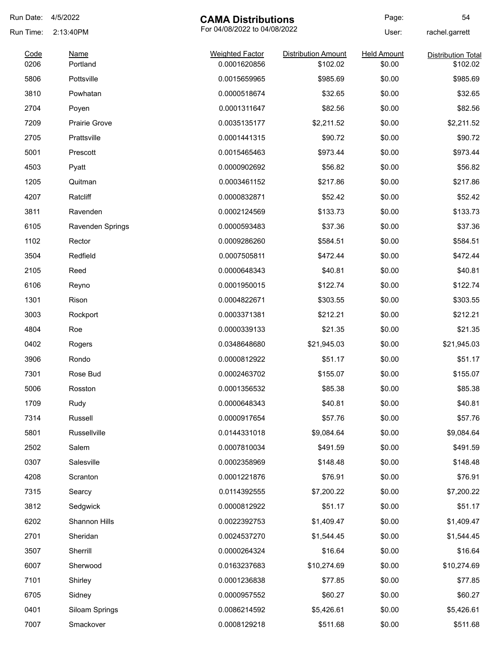| Run Date:    | 4/5/2022                | <b>CAMA Distributions</b>              |                                        | Page:                        | 54                                    |
|--------------|-------------------------|----------------------------------------|----------------------------------------|------------------------------|---------------------------------------|
| Run Time:    | 2:13:40PM               | For 04/08/2022 to 04/08/2022           |                                        | User:                        | rachel.garrett                        |
| Code<br>0206 | <b>Name</b><br>Portland | <b>Weighted Factor</b><br>0.0001620856 | <b>Distribution Amount</b><br>\$102.02 | <b>Held Amount</b><br>\$0.00 | <b>Distribution Total</b><br>\$102.02 |
| 5806         | Pottsville              | 0.0015659965                           | \$985.69                               | \$0.00                       | \$985.69                              |
| 3810         | Powhatan                | 0.0000518674                           | \$32.65                                | \$0.00                       | \$32.65                               |
| 2704         | Poyen                   | 0.0001311647                           | \$82.56                                | \$0.00                       | \$82.56                               |
| 7209         | <b>Prairie Grove</b>    | 0.0035135177                           | \$2,211.52                             | \$0.00                       | \$2,211.52                            |
| 2705         | Prattsville             | 0.0001441315                           | \$90.72                                | \$0.00                       | \$90.72                               |
| 5001         | Prescott                | 0.0015465463                           | \$973.44                               | \$0.00                       | \$973.44                              |
| 4503         | Pyatt                   | 0.0000902692                           | \$56.82                                | \$0.00                       | \$56.82                               |
| 1205         | Quitman                 | 0.0003461152                           | \$217.86                               | \$0.00                       | \$217.86                              |
| 4207         | Ratcliff                | 0.0000832871                           | \$52.42                                | \$0.00                       | \$52.42                               |
| 3811         | Ravenden                | 0.0002124569                           | \$133.73                               | \$0.00                       | \$133.73                              |
| 6105         | Ravenden Springs        | 0.0000593483                           | \$37.36                                | \$0.00                       | \$37.36                               |
| 1102         | Rector                  | 0.0009286260                           | \$584.51                               | \$0.00                       | \$584.51                              |
| 3504         | Redfield                | 0.0007505811                           | \$472.44                               | \$0.00                       | \$472.44                              |
| 2105         | Reed                    | 0.0000648343                           | \$40.81                                | \$0.00                       | \$40.81                               |
| 6106         | Reyno                   | 0.0001950015                           | \$122.74                               | \$0.00                       | \$122.74                              |
| 1301         | Rison                   | 0.0004822671                           | \$303.55                               | \$0.00                       | \$303.55                              |
| 3003         | Rockport                | 0.0003371381                           | \$212.21                               | \$0.00                       | \$212.21                              |
| 4804         | Roe                     | 0.0000339133                           | \$21.35                                | \$0.00                       | \$21.35                               |
| 0402         | Rogers                  | 0.0348648680                           | \$21,945.03                            | \$0.00                       | \$21,945.03                           |
| 3906         | Rondo                   | 0.0000812922                           | \$51.17                                | \$0.00                       | \$51.17                               |
| 7301         | Rose Bud                | 0.0002463702                           | \$155.07                               | \$0.00                       | \$155.07                              |
| 5006         | Rosston                 | 0.0001356532                           | \$85.38                                | \$0.00                       | \$85.38                               |
| 1709         | Rudy                    | 0.0000648343                           | \$40.81                                | \$0.00                       | \$40.81                               |
| 7314         | Russell                 | 0.0000917654                           | \$57.76                                | \$0.00                       | \$57.76                               |
| 5801         | Russellville            | 0.0144331018                           | \$9,084.64                             | \$0.00                       | \$9,084.64                            |
| 2502         | Salem                   | 0.0007810034                           | \$491.59                               | \$0.00                       | \$491.59                              |
| 0307         | Salesville              | 0.0002358969                           | \$148.48                               | \$0.00                       | \$148.48                              |
| 4208         | Scranton                | 0.0001221876                           | \$76.91                                | \$0.00                       | \$76.91                               |
| 7315         | Searcy                  | 0.0114392555                           | \$7,200.22                             | \$0.00                       | \$7,200.22                            |
| 3812         | Sedgwick                | 0.0000812922                           | \$51.17                                | \$0.00                       | \$51.17                               |
| 6202         | Shannon Hills           | 0.0022392753                           | \$1,409.47                             | \$0.00                       | \$1,409.47                            |
| 2701         | Sheridan                | 0.0024537270                           | \$1,544.45                             | \$0.00                       | \$1,544.45                            |
| 3507         | Sherrill                | 0.0000264324                           | \$16.64                                | \$0.00                       | \$16.64                               |
| 6007         | Sherwood                | 0.0163237683                           | \$10,274.69                            | \$0.00                       | \$10,274.69                           |
| 7101         | Shirley                 | 0.0001236838                           | \$77.85                                | \$0.00                       | \$77.85                               |
| 6705         | Sidney                  | 0.0000957552                           | \$60.27                                | \$0.00                       | \$60.27                               |
| 0401         | Siloam Springs          | 0.0086214592                           | \$5,426.61                             | \$0.00                       | \$5,426.61                            |
| 7007         | Smackover               | 0.0008129218                           | \$511.68                               | \$0.00                       | \$511.68                              |
|              |                         |                                        |                                        |                              |                                       |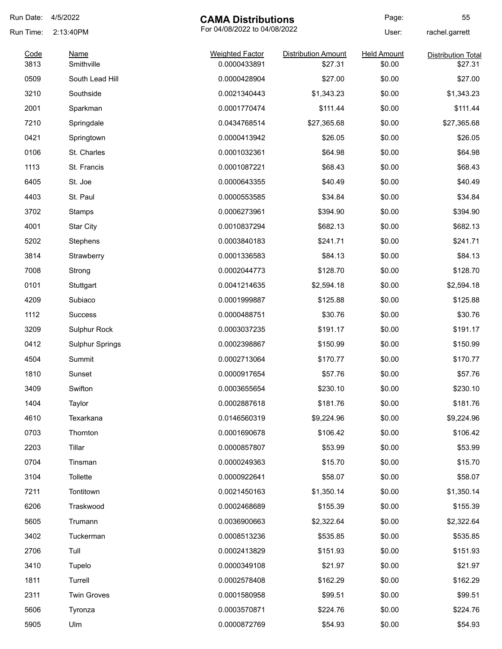| Run Date:    | 4/5/2022                  | <b>CAMA Distributions</b>              |                                       | Page:                        | 55                                   |
|--------------|---------------------------|----------------------------------------|---------------------------------------|------------------------------|--------------------------------------|
| Run Time:    | 2:13:40PM                 | For 04/08/2022 to 04/08/2022           |                                       | User:                        | rachel.garrett                       |
| Code<br>3813 | <b>Name</b><br>Smithville | <b>Weighted Factor</b><br>0.0000433891 | <b>Distribution Amount</b><br>\$27.31 | <b>Held Amount</b><br>\$0.00 | <b>Distribution Total</b><br>\$27.31 |
| 0509         | South Lead Hill           | 0.0000428904                           | \$27.00                               | \$0.00                       | \$27.00                              |
| 3210         | Southside                 | 0.0021340443                           | \$1,343.23                            | \$0.00                       | \$1,343.23                           |
| 2001         | Sparkman                  | 0.0001770474                           | \$111.44                              | \$0.00                       | \$111.44                             |
| 7210         | Springdale                | 0.0434768514                           | \$27,365.68                           | \$0.00                       | \$27,365.68                          |
| 0421         | Springtown                | 0.0000413942                           | \$26.05                               | \$0.00                       | \$26.05                              |
| 0106         | St. Charles               | 0.0001032361                           | \$64.98                               | \$0.00                       | \$64.98                              |
| 1113         | St. Francis               | 0.0001087221                           | \$68.43                               | \$0.00                       | \$68.43                              |
| 6405         | St. Joe                   | 0.0000643355                           | \$40.49                               | \$0.00                       | \$40.49                              |
| 4403         | St. Paul                  | 0.0000553585                           | \$34.84                               | \$0.00                       | \$34.84                              |
| 3702         | Stamps                    | 0.0006273961                           | \$394.90                              | \$0.00                       | \$394.90                             |
| 4001         | <b>Star City</b>          | 0.0010837294                           | \$682.13                              | \$0.00                       | \$682.13                             |
| 5202         | Stephens                  | 0.0003840183                           | \$241.71                              | \$0.00                       | \$241.71                             |
| 3814         | Strawberry                | 0.0001336583                           | \$84.13                               | \$0.00                       | \$84.13                              |
| 7008         | Strong                    | 0.0002044773                           | \$128.70                              | \$0.00                       | \$128.70                             |
| 0101         | Stuttgart                 | 0.0041214635                           | \$2,594.18                            | \$0.00                       | \$2,594.18                           |
| 4209         | Subiaco                   | 0.0001999887                           | \$125.88                              | \$0.00                       | \$125.88                             |
| 1112         | <b>Success</b>            | 0.0000488751                           | \$30.76                               | \$0.00                       | \$30.76                              |
| 3209         | Sulphur Rock              | 0.0003037235                           | \$191.17                              | \$0.00                       | \$191.17                             |
| 0412         | <b>Sulphur Springs</b>    | 0.0002398867                           | \$150.99                              | \$0.00                       | \$150.99                             |
| 4504         | Summit                    | 0.0002713064                           | \$170.77                              | \$0.00                       | \$170.77                             |
| 1810         | Sunset                    | 0.0000917654                           | \$57.76                               | \$0.00                       | \$57.76                              |
| 3409         | Swifton                   | 0.0003655654                           | \$230.10                              | \$0.00                       | \$230.10                             |
| 1404         | Taylor                    | 0.0002887618                           | \$181.76                              | \$0.00                       | \$181.76                             |
| 4610         | Texarkana                 | 0.0146560319                           | \$9,224.96                            | \$0.00                       | \$9,224.96                           |
| 0703         | Thornton                  | 0.0001690678                           | \$106.42                              | \$0.00                       | \$106.42                             |
| 2203         | Tillar                    | 0.0000857807                           | \$53.99                               | \$0.00                       | \$53.99                              |
| 0704         | Tinsman                   | 0.0000249363                           | \$15.70                               | \$0.00                       | \$15.70                              |
| 3104         | Tollette                  | 0.0000922641                           | \$58.07                               | \$0.00                       | \$58.07                              |
| 7211         | Tontitown                 | 0.0021450163                           | \$1,350.14                            | \$0.00                       | \$1,350.14                           |
| 6206         | Traskwood                 | 0.0002468689                           | \$155.39                              | \$0.00                       | \$155.39                             |
| 5605         | Trumann                   | 0.0036900663                           | \$2,322.64                            | \$0.00                       | \$2,322.64                           |
| 3402         | Tuckerman                 | 0.0008513236                           | \$535.85                              | \$0.00                       | \$535.85                             |
| 2706         | Tull                      | 0.0002413829                           | \$151.93                              | \$0.00                       | \$151.93                             |
| 3410         | Tupelo                    | 0.0000349108                           | \$21.97                               | \$0.00                       | \$21.97                              |
| 1811         | Turrell                   | 0.0002578408                           | \$162.29                              | \$0.00                       | \$162.29                             |
| 2311         | <b>Twin Groves</b>        | 0.0001580958                           | \$99.51                               | \$0.00                       | \$99.51                              |
| 5606         | Tyronza                   | 0.0003570871                           | \$224.76                              | \$0.00                       | \$224.76                             |
| 5905         | Ulm                       | 0.0000872769                           | \$54.93                               | \$0.00                       | \$54.93                              |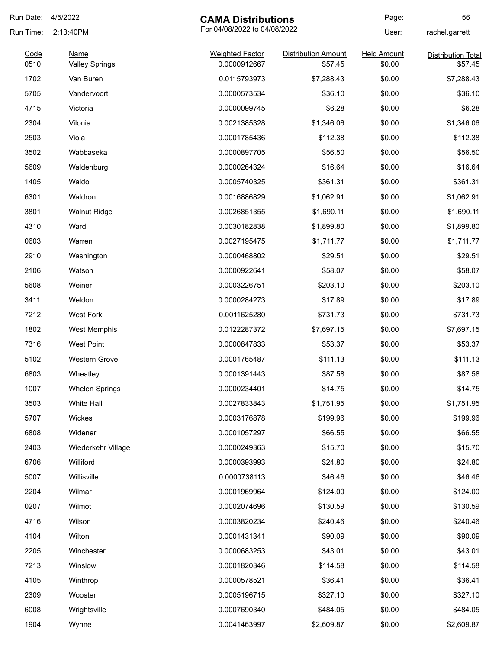| Run Date:    | 4/5/2022                             | <b>CAMA Distributions</b>              |                                       | Page:                        | 56                                   |
|--------------|--------------------------------------|----------------------------------------|---------------------------------------|------------------------------|--------------------------------------|
| Run Time:    | 2:13:40PM                            | For 04/08/2022 to 04/08/2022           |                                       | User:                        | rachel.garrett                       |
| Code<br>0510 | <b>Name</b><br><b>Valley Springs</b> | <b>Weighted Factor</b><br>0.0000912667 | <b>Distribution Amount</b><br>\$57.45 | <b>Held Amount</b><br>\$0.00 | <b>Distribution Total</b><br>\$57.45 |
| 1702         | Van Buren                            | 0.0115793973                           | \$7,288.43                            | \$0.00                       | \$7,288.43                           |
| 5705         | Vandervoort                          | 0.0000573534                           | \$36.10                               | \$0.00                       | \$36.10                              |
| 4715         | Victoria                             | 0.0000099745                           | \$6.28                                | \$0.00                       | \$6.28                               |
| 2304         | Vilonia                              | 0.0021385328                           | \$1,346.06                            | \$0.00                       | \$1,346.06                           |
| 2503         | Viola                                | 0.0001785436                           | \$112.38                              | \$0.00                       | \$112.38                             |
| 3502         | Wabbaseka                            | 0.0000897705                           | \$56.50                               | \$0.00                       | \$56.50                              |
| 5609         | Waldenburg                           | 0.0000264324                           | \$16.64                               | \$0.00                       | \$16.64                              |
| 1405         | Waldo                                | 0.0005740325                           | \$361.31                              | \$0.00                       | \$361.31                             |
| 6301         | Waldron                              | 0.0016886829                           | \$1,062.91                            | \$0.00                       | \$1,062.91                           |
| 3801         | <b>Walnut Ridge</b>                  | 0.0026851355                           | \$1,690.11                            | \$0.00                       | \$1,690.11                           |
| 4310         | Ward                                 | 0.0030182838                           | \$1,899.80                            | \$0.00                       | \$1,899.80                           |
| 0603         | Warren                               | 0.0027195475                           | \$1,711.77                            | \$0.00                       | \$1,711.77                           |
| 2910         | Washington                           | 0.0000468802                           | \$29.51                               | \$0.00                       | \$29.51                              |
| 2106         | Watson                               | 0.0000922641                           | \$58.07                               | \$0.00                       | \$58.07                              |
| 5608         | Weiner                               | 0.0003226751                           | \$203.10                              | \$0.00                       | \$203.10                             |
| 3411         | Weldon                               | 0.0000284273                           | \$17.89                               | \$0.00                       | \$17.89                              |
| 7212         | <b>West Fork</b>                     | 0.0011625280                           | \$731.73                              | \$0.00                       | \$731.73                             |
| 1802         | West Memphis                         | 0.0122287372                           | \$7,697.15                            | \$0.00                       | \$7,697.15                           |
| 7316         | <b>West Point</b>                    | 0.0000847833                           | \$53.37                               | \$0.00                       | \$53.37                              |
| 5102         | Western Grove                        | 0.0001765487                           | \$111.13                              | \$0.00                       | \$111.13                             |
| 6803         | Wheatley                             | 0.0001391443                           | \$87.58                               | \$0.00                       | \$87.58                              |
| 1007         | <b>Whelen Springs</b>                | 0.0000234401                           | \$14.75                               | \$0.00                       | \$14.75                              |
| 3503         | White Hall                           | 0.0027833843                           | \$1,751.95                            | \$0.00                       | \$1,751.95                           |
| 5707         | Wickes                               | 0.0003176878                           | \$199.96                              | \$0.00                       | \$199.96                             |
| 6808         | Widener                              | 0.0001057297                           | \$66.55                               | \$0.00                       | \$66.55                              |
| 2403         | Wiederkehr Village                   | 0.0000249363                           | \$15.70                               | \$0.00                       | \$15.70                              |
| 6706         | Williford                            | 0.0000393993                           | \$24.80                               | \$0.00                       | \$24.80                              |
| 5007         | Willisville                          | 0.0000738113                           | \$46.46                               | \$0.00                       | \$46.46                              |
| 2204         | Wilmar                               | 0.0001969964                           | \$124.00                              | \$0.00                       | \$124.00                             |
| 0207         | Wilmot                               | 0.0002074696                           | \$130.59                              | \$0.00                       | \$130.59                             |
| 4716         | Wilson                               | 0.0003820234                           | \$240.46                              | \$0.00                       | \$240.46                             |
| 4104         | Wilton                               | 0.0001431341                           | \$90.09                               | \$0.00                       | \$90.09                              |
| 2205         | Winchester                           | 0.0000683253                           | \$43.01                               | \$0.00                       | \$43.01                              |
| 7213         | Winslow                              | 0.0001820346                           | \$114.58                              | \$0.00                       | \$114.58                             |
| 4105         | Winthrop                             | 0.0000578521                           | \$36.41                               | \$0.00                       | \$36.41                              |
| 2309         | Wooster                              | 0.0005196715                           | \$327.10                              | \$0.00                       | \$327.10                             |
| 6008         | Wrightsville                         | 0.0007690340                           | \$484.05                              | \$0.00                       | \$484.05                             |
| 1904         | Wynne                                | 0.0041463997                           | \$2,609.87                            | \$0.00                       | \$2,609.87                           |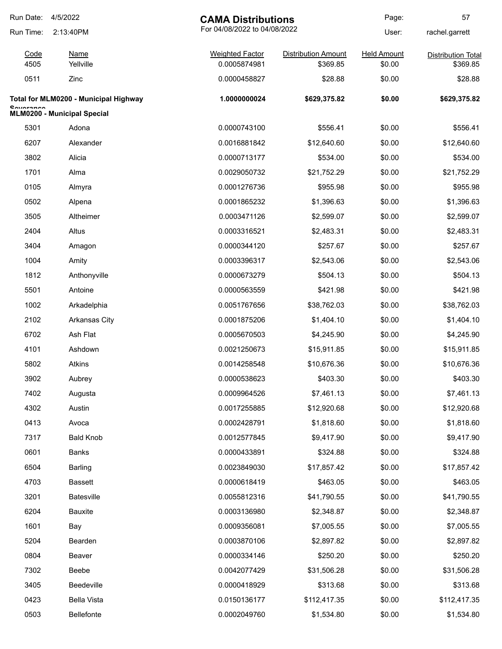| Run Date:                             | 4/5/2022                    | <b>CAMA Distributions</b>    |                            | Page:              | 57                        |
|---------------------------------------|-----------------------------|------------------------------|----------------------------|--------------------|---------------------------|
| Run Time:                             | 2:13:40PM                   | For 04/08/2022 to 04/08/2022 |                            | User:              | rachel.garrett            |
| Code                                  | <b>Name</b>                 | <b>Weighted Factor</b>       | <b>Distribution Amount</b> | <b>Held Amount</b> | <b>Distribution Total</b> |
| 4505                                  | Yellville                   | 0.0005874981                 | \$369.85                   | \$0.00             | \$369.85                  |
| 0511                                  | Zinc                        | 0.0000458827                 | \$28.88                    | \$0.00             | \$28.88                   |
| Total for MLM0200 - Municipal Highway |                             | 1.0000000024                 | \$629,375.82               | \$0.00             | \$629,375.82              |
| <b>Countainon</b>                     | MLM0200 - Municipal Special |                              |                            |                    |                           |
| 5301                                  | Adona                       | 0.0000743100                 | \$556.41                   | \$0.00             | \$556.41                  |
| 6207                                  | Alexander                   | 0.0016881842                 | \$12,640.60                | \$0.00             | \$12,640.60               |
| 3802                                  | Alicia                      | 0.0000713177                 | \$534.00                   | \$0.00             | \$534.00                  |
| 1701                                  | Alma                        | 0.0029050732                 | \$21,752.29                | \$0.00             | \$21,752.29               |
| 0105                                  | Almyra                      | 0.0001276736                 | \$955.98                   | \$0.00             | \$955.98                  |
| 0502                                  | Alpena                      | 0.0001865232                 | \$1,396.63                 | \$0.00             | \$1,396.63                |
| 3505                                  | Altheimer                   | 0.0003471126                 | \$2,599.07                 | \$0.00             | \$2,599.07                |
| 2404                                  | Altus                       | 0.0003316521                 | \$2,483.31                 | \$0.00             | \$2,483.31                |
| 3404                                  | Amagon                      | 0.0000344120                 | \$257.67                   | \$0.00             | \$257.67                  |
| 1004                                  | Amity                       | 0.0003396317                 | \$2,543.06                 | \$0.00             | \$2,543.06                |
| 1812                                  | Anthonyville                | 0.0000673279                 | \$504.13                   | \$0.00             | \$504.13                  |
| 5501                                  | Antoine                     | 0.0000563559                 | \$421.98                   | \$0.00             | \$421.98                  |
| 1002                                  | Arkadelphia                 | 0.0051767656                 | \$38,762.03                | \$0.00             | \$38,762.03               |
| 2102                                  | <b>Arkansas City</b>        | 0.0001875206                 | \$1,404.10                 | \$0.00             | \$1,404.10                |
| 6702                                  | Ash Flat                    | 0.0005670503                 | \$4,245.90                 | \$0.00             | \$4,245.90                |
| 4101                                  | Ashdown                     | 0.0021250673                 | \$15,911.85                | \$0.00             | \$15,911.85               |
| 5802                                  | Atkins                      | 0.0014258548                 | \$10,676.36                | \$0.00             | \$10,676.36               |
| 3902                                  | Aubrey                      | 0.0000538623                 | \$403.30                   | \$0.00             | \$403.30                  |
| 7402                                  | Augusta                     | 0.0009964526                 | \$7,461.13                 | \$0.00             | \$7,461.13                |
| 4302                                  | Austin                      | 0.0017255885                 | \$12,920.68                | \$0.00             | \$12,920.68               |
| 0413                                  | Avoca                       | 0.0002428791                 | \$1,818.60                 | \$0.00             | \$1,818.60                |
| 7317                                  | <b>Bald Knob</b>            | 0.0012577845                 | \$9,417.90                 | \$0.00             | \$9,417.90                |
| 0601                                  | <b>Banks</b>                | 0.0000433891                 | \$324.88                   | \$0.00             | \$324.88                  |
| 6504                                  | <b>Barling</b>              | 0.0023849030                 | \$17,857.42                | \$0.00             | \$17,857.42               |
| 4703                                  | <b>Bassett</b>              | 0.0000618419                 | \$463.05                   | \$0.00             | \$463.05                  |
| 3201                                  | Batesville                  | 0.0055812316                 | \$41,790.55                | \$0.00             | \$41,790.55               |
| 6204                                  | <b>Bauxite</b>              | 0.0003136980                 | \$2,348.87                 | \$0.00             | \$2,348.87                |
| 1601                                  | Bay                         | 0.0009356081                 | \$7,005.55                 | \$0.00             | \$7,005.55                |
| 5204                                  | Bearden                     | 0.0003870106                 | \$2,897.82                 | \$0.00             | \$2,897.82                |
| 0804                                  | Beaver                      | 0.0000334146                 | \$250.20                   | \$0.00             | \$250.20                  |
| 7302                                  | Beebe                       | 0.0042077429                 | \$31,506.28                | \$0.00             | \$31,506.28               |
| 3405                                  | Beedeville                  | 0.0000418929                 | \$313.68                   | \$0.00             | \$313.68                  |
| 0423                                  | <b>Bella Vista</b>          | 0.0150136177                 | \$112,417.35               | \$0.00             | \$112,417.35              |
| 0503                                  | Bellefonte                  | 0.0002049760                 | \$1,534.80                 | \$0.00             | \$1,534.80                |
|                                       |                             |                              |                            |                    |                           |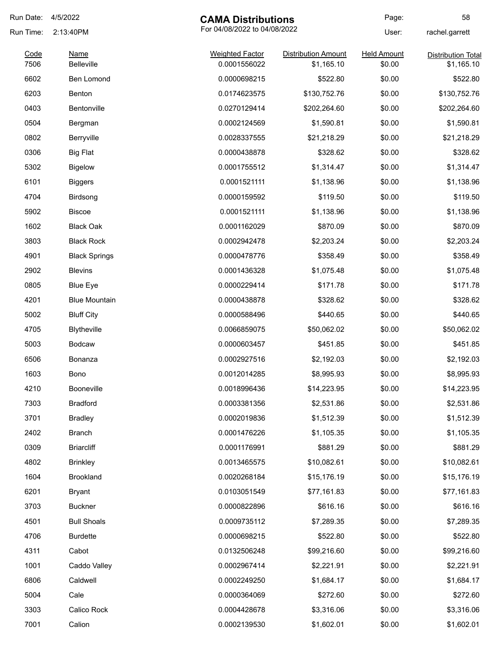| Run Date: | 4/5/2022             | <b>CAMA Distributions</b>    |                            | Page:              | 58                        |
|-----------|----------------------|------------------------------|----------------------------|--------------------|---------------------------|
| Run Time: | 2:13:40PM            | For 04/08/2022 to 04/08/2022 |                            | User:              | rachel.garrett            |
| Code      | Name                 | <b>Weighted Factor</b>       | <b>Distribution Amount</b> | <b>Held Amount</b> | <b>Distribution Total</b> |
| 7506      | <b>Belleville</b>    | 0.0001556022                 | \$1,165.10                 | \$0.00             | \$1,165.10                |
| 6602      | Ben Lomond           | 0.0000698215                 | \$522.80                   | \$0.00             | \$522.80                  |
| 6203      | Benton               | 0.0174623575                 | \$130,752.76               | \$0.00             | \$130,752.76              |
| 0403      | Bentonville          | 0.0270129414                 | \$202,264.60               | \$0.00             | \$202,264.60              |
| 0504      | Bergman              | 0.0002124569                 | \$1,590.81                 | \$0.00             | \$1,590.81                |
| 0802      | Berryville           | 0.0028337555                 | \$21,218.29                | \$0.00             | \$21,218.29               |
| 0306      | <b>Big Flat</b>      | 0.0000438878                 | \$328.62                   | \$0.00             | \$328.62                  |
| 5302      | <b>Bigelow</b>       | 0.0001755512                 | \$1,314.47                 | \$0.00             | \$1,314.47                |
| 6101      | <b>Biggers</b>       | 0.0001521111                 | \$1,138.96                 | \$0.00             | \$1,138.96                |
| 4704      | Birdsong             | 0.0000159592                 | \$119.50                   | \$0.00             | \$119.50                  |
| 5902      | <b>Biscoe</b>        | 0.0001521111                 | \$1,138.96                 | \$0.00             | \$1,138.96                |
| 1602      | <b>Black Oak</b>     | 0.0001162029                 | \$870.09                   | \$0.00             | \$870.09                  |
| 3803      | <b>Black Rock</b>    | 0.0002942478                 | \$2,203.24                 | \$0.00             | \$2,203.24                |
| 4901      | <b>Black Springs</b> | 0.0000478776                 | \$358.49                   | \$0.00             | \$358.49                  |
| 2902      | <b>Blevins</b>       | 0.0001436328                 | \$1,075.48                 | \$0.00             | \$1,075.48                |
| 0805      | <b>Blue Eye</b>      | 0.0000229414                 | \$171.78                   | \$0.00             | \$171.78                  |
| 4201      | <b>Blue Mountain</b> | 0.0000438878                 | \$328.62                   | \$0.00             | \$328.62                  |
| 5002      | <b>Bluff City</b>    | 0.0000588496                 | \$440.65                   | \$0.00             | \$440.65                  |
| 4705      | <b>Blytheville</b>   | 0.0066859075                 | \$50,062.02                | \$0.00             | \$50,062.02               |
| 5003      | <b>Bodcaw</b>        | 0.0000603457                 | \$451.85                   | \$0.00             | \$451.85                  |
| 6506      | Bonanza              | 0.0002927516                 | \$2,192.03                 | \$0.00             | \$2,192.03                |
| 1603      | Bono                 | 0.0012014285                 | \$8,995.93                 | \$0.00             | \$8,995.93                |
| 4210      | Booneville           | 0.0018996436                 | \$14,223.95                | \$0.00             | \$14,223.95               |
| 7303      | <b>Bradford</b>      | 0.0003381356                 | \$2,531.86                 | \$0.00             | \$2,531.86                |
| 3701      | <b>Bradley</b>       | 0.0002019836                 | \$1,512.39                 | \$0.00             | \$1,512.39                |
| 2402      | Branch               | 0.0001476226                 | \$1,105.35                 | \$0.00             | \$1,105.35                |
| 0309      | <b>Briarcliff</b>    | 0.0001176991                 | \$881.29                   | \$0.00             | \$881.29                  |
| 4802      | <b>Brinkley</b>      | 0.0013465575                 | \$10,082.61                | \$0.00             | \$10,082.61               |
| 1604      | Brookland            | 0.0020268184                 | \$15,176.19                | \$0.00             | \$15,176.19               |
| 6201      | <b>Bryant</b>        | 0.0103051549                 | \$77,161.83                | \$0.00             | \$77,161.83               |
| 3703      | <b>Buckner</b>       | 0.0000822896                 | \$616.16                   | \$0.00             | \$616.16                  |
| 4501      | <b>Bull Shoals</b>   | 0.0009735112                 | \$7,289.35                 | \$0.00             | \$7,289.35                |
| 4706      | <b>Burdette</b>      | 0.0000698215                 | \$522.80                   | \$0.00             | \$522.80                  |
| 4311      | Cabot                | 0.0132506248                 | \$99,216.60                | \$0.00             | \$99,216.60               |
| 1001      |                      | 0.0002967414                 | \$2,221.91                 | \$0.00             |                           |
|           | Caddo Valley         |                              |                            |                    | \$2,221.91                |
| 6806      | Caldwell             | 0.0002249250                 | \$1,684.17                 | \$0.00             | \$1,684.17                |
| 5004      | Cale                 | 0.0000364069                 | \$272.60                   | \$0.00             | \$272.60                  |
| 3303      | Calico Rock          | 0.0004428678                 | \$3,316.06                 | \$0.00             | \$3,316.06                |
| 7001      | Calion               | 0.0002139530                 | \$1,602.01                 | \$0.00             | \$1,602.01                |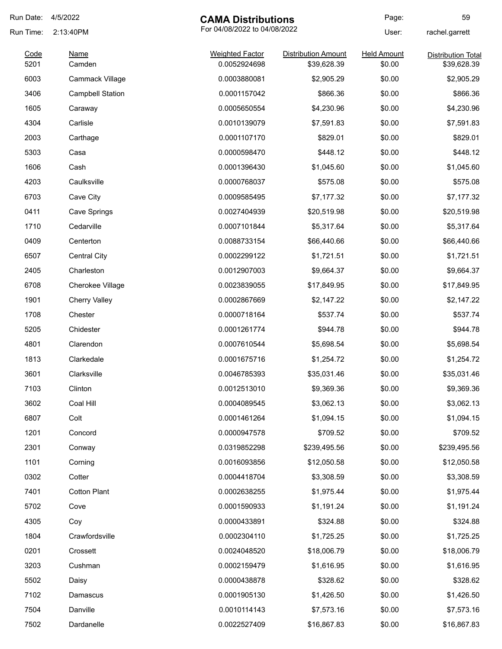| Run Date:    | 4/5/2022                | <b>CAMA Distributions</b>              |                                           | Page:                        | 59                                       |
|--------------|-------------------------|----------------------------------------|-------------------------------------------|------------------------------|------------------------------------------|
| Run Time:    | 2:13:40PM               | For 04/08/2022 to 04/08/2022           |                                           | User:                        | rachel.garrett                           |
| Code<br>5201 | <b>Name</b><br>Camden   | <b>Weighted Factor</b><br>0.0052924698 | <b>Distribution Amount</b><br>\$39,628.39 | <b>Held Amount</b><br>\$0.00 | <b>Distribution Total</b><br>\$39,628.39 |
| 6003         | Cammack Village         | 0.0003880081                           | \$2,905.29                                | \$0.00                       | \$2,905.29                               |
| 3406         | <b>Campbell Station</b> | 0.0001157042                           | \$866.36                                  | \$0.00                       | \$866.36                                 |
| 1605         | Caraway                 | 0.0005650554                           | \$4,230.96                                | \$0.00                       | \$4,230.96                               |
| 4304         | Carlisle                | 0.0010139079                           | \$7,591.83                                | \$0.00                       | \$7,591.83                               |
| 2003         | Carthage                | 0.0001107170                           | \$829.01                                  | \$0.00                       | \$829.01                                 |
| 5303         | Casa                    | 0.0000598470                           | \$448.12                                  | \$0.00                       | \$448.12                                 |
| 1606         | Cash                    | 0.0001396430                           | \$1,045.60                                | \$0.00                       | \$1,045.60                               |
| 4203         | Caulksville             | 0.0000768037                           | \$575.08                                  | \$0.00                       | \$575.08                                 |
| 6703         | Cave City               | 0.0009585495                           | \$7,177.32                                | \$0.00                       | \$7,177.32                               |
| 0411         | Cave Springs            | 0.0027404939                           | \$20,519.98                               | \$0.00                       | \$20,519.98                              |
| 1710         | Cedarville              | 0.0007101844                           | \$5,317.64                                | \$0.00                       | \$5,317.64                               |
| 0409         | Centerton               | 0.0088733154                           | \$66,440.66                               | \$0.00                       | \$66,440.66                              |
| 6507         | <b>Central City</b>     | 0.0002299122                           | \$1,721.51                                | \$0.00                       | \$1,721.51                               |
| 2405         | Charleston              | 0.0012907003                           | \$9,664.37                                | \$0.00                       | \$9,664.37                               |
| 6708         | Cherokee Village        | 0.0023839055                           | \$17,849.95                               | \$0.00                       | \$17,849.95                              |
| 1901         | <b>Cherry Valley</b>    | 0.0002867669                           | \$2,147.22                                | \$0.00                       | \$2,147.22                               |
| 1708         | Chester                 | 0.0000718164                           | \$537.74                                  | \$0.00                       | \$537.74                                 |
| 5205         | Chidester               | 0.0001261774                           | \$944.78                                  | \$0.00                       | \$944.78                                 |
| 4801         | Clarendon               | 0.0007610544                           | \$5,698.54                                | \$0.00                       | \$5,698.54                               |
| 1813         | Clarkedale              | 0.0001675716                           | \$1,254.72                                | \$0.00                       | \$1,254.72                               |
| 3601         | Clarksville             | 0.0046785393                           | \$35,031.46                               | \$0.00                       | \$35,031.46                              |
| 7103         | Clinton                 | 0.0012513010                           | \$9,369.36                                | \$0.00                       | \$9,369.36                               |
| 3602         | Coal Hill               | 0.0004089545                           | \$3,062.13                                | \$0.00                       | \$3,062.13                               |
| 6807         | Colt                    | 0.0001461264                           | \$1,094.15                                | \$0.00                       | \$1,094.15                               |
| 1201         | Concord                 | 0.0000947578                           | \$709.52                                  | \$0.00                       | \$709.52                                 |
| 2301         | Conway                  | 0.0319852298                           | \$239,495.56                              | \$0.00                       | \$239,495.56                             |
| 1101         | Corning                 | 0.0016093856                           | \$12,050.58                               | \$0.00                       | \$12,050.58                              |
| 0302         | Cotter                  | 0.0004418704                           | \$3,308.59                                | \$0.00                       | \$3,308.59                               |
| 7401         | <b>Cotton Plant</b>     | 0.0002638255                           | \$1,975.44                                | \$0.00                       | \$1,975.44                               |
| 5702         | Cove                    | 0.0001590933                           | \$1,191.24                                | \$0.00                       | \$1,191.24                               |
| 4305         | Coy                     | 0.0000433891                           | \$324.88                                  | \$0.00                       | \$324.88                                 |
| 1804         | Crawfordsville          | 0.0002304110                           | \$1,725.25                                | \$0.00                       | \$1,725.25                               |
| 0201         | Crossett                | 0.0024048520                           | \$18,006.79                               | \$0.00                       | \$18,006.79                              |
| 3203         | Cushman                 | 0.0002159479                           | \$1,616.95                                | \$0.00                       | \$1,616.95                               |
| 5502         | Daisy                   | 0.0000438878                           | \$328.62                                  | \$0.00                       | \$328.62                                 |
| 7102         | Damascus                | 0.0001905130                           | \$1,426.50                                | \$0.00                       | \$1,426.50                               |
| 7504         | Danville                | 0.0010114143                           | \$7,573.16                                | \$0.00                       | \$7,573.16                               |
| 7502         | Dardanelle              | 0.0022527409                           | \$16,867.83                               | \$0.00                       | \$16,867.83                              |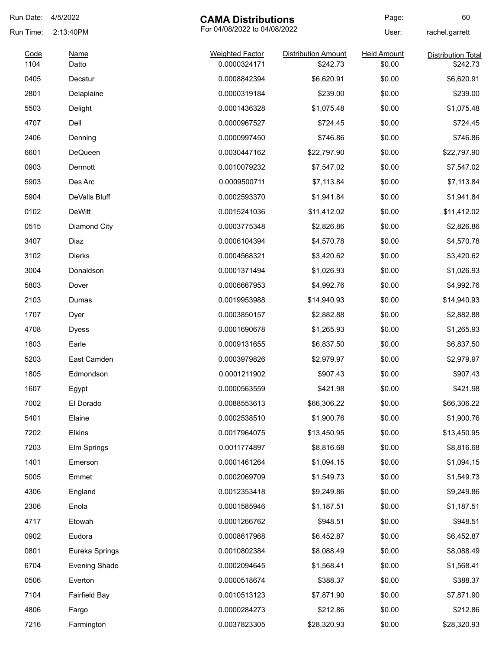| Run Date:    | 4/5/2022             | <b>CAMA Distributions</b>              |                                        | Page:                        | 60                                    |
|--------------|----------------------|----------------------------------------|----------------------------------------|------------------------------|---------------------------------------|
| Run Time:    | 2:13:40PM            | For 04/08/2022 to 04/08/2022           |                                        | User:                        | rachel.garrett                        |
| Code<br>1104 | Name<br>Datto        | <b>Weighted Factor</b><br>0.0000324171 | <b>Distribution Amount</b><br>\$242.73 | <b>Held Amount</b><br>\$0.00 | <b>Distribution Total</b><br>\$242.73 |
|              |                      |                                        |                                        |                              |                                       |
| 0405         | Decatur              | 0.0008842394                           | \$6,620.91                             | \$0.00                       | \$6,620.91                            |
| 2801         | Delaplaine           | 0.0000319184                           | \$239.00                               | \$0.00                       | \$239.00                              |
| 5503         | Delight              | 0.0001436328                           | \$1,075.48                             | \$0.00                       | \$1,075.48                            |
| 4707         | Dell                 | 0.0000967527                           | \$724.45                               | \$0.00                       | \$724.45                              |
| 2406         | Denning              | 0.0000997450                           | \$746.86                               | \$0.00                       | \$746.86                              |
| 6601         | DeQueen              | 0.0030447162                           | \$22,797.90                            | \$0.00                       | \$22,797.90                           |
| 0903         | Dermott              | 0.0010079232                           | \$7,547.02                             | \$0.00                       | \$7,547.02                            |
| 5903         | Des Arc              | 0.0009500711                           | \$7,113.84                             | \$0.00                       | \$7,113.84                            |
| 5904         | DeValls Bluff        | 0.0002593370                           | \$1,941.84                             | \$0.00                       | \$1,941.84                            |
| 0102         | <b>DeWitt</b>        | 0.0015241036                           | \$11,412.02                            | \$0.00                       | \$11,412.02                           |
| 0515         | Diamond City         | 0.0003775348                           | \$2,826.86                             | \$0.00                       | \$2,826.86                            |
| 3407         | Diaz                 | 0.0006104394                           | \$4,570.78                             | \$0.00                       | \$4,570.78                            |
| 3102         | Dierks               | 0.0004568321                           | \$3,420.62                             | \$0.00                       | \$3,420.62                            |
| 3004         | Donaldson            | 0.0001371494                           | \$1,026.93                             | \$0.00                       | \$1,026.93                            |
| 5803         | Dover                | 0.0006667953                           | \$4,992.76                             | \$0.00                       | \$4,992.76                            |
| 2103         | Dumas                | 0.0019953988                           | \$14,940.93                            | \$0.00                       | \$14,940.93                           |
| 1707         | Dyer                 | 0.0003850157                           | \$2,882.88                             | \$0.00                       | \$2,882.88                            |
| 4708         | <b>Dyess</b>         | 0.0001690678                           | \$1,265.93                             | \$0.00                       | \$1,265.93                            |
| 1803         | Earle                | 0.0009131655                           | \$6,837.50                             | \$0.00                       | \$6,837.50                            |
| 5203         | East Camden          | 0.0003979826                           | \$2,979.97                             | \$0.00                       | \$2,979.97                            |
| 1805         | Edmondson            | 0.0001211902                           | \$907.43                               | \$0.00                       | \$907.43                              |
| 1607         | Egypt                | 0.0000563559                           | \$421.98                               | \$0.00                       | \$421.98                              |
| 7002         | El Dorado            | 0.0088553613                           | \$66,306.22                            | \$0.00                       | \$66,306.22                           |
| 5401         | Elaine               | 0.0002538510                           | \$1,900.76                             | \$0.00                       | \$1,900.76                            |
| 7202         | Elkins               | 0.0017964075                           | \$13,450.95                            | \$0.00                       | \$13,450.95                           |
| 7203         | Elm Springs          | 0.0011774897                           | \$8,816.68                             | \$0.00                       | \$8,816.68                            |
| 1401         | Emerson              | 0.0001461264                           | \$1,094.15                             | \$0.00                       | \$1,094.15                            |
| 5005         | Emmet                | 0.0002069709                           | \$1,549.73                             | \$0.00                       | \$1,549.73                            |
| 4306         | England              | 0.0012353418                           | \$9,249.86                             | \$0.00                       | \$9,249.86                            |
| 2306         | Enola                | 0.0001585946                           | \$1,187.51                             | \$0.00                       | \$1,187.51                            |
| 4717         | Etowah               | 0.0001266762                           | \$948.51                               | \$0.00                       | \$948.51                              |
| 0902         | Eudora               | 0.0008617968                           | \$6,452.87                             | \$0.00                       | \$6,452.87                            |
| 0801         | Eureka Springs       | 0.0010802384                           | \$8,088.49                             | \$0.00                       | \$8,088.49                            |
|              |                      |                                        |                                        |                              |                                       |
| 6704         | <b>Evening Shade</b> | 0.0002094645                           | \$1,568.41                             | \$0.00                       | \$1,568.41                            |
| 0506         | Everton              | 0.0000518674                           | \$388.37                               | \$0.00                       | \$388.37                              |
| 7104         | <b>Fairfield Bay</b> | 0.0010513123                           | \$7,871.90                             | \$0.00                       | \$7,871.90                            |
| 4806         | Fargo                | 0.0000284273                           | \$212.86                               | \$0.00                       | \$212.86                              |
| 7216         | Farmington           | 0.0037823305                           | \$28,320.93                            | \$0.00                       | \$28,320.93                           |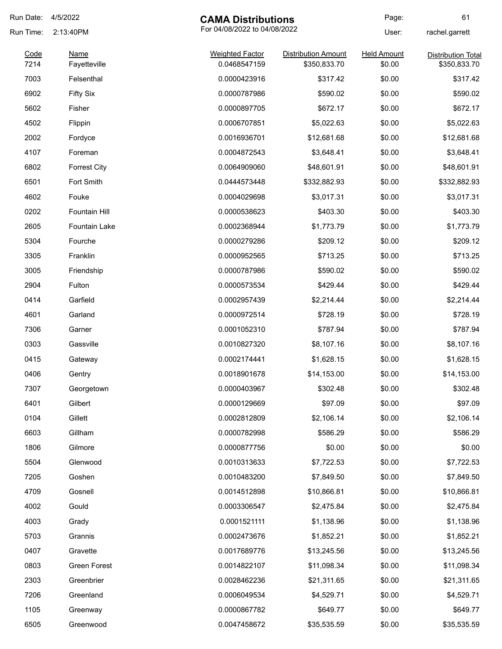| Run Date:    | 4/5/2022            | <b>CAMA Distributions</b>              |                                            | Page:                        | 61                                        |
|--------------|---------------------|----------------------------------------|--------------------------------------------|------------------------------|-------------------------------------------|
| Run Time:    | 2:13:40PM           | For 04/08/2022 to 04/08/2022           |                                            | User:                        | rachel.garrett                            |
| Code<br>7214 | <b>Name</b>         | <b>Weighted Factor</b><br>0.0468547159 | <b>Distribution Amount</b><br>\$350,833.70 | <b>Held Amount</b><br>\$0.00 | <b>Distribution Total</b><br>\$350,833.70 |
|              | Fayetteville        |                                        |                                            |                              |                                           |
| 7003         | Felsenthal          | 0.0000423916                           | \$317.42                                   | \$0.00                       | \$317.42                                  |
| 6902         | <b>Fifty Six</b>    | 0.0000787986                           | \$590.02                                   | \$0.00                       | \$590.02                                  |
| 5602         | Fisher              | 0.0000897705                           | \$672.17                                   | \$0.00                       | \$672.17                                  |
| 4502         | Flippin             | 0.0006707851                           | \$5,022.63                                 | \$0.00                       | \$5,022.63                                |
| 2002         | Fordyce             | 0.0016936701                           | \$12,681.68                                | \$0.00                       | \$12,681.68                               |
| 4107         | Foreman             | 0.0004872543                           | \$3,648.41                                 | \$0.00                       | \$3,648.41                                |
| 6802         | <b>Forrest City</b> | 0.0064909060                           | \$48,601.91                                | \$0.00                       | \$48,601.91                               |
| 6501         | Fort Smith          | 0.0444573448                           | \$332,882.93                               | \$0.00                       | \$332,882.93                              |
| 4602         | Fouke               | 0.0004029698                           | \$3,017.31                                 | \$0.00                       | \$3,017.31                                |
| 0202         | Fountain Hill       | 0.0000538623                           | \$403.30                                   | \$0.00                       | \$403.30                                  |
| 2605         | Fountain Lake       | 0.0002368944                           | \$1,773.79                                 | \$0.00                       | \$1,773.79                                |
| 5304         | Fourche             | 0.0000279286                           | \$209.12                                   | \$0.00                       | \$209.12                                  |
| 3305         | Franklin            | 0.0000952565                           | \$713.25                                   | \$0.00                       | \$713.25                                  |
| 3005         | Friendship          | 0.0000787986                           | \$590.02                                   | \$0.00                       | \$590.02                                  |
| 2904         | Fulton              | 0.0000573534                           | \$429.44                                   | \$0.00                       | \$429.44                                  |
| 0414         | Garfield            | 0.0002957439                           | \$2,214.44                                 | \$0.00                       | \$2,214.44                                |
| 4601         | Garland             | 0.0000972514                           | \$728.19                                   | \$0.00                       | \$728.19                                  |
| 7306         | Garner              | 0.0001052310                           | \$787.94                                   | \$0.00                       | \$787.94                                  |
| 0303         | Gassville           | 0.0010827320                           | \$8,107.16                                 | \$0.00                       | \$8,107.16                                |
| 0415         | Gateway             | 0.0002174441                           | \$1,628.15                                 | \$0.00                       | \$1,628.15                                |
| 0406         | Gentry              | 0.0018901678                           | \$14,153.00                                | \$0.00                       | \$14,153.00                               |
| 7307         | Georgetown          | 0.0000403967                           | \$302.48                                   | \$0.00                       | \$302.48                                  |
| 6401         | Gilbert             | 0.0000129669                           | \$97.09                                    | \$0.00                       | \$97.09                                   |
| 0104         | Gillett             | 0.0002812809                           | \$2,106.14                                 | \$0.00                       | \$2,106.14                                |
| 6603         | Gillham             | 0.0000782998                           | \$586.29                                   | \$0.00                       | \$586.29                                  |
| 1806         | Gilmore             | 0.0000877756                           | \$0.00                                     | \$0.00                       | \$0.00                                    |
| 5504         | Glenwood            | 0.0010313633                           | \$7,722.53                                 | \$0.00                       | \$7,722.53                                |
| 7205         | Goshen              | 0.0010483200                           | \$7,849.50                                 | \$0.00                       | \$7,849.50                                |
| 4709         | Gosnell             | 0.0014512898                           | \$10,866.81                                | \$0.00                       | \$10,866.81                               |
| 4002         | Gould               | 0.0003306547                           | \$2,475.84                                 | \$0.00                       | \$2,475.84                                |
| 4003         | Grady               | 0.0001521111                           | \$1,138.96                                 | \$0.00                       | \$1,138.96                                |
| 5703         | Grannis             | 0.0002473676                           | \$1,852.21                                 | \$0.00                       | \$1,852.21                                |
| 0407         | Gravette            | 0.0017689776                           | \$13,245.56                                | \$0.00                       | \$13,245.56                               |
| 0803         | Green Forest        | 0.0014822107                           | \$11,098.34                                | \$0.00                       |                                           |
|              |                     |                                        |                                            |                              | \$11,098.34                               |
| 2303         | Greenbrier          | 0.0028462236                           | \$21,311.65                                | \$0.00                       | \$21,311.65                               |
| 7206         | Greenland           | 0.0006049534                           | \$4,529.71                                 | \$0.00                       | \$4,529.71                                |
| 1105         | Greenway            | 0.0000867782                           | \$649.77                                   | \$0.00                       | \$649.77                                  |
| 6505         | Greenwood           | 0.0047458672                           | \$35,535.59                                | \$0.00                       | \$35,535.59                               |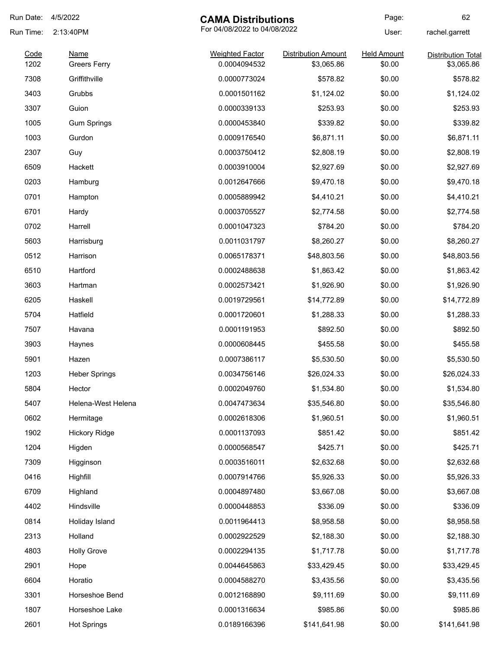| Run Date:    | 4/5/2022                           | <b>CAMA Distributions</b>              |                                          | Page:                        | 62                                      |
|--------------|------------------------------------|----------------------------------------|------------------------------------------|------------------------------|-----------------------------------------|
| Run Time:    | 2:13:40PM                          | For 04/08/2022 to 04/08/2022           |                                          | User:                        | rachel.garrett                          |
| Code<br>1202 | <b>Name</b><br><b>Greers Ferry</b> | <b>Weighted Factor</b><br>0.0004094532 | <b>Distribution Amount</b><br>\$3,065.86 | <b>Held Amount</b><br>\$0.00 | <b>Distribution Total</b><br>\$3,065.86 |
| 7308         | Griffithville                      | 0.0000773024                           | \$578.82                                 | \$0.00                       | \$578.82                                |
| 3403         | Grubbs                             | 0.0001501162                           | \$1,124.02                               | \$0.00                       | \$1,124.02                              |
| 3307         | Guion                              | 0.0000339133                           | \$253.93                                 | \$0.00                       | \$253.93                                |
| 1005         | <b>Gum Springs</b>                 | 0.0000453840                           | \$339.82                                 | \$0.00                       | \$339.82                                |
| 1003         | Gurdon                             | 0.0009176540                           | \$6,871.11                               | \$0.00                       | \$6,871.11                              |
| 2307         | Guy                                | 0.0003750412                           | \$2,808.19                               | \$0.00                       | \$2,808.19                              |
| 6509         | Hackett                            | 0.0003910004                           | \$2,927.69                               | \$0.00                       | \$2,927.69                              |
| 0203         | Hamburg                            | 0.0012647666                           | \$9,470.18                               | \$0.00                       | \$9,470.18                              |
| 0701         | Hampton                            | 0.0005889942                           | \$4,410.21                               | \$0.00                       | \$4,410.21                              |
| 6701         | Hardy                              | 0.0003705527                           | \$2,774.58                               | \$0.00                       | \$2,774.58                              |
| 0702         | Harrell                            | 0.0001047323                           | \$784.20                                 | \$0.00                       | \$784.20                                |
| 5603         | Harrisburg                         | 0.0011031797                           | \$8,260.27                               | \$0.00                       | \$8,260.27                              |
| 0512         | Harrison                           | 0.0065178371                           | \$48,803.56                              | \$0.00                       | \$48,803.56                             |
| 6510         | Hartford                           | 0.0002488638                           | \$1,863.42                               | \$0.00                       | \$1,863.42                              |
| 3603         | Hartman                            | 0.0002573421                           | \$1,926.90                               | \$0.00                       | \$1,926.90                              |
| 6205         | Haskell                            | 0.0019729561                           | \$14,772.89                              | \$0.00                       | \$14,772.89                             |
| 5704         | Hatfield                           | 0.0001720601                           | \$1,288.33                               | \$0.00                       | \$1,288.33                              |
| 7507         | Havana                             | 0.0001191953                           | \$892.50                                 | \$0.00                       | \$892.50                                |
| 3903         | Haynes                             | 0.0000608445                           | \$455.58                                 | \$0.00                       | \$455.58                                |
| 5901         | Hazen                              | 0.0007386117                           | \$5,530.50                               | \$0.00                       | \$5,530.50                              |
| 1203         | <b>Heber Springs</b>               | 0.0034756146                           | \$26,024.33                              | \$0.00                       | \$26,024.33                             |
| 5804         | Hector                             | 0.0002049760                           | \$1,534.80                               | \$0.00                       | \$1,534.80                              |
| 5407         | Helena-West Helena                 | 0.0047473634                           | \$35,546.80                              | \$0.00                       | \$35,546.80                             |
| 0602         | Hermitage                          | 0.0002618306                           | \$1,960.51                               | \$0.00                       | \$1,960.51                              |
| 1902         | <b>Hickory Ridge</b>               | 0.0001137093                           | \$851.42                                 | \$0.00                       | \$851.42                                |
| 1204         | Higden                             | 0.0000568547                           | \$425.71                                 | \$0.00                       | \$425.71                                |
| 7309         | Higginson                          | 0.0003516011                           | \$2,632.68                               | \$0.00                       | \$2,632.68                              |
| 0416         | Highfill                           | 0.0007914766                           | \$5,926.33                               | \$0.00                       | \$5,926.33                              |
| 6709         | Highland                           | 0.0004897480                           | \$3,667.08                               | \$0.00                       | \$3,667.08                              |
| 4402         | Hindsville                         | 0.0000448853                           | \$336.09                                 | \$0.00                       | \$336.09                                |
| 0814         | Holiday Island                     | 0.0011964413                           | \$8,958.58                               | \$0.00                       | \$8,958.58                              |
| 2313         | Holland                            | 0.0002922529                           | \$2,188.30                               | \$0.00                       | \$2,188.30                              |
| 4803         | <b>Holly Grove</b>                 | 0.0002294135                           | \$1,717.78                               | \$0.00                       | \$1,717.78                              |
| 2901         | Hope                               | 0.0044645863                           | \$33,429.45                              | \$0.00                       | \$33,429.45                             |
| 6604         | Horatio                            | 0.0004588270                           | \$3,435.56                               | \$0.00                       | \$3,435.56                              |
| 3301         | Horseshoe Bend                     | 0.0012168890                           | \$9,111.69                               | \$0.00                       | \$9,111.69                              |
| 1807         | Horseshoe Lake                     | 0.0001316634                           | \$985.86                                 | \$0.00                       | \$985.86                                |
| 2601         | <b>Hot Springs</b>                 | 0.0189166396                           | \$141,641.98                             | \$0.00                       | \$141,641.98                            |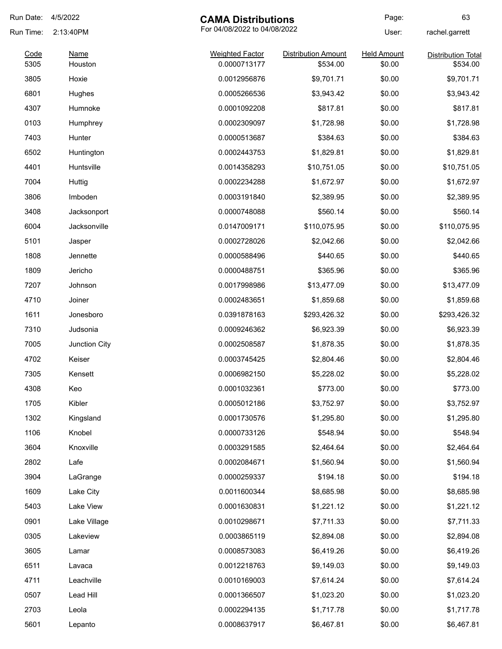| Run Date: | 4/5/2022                                  | <b>CAMA Distributions</b> |                            | Page:              | 63                        |
|-----------|-------------------------------------------|---------------------------|----------------------------|--------------------|---------------------------|
| Run Time: | For 04/08/2022 to 04/08/2022<br>2:13:40PM |                           |                            | User:              | rachel.garrett            |
| Code      | <b>Name</b>                               | <b>Weighted Factor</b>    | <b>Distribution Amount</b> | <b>Held Amount</b> | <b>Distribution Total</b> |
| 5305      | Houston                                   | 0.0000713177              | \$534.00                   | \$0.00             | \$534.00                  |
| 3805      | Hoxie                                     | 0.0012956876              | \$9,701.71                 | \$0.00             | \$9,701.71                |
| 6801      | Hughes                                    | 0.0005266536              | \$3,943.42                 | \$0.00             | \$3,943.42                |
| 4307      | Humnoke                                   | 0.0001092208              | \$817.81                   | \$0.00             | \$817.81                  |
| 0103      | Humphrey                                  | 0.0002309097              | \$1,728.98                 | \$0.00             | \$1,728.98                |
| 7403      | Hunter                                    | 0.0000513687              | \$384.63                   | \$0.00             | \$384.63                  |
| 6502      | Huntington                                | 0.0002443753              | \$1,829.81                 | \$0.00             | \$1,829.81                |
| 4401      | Huntsville                                | 0.0014358293              | \$10,751.05                | \$0.00             | \$10,751.05               |
| 7004      | Huttig                                    | 0.0002234288              | \$1,672.97                 | \$0.00             | \$1,672.97                |
| 3806      | Imboden                                   | 0.0003191840              | \$2,389.95                 | \$0.00             | \$2,389.95                |
| 3408      | Jacksonport                               | 0.0000748088              | \$560.14                   | \$0.00             | \$560.14                  |
| 6004      | Jacksonville                              | 0.0147009171              | \$110,075.95               | \$0.00             | \$110,075.95              |
| 5101      | Jasper                                    | 0.0002728026              | \$2,042.66                 | \$0.00             | \$2,042.66                |
| 1808      | Jennette                                  | 0.0000588496              | \$440.65                   | \$0.00             | \$440.65                  |
| 1809      | Jericho                                   | 0.0000488751              | \$365.96                   | \$0.00             | \$365.96                  |
| 7207      | Johnson                                   | 0.0017998986              | \$13,477.09                | \$0.00             | \$13,477.09               |
| 4710      | Joiner                                    | 0.0002483651              | \$1,859.68                 | \$0.00             | \$1,859.68                |
| 1611      | Jonesboro                                 | 0.0391878163              | \$293,426.32               | \$0.00             | \$293,426.32              |
| 7310      | Judsonia                                  | 0.0009246362              | \$6,923.39                 | \$0.00             | \$6,923.39                |
| 7005      | Junction City                             | 0.0002508587              | \$1,878.35                 | \$0.00             | \$1,878.35                |
| 4702      | Keiser                                    | 0.0003745425              | \$2,804.46                 | \$0.00             | \$2,804.46                |
| 7305      | Kensett                                   | 0.0006982150              | \$5,228.02                 | \$0.00             | \$5,228.02                |
| 4308      | Keo                                       | 0.0001032361              | \$773.00                   | \$0.00             | \$773.00                  |
| 1705      | Kibler                                    | 0.0005012186              | \$3,752.97                 | \$0.00             | \$3,752.97                |
| 1302      | Kingsland                                 | 0.0001730576              | \$1,295.80                 | \$0.00             | \$1,295.80                |
| 1106      | Knobel                                    | 0.0000733126              | \$548.94                   | \$0.00             | \$548.94                  |
| 3604      | Knoxville                                 | 0.0003291585              | \$2,464.64                 | \$0.00             | \$2,464.64                |
| 2802      | Lafe                                      | 0.0002084671              | \$1,560.94                 | \$0.00             | \$1,560.94                |
| 3904      | LaGrange                                  | 0.0000259337              | \$194.18                   | \$0.00             | \$194.18                  |
| 1609      | Lake City                                 | 0.0011600344              | \$8,685.98                 | \$0.00             | \$8,685.98                |
| 5403      | Lake View                                 | 0.0001630831              | \$1,221.12                 | \$0.00             | \$1,221.12                |
| 0901      | Lake Village                              | 0.0010298671              | \$7,711.33                 | \$0.00             | \$7,711.33                |
| 0305      | Lakeview                                  | 0.0003865119              | \$2,894.08                 | \$0.00             | \$2,894.08                |
| 3605      | Lamar                                     | 0.0008573083              | \$6,419.26                 | \$0.00             | \$6,419.26                |
|           |                                           |                           |                            |                    |                           |
| 6511      | Lavaca                                    | 0.0012218763              | \$9,149.03                 | \$0.00             | \$9,149.03                |
| 4711      | Leachville                                | 0.0010169003              | \$7,614.24                 | \$0.00             | \$7,614.24                |
| 0507      | Lead Hill                                 | 0.0001366507              | \$1,023.20                 | \$0.00             | \$1,023.20                |
| 2703      | Leola                                     | 0.0002294135              | \$1,717.78                 | \$0.00             | \$1,717.78                |
| 5601      | Lepanto                                   | 0.0008637917              | \$6,467.81                 | \$0.00             | \$6,467.81                |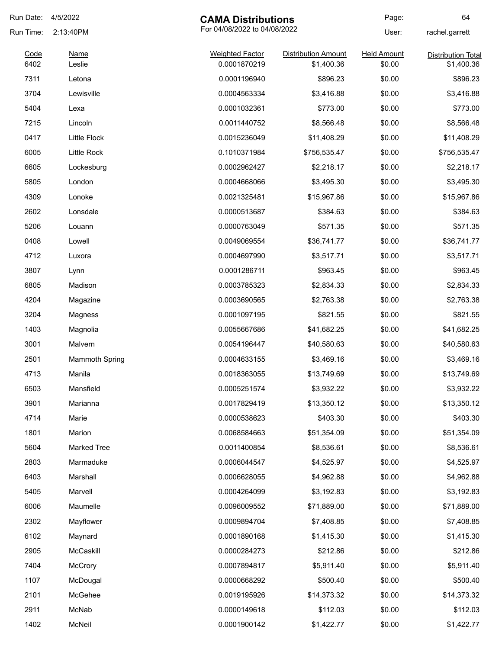| Run Date:    | 4/5/2022              | <b>CAMA Distributions</b>              |                                          | Page:                        | 64                                      |
|--------------|-----------------------|----------------------------------------|------------------------------------------|------------------------------|-----------------------------------------|
| Run Time:    | 2:13:40PM             | For 04/08/2022 to 04/08/2022           |                                          | User:                        | rachel.garrett                          |
| Code<br>6402 | Name<br>Leslie        | <b>Weighted Factor</b><br>0.0001870219 | <b>Distribution Amount</b><br>\$1,400.36 | <b>Held Amount</b><br>\$0.00 | <b>Distribution Total</b><br>\$1,400.36 |
| 7311         | Letona                | 0.0001196940                           | \$896.23                                 | \$0.00                       | \$896.23                                |
| 3704         | Lewisville            | 0.0004563334                           | \$3,416.88                               | \$0.00                       | \$3,416.88                              |
| 5404         | Lexa                  | 0.0001032361                           | \$773.00                                 | \$0.00                       | \$773.00                                |
| 7215         | Lincoln               | 0.0011440752                           | \$8,566.48                               | \$0.00                       | \$8,566.48                              |
| 0417         | <b>Little Flock</b>   | 0.0015236049                           | \$11,408.29                              | \$0.00                       | \$11,408.29                             |
| 6005         | Little Rock           | 0.1010371984                           | \$756,535.47                             | \$0.00                       | \$756,535.47                            |
| 6605         | Lockesburg            | 0.0002962427                           | \$2,218.17                               | \$0.00                       | \$2,218.17                              |
| 5805         | London                | 0.0004668066                           | \$3,495.30                               | \$0.00                       | \$3,495.30                              |
| 4309         | Lonoke                | 0.0021325481                           | \$15,967.86                              | \$0.00                       | \$15,967.86                             |
| 2602         | Lonsdale              | 0.0000513687                           | \$384.63                                 | \$0.00                       | \$384.63                                |
| 5206         | Louann                | 0.0000763049                           | \$571.35                                 | \$0.00                       | \$571.35                                |
| 0408         | Lowell                | 0.0049069554                           | \$36,741.77                              | \$0.00                       | \$36,741.77                             |
| 4712         | Luxora                | 0.0004697990                           | \$3,517.71                               | \$0.00                       | \$3,517.71                              |
| 3807         | Lynn                  | 0.0001286711                           | \$963.45                                 | \$0.00                       | \$963.45                                |
| 6805         | Madison               | 0.0003785323                           | \$2,834.33                               | \$0.00                       | \$2,834.33                              |
| 4204         | Magazine              | 0.0003690565                           | \$2,763.38                               | \$0.00                       | \$2,763.38                              |
| 3204         | Magness               | 0.0001097195                           | \$821.55                                 | \$0.00                       | \$821.55                                |
| 1403         | Magnolia              | 0.0055667686                           | \$41,682.25                              | \$0.00                       | \$41,682.25                             |
| 3001         | Malvern               | 0.0054196447                           | \$40,580.63                              | \$0.00                       | \$40,580.63                             |
| 2501         | <b>Mammoth Spring</b> | 0.0004633155                           | \$3,469.16                               | \$0.00                       | \$3,469.16                              |
| 4713         | Manila                | 0.0018363055                           | \$13,749.69                              | \$0.00                       | \$13,749.69                             |
| 6503         | Mansfield             | 0.0005251574                           | \$3,932.22                               | \$0.00                       | \$3,932.22                              |
| 3901         | Marianna              | 0.0017829419                           | \$13,350.12                              | \$0.00                       | \$13,350.12                             |
| 4714         | Marie                 | 0.0000538623                           | \$403.30                                 | \$0.00                       | \$403.30                                |
| 1801         | Marion                | 0.0068584663                           | \$51,354.09                              | \$0.00                       | \$51,354.09                             |
| 5604         | <b>Marked Tree</b>    | 0.0011400854                           | \$8,536.61                               | \$0.00                       | \$8,536.61                              |
| 2803         | Marmaduke             | 0.0006044547                           | \$4,525.97                               | \$0.00                       | \$4,525.97                              |
| 6403         | Marshall              | 0.0006628055                           | \$4,962.88                               | \$0.00                       | \$4,962.88                              |
| 5405         | Marvell               | 0.0004264099                           | \$3,192.83                               | \$0.00                       | \$3,192.83                              |
| 6006         | Maumelle              | 0.0096009552                           | \$71,889.00                              | \$0.00                       | \$71,889.00                             |
| 2302         | Mayflower             | 0.0009894704                           | \$7,408.85                               | \$0.00                       | \$7,408.85                              |
| 6102         | Maynard               | 0.0001890168                           | \$1,415.30                               | \$0.00                       | \$1,415.30                              |
| 2905         | McCaskill             | 0.0000284273                           | \$212.86                                 | \$0.00                       | \$212.86                                |
| 7404         | McCrory               | 0.0007894817                           | \$5,911.40                               | \$0.00                       | \$5,911.40                              |
| 1107         | McDougal              | 0.0000668292                           | \$500.40                                 | \$0.00                       | \$500.40                                |
| 2101         | McGehee               | 0.0019195926                           | \$14,373.32                              | \$0.00                       | \$14,373.32                             |
| 2911         | McNab                 | 0.0000149618                           | \$112.03                                 | \$0.00                       | \$112.03                                |
| 1402         | McNeil                | 0.0001900142                           | \$1,422.77                               | \$0.00                       | \$1,422.77                              |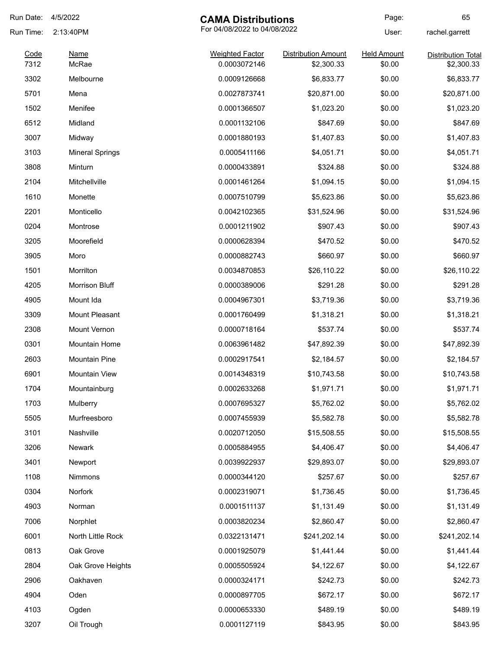| Run Date:    | 4/5/2022               | <b>CAMA Distributions</b>              |                                          | Page:                        | 65                                      |
|--------------|------------------------|----------------------------------------|------------------------------------------|------------------------------|-----------------------------------------|
| Run Time:    | 2:13:40PM              | For 04/08/2022 to 04/08/2022           |                                          | User:                        | rachel.garrett                          |
| Code<br>7312 | <b>Name</b><br>McRae   | <b>Weighted Factor</b><br>0.0003072146 | <b>Distribution Amount</b><br>\$2,300.33 | <b>Held Amount</b><br>\$0.00 | <b>Distribution Total</b><br>\$2,300.33 |
| 3302         | Melbourne              | 0.0009126668                           | \$6,833.77                               | \$0.00                       | \$6,833.77                              |
| 5701         | Mena                   | 0.0027873741                           | \$20,871.00                              | \$0.00                       | \$20,871.00                             |
| 1502         | Menifee                | 0.0001366507                           | \$1,023.20                               | \$0.00                       | \$1,023.20                              |
| 6512         | Midland                | 0.0001132106                           | \$847.69                                 | \$0.00                       | \$847.69                                |
| 3007         | Midway                 | 0.0001880193                           | \$1,407.83                               | \$0.00                       | \$1,407.83                              |
| 3103         | <b>Mineral Springs</b> | 0.0005411166                           | \$4,051.71                               | \$0.00                       | \$4,051.71                              |
| 3808         | Minturn                | 0.0000433891                           | \$324.88                                 | \$0.00                       | \$324.88                                |
| 2104         | Mitchellville          | 0.0001461264                           | \$1,094.15                               | \$0.00                       | \$1,094.15                              |
| 1610         | Monette                | 0.0007510799                           | \$5,623.86                               | \$0.00                       | \$5,623.86                              |
| 2201         | Monticello             | 0.0042102365                           | \$31,524.96                              | \$0.00                       | \$31,524.96                             |
| 0204         | Montrose               | 0.0001211902                           | \$907.43                                 | \$0.00                       | \$907.43                                |
| 3205         | Moorefield             | 0.0000628394                           |                                          | \$0.00                       | \$470.52                                |
| 3905         |                        | 0.0000882743                           | \$470.52<br>\$660.97                     | \$0.00                       | \$660.97                                |
| 1501         | Moro<br>Morrilton      | 0.0034870853                           |                                          | \$0.00                       |                                         |
|              |                        |                                        | \$26,110.22                              |                              | \$26,110.22                             |
| 4205         | Morrison Bluff         | 0.0000389006                           | \$291.28                                 | \$0.00                       | \$291.28                                |
| 4905         | Mount Ida              | 0.0004967301                           | \$3,719.36                               | \$0.00                       | \$3,719.36                              |
| 3309         | Mount Pleasant         | 0.0001760499                           | \$1,318.21                               | \$0.00                       | \$1,318.21                              |
| 2308         | Mount Vernon           | 0.0000718164                           | \$537.74                                 | \$0.00                       | \$537.74                                |
| 0301         | Mountain Home          | 0.0063961482                           | \$47,892.39                              | \$0.00                       | \$47,892.39                             |
| 2603         | <b>Mountain Pine</b>   | 0.0002917541                           | \$2,184.57                               | \$0.00                       | \$2,184.57                              |
| 6901         | <b>Mountain View</b>   | 0.0014348319                           | \$10,743.58                              | \$0.00                       | \$10,743.58                             |
| 1704         | Mountainburg           | 0.0002633268                           | \$1,971.71                               | \$0.00                       | \$1,971.71                              |
| 1703         | Mulberry               | 0.0007695327                           | \$5,762.02                               | \$0.00                       | \$5,762.02                              |
| 5505         | Murfreesboro           | 0.0007455939                           | \$5,582.78                               | \$0.00                       | \$5,582.78                              |
| 3101         | Nashville              | 0.0020712050                           | \$15,508.55                              | \$0.00                       | \$15,508.55                             |
| 3206         | Newark                 | 0.0005884955                           | \$4,406.47                               | \$0.00                       | \$4,406.47                              |
| 3401         | Newport                | 0.0039922937                           | \$29,893.07                              | \$0.00                       | \$29,893.07                             |
| 1108         | Nimmons                | 0.0000344120                           | \$257.67                                 | \$0.00                       | \$257.67                                |
| 0304         | Norfork                | 0.0002319071                           | \$1,736.45                               | \$0.00                       | \$1,736.45                              |
| 4903         | Norman                 | 0.0001511137                           | \$1,131.49                               | \$0.00                       | \$1,131.49                              |
| 7006         | Norphlet               | 0.0003820234                           | \$2,860.47                               | \$0.00                       | \$2,860.47                              |
| 6001         | North Little Rock      | 0.0322131471                           | \$241,202.14                             | \$0.00                       | \$241,202.14                            |
| 0813         | Oak Grove              | 0.0001925079                           | \$1,441.44                               | \$0.00                       | \$1,441.44                              |
| 2804         | Oak Grove Heights      | 0.0005505924                           | \$4,122.67                               | \$0.00                       | \$4,122.67                              |
| 2906         | Oakhaven               | 0.0000324171                           | \$242.73                                 | \$0.00                       | \$242.73                                |
| 4904         | Oden                   | 0.0000897705                           | \$672.17                                 | \$0.00                       | \$672.17                                |
| 4103         | Ogden                  | 0.0000653330                           | \$489.19                                 | \$0.00                       | \$489.19                                |
| 3207         | Oil Trough             | 0.0001127119                           | \$843.95                                 | \$0.00                       | \$843.95                                |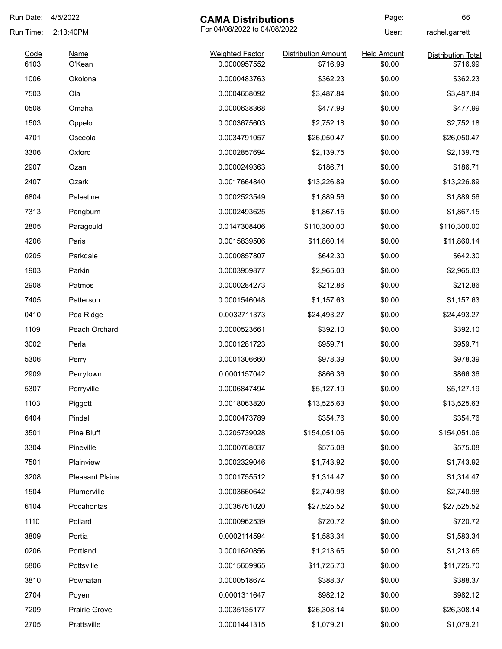| Run Date:    | 4/5/2022               | <b>CAMA Distributions</b>              |                                        | Page:                        | 66                                    |
|--------------|------------------------|----------------------------------------|----------------------------------------|------------------------------|---------------------------------------|
| Run Time:    | 2:13:40PM              | For 04/08/2022 to 04/08/2022           |                                        | User:                        | rachel.garrett                        |
| Code<br>6103 | <b>Name</b><br>O'Kean  | <b>Weighted Factor</b><br>0.0000957552 | <b>Distribution Amount</b><br>\$716.99 | <b>Held Amount</b><br>\$0.00 | <b>Distribution Total</b><br>\$716.99 |
| 1006         | Okolona                | 0.0000483763                           | \$362.23                               | \$0.00                       | \$362.23                              |
| 7503         | Ola                    | 0.0004658092                           | \$3,487.84                             | \$0.00                       | \$3,487.84                            |
| 0508         | Omaha                  | 0.0000638368                           | \$477.99                               | \$0.00                       | \$477.99                              |
| 1503         | Oppelo                 | 0.0003675603                           | \$2,752.18                             | \$0.00                       | \$2,752.18                            |
| 4701         | Osceola                | 0.0034791057                           | \$26,050.47                            | \$0.00                       | \$26,050.47                           |
| 3306         | Oxford                 | 0.0002857694                           | \$2,139.75                             | \$0.00                       | \$2,139.75                            |
| 2907         | Ozan                   | 0.0000249363                           | \$186.71                               | \$0.00                       | \$186.71                              |
| 2407         | Ozark                  | 0.0017664840                           | \$13,226.89                            | \$0.00                       | \$13,226.89                           |
| 6804         | Palestine              | 0.0002523549                           | \$1,889.56                             | \$0.00                       | \$1,889.56                            |
| 7313         | Pangburn               | 0.0002493625                           | \$1,867.15                             | \$0.00                       | \$1,867.15                            |
| 2805         | Paragould              | 0.0147308406                           | \$110,300.00                           | \$0.00                       | \$110,300.00                          |
| 4206         | Paris                  | 0.0015839506                           | \$11,860.14                            | \$0.00                       | \$11,860.14                           |
| 0205         | Parkdale               | 0.0000857807                           | \$642.30                               | \$0.00                       | \$642.30                              |
| 1903         | Parkin                 | 0.0003959877                           | \$2,965.03                             | \$0.00                       | \$2,965.03                            |
| 2908         | Patmos                 | 0.0000284273                           | \$212.86                               | \$0.00                       | \$212.86                              |
| 7405         | Patterson              | 0.0001546048                           | \$1,157.63                             | \$0.00                       | \$1,157.63                            |
| 0410         | Pea Ridge              | 0.0032711373                           | \$24,493.27                            | \$0.00                       | \$24,493.27                           |
| 1109         | Peach Orchard          | 0.0000523661                           | \$392.10                               | \$0.00                       | \$392.10                              |
| 3002         | Perla                  | 0.0001281723                           | \$959.71                               | \$0.00                       | \$959.71                              |
| 5306         | Perry                  | 0.0001306660                           | \$978.39                               | \$0.00                       | \$978.39                              |
| 2909         | Perrytown              | 0.0001157042                           | \$866.36                               | \$0.00                       | \$866.36                              |
| 5307         | Perryville             | 0.0006847494                           | \$5,127.19                             | \$0.00                       | \$5,127.19                            |
| 1103         | Piggott                | 0.0018063820                           | \$13,525.63                            | \$0.00                       | \$13,525.63                           |
| 6404         | Pindall                | 0.0000473789                           | \$354.76                               | \$0.00                       | \$354.76                              |
| 3501         | Pine Bluff             | 0.0205739028                           | \$154,051.06                           | \$0.00                       | \$154,051.06                          |
| 3304         | Pineville              | 0.0000768037                           | \$575.08                               | \$0.00                       | \$575.08                              |
| 7501         | Plainview              | 0.0002329046                           | \$1,743.92                             | \$0.00                       | \$1,743.92                            |
| 3208         | <b>Pleasant Plains</b> | 0.0001755512                           | \$1,314.47                             | \$0.00                       | \$1,314.47                            |
| 1504         | Plumerville            | 0.0003660642                           | \$2,740.98                             | \$0.00                       | \$2,740.98                            |
| 6104         | Pocahontas             | 0.0036761020                           | \$27,525.52                            | \$0.00                       | \$27,525.52                           |
| 1110         | Pollard                | 0.0000962539                           | \$720.72                               | \$0.00                       | \$720.72                              |
| 3809         | Portia                 | 0.0002114594                           | \$1,583.34                             | \$0.00                       | \$1,583.34                            |
| 0206         | Portland               | 0.0001620856                           | \$1,213.65                             | \$0.00                       | \$1,213.65                            |
| 5806         | Pottsville             | 0.0015659965                           | \$11,725.70                            | \$0.00                       | \$11,725.70                           |
| 3810         | Powhatan               | 0.0000518674                           | \$388.37                               | \$0.00                       | \$388.37                              |
| 2704         | Poyen                  | 0.0001311647                           | \$982.12                               | \$0.00                       | \$982.12                              |
| 7209         | Prairie Grove          | 0.0035135177                           | \$26,308.14                            | \$0.00                       | \$26,308.14                           |
| 2705         | Prattsville            | 0.0001441315                           | \$1,079.21                             | \$0.00                       | \$1,079.21                            |
|              |                        |                                        |                                        |                              |                                       |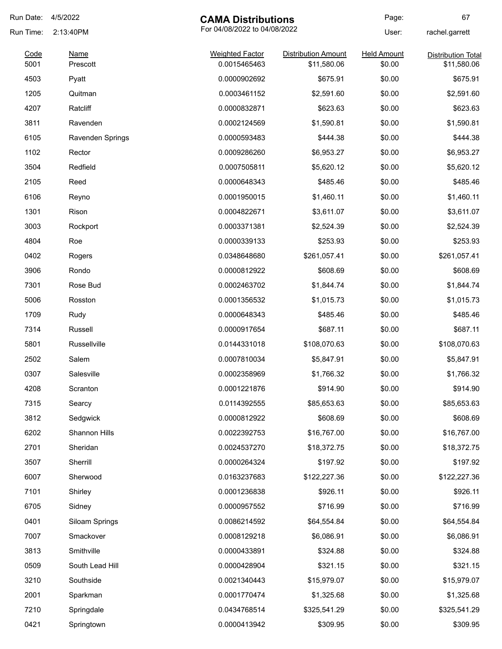| Run Date:    | 4/5/2022                | <b>CAMA Distributions</b>              |                                           | Page:                        | 67                                       |
|--------------|-------------------------|----------------------------------------|-------------------------------------------|------------------------------|------------------------------------------|
| Run Time:    | 2:13:40PM               | For 04/08/2022 to 04/08/2022           |                                           | User:                        | rachel.garrett                           |
| Code<br>5001 | <b>Name</b><br>Prescott | <b>Weighted Factor</b><br>0.0015465463 | <b>Distribution Amount</b><br>\$11,580.06 | <b>Held Amount</b><br>\$0.00 | <b>Distribution Total</b><br>\$11,580.06 |
| 4503         | Pyatt                   | 0.0000902692                           | \$675.91                                  | \$0.00                       | \$675.91                                 |
| 1205         | Quitman                 | 0.0003461152                           | \$2,591.60                                | \$0.00                       | \$2,591.60                               |
| 4207         | Ratcliff                | 0.0000832871                           | \$623.63                                  | \$0.00                       | \$623.63                                 |
| 3811         | Ravenden                | 0.0002124569                           | \$1,590.81                                | \$0.00                       | \$1,590.81                               |
| 6105         | Ravenden Springs        | 0.0000593483                           | \$444.38                                  | \$0.00                       | \$444.38                                 |
| 1102         | Rector                  | 0.0009286260                           | \$6,953.27                                | \$0.00                       | \$6,953.27                               |
| 3504         | Redfield                | 0.0007505811                           | \$5,620.12                                | \$0.00                       | \$5,620.12                               |
| 2105         | Reed                    | 0.0000648343                           | \$485.46                                  | \$0.00                       | \$485.46                                 |
| 6106         | Reyno                   | 0.0001950015                           | \$1,460.11                                | \$0.00                       | \$1,460.11                               |
| 1301         | Rison                   | 0.0004822671                           | \$3,611.07                                | \$0.00                       | \$3,611.07                               |
| 3003         | Rockport                | 0.0003371381                           | \$2,524.39                                | \$0.00                       | \$2,524.39                               |
| 4804         | Roe                     | 0.0000339133                           | \$253.93                                  | \$0.00                       | \$253.93                                 |
| 0402         | Rogers                  | 0.0348648680                           | \$261,057.41                              | \$0.00                       | \$261,057.41                             |
| 3906         | Rondo                   | 0.0000812922                           | \$608.69                                  | \$0.00                       | \$608.69                                 |
| 7301         | Rose Bud                | 0.0002463702                           | \$1,844.74                                | \$0.00                       | \$1,844.74                               |
| 5006         | Rosston                 | 0.0001356532                           | \$1,015.73                                | \$0.00                       | \$1,015.73                               |
| 1709         | Rudy                    | 0.0000648343                           | \$485.46                                  | \$0.00                       | \$485.46                                 |
| 7314         | Russell                 | 0.0000917654                           | \$687.11                                  | \$0.00                       | \$687.11                                 |
| 5801         | Russellville            | 0.0144331018                           | \$108,070.63                              | \$0.00                       | \$108,070.63                             |
| 2502         | Salem                   | 0.0007810034                           | \$5,847.91                                | \$0.00                       | \$5,847.91                               |
| 0307         | Salesville              | 0.0002358969                           | \$1,766.32                                | \$0.00                       | \$1,766.32                               |
| 4208         | Scranton                | 0.0001221876                           | \$914.90                                  | \$0.00                       | \$914.90                                 |
| 7315         | Searcy                  | 0.0114392555                           | \$85,653.63                               | \$0.00                       | \$85,653.63                              |
| 3812         | Sedgwick                | 0.0000812922                           | \$608.69                                  | \$0.00                       | \$608.69                                 |
| 6202         | Shannon Hills           | 0.0022392753                           | \$16,767.00                               | \$0.00                       | \$16,767.00                              |
| 2701         | Sheridan                | 0.0024537270                           | \$18,372.75                               | \$0.00                       | \$18,372.75                              |
| 3507         | Sherrill                | 0.0000264324                           | \$197.92                                  | \$0.00                       | \$197.92                                 |
| 6007         | Sherwood                | 0.0163237683                           | \$122,227.36                              | \$0.00                       | \$122,227.36                             |
| 7101         | Shirley                 | 0.0001236838                           | \$926.11                                  | \$0.00                       | \$926.11                                 |
| 6705         | Sidney                  | 0.0000957552                           | \$716.99                                  | \$0.00                       | \$716.99                                 |
| 0401         | Siloam Springs          | 0.0086214592                           | \$64,554.84                               | \$0.00                       | \$64,554.84                              |
| 7007         | Smackover               | 0.0008129218                           | \$6,086.91                                | \$0.00                       | \$6,086.91                               |
| 3813         | Smithville              | 0.0000433891                           | \$324.88                                  | \$0.00                       | \$324.88                                 |
| 0509         | South Lead Hill         | 0.0000428904                           | \$321.15                                  | \$0.00                       | \$321.15                                 |
| 3210         | Southside               | 0.0021340443                           | \$15,979.07                               | \$0.00                       | \$15,979.07                              |
| 2001         | Sparkman                | 0.0001770474                           | \$1,325.68                                | \$0.00                       | \$1,325.68                               |
| 7210         | Springdale              | 0.0434768514                           | \$325,541.29                              | \$0.00                       | \$325,541.29                             |
| 0421         | Springtown              | 0.0000413942                           | \$309.95                                  | \$0.00                       | \$309.95                                 |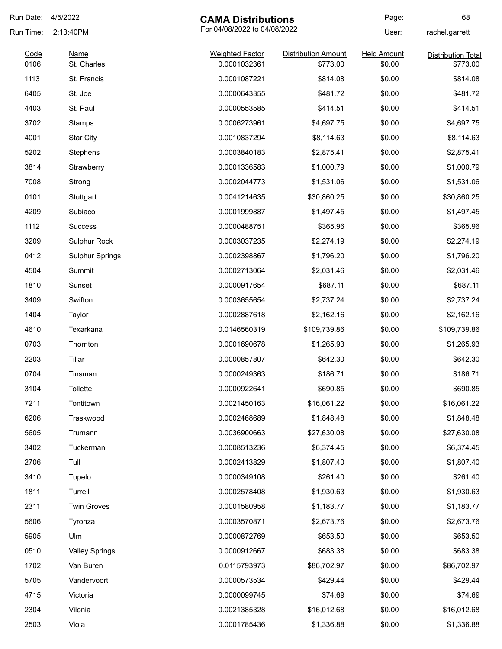| Run Date:    | 4/5/2022                                  | <b>CAMA Distributions</b>              |                                        | Page:                        | 68                                    |
|--------------|-------------------------------------------|----------------------------------------|----------------------------------------|------------------------------|---------------------------------------|
| Run Time:    | For 04/08/2022 to 04/08/2022<br>2:13:40PM |                                        |                                        | User:                        | rachel.garrett                        |
| Code<br>0106 | Name<br>St. Charles                       | <b>Weighted Factor</b><br>0.0001032361 | <b>Distribution Amount</b><br>\$773.00 | <b>Held Amount</b><br>\$0.00 | <b>Distribution Total</b><br>\$773.00 |
| 1113         | St. Francis                               | 0.0001087221                           | \$814.08                               | \$0.00                       | \$814.08                              |
| 6405         | St. Joe                                   | 0.0000643355                           | \$481.72                               | \$0.00                       | \$481.72                              |
| 4403         | St. Paul                                  | 0.0000553585                           | \$414.51                               | \$0.00                       | \$414.51                              |
| 3702         | Stamps                                    | 0.0006273961                           | \$4,697.75                             | \$0.00                       | \$4,697.75                            |
| 4001         |                                           | 0.0010837294                           | \$8,114.63                             | \$0.00                       |                                       |
|              | Star City                                 |                                        |                                        |                              | \$8,114.63                            |
| 5202         | Stephens                                  | 0.0003840183                           | \$2,875.41                             | \$0.00                       | \$2,875.41                            |
| 3814         | Strawberry                                | 0.0001336583                           | \$1,000.79                             | \$0.00                       | \$1,000.79                            |
| 7008         | Strong                                    | 0.0002044773                           | \$1,531.06                             | \$0.00                       | \$1,531.06                            |
| 0101         | Stuttgart                                 | 0.0041214635                           | \$30,860.25                            | \$0.00                       | \$30,860.25                           |
| 4209         | Subiaco                                   | 0.0001999887                           | \$1,497.45                             | \$0.00                       | \$1,497.45                            |
| 1112         | <b>Success</b>                            | 0.0000488751                           | \$365.96                               | \$0.00                       | \$365.96                              |
| 3209         | Sulphur Rock                              | 0.0003037235                           | \$2,274.19                             | \$0.00                       | \$2,274.19                            |
| 0412         | <b>Sulphur Springs</b>                    | 0.0002398867                           | \$1,796.20                             | \$0.00                       | \$1,796.20                            |
| 4504         | Summit                                    | 0.0002713064                           | \$2,031.46                             | \$0.00                       | \$2,031.46                            |
| 1810         | Sunset                                    | 0.0000917654                           | \$687.11                               | \$0.00                       | \$687.11                              |
| 3409         | Swifton                                   | 0.0003655654                           | \$2,737.24                             | \$0.00                       | \$2,737.24                            |
| 1404         | Taylor                                    | 0.0002887618                           | \$2,162.16                             | \$0.00                       | \$2,162.16                            |
| 4610         | Texarkana                                 | 0.0146560319                           | \$109,739.86                           | \$0.00                       | \$109,739.86                          |
| 0703         | Thornton                                  | 0.0001690678                           | \$1,265.93                             | \$0.00                       | \$1,265.93                            |
| 2203         | Tillar                                    | 0.0000857807                           | \$642.30                               | \$0.00                       | \$642.30                              |
| 0704         | Tinsman                                   | 0.0000249363                           | \$186.71                               | \$0.00                       | \$186.71                              |
| 3104         | Tollette                                  | 0.0000922641                           | \$690.85                               | \$0.00                       | \$690.85                              |
| 7211         | Tontitown                                 | 0.0021450163                           | \$16,061.22                            | \$0.00                       | \$16,061.22                           |
| 6206         | Traskwood                                 | 0.0002468689                           | \$1,848.48                             | \$0.00                       | \$1,848.48                            |
| 5605         | Trumann                                   | 0.0036900663                           | \$27,630.08                            | \$0.00                       | \$27,630.08                           |
| 3402         | Tuckerman                                 | 0.0008513236                           | \$6,374.45                             | \$0.00                       | \$6,374.45                            |
| 2706         | Tull                                      | 0.0002413829                           | \$1,807.40                             | \$0.00                       | \$1,807.40                            |
| 3410         | Tupelo                                    | 0.0000349108                           | \$261.40                               | \$0.00                       | \$261.40                              |
| 1811         | Turrell                                   | 0.0002578408                           | \$1,930.63                             | \$0.00                       | \$1,930.63                            |
| 2311         | <b>Twin Groves</b>                        | 0.0001580958                           | \$1,183.77                             | \$0.00                       | \$1,183.77                            |
| 5606         | Tyronza                                   | 0.0003570871                           | \$2,673.76                             | \$0.00                       | \$2,673.76                            |
| 5905         | Ulm                                       | 0.0000872769                           | \$653.50                               | \$0.00                       | \$653.50                              |
| 0510         | <b>Valley Springs</b>                     | 0.0000912667                           | \$683.38                               | \$0.00                       | \$683.38                              |
| 1702         | Van Buren                                 | 0.0115793973                           | \$86,702.97                            | \$0.00                       | \$86,702.97                           |
| 5705         | Vandervoort                               | 0.0000573534                           | \$429.44                               | \$0.00                       | \$429.44                              |
| 4715         | Victoria                                  | 0.0000099745                           | \$74.69                                | \$0.00                       | \$74.69                               |
| 2304         | Vilonia                                   | 0.0021385328                           | \$16,012.68                            | \$0.00                       | \$16,012.68                           |
| 2503         | Viola                                     | 0.0001785436                           | \$1,336.88                             | \$0.00                       | \$1,336.88                            |
|              |                                           |                                        |                                        |                              |                                       |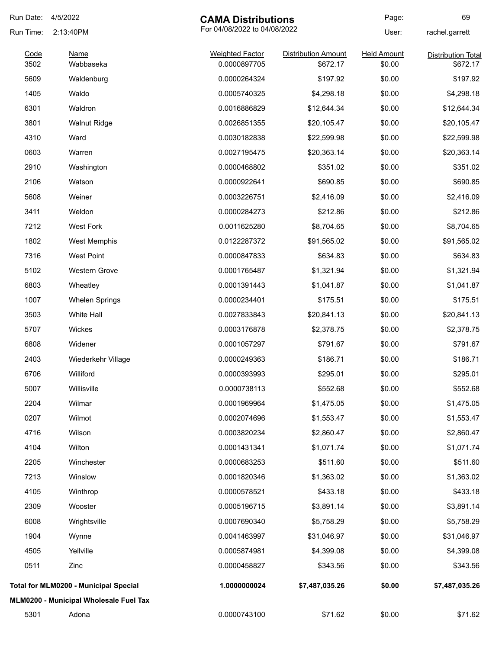| Run Date: | 4/5/2022                                     | <b>CAMA Distributions</b> |                            | Page:              | 69                        |
|-----------|----------------------------------------------|---------------------------|----------------------------|--------------------|---------------------------|
| Run Time: | For 04/08/2022 to 04/08/2022<br>2:13:40PM    |                           |                            | User:              | rachel.garrett            |
| Code      | Name                                         | <b>Weighted Factor</b>    | <b>Distribution Amount</b> | <b>Held Amount</b> | <b>Distribution Total</b> |
| 3502      | Wabbaseka                                    | 0.0000897705              | \$672.17                   | \$0.00             | \$672.17                  |
| 5609      | Waldenburg                                   | 0.0000264324              | \$197.92                   | \$0.00             | \$197.92                  |
| 1405      | Waldo                                        | 0.0005740325              | \$4,298.18                 | \$0.00             | \$4,298.18                |
| 6301      | Waldron                                      | 0.0016886829              | \$12,644.34                | \$0.00             | \$12,644.34               |
| 3801      | <b>Walnut Ridge</b>                          | 0.0026851355              | \$20,105.47                | \$0.00             | \$20,105.47               |
| 4310      | Ward                                         | 0.0030182838              | \$22,599.98                | \$0.00             | \$22,599.98               |
| 0603      | Warren                                       | 0.0027195475              | \$20,363.14                | \$0.00             | \$20,363.14               |
| 2910      | Washington                                   | 0.0000468802              | \$351.02                   | \$0.00             | \$351.02                  |
| 2106      | Watson                                       | 0.0000922641              | \$690.85                   | \$0.00             | \$690.85                  |
| 5608      | Weiner                                       | 0.0003226751              | \$2,416.09                 | \$0.00             | \$2,416.09                |
| 3411      | Weldon                                       | 0.0000284273              | \$212.86                   | \$0.00             | \$212.86                  |
| 7212      | West Fork                                    | 0.0011625280              | \$8,704.65                 | \$0.00             | \$8,704.65                |
| 1802      | West Memphis                                 | 0.0122287372              | \$91,565.02                | \$0.00             | \$91,565.02               |
| 7316      | <b>West Point</b>                            | 0.0000847833              | \$634.83                   | \$0.00             | \$634.83                  |
| 5102      | <b>Western Grove</b>                         | 0.0001765487              | \$1,321.94                 | \$0.00             | \$1,321.94                |
| 6803      | Wheatley                                     | 0.0001391443              | \$1,041.87                 | \$0.00             | \$1,041.87                |
| 1007      | <b>Whelen Springs</b>                        | 0.0000234401              | \$175.51                   | \$0.00             | \$175.51                  |
| 3503      | White Hall                                   | 0.0027833843              | \$20,841.13                | \$0.00             | \$20,841.13               |
| 5707      | Wickes                                       | 0.0003176878              | \$2,378.75                 | \$0.00             | \$2,378.75                |
| 6808      | Widener                                      | 0.0001057297              | \$791.67                   | \$0.00             | \$791.67                  |
| 2403      | Wiederkehr Village                           | 0.0000249363              | \$186.71                   | \$0.00             | \$186.71                  |
| 6706      | Williford                                    | 0.0000393993              | \$295.01                   | \$0.00             | \$295.01                  |
| 5007      | Willisville                                  | 0.0000738113              | \$552.68                   | \$0.00             | \$552.68                  |
| 2204      | Wilmar                                       | 0.0001969964              | \$1,475.05                 | \$0.00             | \$1,475.05                |
| 0207      | Wilmot                                       | 0.0002074696              | \$1,553.47                 | \$0.00             | \$1,553.47                |
| 4716      | Wilson                                       | 0.0003820234              | \$2,860.47                 | \$0.00             | \$2,860.47                |
| 4104      | Wilton                                       | 0.0001431341              | \$1,071.74                 | \$0.00             | \$1,071.74                |
| 2205      | Winchester                                   | 0.0000683253              | \$511.60                   | \$0.00             | \$511.60                  |
| 7213      | Winslow                                      | 0.0001820346              | \$1,363.02                 | \$0.00             | \$1,363.02                |
| 4105      | Winthrop                                     | 0.0000578521              | \$433.18                   | \$0.00             | \$433.18                  |
| 2309      | Wooster                                      | 0.0005196715              | \$3,891.14                 | \$0.00             | \$3,891.14                |
| 6008      | Wrightsville                                 | 0.0007690340              | \$5,758.29                 | \$0.00             | \$5,758.29                |
| 1904      | Wynne                                        | 0.0041463997              | \$31,046.97                | \$0.00             | \$31,046.97               |
| 4505      | Yellville                                    | 0.0005874981              | \$4,399.08                 | \$0.00             | \$4,399.08                |
| 0511      | Zinc                                         | 0.0000458827              | \$343.56                   | \$0.00             | \$343.56                  |
|           | <b>Total for MLM0200 - Municipal Special</b> | 1.0000000024              | \$7,487,035.26             | \$0.00             | \$7,487,035.26            |
|           | MLM0200 - Municipal Wholesale Fuel Tax       |                           |                            |                    |                           |
| 5301      | Adona                                        | 0.0000743100              | \$71.62                    | \$0.00             | \$71.62                   |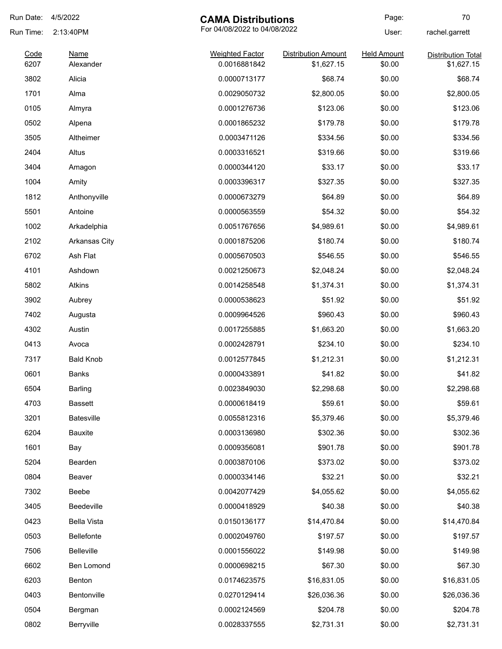| Run Date:    | 4/5/2022                 | <b>CAMA Distributions</b>              |                                          | Page:                        | 70                                      |
|--------------|--------------------------|----------------------------------------|------------------------------------------|------------------------------|-----------------------------------------|
| Run Time:    | 2:13:40PM                | For 04/08/2022 to 04/08/2022           |                                          | User:                        | rachel.garrett                          |
| Code<br>6207 | <b>Name</b><br>Alexander | <b>Weighted Factor</b><br>0.0016881842 | <b>Distribution Amount</b><br>\$1,627.15 | <b>Held Amount</b><br>\$0.00 | <b>Distribution Total</b><br>\$1,627.15 |
| 3802         | Alicia                   | 0.0000713177                           | \$68.74                                  | \$0.00                       | \$68.74                                 |
| 1701         | Alma                     | 0.0029050732                           | \$2,800.05                               | \$0.00                       | \$2,800.05                              |
| 0105         | Almyra                   | 0.0001276736                           | \$123.06                                 | \$0.00                       | \$123.06                                |
| 0502         | Alpena                   | 0.0001865232                           | \$179.78                                 | \$0.00                       | \$179.78                                |
| 3505         | Altheimer                | 0.0003471126                           | \$334.56                                 | \$0.00                       | \$334.56                                |
| 2404         | Altus                    | 0.0003316521                           | \$319.66                                 | \$0.00                       | \$319.66                                |
| 3404         | Amagon                   | 0.0000344120                           | \$33.17                                  | \$0.00                       | \$33.17                                 |
| 1004         | Amity                    | 0.0003396317                           | \$327.35                                 | \$0.00                       | \$327.35                                |
| 1812         | Anthonyville             | 0.0000673279                           | \$64.89                                  | \$0.00                       | \$64.89                                 |
| 5501         | Antoine                  | 0.0000563559                           | \$54.32                                  | \$0.00                       | \$54.32                                 |
| 1002         | Arkadelphia              | 0.0051767656                           | \$4,989.61                               | \$0.00                       | \$4,989.61                              |
| 2102         | Arkansas City            | 0.0001875206                           | \$180.74                                 | \$0.00                       | \$180.74                                |
| 6702         | Ash Flat                 | 0.0005670503                           | \$546.55                                 | \$0.00                       | \$546.55                                |
| 4101         | Ashdown                  | 0.0021250673                           | \$2,048.24                               | \$0.00                       | \$2,048.24                              |
| 5802         | Atkins                   | 0.0014258548                           | \$1,374.31                               | \$0.00                       | \$1,374.31                              |
| 3902         | Aubrey                   | 0.0000538623                           | \$51.92                                  | \$0.00                       | \$51.92                                 |
| 7402         | Augusta                  | 0.0009964526                           | \$960.43                                 | \$0.00                       | \$960.43                                |
| 4302         | Austin                   | 0.0017255885                           | \$1,663.20                               | \$0.00                       | \$1,663.20                              |
| 0413         | Avoca                    | 0.0002428791                           | \$234.10                                 | \$0.00                       | \$234.10                                |
| 7317         | <b>Bald Knob</b>         | 0.0012577845                           | \$1,212.31                               | \$0.00                       | \$1,212.31                              |
| 0601         | <b>Banks</b>             | 0.0000433891                           | \$41.82                                  | \$0.00                       | \$41.82                                 |
| 6504         | Barling                  | 0.0023849030                           | \$2,298.68                               | \$0.00                       | \$2,298.68                              |
| 4703         | <b>Bassett</b>           | 0.0000618419                           | \$59.61                                  | \$0.00                       | \$59.61                                 |
| 3201         | Batesville               | 0.0055812316                           | \$5,379.46                               | \$0.00                       | \$5,379.46                              |
| 6204         | Bauxite                  | 0.0003136980                           | \$302.36                                 | \$0.00                       | \$302.36                                |
| 1601         | Bay                      | 0.0009356081                           | \$901.78                                 | \$0.00                       | \$901.78                                |
| 5204         | Bearden                  | 0.0003870106                           | \$373.02                                 | \$0.00                       | \$373.02                                |
| 0804         | Beaver                   | 0.0000334146                           | \$32.21                                  | \$0.00                       | \$32.21                                 |
| 7302         | Beebe                    | 0.0042077429                           | \$4,055.62                               | \$0.00                       | \$4,055.62                              |
| 3405         | Beedeville               | 0.0000418929                           | \$40.38                                  | \$0.00                       | \$40.38                                 |
| 0423         | Bella Vista              | 0.0150136177                           | \$14,470.84                              | \$0.00                       | \$14,470.84                             |
| 0503         | Bellefonte               | 0.0002049760                           | \$197.57                                 | \$0.00                       | \$197.57                                |
| 7506         | <b>Belleville</b>        | 0.0001556022                           | \$149.98                                 | \$0.00                       | \$149.98                                |
| 6602         | Ben Lomond               | 0.0000698215                           | \$67.30                                  | \$0.00                       | \$67.30                                 |
| 6203         | Benton                   | 0.0174623575                           | \$16,831.05                              | \$0.00                       | \$16,831.05                             |
| 0403         | Bentonville              | 0.0270129414                           | \$26,036.36                              | \$0.00                       | \$26,036.36                             |
| 0504         | Bergman                  | 0.0002124569                           | \$204.78                                 | \$0.00                       | \$204.78                                |
| 0802         | Berryville               | 0.0028337555                           | \$2,731.31                               | \$0.00                       | \$2,731.31                              |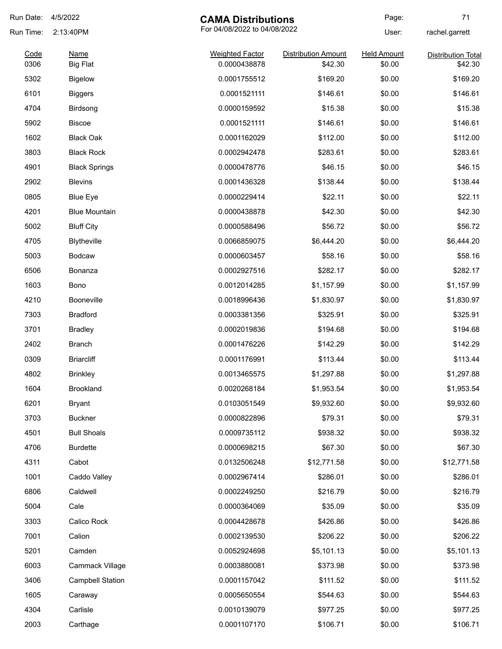| Run Date: | 4/5/2022                                  | <b>CAMA Distributions</b> |                            | Page:              | 71                        |
|-----------|-------------------------------------------|---------------------------|----------------------------|--------------------|---------------------------|
| Run Time: | For 04/08/2022 to 04/08/2022<br>2:13:40PM |                           | User:                      | rachel.garrett     |                           |
| Code      | Name                                      | <b>Weighted Factor</b>    | <b>Distribution Amount</b> | <b>Held Amount</b> | <b>Distribution Total</b> |
| 0306      | <b>Big Flat</b>                           | 0.0000438878              | \$42.30                    | \$0.00             | \$42.30                   |
| 5302      | <b>Bigelow</b>                            | 0.0001755512              | \$169.20                   | \$0.00             | \$169.20                  |
| 6101      | <b>Biggers</b>                            | 0.0001521111              | \$146.61                   | \$0.00             | \$146.61                  |
| 4704      | Birdsong                                  | 0.0000159592              | \$15.38                    | \$0.00             | \$15.38                   |
| 5902      | <b>Biscoe</b>                             | 0.0001521111              | \$146.61                   | \$0.00             | \$146.61                  |
| 1602      | <b>Black Oak</b>                          | 0.0001162029              | \$112.00                   | \$0.00             | \$112.00                  |
| 3803      | <b>Black Rock</b>                         | 0.0002942478              | \$283.61                   | \$0.00             | \$283.61                  |
| 4901      | <b>Black Springs</b>                      | 0.0000478776              | \$46.15                    | \$0.00             | \$46.15                   |
| 2902      | <b>Blevins</b>                            | 0.0001436328              | \$138.44                   | \$0.00             | \$138.44                  |
| 0805      | <b>Blue Eye</b>                           | 0.0000229414              | \$22.11                    | \$0.00             | \$22.11                   |
| 4201      | <b>Blue Mountain</b>                      | 0.0000438878              | \$42.30                    | \$0.00             | \$42.30                   |
| 5002      | <b>Bluff City</b>                         | 0.0000588496              | \$56.72                    | \$0.00             | \$56.72                   |
| 4705      | Blytheville                               | 0.0066859075              | \$6,444.20                 | \$0.00             | \$6,444.20                |
| 5003      | <b>Bodcaw</b>                             | 0.0000603457              | \$58.16                    | \$0.00             | \$58.16                   |
| 6506      | Bonanza                                   | 0.0002927516              | \$282.17                   | \$0.00             | \$282.17                  |
| 1603      | Bono                                      | 0.0012014285              | \$1,157.99                 | \$0.00             | \$1,157.99                |
| 4210      | Booneville                                | 0.0018996436              | \$1,830.97                 | \$0.00             | \$1,830.97                |
| 7303      | <b>Bradford</b>                           | 0.0003381356              | \$325.91                   | \$0.00             | \$325.91                  |
| 3701      | <b>Bradley</b>                            | 0.0002019836              | \$194.68                   | \$0.00             | \$194.68                  |
| 2402      | Branch                                    | 0.0001476226              | \$142.29                   | \$0.00             | \$142.29                  |
| 0309      | <b>Briarcliff</b>                         | 0.0001176991              | \$113.44                   | \$0.00             | \$113.44                  |
| 4802      | <b>Brinkley</b>                           | 0.0013465575              | \$1,297.88                 | \$0.00             | \$1,297.88                |
| 1604      | Brookland                                 | 0.0020268184              | \$1,953.54                 | \$0.00             | \$1,953.54                |
| 6201      | <b>Bryant</b>                             | 0.0103051549              | \$9,932.60                 | \$0.00             | \$9,932.60                |
| 3703      | <b>Buckner</b>                            | 0.0000822896              | \$79.31                    | \$0.00             | \$79.31                   |
| 4501      | <b>Bull Shoals</b>                        | 0.0009735112              | \$938.32                   | \$0.00             | \$938.32                  |
| 4706      | <b>Burdette</b>                           | 0.0000698215              | \$67.30                    | \$0.00             | \$67.30                   |
| 4311      | Cabot                                     | 0.0132506248              | \$12,771.58                | \$0.00             | \$12,771.58               |
| 1001      | Caddo Valley                              | 0.0002967414              | \$286.01                   | \$0.00             | \$286.01                  |
| 6806      | Caldwell                                  | 0.0002249250              | \$216.79                   | \$0.00             | \$216.79                  |
| 5004      | Cale                                      | 0.0000364069              | \$35.09                    | \$0.00             | \$35.09                   |
| 3303      | Calico Rock                               | 0.0004428678              | \$426.86                   | \$0.00             | \$426.86                  |
| 7001      | Calion                                    | 0.0002139530              | \$206.22                   | \$0.00             | \$206.22                  |
| 5201      | Camden                                    | 0.0052924698              | \$5,101.13                 | \$0.00             | \$5,101.13                |
| 6003      | Cammack Village                           | 0.0003880081              | \$373.98                   | \$0.00             | \$373.98                  |
| 3406      | <b>Campbell Station</b>                   | 0.0001157042              | \$111.52                   | \$0.00             | \$111.52                  |
| 1605      | Caraway                                   | 0.0005650554              | \$544.63                   | \$0.00             | \$544.63                  |
| 4304      | Carlisle                                  | 0.0010139079              | \$977.25                   | \$0.00             | \$977.25                  |
| 2003      | Carthage                                  | 0.0001107170              | \$106.71                   | \$0.00             | \$106.71                  |
|           |                                           |                           |                            |                    |                           |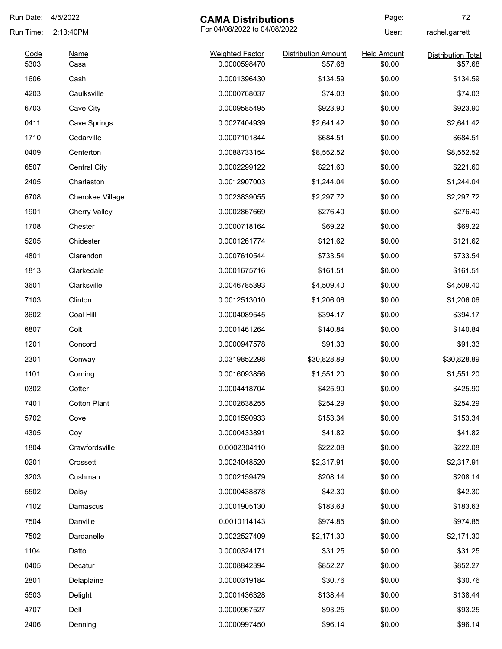| Run Date:    | 4/5/2022                                  | <b>CAMA Distributions</b>              |                                       | Page:                        | 72                                   |
|--------------|-------------------------------------------|----------------------------------------|---------------------------------------|------------------------------|--------------------------------------|
| Run Time:    | For 04/08/2022 to 04/08/2022<br>2:13:40PM |                                        | User:                                 | rachel.garrett               |                                      |
| Code<br>5303 | <b>Name</b><br>Casa                       | <b>Weighted Factor</b><br>0.0000598470 | <b>Distribution Amount</b><br>\$57.68 | <b>Held Amount</b><br>\$0.00 | <b>Distribution Total</b><br>\$57.68 |
| 1606         | Cash                                      | 0.0001396430                           | \$134.59                              | \$0.00                       | \$134.59                             |
| 4203         | Caulksville                               | 0.0000768037                           | \$74.03                               | \$0.00                       | \$74.03                              |
| 6703         | Cave City                                 | 0.0009585495                           | \$923.90                              | \$0.00                       | \$923.90                             |
| 0411         | Cave Springs                              | 0.0027404939                           | \$2,641.42                            | \$0.00                       | \$2,641.42                           |
| 1710         | Cedarville                                | 0.0007101844                           | \$684.51                              | \$0.00                       | \$684.51                             |
| 0409         | Centerton                                 | 0.0088733154                           | \$8,552.52                            | \$0.00                       | \$8,552.52                           |
| 6507         | <b>Central City</b>                       | 0.0002299122                           | \$221.60                              | \$0.00                       | \$221.60                             |
| 2405         | Charleston                                | 0.0012907003                           | \$1,244.04                            | \$0.00                       | \$1,244.04                           |
| 6708         | Cherokee Village                          | 0.0023839055                           | \$2,297.72                            | \$0.00                       | \$2,297.72                           |
| 1901         | <b>Cherry Valley</b>                      | 0.0002867669                           | \$276.40                              | \$0.00                       | \$276.40                             |
| 1708         | Chester                                   | 0.0000718164                           | \$69.22                               | \$0.00                       | \$69.22                              |
| 5205         | Chidester                                 |                                        | \$121.62                              | \$0.00                       | \$121.62                             |
| 4801         | Clarendon                                 | 0.0001261774<br>0.0007610544           | \$733.54                              | \$0.00                       | \$733.54                             |
| 1813         | Clarkedale                                |                                        | \$161.51                              | \$0.00                       | \$161.51                             |
|              |                                           | 0.0001675716                           |                                       |                              |                                      |
| 3601         | Clarksville                               | 0.0046785393                           | \$4,509.40                            | \$0.00                       | \$4,509.40                           |
| 7103         | Clinton                                   | 0.0012513010                           | \$1,206.06                            | \$0.00                       | \$1,206.06                           |
| 3602         | Coal Hill                                 | 0.0004089545                           | \$394.17                              | \$0.00                       | \$394.17                             |
| 6807         | Colt                                      | 0.0001461264                           | \$140.84                              | \$0.00                       | \$140.84                             |
| 1201         | Concord                                   | 0.0000947578                           | \$91.33                               | \$0.00                       | \$91.33                              |
| 2301         | Conway                                    | 0.0319852298                           | \$30,828.89                           | \$0.00                       | \$30,828.89                          |
| 1101         | Corning                                   | 0.0016093856                           | \$1,551.20                            | \$0.00                       | \$1,551.20                           |
| 0302         | Cotter                                    | 0.0004418704                           | \$425.90                              | \$0.00                       | \$425.90                             |
| 7401         | <b>Cotton Plant</b>                       | 0.0002638255                           | \$254.29                              | \$0.00                       | \$254.29                             |
| 5702         | Cove                                      | 0.0001590933                           | \$153.34                              | \$0.00                       | \$153.34                             |
| 4305         | Coy                                       | 0.0000433891                           | \$41.82                               | \$0.00                       | \$41.82                              |
| 1804         | Crawfordsville                            | 0.0002304110                           | \$222.08                              | \$0.00                       | \$222.08                             |
| 0201         | Crossett                                  | 0.0024048520                           | \$2,317.91                            | \$0.00                       | \$2,317.91                           |
| 3203         | Cushman                                   | 0.0002159479                           | \$208.14                              | \$0.00                       | \$208.14                             |
| 5502         | Daisy                                     | 0.0000438878                           | \$42.30                               | \$0.00                       | \$42.30                              |
| 7102         | Damascus                                  | 0.0001905130                           | \$183.63                              | \$0.00                       | \$183.63                             |
| 7504         | Danville                                  | 0.0010114143                           | \$974.85                              | \$0.00                       | \$974.85                             |
| 7502         | Dardanelle                                | 0.0022527409                           | \$2,171.30                            | \$0.00                       | \$2,171.30                           |
| 1104         | Datto                                     | 0.0000324171                           | \$31.25                               | \$0.00                       | \$31.25                              |
| 0405         | Decatur                                   | 0.0008842394                           | \$852.27                              | \$0.00                       | \$852.27                             |
| 2801         | Delaplaine                                | 0.0000319184                           | \$30.76                               | \$0.00                       | \$30.76                              |
| 5503         | Delight                                   | 0.0001436328                           | \$138.44                              | \$0.00                       | \$138.44                             |
| 4707         | Dell                                      | 0.0000967527                           | \$93.25                               | \$0.00                       | \$93.25                              |
| 2406         | Denning                                   | 0.0000997450                           | \$96.14                               | \$0.00                       | \$96.14                              |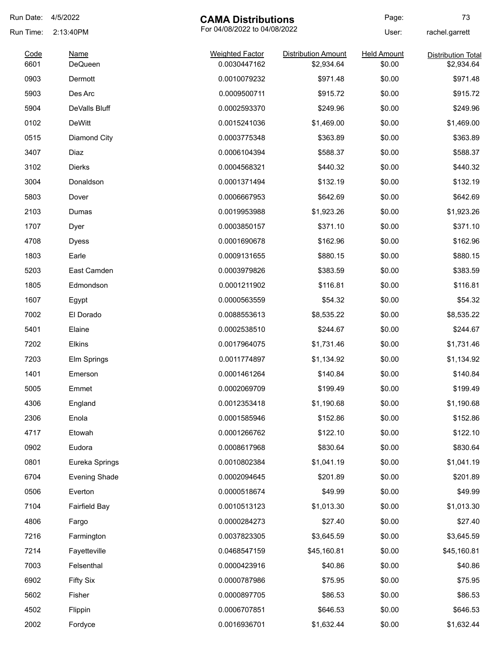| Run Date:    | 4/5/2022                      | <b>CAMA Distributions</b>              |                                          | Page:                        | 73                                      |
|--------------|-------------------------------|----------------------------------------|------------------------------------------|------------------------------|-----------------------------------------|
| Run Time:    | 2:13:40PM                     | For 04/08/2022 to 04/08/2022           |                                          | User:                        | rachel.garrett                          |
| Code<br>6601 | <b>Name</b><br><b>DeQueen</b> | <b>Weighted Factor</b><br>0.0030447162 | <b>Distribution Amount</b><br>\$2,934.64 | <b>Held Amount</b><br>\$0.00 | <b>Distribution Total</b><br>\$2,934.64 |
| 0903         | Dermott                       | 0.0010079232                           | \$971.48                                 | \$0.00                       | \$971.48                                |
| 5903         | Des Arc                       | 0.0009500711                           | \$915.72                                 | \$0.00                       | \$915.72                                |
| 5904         | DeValls Bluff                 | 0.0002593370                           | \$249.96                                 | \$0.00                       | \$249.96                                |
| 0102         | <b>DeWitt</b>                 | 0.0015241036                           | \$1,469.00                               | \$0.00                       | \$1,469.00                              |
| 0515         | Diamond City                  | 0.0003775348                           | \$363.89                                 | \$0.00                       | \$363.89                                |
| 3407         | Diaz                          | 0.0006104394                           | \$588.37                                 | \$0.00                       | \$588.37                                |
| 3102         | <b>Dierks</b>                 | 0.0004568321                           | \$440.32                                 | \$0.00                       | \$440.32                                |
| 3004         | Donaldson                     | 0.0001371494                           | \$132.19                                 | \$0.00                       | \$132.19                                |
| 5803         | Dover                         | 0.0006667953                           | \$642.69                                 | \$0.00                       | \$642.69                                |
| 2103         | Dumas                         | 0.0019953988                           | \$1,923.26                               | \$0.00                       | \$1,923.26                              |
| 1707         | Dyer                          | 0.0003850157                           | \$371.10                                 | \$0.00                       | \$371.10                                |
| 4708         | <b>Dyess</b>                  | 0.0001690678                           | \$162.96                                 | \$0.00                       | \$162.96                                |
| 1803         | Earle                         | 0.0009131655                           | \$880.15                                 | \$0.00                       | \$880.15                                |
| 5203         | East Camden                   | 0.0003979826                           | \$383.59                                 | \$0.00                       | \$383.59                                |
| 1805         | Edmondson                     | 0.0001211902                           | \$116.81                                 | \$0.00                       | \$116.81                                |
| 1607         | Egypt                         | 0.0000563559                           | \$54.32                                  | \$0.00                       | \$54.32                                 |
| 7002         | El Dorado                     | 0.0088553613                           | \$8,535.22                               | \$0.00                       | \$8,535.22                              |
| 5401         | Elaine                        | 0.0002538510                           | \$244.67                                 | \$0.00                       | \$244.67                                |
| 7202         | Elkins                        | 0.0017964075                           | \$1,731.46                               | \$0.00                       | \$1,731.46                              |
| 7203         | Elm Springs                   | 0.0011774897                           | \$1,134.92                               | \$0.00                       | \$1,134.92                              |
| 1401         | Emerson                       | 0.0001461264                           | \$140.84                                 | \$0.00                       | \$140.84                                |
| 5005         | Emmet                         | 0.0002069709                           | \$199.49                                 | \$0.00                       | \$199.49                                |
| 4306         | England                       | 0.0012353418                           | \$1,190.68                               | \$0.00                       | \$1,190.68                              |
| 2306         | Enola                         | 0.0001585946                           | \$152.86                                 | \$0.00                       | \$152.86                                |
| 4717         | Etowah                        | 0.0001266762                           | \$122.10                                 | \$0.00                       | \$122.10                                |
| 0902         | Eudora                        | 0.0008617968                           | \$830.64                                 | \$0.00                       | \$830.64                                |
| 0801         | Eureka Springs                | 0.0010802384                           | \$1,041.19                               | \$0.00                       | \$1,041.19                              |
| 6704         | <b>Evening Shade</b>          | 0.0002094645                           | \$201.89                                 | \$0.00                       | \$201.89                                |
| 0506         | Everton                       | 0.0000518674                           | \$49.99                                  | \$0.00                       | \$49.99                                 |
| 7104         | <b>Fairfield Bay</b>          | 0.0010513123                           | \$1,013.30                               | \$0.00                       | \$1,013.30                              |
| 4806         | Fargo                         | 0.0000284273                           | \$27.40                                  | \$0.00                       | \$27.40                                 |
| 7216         | Farmington                    | 0.0037823305                           | \$3,645.59                               | \$0.00                       | \$3,645.59                              |
| 7214         | Fayetteville                  | 0.0468547159                           | \$45,160.81                              | \$0.00                       | \$45,160.81                             |
| 7003         | Felsenthal                    | 0.0000423916                           | \$40.86                                  | \$0.00                       | \$40.86                                 |
| 6902         | <b>Fifty Six</b>              | 0.0000787986                           | \$75.95                                  | \$0.00                       | \$75.95                                 |
| 5602         | Fisher                        | 0.0000897705                           | \$86.53                                  | \$0.00                       | \$86.53                                 |
| 4502         | Flippin                       | 0.0006707851                           | \$646.53                                 | \$0.00                       | \$646.53                                |
| 2002         | Fordyce                       | 0.0016936701                           | \$1,632.44                               | \$0.00                       | \$1,632.44                              |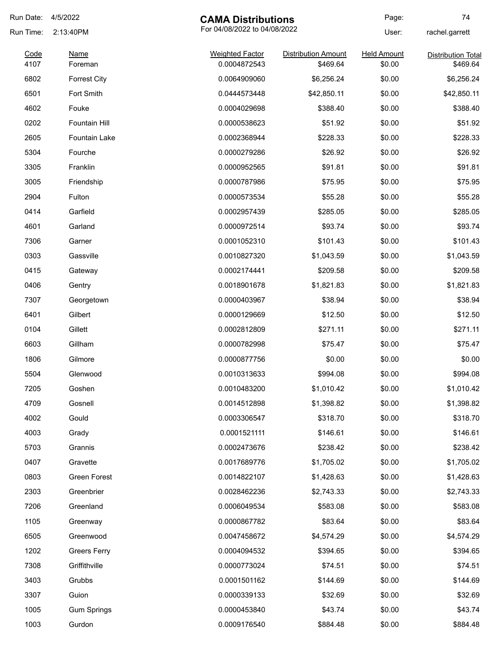| Run Date:    | 4/5/2022             | <b>CAMA Distributions</b>              |                                        | Page:                        | 74                                    |
|--------------|----------------------|----------------------------------------|----------------------------------------|------------------------------|---------------------------------------|
| Run Time:    | 2:13:40PM            | For 04/08/2022 to 04/08/2022           |                                        | User:                        | rachel.garrett                        |
| Code<br>4107 | Name<br>Foreman      | <b>Weighted Factor</b><br>0.0004872543 | <b>Distribution Amount</b><br>\$469.64 | <b>Held Amount</b><br>\$0.00 | <b>Distribution Total</b><br>\$469.64 |
| 6802         | <b>Forrest City</b>  | 0.0064909060                           | \$6,256.24                             | \$0.00                       | \$6,256.24                            |
| 6501         | Fort Smith           | 0.0444573448                           | \$42,850.11                            | \$0.00                       | \$42,850.11                           |
| 4602         | Fouke                | 0.0004029698                           | \$388.40                               | \$0.00                       | \$388.40                              |
| 0202         | Fountain Hill        | 0.0000538623                           | \$51.92                                | \$0.00                       | \$51.92                               |
| 2605         | <b>Fountain Lake</b> | 0.0002368944                           | \$228.33                               | \$0.00                       | \$228.33                              |
| 5304         | Fourche              | 0.0000279286                           | \$26.92                                | \$0.00                       | \$26.92                               |
| 3305         | Franklin             | 0.0000952565                           | \$91.81                                | \$0.00                       | \$91.81                               |
| 3005         | Friendship           | 0.0000787986                           | \$75.95                                | \$0.00                       | \$75.95                               |
| 2904         | Fulton               | 0.0000573534                           | \$55.28                                | \$0.00                       | \$55.28                               |
| 0414         | Garfield             | 0.0002957439                           | \$285.05                               | \$0.00                       | \$285.05                              |
| 4601         | Garland              | 0.0000972514                           | \$93.74                                | \$0.00                       | \$93.74                               |
| 7306         | Garner               | 0.0001052310                           | \$101.43                               | \$0.00                       | \$101.43                              |
| 0303         | Gassville            | 0.0010827320                           | \$1,043.59                             | \$0.00                       | \$1,043.59                            |
| 0415         | Gateway              | 0.0002174441                           | \$209.58                               | \$0.00                       | \$209.58                              |
| 0406         | Gentry               | 0.0018901678                           | \$1,821.83                             | \$0.00                       | \$1,821.83                            |
| 7307         | Georgetown           | 0.0000403967                           | \$38.94                                | \$0.00                       | \$38.94                               |
| 6401         | Gilbert              | 0.0000129669                           | \$12.50                                | \$0.00                       | \$12.50                               |
| 0104         | Gillett              | 0.0002812809                           | \$271.11                               | \$0.00                       | \$271.11                              |
| 6603         | Gillham              | 0.0000782998                           | \$75.47                                | \$0.00                       | \$75.47                               |
| 1806         | Gilmore              | 0.0000877756                           | \$0.00                                 | \$0.00                       | \$0.00                                |
| 5504         | Glenwood             | 0.0010313633                           | \$994.08                               | \$0.00                       | \$994.08                              |
| 7205         | Goshen               | 0.0010483200                           | \$1,010.42                             | \$0.00                       | \$1,010.42                            |
| 4709         | Gosnell              | 0.0014512898                           | \$1,398.82                             | \$0.00                       | \$1,398.82                            |
| 4002         | Gould                | 0.0003306547                           | \$318.70                               | \$0.00                       | \$318.70                              |
| 4003         | Grady                | 0.0001521111                           | \$146.61                               | \$0.00                       | \$146.61                              |
| 5703         | Grannis              | 0.0002473676                           | \$238.42                               | \$0.00                       | \$238.42                              |
| 0407         | Gravette             | 0.0017689776                           | \$1,705.02                             | \$0.00                       | \$1,705.02                            |
| 0803         | Green Forest         | 0.0014822107                           | \$1,428.63                             | \$0.00                       | \$1,428.63                            |
| 2303         | Greenbrier           | 0.0028462236                           | \$2,743.33                             | \$0.00                       | \$2,743.33                            |
| 7206         | Greenland            | 0.0006049534                           | \$583.08                               | \$0.00                       | \$583.08                              |
| 1105         | Greenway             | 0.0000867782                           | \$83.64                                | \$0.00                       | \$83.64                               |
| 6505         | Greenwood            | 0.0047458672                           | \$4,574.29                             | \$0.00                       | \$4,574.29                            |
| 1202         | <b>Greers Ferry</b>  | 0.0004094532                           | \$394.65                               | \$0.00                       | \$394.65                              |
| 7308         | Griffithville        | 0.0000773024                           | \$74.51                                | \$0.00                       | \$74.51                               |
| 3403         | Grubbs               | 0.0001501162                           | \$144.69                               | \$0.00                       | \$144.69                              |
| 3307         | Guion                | 0.0000339133                           | \$32.69                                | \$0.00                       | \$32.69                               |
| 1005         | <b>Gum Springs</b>   | 0.0000453840                           | \$43.74                                | \$0.00                       | \$43.74                               |
| 1003         | Gurdon               | 0.0009176540                           | \$884.48                               | \$0.00                       | \$884.48                              |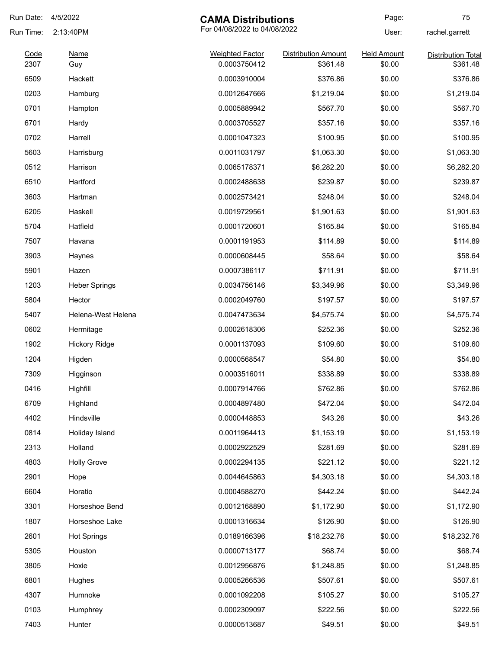| Run Date:    | 4/5/2022             | <b>CAMA Distributions</b>              |                                        | Page:                        | 75                                    |
|--------------|----------------------|----------------------------------------|----------------------------------------|------------------------------|---------------------------------------|
| Run Time:    | 2:13:40PM            |                                        | For 04/08/2022 to 04/08/2022           |                              | rachel.garrett                        |
| Code<br>2307 | Name<br>Guy          | <b>Weighted Factor</b><br>0.0003750412 | <b>Distribution Amount</b><br>\$361.48 | <b>Held Amount</b><br>\$0.00 | <b>Distribution Total</b><br>\$361.48 |
| 6509         | Hackett              | 0.0003910004                           | \$376.86                               | \$0.00                       | \$376.86                              |
| 0203         | Hamburg              | 0.0012647666                           | \$1,219.04                             | \$0.00                       | \$1,219.04                            |
| 0701         | Hampton              | 0.0005889942                           | \$567.70                               | \$0.00                       | \$567.70                              |
| 6701         | Hardy                | 0.0003705527                           | \$357.16                               | \$0.00                       | \$357.16                              |
| 0702         | Harrell              | 0.0001047323                           | \$100.95                               | \$0.00                       | \$100.95                              |
| 5603         | Harrisburg           | 0.0011031797                           | \$1,063.30                             | \$0.00                       | \$1,063.30                            |
| 0512         | Harrison             | 0.0065178371                           | \$6,282.20                             | \$0.00                       | \$6,282.20                            |
| 6510         | Hartford             | 0.0002488638                           | \$239.87                               | \$0.00                       | \$239.87                              |
| 3603         | Hartman              | 0.0002573421                           | \$248.04                               | \$0.00                       | \$248.04                              |
| 6205         | Haskell              | 0.0019729561                           | \$1,901.63                             | \$0.00                       | \$1,901.63                            |
| 5704         | Hatfield             |                                        | \$165.84                               | \$0.00                       | \$165.84                              |
| 7507         | Havana               | 0.0001720601                           | \$114.89                               | \$0.00                       | \$114.89                              |
| 3903         |                      | 0.0001191953<br>0.0000608445           |                                        | \$0.00                       | \$58.64                               |
|              | Haynes               |                                        | \$58.64                                |                              |                                       |
| 5901         | Hazen                | 0.0007386117                           | \$711.91                               | \$0.00                       | \$711.91                              |
| 1203         | <b>Heber Springs</b> | 0.0034756146                           | \$3,349.96                             | \$0.00                       | \$3,349.96                            |
| 5804         | Hector               | 0.0002049760                           | \$197.57                               | \$0.00                       | \$197.57                              |
| 5407         | Helena-West Helena   | 0.0047473634                           | \$4,575.74                             | \$0.00                       | \$4,575.74                            |
| 0602         | Hermitage            | 0.0002618306                           | \$252.36                               | \$0.00                       | \$252.36                              |
| 1902         | <b>Hickory Ridge</b> | 0.0001137093                           | \$109.60                               | \$0.00                       | \$109.60                              |
| 1204         | Higden               | 0.0000568547                           | \$54.80                                | \$0.00                       | \$54.80                               |
| 7309         | Higginson            | 0.0003516011                           | \$338.89                               | \$0.00                       | \$338.89                              |
| 0416         | Highfill             | 0.0007914766                           | \$762.86                               | \$0.00                       | \$762.86                              |
| 6709         | Highland             | 0.0004897480                           | \$472.04                               | \$0.00                       | \$472.04                              |
| 4402         | Hindsville           | 0.0000448853                           | \$43.26                                | \$0.00                       | \$43.26                               |
| 0814         | Holiday Island       | 0.0011964413                           | \$1,153.19                             | \$0.00                       | \$1,153.19                            |
| 2313         | Holland              | 0.0002922529                           | \$281.69                               | \$0.00                       | \$281.69                              |
| 4803         | <b>Holly Grove</b>   | 0.0002294135                           | \$221.12                               | \$0.00                       | \$221.12                              |
| 2901         | Hope                 | 0.0044645863                           | \$4,303.18                             | \$0.00                       | \$4,303.18                            |
| 6604         | Horatio              | 0.0004588270                           | \$442.24                               | \$0.00                       | \$442.24                              |
| 3301         | Horseshoe Bend       | 0.0012168890                           | \$1,172.90                             | \$0.00                       | \$1,172.90                            |
| 1807         | Horseshoe Lake       | 0.0001316634                           | \$126.90                               | \$0.00                       | \$126.90                              |
| 2601         | <b>Hot Springs</b>   | 0.0189166396                           | \$18,232.76                            | \$0.00                       | \$18,232.76                           |
| 5305         | Houston              | 0.0000713177                           | \$68.74                                | \$0.00                       | \$68.74                               |
| 3805         | Hoxie                | 0.0012956876                           | \$1,248.85                             | \$0.00                       | \$1,248.85                            |
| 6801         | Hughes               | 0.0005266536                           | \$507.61                               | \$0.00                       | \$507.61                              |
| 4307         | Humnoke              | 0.0001092208                           | \$105.27                               | \$0.00                       | \$105.27                              |
| 0103         | Humphrey             | 0.0002309097                           | \$222.56                               | \$0.00                       | \$222.56                              |
| 7403         | Hunter               | 0.0000513687                           | \$49.51                                | \$0.00                       | \$49.51                               |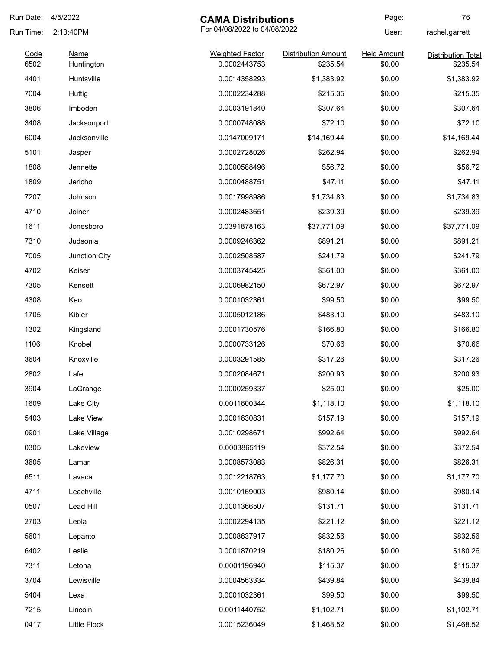| Run Date:    | 4/5/2022                  | <b>CAMA Distributions</b>              |                                        | Page:                        | 76                                    |
|--------------|---------------------------|----------------------------------------|----------------------------------------|------------------------------|---------------------------------------|
| Run Time:    | 2:13:40PM                 | For 04/08/2022 to 04/08/2022           |                                        | User:                        | rachel.garrett                        |
| Code<br>6502 | <b>Name</b><br>Huntington | <b>Weighted Factor</b><br>0.0002443753 | <b>Distribution Amount</b><br>\$235.54 | <b>Held Amount</b><br>\$0.00 | <b>Distribution Total</b><br>\$235.54 |
|              |                           |                                        |                                        |                              |                                       |
| 4401         | Huntsville                | 0.0014358293                           | \$1,383.92                             | \$0.00                       | \$1,383.92                            |
| 7004         | Huttig                    | 0.0002234288                           | \$215.35                               | \$0.00                       | \$215.35                              |
| 3806         | Imboden                   | 0.0003191840                           | \$307.64                               | \$0.00                       | \$307.64                              |
| 3408         | Jacksonport               | 0.0000748088                           | \$72.10                                | \$0.00                       | \$72.10                               |
| 6004         | Jacksonville              | 0.0147009171                           | \$14,169.44                            | \$0.00                       | \$14,169.44                           |
| 5101         | Jasper                    | 0.0002728026                           | \$262.94                               | \$0.00                       | \$262.94                              |
| 1808         | Jennette                  | 0.0000588496                           | \$56.72                                | \$0.00                       | \$56.72                               |
| 1809         | Jericho                   | 0.0000488751                           | \$47.11                                | \$0.00                       | \$47.11                               |
| 7207         | Johnson                   | 0.0017998986                           | \$1,734.83                             | \$0.00                       | \$1,734.83                            |
| 4710         | Joiner                    | 0.0002483651                           | \$239.39                               | \$0.00                       | \$239.39                              |
| 1611         | Jonesboro                 | 0.0391878163                           | \$37,771.09                            | \$0.00                       | \$37,771.09                           |
| 7310         | Judsonia                  | 0.0009246362                           | \$891.21                               | \$0.00                       | \$891.21                              |
| 7005         | Junction City             | 0.0002508587                           | \$241.79                               | \$0.00                       | \$241.79                              |
| 4702         | Keiser                    | 0.0003745425                           | \$361.00                               | \$0.00                       | \$361.00                              |
| 7305         | Kensett                   | 0.0006982150                           | \$672.97                               | \$0.00                       | \$672.97                              |
| 4308         | Keo                       | 0.0001032361                           | \$99.50                                | \$0.00                       | \$99.50                               |
| 1705         | Kibler                    | 0.0005012186                           | \$483.10                               | \$0.00                       | \$483.10                              |
| 1302         | Kingsland                 | 0.0001730576                           | \$166.80                               | \$0.00                       | \$166.80                              |
| 1106         | Knobel                    | 0.0000733126                           | \$70.66                                | \$0.00                       | \$70.66                               |
| 3604         | Knoxville                 | 0.0003291585                           | \$317.26                               | \$0.00                       | \$317.26                              |
| 2802         | Lafe                      | 0.0002084671                           | \$200.93                               | \$0.00                       | \$200.93                              |
| 3904         | LaGrange                  | 0.0000259337                           | \$25.00                                | \$0.00                       | \$25.00                               |
| 1609         | Lake City                 | 0.0011600344                           | \$1,118.10                             | \$0.00                       | \$1,118.10                            |
| 5403         | Lake View                 | 0.0001630831                           | \$157.19                               | \$0.00                       | \$157.19                              |
| 0901         | Lake Village              | 0.0010298671                           | \$992.64                               | \$0.00                       | \$992.64                              |
| 0305         | Lakeview                  | 0.0003865119                           | \$372.54                               | \$0.00                       | \$372.54                              |
| 3605         | Lamar                     | 0.0008573083                           | \$826.31                               | \$0.00                       | \$826.31                              |
| 6511         | Lavaca                    | 0.0012218763                           | \$1,177.70                             | \$0.00                       | \$1,177.70                            |
| 4711         | Leachville                | 0.0010169003                           | \$980.14                               | \$0.00                       | \$980.14                              |
| 0507         | Lead Hill                 | 0.0001366507                           | \$131.71                               | \$0.00                       | \$131.71                              |
| 2703         | Leola                     | 0.0002294135                           | \$221.12                               | \$0.00                       | \$221.12                              |
| 5601         | Lepanto                   | 0.0008637917                           | \$832.56                               | \$0.00                       | \$832.56                              |
| 6402         | Leslie                    | 0.0001870219                           | \$180.26                               | \$0.00                       | \$180.26                              |
|              |                           |                                        |                                        |                              |                                       |
| 7311         | Letona                    | 0.0001196940                           | \$115.37                               | \$0.00                       | \$115.37                              |
| 3704         | Lewisville                | 0.0004563334                           | \$439.84                               | \$0.00                       | \$439.84                              |
| 5404         | Lexa                      | 0.0001032361                           | \$99.50                                | \$0.00                       | \$99.50                               |
| 7215         | Lincoln                   | 0.0011440752                           | \$1,102.71                             | \$0.00                       | \$1,102.71                            |
| 0417         | Little Flock              | 0.0015236049                           | \$1,468.52                             | \$0.00                       | \$1,468.52                            |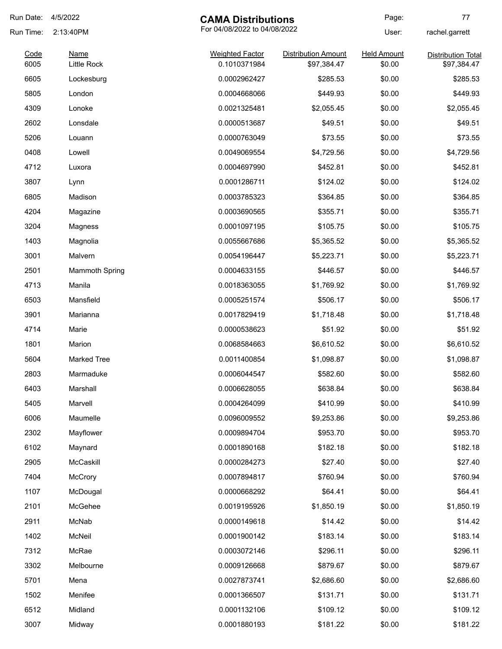| Run Date:    | 4/5/2022                   | <b>CAMA Distributions</b>              |                                           | Page:                        | 77                                       |
|--------------|----------------------------|----------------------------------------|-------------------------------------------|------------------------------|------------------------------------------|
| Run Time:    | 2:13:40PM                  | For 04/08/2022 to 04/08/2022           |                                           | User:                        | rachel.garrett                           |
| Code<br>6005 | <b>Name</b><br>Little Rock | <b>Weighted Factor</b><br>0.1010371984 | <b>Distribution Amount</b><br>\$97,384.47 | <b>Held Amount</b><br>\$0.00 | <b>Distribution Total</b><br>\$97,384.47 |
| 6605         | Lockesburg                 | 0.0002962427                           | \$285.53                                  | \$0.00                       | \$285.53                                 |
| 5805         | London                     | 0.0004668066                           | \$449.93                                  | \$0.00                       | \$449.93                                 |
| 4309         | Lonoke                     | 0.0021325481                           | \$2,055.45                                | \$0.00                       | \$2,055.45                               |
| 2602         | Lonsdale                   | 0.0000513687                           | \$49.51                                   | \$0.00                       | \$49.51                                  |
| 5206         | Louann                     | 0.0000763049                           | \$73.55                                   | \$0.00                       | \$73.55                                  |
| 0408         | Lowell                     | 0.0049069554                           | \$4,729.56                                | \$0.00                       | \$4,729.56                               |
| 4712         | Luxora                     | 0.0004697990                           | \$452.81                                  | \$0.00                       | \$452.81                                 |
| 3807         | Lynn                       | 0.0001286711                           | \$124.02                                  | \$0.00                       | \$124.02                                 |
| 6805         | Madison                    | 0.0003785323                           | \$364.85                                  | \$0.00                       | \$364.85                                 |
| 4204         | Magazine                   | 0.0003690565                           | \$355.71                                  | \$0.00                       | \$355.71                                 |
| 3204         | Magness                    | 0.0001097195                           | \$105.75                                  | \$0.00                       | \$105.75                                 |
| 1403         | Magnolia                   | 0.0055667686                           | \$5,365.52                                | \$0.00                       | \$5,365.52                               |
| 3001         | Malvern                    | 0.0054196447                           | \$5,223.71                                | \$0.00                       | \$5,223.71                               |
| 2501         | <b>Mammoth Spring</b>      | 0.0004633155                           | \$446.57                                  | \$0.00                       | \$446.57                                 |
| 4713         | Manila                     | 0.0018363055                           | \$1,769.92                                | \$0.00                       | \$1,769.92                               |
| 6503         | Mansfield                  | 0.0005251574                           | \$506.17                                  | \$0.00                       | \$506.17                                 |
| 3901         | Marianna                   | 0.0017829419                           | \$1,718.48                                | \$0.00                       | \$1,718.48                               |
| 4714         | Marie                      | 0.0000538623                           | \$51.92                                   | \$0.00                       | \$51.92                                  |
| 1801         | Marion                     | 0.0068584663                           | \$6,610.52                                | \$0.00                       | \$6,610.52                               |
| 5604         | <b>Marked Tree</b>         | 0.0011400854                           | \$1,098.87                                | \$0.00                       | \$1,098.87                               |
| 2803         | Marmaduke                  | 0.0006044547                           | \$582.60                                  | \$0.00                       | \$582.60                                 |
| 6403         | Marshall                   | 0.0006628055                           | \$638.84                                  | \$0.00                       | \$638.84                                 |
| 5405         | Marvell                    | 0.0004264099                           | \$410.99                                  | \$0.00                       | \$410.99                                 |
| 6006         | Maumelle                   | 0.0096009552                           | \$9,253.86                                | \$0.00                       | \$9,253.86                               |
| 2302         | Mayflower                  | 0.0009894704                           | \$953.70                                  | \$0.00                       | \$953.70                                 |
| 6102         | Maynard                    | 0.0001890168                           | \$182.18                                  | \$0.00                       | \$182.18                                 |
| 2905         | McCaskill                  | 0.0000284273                           | \$27.40                                   | \$0.00                       | \$27.40                                  |
| 7404         | McCrory                    | 0.0007894817                           | \$760.94                                  | \$0.00                       | \$760.94                                 |
| 1107         | McDougal                   | 0.0000668292                           | \$64.41                                   | \$0.00                       | \$64.41                                  |
| 2101         | McGehee                    | 0.0019195926                           | \$1,850.19                                | \$0.00                       | \$1,850.19                               |
| 2911         | McNab                      | 0.0000149618                           | \$14.42                                   | \$0.00                       | \$14.42                                  |
| 1402         | McNeil                     | 0.0001900142                           | \$183.14                                  | \$0.00                       | \$183.14                                 |
| 7312         | McRae                      | 0.0003072146                           | \$296.11                                  | \$0.00                       | \$296.11                                 |
| 3302         | Melbourne                  | 0.0009126668                           | \$879.67                                  | \$0.00                       | \$879.67                                 |
| 5701         | Mena                       | 0.0027873741                           | \$2,686.60                                | \$0.00                       | \$2,686.60                               |
| 1502         | Menifee                    | 0.0001366507                           | \$131.71                                  | \$0.00                       | \$131.71                                 |
| 6512         | Midland                    | 0.0001132106                           | \$109.12                                  | \$0.00                       | \$109.12                                 |
| 3007         | Midway                     | 0.0001880193                           | \$181.22                                  | \$0.00                       | \$181.22                                 |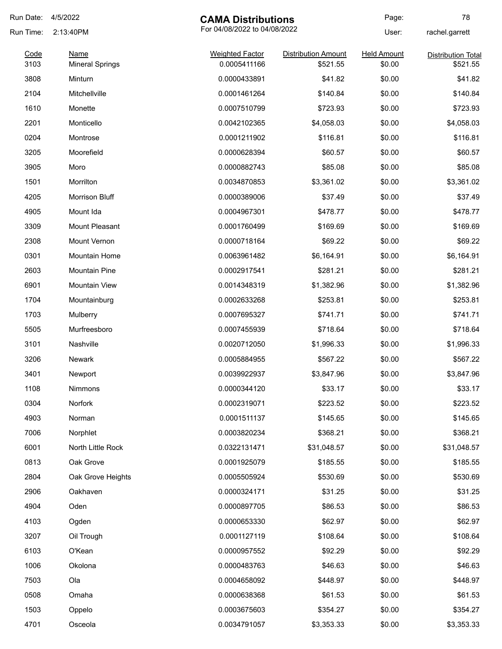| Run Date:    | 4/5/2022                              | <b>CAMA Distributions</b>              |                                        | Page:                        | 78                                    |
|--------------|---------------------------------------|----------------------------------------|----------------------------------------|------------------------------|---------------------------------------|
| Run Time:    | 2:13:40PM                             | For 04/08/2022 to 04/08/2022           |                                        | User:                        | rachel.garrett                        |
| Code<br>3103 | <b>Name</b><br><b>Mineral Springs</b> | <b>Weighted Factor</b><br>0.0005411166 | <b>Distribution Amount</b><br>\$521.55 | <b>Held Amount</b><br>\$0.00 | <b>Distribution Total</b><br>\$521.55 |
| 3808         | Minturn                               | 0.0000433891                           | \$41.82                                | \$0.00                       | \$41.82                               |
| 2104         | Mitchellville                         | 0.0001461264                           | \$140.84                               | \$0.00                       | \$140.84                              |
| 1610         | Monette                               | 0.0007510799                           | \$723.93                               | \$0.00                       | \$723.93                              |
| 2201         | Monticello                            | 0.0042102365                           | \$4,058.03                             | \$0.00                       | \$4,058.03                            |
| 0204         | Montrose                              | 0.0001211902                           | \$116.81                               | \$0.00                       | \$116.81                              |
| 3205         | Moorefield                            | 0.0000628394                           | \$60.57                                | \$0.00                       | \$60.57                               |
| 3905         | Moro                                  | 0.0000882743                           | \$85.08                                | \$0.00                       | \$85.08                               |
| 1501         | Morrilton                             | 0.0034870853                           | \$3,361.02                             | \$0.00                       | \$3,361.02                            |
| 4205         | Morrison Bluff                        | 0.0000389006                           | \$37.49                                | \$0.00                       | \$37.49                               |
| 4905         | Mount Ida                             | 0.0004967301                           | \$478.77                               | \$0.00                       | \$478.77                              |
| 3309         | Mount Pleasant                        | 0.0001760499                           | \$169.69                               | \$0.00                       | \$169.69                              |
| 2308         | Mount Vernon                          | 0.0000718164                           | \$69.22                                | \$0.00                       | \$69.22                               |
| 0301         | Mountain Home                         | 0.0063961482                           | \$6,164.91                             | \$0.00                       | \$6,164.91                            |
| 2603         | <b>Mountain Pine</b>                  | 0.0002917541                           | \$281.21                               | \$0.00                       | \$281.21                              |
| 6901         | <b>Mountain View</b>                  | 0.0014348319                           | \$1,382.96                             | \$0.00                       | \$1,382.96                            |
| 1704         | Mountainburg                          | 0.0002633268                           | \$253.81                               | \$0.00                       | \$253.81                              |
| 1703         | Mulberry                              | 0.0007695327                           | \$741.71                               | \$0.00                       | \$741.71                              |
| 5505         | Murfreesboro                          | 0.0007455939                           | \$718.64                               | \$0.00                       | \$718.64                              |
| 3101         | Nashville                             | 0.0020712050                           | \$1,996.33                             | \$0.00                       | \$1,996.33                            |
| 3206         | <b>Newark</b>                         | 0.0005884955                           | \$567.22                               | \$0.00                       | \$567.22                              |
| 3401         | Newport                               | 0.0039922937                           | \$3,847.96                             | \$0.00                       | \$3,847.96                            |
| 1108         | Nimmons                               | 0.0000344120                           | \$33.17                                | \$0.00                       | \$33.17                               |
| 0304         | Norfork                               | 0.0002319071                           | \$223.52                               | \$0.00                       | \$223.52                              |
| 4903         | Norman                                | 0.0001511137                           | \$145.65                               | \$0.00                       | \$145.65                              |
| 7006         | Norphlet                              | 0.0003820234                           | \$368.21                               | \$0.00                       | \$368.21                              |
| 6001         | North Little Rock                     | 0.0322131471                           | \$31,048.57                            | \$0.00                       | \$31,048.57                           |
| 0813         | Oak Grove                             | 0.0001925079                           | \$185.55                               | \$0.00                       | \$185.55                              |
| 2804         | Oak Grove Heights                     | 0.0005505924                           | \$530.69                               | \$0.00                       | \$530.69                              |
| 2906         | Oakhaven                              | 0.0000324171                           | \$31.25                                | \$0.00                       | \$31.25                               |
| 4904         | Oden                                  | 0.0000897705                           | \$86.53                                | \$0.00                       | \$86.53                               |
| 4103         | Ogden                                 | 0.0000653330                           | \$62.97                                | \$0.00                       | \$62.97                               |
| 3207         | Oil Trough                            | 0.0001127119                           | \$108.64                               | \$0.00                       | \$108.64                              |
| 6103         | O'Kean                                | 0.0000957552                           | \$92.29                                | \$0.00                       | \$92.29                               |
| 1006         | Okolona                               | 0.0000483763                           | \$46.63                                | \$0.00                       | \$46.63                               |
| 7503         | Ola                                   | 0.0004658092                           | \$448.97                               | \$0.00                       | \$448.97                              |
| 0508         | Omaha                                 | 0.0000638368                           | \$61.53                                | \$0.00                       | \$61.53                               |
| 1503         | Oppelo                                | 0.0003675603                           | \$354.27                               | \$0.00                       | \$354.27                              |
| 4701         | Osceola                               | 0.0034791057                           | \$3,353.33                             | \$0.00                       | \$3,353.33                            |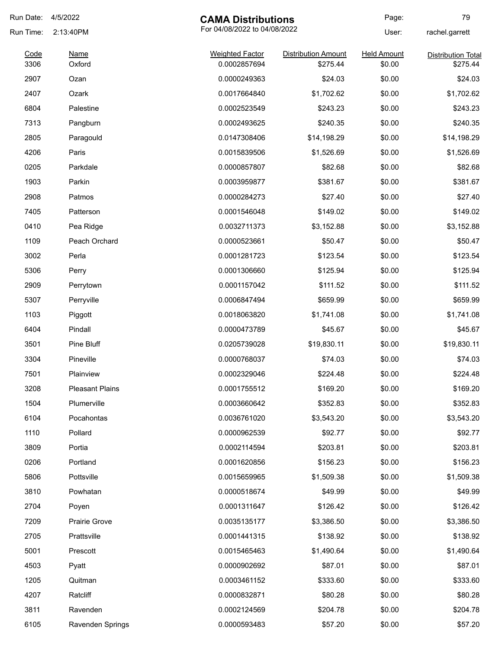| Run Date: | 4/5/2022               | <b>CAMA Distributions</b>    |                            | Page:              | 79                        |
|-----------|------------------------|------------------------------|----------------------------|--------------------|---------------------------|
| Run Time: | 2:13:40PM              | For 04/08/2022 to 04/08/2022 |                            | User:              | rachel.garrett            |
| Code      | <b>Name</b>            | <b>Weighted Factor</b>       | <b>Distribution Amount</b> | <b>Held Amount</b> | <b>Distribution Total</b> |
| 3306      | Oxford                 | 0.0002857694                 | \$275.44                   | \$0.00             | \$275.44                  |
| 2907      | Ozan                   | 0.0000249363                 | \$24.03                    | \$0.00             | \$24.03                   |
| 2407      | Ozark                  | 0.0017664840                 | \$1,702.62                 | \$0.00             | \$1,702.62                |
| 6804      | Palestine              | 0.0002523549                 | \$243.23                   | \$0.00             | \$243.23                  |
| 7313      | Pangburn               | 0.0002493625                 | \$240.35                   | \$0.00             | \$240.35                  |
| 2805      | Paragould              | 0.0147308406                 | \$14,198.29                | \$0.00             | \$14,198.29               |
| 4206      | Paris                  | 0.0015839506                 | \$1,526.69                 | \$0.00             | \$1,526.69                |
| 0205      | Parkdale               | 0.0000857807                 | \$82.68                    | \$0.00             | \$82.68                   |
| 1903      | Parkin                 | 0.0003959877                 | \$381.67                   | \$0.00             | \$381.67                  |
| 2908      | Patmos                 | 0.0000284273                 | \$27.40                    | \$0.00             | \$27.40                   |
| 7405      | Patterson              | 0.0001546048                 | \$149.02                   | \$0.00             | \$149.02                  |
| 0410      | Pea Ridge              | 0.0032711373                 | \$3,152.88                 | \$0.00             | \$3,152.88                |
| 1109      | Peach Orchard          | 0.0000523661                 | \$50.47                    | \$0.00             | \$50.47                   |
| 3002      | Perla                  | 0.0001281723                 | \$123.54                   | \$0.00             | \$123.54                  |
| 5306      | Perry                  | 0.0001306660                 | \$125.94                   | \$0.00             | \$125.94                  |
| 2909      | Perrytown              | 0.0001157042                 | \$111.52                   | \$0.00             | \$111.52                  |
| 5307      | Perryville             | 0.0006847494                 | \$659.99                   | \$0.00             | \$659.99                  |
| 1103      | Piggott                | 0.0018063820                 | \$1,741.08                 | \$0.00             | \$1,741.08                |
| 6404      | Pindall                | 0.0000473789                 | \$45.67                    | \$0.00             | \$45.67                   |
| 3501      | Pine Bluff             | 0.0205739028                 | \$19,830.11                | \$0.00             | \$19,830.11               |
| 3304      | Pineville              | 0.0000768037                 | \$74.03                    | \$0.00             | \$74.03                   |
| 7501      | Plainview              | 0.0002329046                 | \$224.48                   | \$0.00             | \$224.48                  |
| 3208      | <b>Pleasant Plains</b> | 0.0001755512                 | \$169.20                   | \$0.00             | \$169.20                  |
| 1504      | Plumerville            | 0.0003660642                 | \$352.83                   | \$0.00             | \$352.83                  |
| 6104      | Pocahontas             | 0.0036761020                 | \$3,543.20                 | \$0.00             | \$3,543.20                |
| 1110      | Pollard                | 0.0000962539                 | \$92.77                    | \$0.00             | \$92.77                   |
| 3809      | Portia                 | 0.0002114594                 | \$203.81                   | \$0.00             | \$203.81                  |
| 0206      | Portland               | 0.0001620856                 | \$156.23                   | \$0.00             | \$156.23                  |
| 5806      | Pottsville             | 0.0015659965                 | \$1,509.38                 | \$0.00             | \$1,509.38                |
| 3810      | Powhatan               | 0.0000518674                 | \$49.99                    | \$0.00             | \$49.99                   |
| 2704      | Poyen                  | 0.0001311647                 | \$126.42                   | \$0.00             | \$126.42                  |
| 7209      | Prairie Grove          | 0.0035135177                 | \$3,386.50                 | \$0.00             | \$3,386.50                |
| 2705      | Prattsville            | 0.0001441315                 | \$138.92                   | \$0.00             | \$138.92                  |
| 5001      | Prescott               | 0.0015465463                 | \$1,490.64                 | \$0.00             | \$1,490.64                |
| 4503      | Pyatt                  | 0.0000902692                 | \$87.01                    | \$0.00             | \$87.01                   |
| 1205      | Quitman                | 0.0003461152                 | \$333.60                   | \$0.00             | \$333.60                  |
| 4207      | Ratcliff               | 0.0000832871                 | \$80.28                    | \$0.00             | \$80.28                   |
|           |                        |                              |                            |                    |                           |
| 3811      | Ravenden               | 0.0002124569                 | \$204.78                   | \$0.00             | \$204.78                  |
| 6105      | Ravenden Springs       | 0.0000593483                 | \$57.20                    | \$0.00             | \$57.20                   |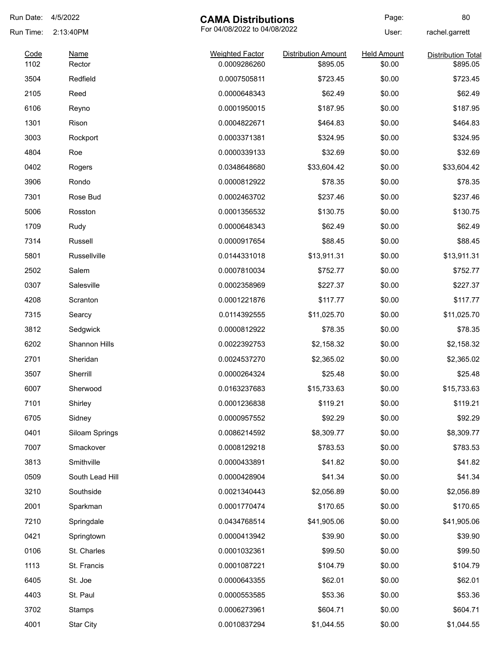| Run Date: | 4/5/2022         | <b>CAMA Distributions</b>    |                            | Page:              | 80                        |
|-----------|------------------|------------------------------|----------------------------|--------------------|---------------------------|
| Run Time: | 2:13:40PM        | For 04/08/2022 to 04/08/2022 |                            | User:              | rachel.garrett            |
| Code      | <b>Name</b>      | <b>Weighted Factor</b>       | <b>Distribution Amount</b> | <b>Held Amount</b> | <b>Distribution Total</b> |
| 1102      | Rector           | 0.0009286260                 | \$895.05                   | \$0.00             | \$895.05                  |
| 3504      | Redfield         | 0.0007505811                 | \$723.45                   | \$0.00             | \$723.45                  |
| 2105      | Reed             | 0.0000648343                 | \$62.49                    | \$0.00             | \$62.49                   |
| 6106      | Reyno            | 0.0001950015                 | \$187.95                   | \$0.00             | \$187.95                  |
| 1301      | Rison            | 0.0004822671                 | \$464.83                   | \$0.00             | \$464.83                  |
| 3003      | Rockport         | 0.0003371381                 | \$324.95                   | \$0.00             | \$324.95                  |
| 4804      | Roe              | 0.0000339133                 | \$32.69                    | \$0.00             | \$32.69                   |
| 0402      | Rogers           | 0.0348648680                 | \$33,604.42                | \$0.00             | \$33,604.42               |
| 3906      | Rondo            | 0.0000812922                 | \$78.35                    | \$0.00             | \$78.35                   |
| 7301      | Rose Bud         | 0.0002463702                 | \$237.46                   | \$0.00             | \$237.46                  |
| 5006      | Rosston          | 0.0001356532                 | \$130.75                   | \$0.00             | \$130.75                  |
| 1709      | Rudy             | 0.0000648343                 | \$62.49                    | \$0.00             | \$62.49                   |
| 7314      | Russell          | 0.0000917654                 | \$88.45                    | \$0.00             | \$88.45                   |
| 5801      | Russellville     | 0.0144331018                 | \$13,911.31                | \$0.00             | \$13,911.31               |
| 2502      | Salem            | 0.0007810034                 | \$752.77                   | \$0.00             | \$752.77                  |
| 0307      | Salesville       | 0.0002358969                 | \$227.37                   | \$0.00             | \$227.37                  |
| 4208      | Scranton         | 0.0001221876                 | \$117.77                   | \$0.00             | \$117.77                  |
| 7315      | Searcy           | 0.0114392555                 | \$11,025.70                | \$0.00             | \$11,025.70               |
| 3812      | Sedgwick         | 0.0000812922                 | \$78.35                    | \$0.00             | \$78.35                   |
| 6202      | Shannon Hills    | 0.0022392753                 | \$2,158.32                 | \$0.00             | \$2,158.32                |
| 2701      | Sheridan         | 0.0024537270                 | \$2,365.02                 | \$0.00             | \$2,365.02                |
| 3507      | Sherrill         | 0.0000264324                 | \$25.48                    | \$0.00             | \$25.48                   |
| 6007      | Sherwood         | 0.0163237683                 | \$15,733.63                | \$0.00             | \$15,733.63               |
| 7101      | Shirley          | 0.0001236838                 | \$119.21                   | \$0.00             | \$119.21                  |
| 6705      | Sidney           | 0.0000957552                 | \$92.29                    | \$0.00             | \$92.29                   |
| 0401      | Siloam Springs   | 0.0086214592                 | \$8,309.77                 | \$0.00             | \$8,309.77                |
| 7007      | Smackover        | 0.0008129218                 | \$783.53                   | \$0.00             | \$783.53                  |
| 3813      | Smithville       | 0.0000433891                 | \$41.82                    | \$0.00             | \$41.82                   |
| 0509      | South Lead Hill  | 0.0000428904                 | \$41.34                    | \$0.00             | \$41.34                   |
| 3210      | Southside        | 0.0021340443                 | \$2,056.89                 | \$0.00             | \$2,056.89                |
| 2001      | Sparkman         | 0.0001770474                 | \$170.65                   | \$0.00             | \$170.65                  |
| 7210      | Springdale       | 0.0434768514                 | \$41,905.06                | \$0.00             | \$41,905.06               |
| 0421      | Springtown       | 0.0000413942                 | \$39.90                    | \$0.00             | \$39.90                   |
| 0106      |                  | 0.0001032361                 | \$99.50                    | \$0.00             | \$99.50                   |
|           | St. Charles      |                              |                            |                    |                           |
| 1113      | St. Francis      | 0.0001087221                 | \$104.79                   | \$0.00             | \$104.79                  |
| 6405      | St. Joe          | 0.0000643355                 | \$62.01                    | \$0.00             | \$62.01                   |
| 4403      | St. Paul         | 0.0000553585                 | \$53.36                    | \$0.00             | \$53.36                   |
| 3702      | Stamps           | 0.0006273961                 | \$604.71                   | \$0.00             | \$604.71                  |
| 4001      | <b>Star City</b> | 0.0010837294                 | \$1,044.55                 | \$0.00             | \$1,044.55                |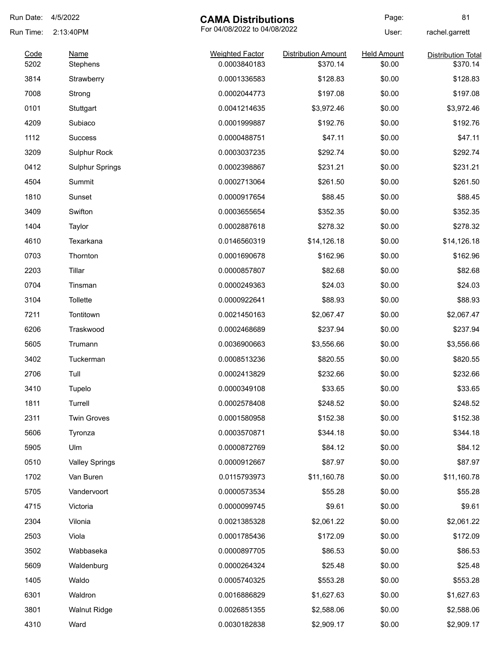| Run Date:    | 4/5/2022               | <b>CAMA Distributions</b>              |                                        | Page:                        | 81                                    |
|--------------|------------------------|----------------------------------------|----------------------------------------|------------------------------|---------------------------------------|
| Run Time:    | 2:13:40PM              | For 04/08/2022 to 04/08/2022           |                                        |                              | rachel.garrett                        |
| Code<br>5202 | <b>Name</b>            | <b>Weighted Factor</b><br>0.0003840183 | <b>Distribution Amount</b><br>\$370.14 | <b>Held Amount</b><br>\$0.00 | <b>Distribution Total</b><br>\$370.14 |
| 3814         | Stephens               | 0.0001336583                           | \$128.83                               | \$0.00                       | \$128.83                              |
| 7008         | Strawberry             | 0.0002044773                           | \$197.08                               | \$0.00                       | \$197.08                              |
|              | Strong                 |                                        |                                        |                              |                                       |
| 0101         | Stuttgart              | 0.0041214635                           | \$3,972.46                             | \$0.00                       | \$3,972.46                            |
| 4209         | Subiaco                | 0.0001999887                           | \$192.76                               | \$0.00                       | \$192.76                              |
| 1112         | <b>Success</b>         | 0.0000488751                           | \$47.11                                | \$0.00                       | \$47.11                               |
| 3209         | <b>Sulphur Rock</b>    | 0.0003037235                           | \$292.74                               | \$0.00                       | \$292.74                              |
| 0412         | <b>Sulphur Springs</b> | 0.0002398867                           | \$231.21                               | \$0.00                       | \$231.21                              |
| 4504         | Summit                 | 0.0002713064                           | \$261.50                               | \$0.00                       | \$261.50                              |
| 1810         | Sunset                 | 0.0000917654                           | \$88.45                                | \$0.00                       | \$88.45                               |
| 3409         | Swifton                | 0.0003655654                           | \$352.35                               | \$0.00                       | \$352.35                              |
| 1404         | Taylor                 | 0.0002887618                           | \$278.32                               | \$0.00                       | \$278.32                              |
| 4610         | Texarkana              | 0.0146560319                           | \$14,126.18                            | \$0.00                       | \$14,126.18                           |
| 0703         | Thornton               | 0.0001690678                           | \$162.96                               | \$0.00                       | \$162.96                              |
| 2203         | Tillar                 | 0.0000857807                           | \$82.68                                | \$0.00                       | \$82.68                               |
| 0704         | Tinsman                | 0.0000249363                           | \$24.03                                | \$0.00                       | \$24.03                               |
| 3104         | Tollette               | 0.0000922641                           | \$88.93                                | \$0.00                       | \$88.93                               |
| 7211         | Tontitown              | 0.0021450163                           | \$2,067.47                             | \$0.00                       | \$2,067.47                            |
| 6206         | Traskwood              | 0.0002468689                           | \$237.94                               | \$0.00                       | \$237.94                              |
| 5605         | Trumann                | 0.0036900663                           | \$3,556.66                             | \$0.00                       | \$3,556.66                            |
| 3402         | Tuckerman              | 0.0008513236                           | \$820.55                               | \$0.00                       | \$820.55                              |
| 2706         | Tull                   | 0.0002413829                           | \$232.66                               | \$0.00                       | \$232.66                              |
| 3410         | Tupelo                 | 0.0000349108                           | \$33.65                                | \$0.00                       | \$33.65                               |
| 1811         | Turrell                | 0.0002578408                           | \$248.52                               | \$0.00                       | \$248.52                              |
| 2311         | <b>Twin Groves</b>     | 0.0001580958                           | \$152.38                               | \$0.00                       | \$152.38                              |
| 5606         | Tyronza                | 0.0003570871                           | \$344.18                               | \$0.00                       | \$344.18                              |
| 5905         | Ulm                    | 0.0000872769                           | \$84.12                                | \$0.00                       | \$84.12                               |
| 0510         | <b>Valley Springs</b>  | 0.0000912667                           | \$87.97                                | \$0.00                       | \$87.97                               |
| 1702         | Van Buren              | 0.0115793973                           | \$11,160.78                            | \$0.00                       | \$11,160.78                           |
| 5705         | Vandervoort            | 0.0000573534                           | \$55.28                                | \$0.00                       | \$55.28                               |
| 4715         | Victoria               | 0.0000099745                           | \$9.61                                 | \$0.00                       | \$9.61                                |
| 2304         | Vilonia                | 0.0021385328                           | \$2,061.22                             | \$0.00                       | \$2,061.22                            |
| 2503         | Viola                  | 0.0001785436                           | \$172.09                               | \$0.00                       | \$172.09                              |
| 3502         | Wabbaseka              | 0.0000897705                           | \$86.53                                | \$0.00                       | \$86.53                               |
| 5609         | Waldenburg             | 0.0000264324                           | \$25.48                                | \$0.00                       | \$25.48                               |
| 1405         | Waldo                  | 0.0005740325                           | \$553.28                               | \$0.00                       | \$553.28                              |
| 6301         | Waldron                | 0.0016886829                           | \$1,627.63                             | \$0.00                       | \$1,627.63                            |
| 3801         | <b>Walnut Ridge</b>    | 0.0026851355                           | \$2,588.06                             | \$0.00                       | \$2,588.06                            |
| 4310         | Ward                   | 0.0030182838                           | \$2,909.17                             | \$0.00                       | \$2,909.17                            |
|              |                        |                                        |                                        |                              |                                       |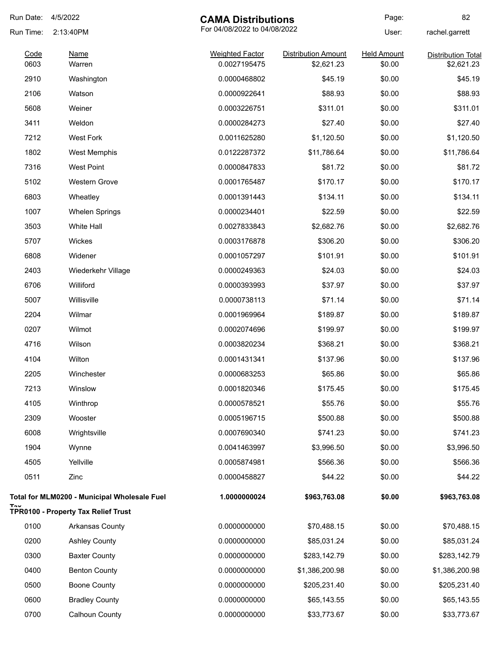| Run Date:    | 4/5/2022                                     | <b>CAMA Distributions</b>              |                                          | Page:                        | 82                                      |
|--------------|----------------------------------------------|----------------------------------------|------------------------------------------|------------------------------|-----------------------------------------|
| Run Time:    | 2:13:40PM                                    | For 04/08/2022 to 04/08/2022           |                                          | User:                        | rachel.garrett                          |
| Code<br>0603 | <b>Name</b><br>Warren                        | <b>Weighted Factor</b><br>0.0027195475 | <b>Distribution Amount</b><br>\$2,621.23 | <b>Held Amount</b><br>\$0.00 | <b>Distribution Total</b><br>\$2,621.23 |
| 2910         | Washington                                   | 0.0000468802                           | \$45.19                                  | \$0.00                       | \$45.19                                 |
| 2106         | Watson                                       | 0.0000922641                           | \$88.93                                  | \$0.00                       | \$88.93                                 |
| 5608         | Weiner                                       | 0.0003226751                           | \$311.01                                 | \$0.00                       | \$311.01                                |
| 3411         | Weldon                                       | 0.0000284273                           | \$27.40                                  | \$0.00                       | \$27.40                                 |
| 7212         | <b>West Fork</b>                             | 0.0011625280                           | \$1,120.50                               | \$0.00                       | \$1,120.50                              |
| 1802         | <b>West Memphis</b>                          | 0.0122287372                           | \$11,786.64                              | \$0.00                       | \$11,786.64                             |
| 7316         | <b>West Point</b>                            | 0.0000847833                           | \$81.72                                  | \$0.00                       | \$81.72                                 |
| 5102         | Western Grove                                | 0.0001765487                           | \$170.17                                 | \$0.00                       | \$170.17                                |
| 6803         | Wheatley                                     | 0.0001391443                           | \$134.11                                 | \$0.00                       | \$134.11                                |
| 1007         | <b>Whelen Springs</b>                        | 0.0000234401                           | \$22.59                                  | \$0.00                       | \$22.59                                 |
| 3503         | White Hall                                   | 0.0027833843                           | \$2,682.76                               | \$0.00                       | \$2,682.76                              |
| 5707         | Wickes                                       | 0.0003176878                           | \$306.20                                 | \$0.00                       | \$306.20                                |
| 6808         | Widener                                      | 0.0001057297                           | \$101.91                                 | \$0.00                       | \$101.91                                |
| 2403         | Wiederkehr Village                           | 0.0000249363                           | \$24.03                                  | \$0.00                       | \$24.03                                 |
| 6706         | Williford                                    | 0.0000393993                           | \$37.97                                  | \$0.00                       | \$37.97                                 |
| 5007         | Willisville                                  | 0.0000738113                           | \$71.14                                  | \$0.00                       | \$71.14                                 |
| 2204         | Wilmar                                       | 0.0001969964                           | \$189.87                                 | \$0.00                       | \$189.87                                |
| 0207         | Wilmot                                       | 0.0002074696                           | \$199.97                                 | \$0.00                       | \$199.97                                |
| 4716         | Wilson                                       | 0.0003820234                           | \$368.21                                 | \$0.00                       | \$368.21                                |
| 4104         | Wilton                                       | 0.0001431341                           | \$137.96                                 | \$0.00                       | \$137.96                                |
| 2205         | Winchester                                   | 0.0000683253                           | \$65.86                                  | \$0.00                       | \$65.86                                 |
| 7213         | Winslow                                      | 0.0001820346                           | \$175.45                                 | \$0.00                       | \$175.45                                |
| 4105         | Winthrop                                     | 0.0000578521                           | \$55.76                                  | \$0.00                       | \$55.76                                 |
| 2309         | Wooster                                      | 0.0005196715                           | \$500.88                                 | \$0.00                       | \$500.88                                |
| 6008         | Wrightsville                                 | 0.0007690340                           | \$741.23                                 | \$0.00                       | \$741.23                                |
| 1904         | Wynne                                        | 0.0041463997                           | \$3,996.50                               | \$0.00                       | \$3,996.50                              |
| 4505         | Yellville                                    | 0.0005874981                           | \$566.36                                 | \$0.00                       | \$566.36                                |
| 0511         | Zinc                                         | 0.0000458827                           | \$44.22                                  | \$0.00                       | \$44.22                                 |
|              | Total for MLM0200 - Municipal Wholesale Fuel | 1.0000000024                           | \$963,763.08                             | \$0.00                       | \$963,763.08                            |
|              | <b>TPR0100 - Property Tax Relief Trust</b>   |                                        |                                          |                              |                                         |
| 0100         | Arkansas County                              | 0.0000000000                           | \$70,488.15                              | \$0.00                       | \$70,488.15                             |
| 0200         | <b>Ashley County</b>                         | 0.0000000000                           | \$85,031.24                              | \$0.00                       | \$85,031.24                             |
| 0300         | <b>Baxter County</b>                         | 0.0000000000                           | \$283,142.79                             | \$0.00                       | \$283,142.79                            |
| 0400         | <b>Benton County</b>                         | 0.0000000000                           | \$1,386,200.98                           | \$0.00                       | \$1,386,200.98                          |
| 0500         | <b>Boone County</b>                          | 0.0000000000                           | \$205,231.40                             | \$0.00                       | \$205,231.40                            |
| 0600         | <b>Bradley County</b>                        | 0.0000000000                           | \$65,143.55                              | \$0.00                       | \$65,143.55                             |
| 0700         | Calhoun County                               | 0.0000000000                           | \$33,773.67                              | \$0.00                       | \$33,773.67                             |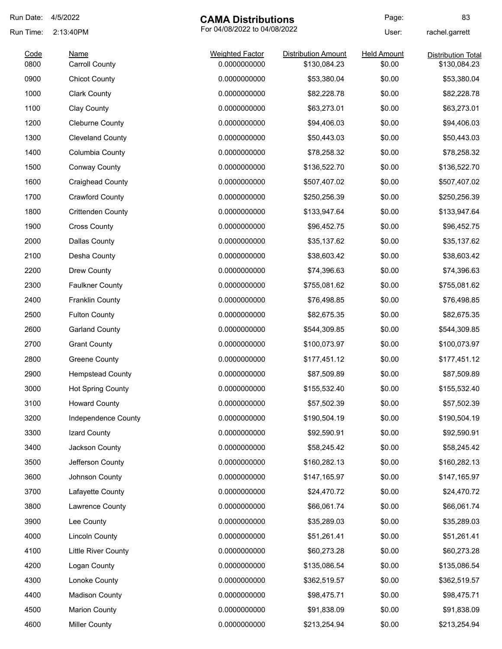| Run Date:    | 4/5/2022                      | <b>CAMA Distributions</b>              |                                            | Page:                        | 83                                        |
|--------------|-------------------------------|----------------------------------------|--------------------------------------------|------------------------------|-------------------------------------------|
| Run Time:    | 2:13:40PM                     | For 04/08/2022 to 04/08/2022           |                                            | User:                        | rachel.garrett                            |
| Code<br>0800 | Name<br><b>Carroll County</b> | <b>Weighted Factor</b><br>0.0000000000 | <b>Distribution Amount</b><br>\$130,084.23 | <b>Held Amount</b><br>\$0.00 | <b>Distribution Total</b><br>\$130,084.23 |
| 0900         | <b>Chicot County</b>          | 0.0000000000                           | \$53,380.04                                | \$0.00                       | \$53,380.04                               |
| 1000         | <b>Clark County</b>           | 0.0000000000                           | \$82,228.78                                | \$0.00                       | \$82,228.78                               |
| 1100         | Clay County                   | 0.0000000000                           | \$63,273.01                                | \$0.00                       | \$63,273.01                               |
| 1200         | <b>Cleburne County</b>        | 0.0000000000                           | \$94,406.03                                | \$0.00                       | \$94,406.03                               |
| 1300         | <b>Cleveland County</b>       | 0.0000000000                           | \$50,443.03                                | \$0.00                       | \$50,443.03                               |
| 1400         | Columbia County               | 0.0000000000                           | \$78,258.32                                | \$0.00                       | \$78,258.32                               |
| 1500         | <b>Conway County</b>          | 0.0000000000                           | \$136,522.70                               | \$0.00                       | \$136,522.70                              |
| 1600         | <b>Craighead County</b>       | 0.0000000000                           | \$507,407.02                               | \$0.00                       | \$507,407.02                              |
| 1700         | <b>Crawford County</b>        | 0.0000000000                           | \$250,256.39                               | \$0.00                       | \$250,256.39                              |
| 1800         | <b>Crittenden County</b>      | 0.0000000000                           | \$133,947.64                               | \$0.00                       | \$133,947.64                              |
| 1900         | <b>Cross County</b>           | 0.0000000000                           | \$96,452.75                                | \$0.00                       | \$96,452.75                               |
| 2000         | <b>Dallas County</b>          | 0.0000000000                           | \$35,137.62                                | \$0.00                       | \$35,137.62                               |
| 2100         | Desha County                  | 0.0000000000                           | \$38,603.42                                | \$0.00                       | \$38,603.42                               |
| 2200         | Drew County                   | 0.0000000000                           | \$74,396.63                                | \$0.00                       | \$74,396.63                               |
| 2300         | <b>Faulkner County</b>        | 0.0000000000                           | \$755,081.62                               | \$0.00                       | \$755,081.62                              |
| 2400         | <b>Franklin County</b>        | 0.0000000000                           | \$76,498.85                                | \$0.00                       | \$76,498.85                               |
| 2500         | <b>Fulton County</b>          | 0.0000000000                           | \$82,675.35                                | \$0.00                       | \$82,675.35                               |
| 2600         | <b>Garland County</b>         | 0.0000000000                           | \$544,309.85                               | \$0.00                       | \$544,309.85                              |
| 2700         | <b>Grant County</b>           | 0.0000000000                           | \$100,073.97                               | \$0.00                       | \$100,073.97                              |
| 2800         | Greene County                 | 0.0000000000                           | \$177,451.12                               | \$0.00                       | \$177,451.12                              |
| 2900         | <b>Hempstead County</b>       | 0.0000000000                           | \$87,509.89                                | \$0.00                       | \$87,509.89                               |
| 3000         | <b>Hot Spring County</b>      | 0.0000000000                           | \$155,532.40                               | \$0.00                       | \$155,532.40                              |
| 3100         | <b>Howard County</b>          | 0.0000000000                           | \$57,502.39                                | \$0.00                       | \$57,502.39                               |
| 3200         | Independence County           | 0.0000000000                           | \$190,504.19                               | \$0.00                       | \$190,504.19                              |
| 3300         | Izard County                  | 0.0000000000                           | \$92,590.91                                | \$0.00                       | \$92,590.91                               |
| 3400         | Jackson County                | 0.0000000000                           | \$58,245.42                                | \$0.00                       | \$58,245.42                               |
| 3500         | Jefferson County              | 0.0000000000                           | \$160,282.13                               | \$0.00                       | \$160,282.13                              |
| 3600         | Johnson County                | 0.0000000000                           | \$147,165.97                               | \$0.00                       | \$147,165.97                              |
| 3700         | Lafayette County              | 0.0000000000                           | \$24,470.72                                | \$0.00                       | \$24,470.72                               |
| 3800         | Lawrence County               | 0.0000000000                           | \$66,061.74                                | \$0.00                       | \$66,061.74                               |
| 3900         | Lee County                    | 0.0000000000                           | \$35,289.03                                | \$0.00                       | \$35,289.03                               |
| 4000         | <b>Lincoln County</b>         | 0.0000000000                           | \$51,261.41                                | \$0.00                       | \$51,261.41                               |
| 4100         | <b>Little River County</b>    | 0.0000000000                           | \$60,273.28                                | \$0.00                       | \$60,273.28                               |
| 4200         | Logan County                  | 0.0000000000                           | \$135,086.54                               | \$0.00                       | \$135,086.54                              |
| 4300         | Lonoke County                 | 0.0000000000                           | \$362,519.57                               | \$0.00                       | \$362,519.57                              |
| 4400         | <b>Madison County</b>         | 0.0000000000                           | \$98,475.71                                | \$0.00                       | \$98,475.71                               |
| 4500         | <b>Marion County</b>          | 0.0000000000                           | \$91,838.09                                | \$0.00                       | \$91,838.09                               |
| 4600         | <b>Miller County</b>          | 0.0000000000                           | \$213,254.94                               | \$0.00                       | \$213,254.94                              |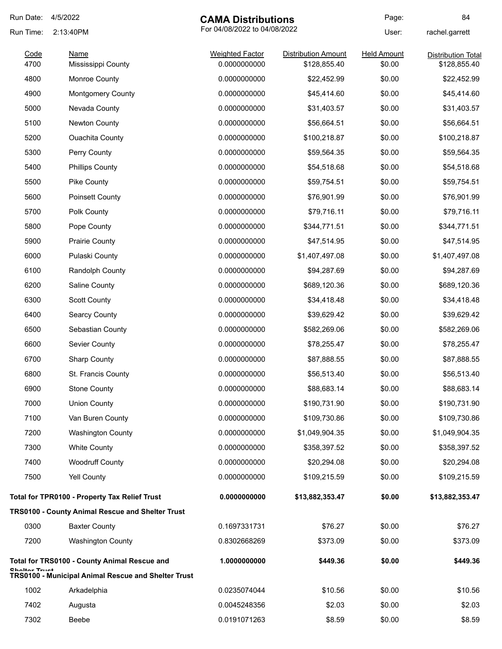| Run Date:     | 4/5/2022                                                | <b>CAMA Distributions</b>    |                            | Page:              | 84                        |
|---------------|---------------------------------------------------------|------------------------------|----------------------------|--------------------|---------------------------|
| Run Time:     | 2:13:40PM                                               | For 04/08/2022 to 04/08/2022 |                            | User:              | rachel.garrett            |
| Code          | Name                                                    | <b>Weighted Factor</b>       | <b>Distribution Amount</b> | <b>Held Amount</b> | <b>Distribution Total</b> |
| 4700          | Mississippi County                                      | 0.0000000000                 | \$128,855.40               | \$0.00             | \$128,855.40              |
| 4800          | <b>Monroe County</b>                                    | 0.0000000000                 | \$22,452.99                | \$0.00             | \$22,452.99               |
| 4900          | <b>Montgomery County</b>                                | 0.0000000000                 | \$45,414.60                | \$0.00             | \$45,414.60               |
| 5000          | Nevada County                                           | 0.0000000000                 | \$31,403.57                | \$0.00             | \$31,403.57               |
| 5100          | <b>Newton County</b>                                    | 0.0000000000                 | \$56,664.51                | \$0.00             | \$56,664.51               |
| 5200          | <b>Ouachita County</b>                                  | 0.0000000000                 | \$100,218.87               | \$0.00             | \$100,218.87              |
| 5300          | Perry County                                            | 0.0000000000                 | \$59,564.35                | \$0.00             | \$59,564.35               |
| 5400          | <b>Phillips County</b>                                  | 0.0000000000                 | \$54,518.68                | \$0.00             | \$54,518.68               |
| 5500          | Pike County                                             | 0.0000000000                 | \$59,754.51                | \$0.00             | \$59,754.51               |
| 5600          | <b>Poinsett County</b>                                  | 0.0000000000                 | \$76,901.99                | \$0.00             | \$76,901.99               |
| 5700          | Polk County                                             | 0.0000000000                 | \$79,716.11                | \$0.00             | \$79,716.11               |
| 5800          | Pope County                                             | 0.0000000000                 | \$344,771.51               | \$0.00             | \$344,771.51              |
| 5900          | <b>Prairie County</b>                                   | 0.0000000000                 | \$47,514.95                | \$0.00             | \$47,514.95               |
| 6000          | Pulaski County                                          | 0.0000000000                 | \$1,407,497.08             | \$0.00             | \$1,407,497.08            |
| 6100          | <b>Randolph County</b>                                  | 0.0000000000                 | \$94,287.69                | \$0.00             | \$94,287.69               |
| 6200          | Saline County                                           | 0.0000000000                 | \$689,120.36               | \$0.00             | \$689,120.36              |
| 6300          | <b>Scott County</b>                                     | 0.0000000000                 | \$34,418.48                | \$0.00             | \$34,418.48               |
| 6400          | <b>Searcy County</b>                                    | 0.0000000000                 | \$39,629.42                | \$0.00             | \$39,629.42               |
| 6500          | Sebastian County                                        | 0.0000000000                 | \$582,269.06               | \$0.00             | \$582,269.06              |
| 6600          | Sevier County                                           | 0.0000000000                 | \$78,255.47                | \$0.00             | \$78,255.47               |
| 6700          | <b>Sharp County</b>                                     | 0.0000000000                 | \$87,888.55                | \$0.00             | \$87,888.55               |
| 6800          | St. Francis County                                      | 0.0000000000                 | \$56,513.40                | \$0.00             | \$56,513.40               |
| 6900          | <b>Stone County</b>                                     | 0.0000000000                 | \$88,683.14                | \$0.00             | \$88,683.14               |
| 7000          | <b>Union County</b>                                     | 0.0000000000                 | \$190,731.90               | \$0.00             | \$190,731.90              |
| 7100          | Van Buren County                                        | 0.0000000000                 | \$109,730.86               | \$0.00             | \$109,730.86              |
| 7200          | <b>Washington County</b>                                | 0.0000000000                 | \$1,049,904.35             | \$0.00             | \$1,049,904.35            |
| 7300          | <b>White County</b>                                     | 0.0000000000                 | \$358,397.52               | \$0.00             | \$358,397.52              |
| 7400          | <b>Woodruff County</b>                                  | 0.0000000000                 | \$20,294.08                | \$0.00             | \$20,294.08               |
| 7500          | <b>Yell County</b>                                      | 0.0000000000                 | \$109,215.59               | \$0.00             | \$109,215.59              |
|               | <b>Total for TPR0100 - Property Tax Relief Trust</b>    | 0.0000000000                 | \$13,882,353.47            | \$0.00             | \$13,882,353.47           |
|               | <b>TRS0100 - County Animal Rescue and Shelter Trust</b> |                              |                            |                    |                           |
| 0300          | <b>Baxter County</b>                                    | 0.1697331731                 | \$76.27                    | \$0.00             | \$76.27                   |
| 7200          | <b>Washington County</b>                                | 0.8302668269                 | \$373.09                   | \$0.00             | \$373.09                  |
| Chaltar Truct | <b>Total for TRS0100 - County Animal Rescue and</b>     | 1.0000000000                 | \$449.36                   | \$0.00             | \$449.36                  |
|               | TRS0100 - Municipal Animal Rescue and Shelter Trust     |                              |                            |                    |                           |
| 1002          | Arkadelphia                                             | 0.0235074044                 | \$10.56                    | \$0.00             | \$10.56                   |
| 7402          | Augusta                                                 | 0.0045248356                 | \$2.03                     | \$0.00             | \$2.03                    |
| 7302          | Beebe                                                   | 0.0191071263                 | \$8.59                     | \$0.00             | \$8.59                    |